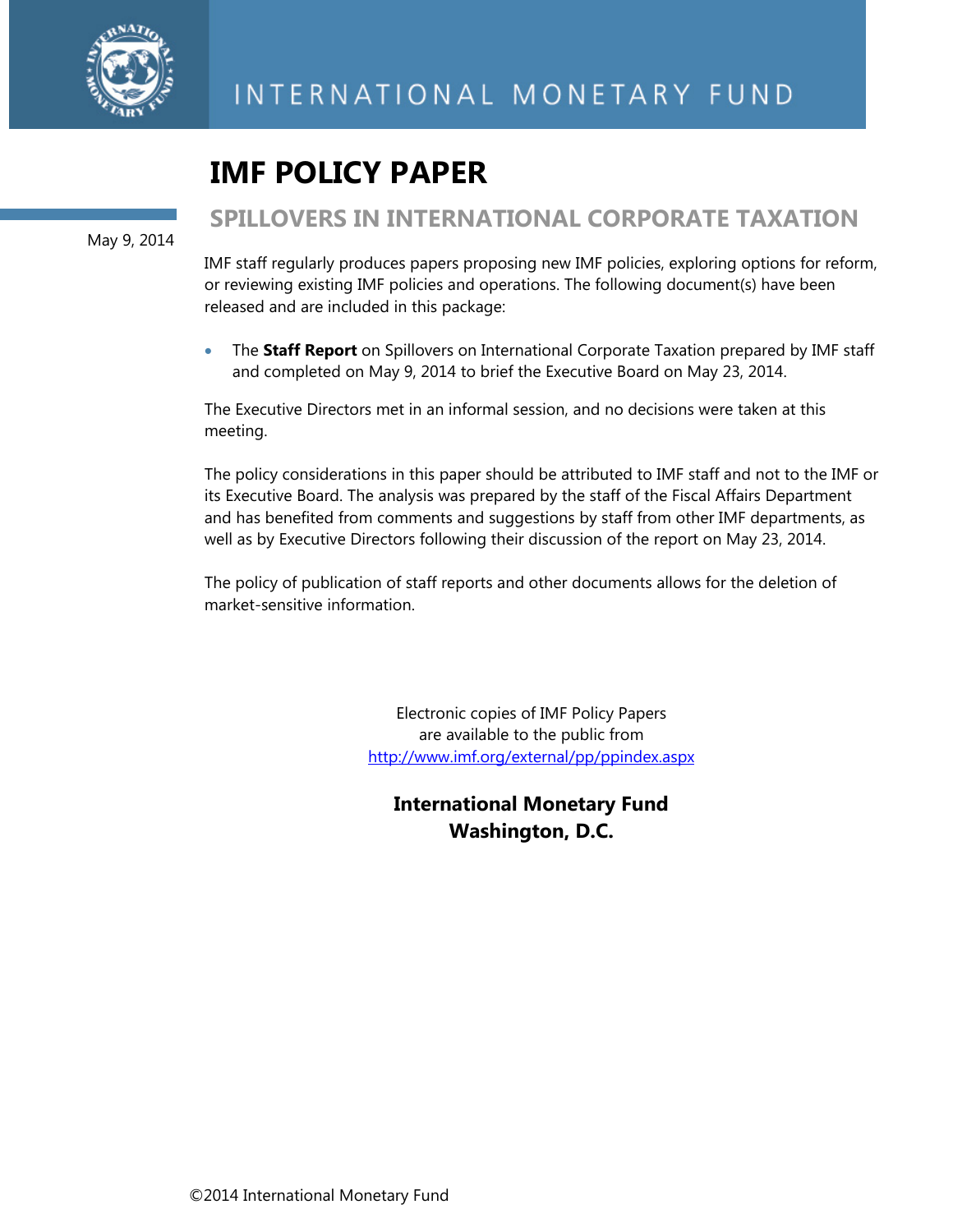

# **IMF POLICY PAPER**

May 9, 2014

# **SPILLOVERS IN INTERNATIONAL CORPORATE TAXATION**

IMF staff regularly produces papers proposing new IMF policies, exploring options for reform, or reviewing existing IMF policies and operations. The following document(s) have been released and are included in this package:

 The **Staff Report** on Spillovers on International Corporate Taxation prepared by IMF staff and completed on May 9, 2014 to brief the Executive Board on May 23, 2014.

The Executive Directors met in an informal session, and no decisions were taken at this meeting.

The policy considerations in this paper should be attributed to IMF staff and not to the IMF or its Executive Board. The analysis was prepared by the staff of the Fiscal Affairs Department and has benefited from comments and suggestions by staff from other IMF departments, as well as by Executive Directors following their discussion of the report on May 23, 2014.

The policy of publication of staff reports and other documents allows for the deletion of market-sensitive information.

> Electronic copies of IMF Policy Papers are available to the public from http://www.imf.org/external/pp/ppindex.aspx

**International Monetary Fund Washington, D.C.**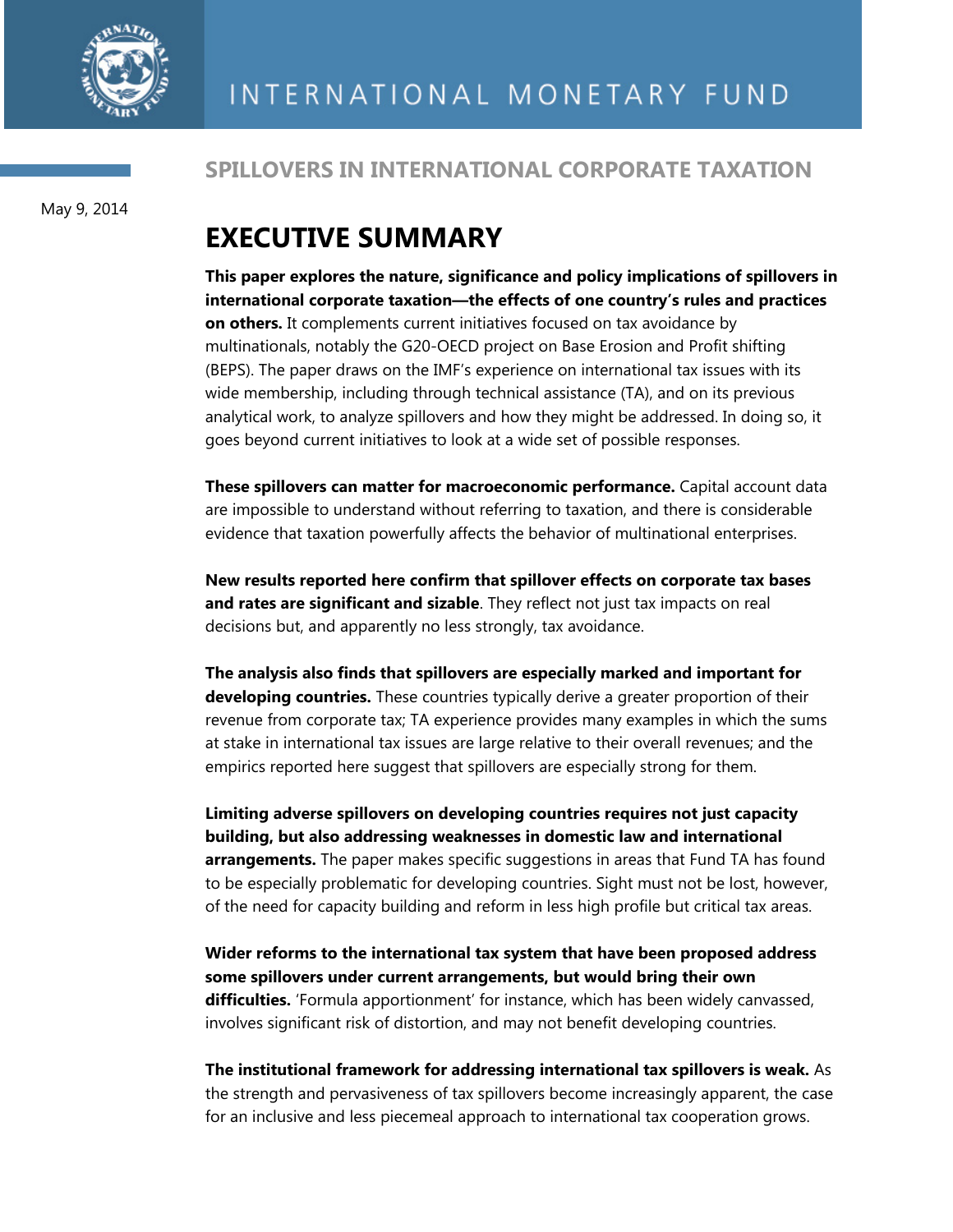

# May 9, 2014

# **SPILLOVERS IN INTERNATIONAL CORPORATE TAXATION**

# **EXECUTIVE SUMMARY**

**This paper explores the nature, significance and policy implications of spillovers in international corporate taxation—the effects of one country's rules and practices on others.** It complements current initiatives focused on tax avoidance by multinationals, notably the G20-OECD project on Base Erosion and Profit shifting (BEPS). The paper draws on the IMF's experience on international tax issues with its wide membership, including through technical assistance (TA), and on its previous analytical work, to analyze spillovers and how they might be addressed. In doing so, it goes beyond current initiatives to look at a wide set of possible responses.

**These spillovers can matter for macroeconomic performance.** Capital account data are impossible to understand without referring to taxation, and there is considerable evidence that taxation powerfully affects the behavior of multinational enterprises.

**New results reported here confirm that spillover effects on corporate tax bases and rates are significant and sizable**. They reflect not just tax impacts on real decisions but, and apparently no less strongly, tax avoidance.

**The analysis also finds that spillovers are especially marked and important for developing countries.** These countries typically derive a greater proportion of their revenue from corporate tax; TA experience provides many examples in which the sums at stake in international tax issues are large relative to their overall revenues; and the empirics reported here suggest that spillovers are especially strong for them.

**Limiting adverse spillovers on developing countries requires not just capacity building, but also addressing weaknesses in domestic law and international arrangements.** The paper makes specific suggestions in areas that Fund TA has found to be especially problematic for developing countries. Sight must not be lost, however, of the need for capacity building and reform in less high profile but critical tax areas.

**Wider reforms to the international tax system that have been proposed address some spillovers under current arrangements, but would bring their own difficulties.** 'Formula apportionment' for instance, which has been widely canvassed, involves significant risk of distortion, and may not benefit developing countries.

**The institutional framework for addressing international tax spillovers is weak.** As the strength and pervasiveness of tax spillovers become increasingly apparent, the case for an inclusive and less piecemeal approach to international tax cooperation grows.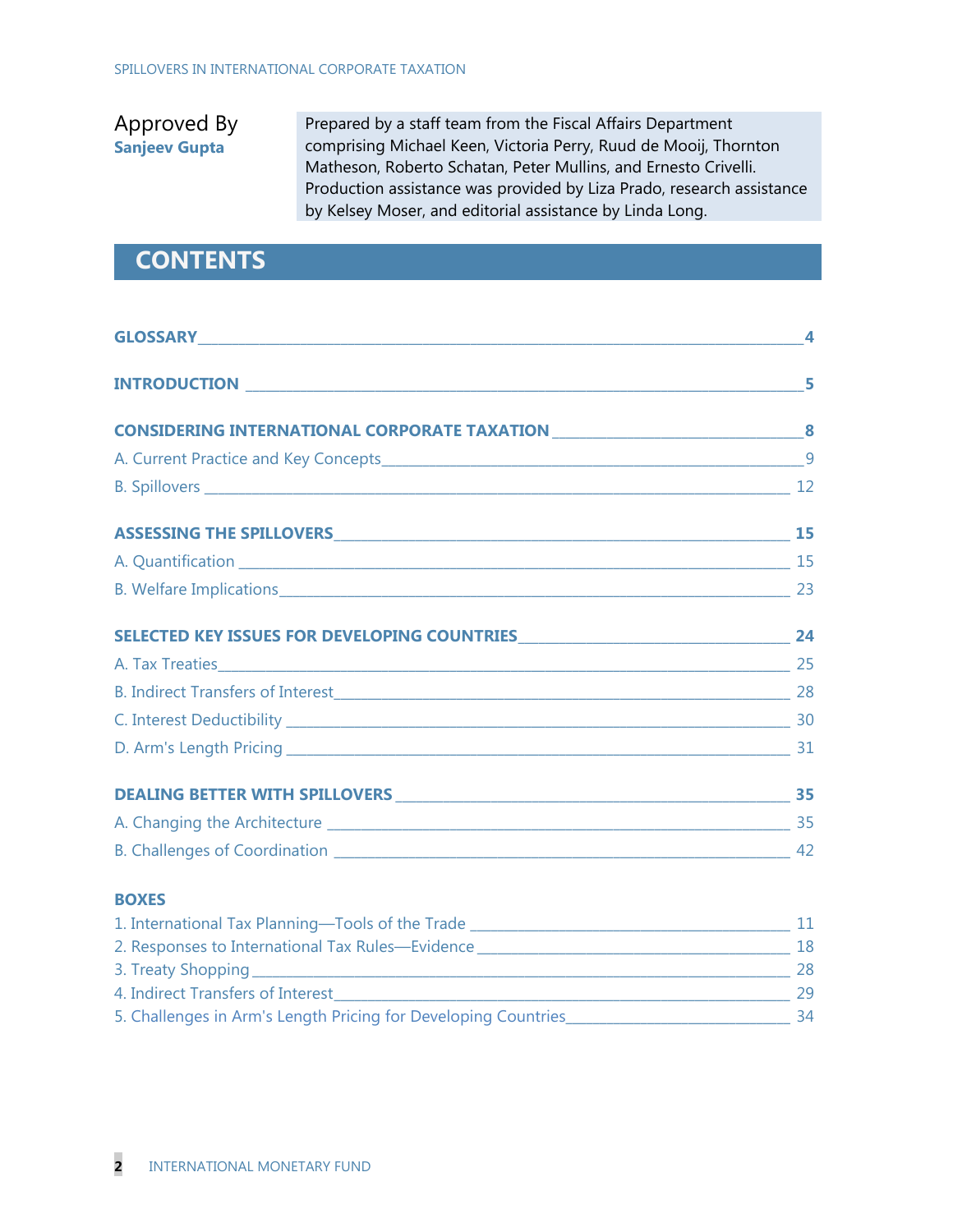# Approved By **Sanjeev Gupta**

Prepared by a staff team from the Fiscal Affairs Department comprising Michael Keen, Victoria Perry, Ruud de Mooij, Thornton Matheson, Roberto Schatan, Peter Mullins, and Ernesto Crivelli. Production assistance was provided by Liza Prado, research assistance by Kelsey Moser, and editorial assistance by Linda Long.

# **CONTENTS**

| GLOSSARY NATIONAL CONTRACT CONTRACT OF THE CONTRACT OF THE CONTRACT OF THE CONTRACT OF THE CONTRACT OF THE CONTRACT OF THE CONTRACT OF THE CONTRACT OF THE CONTRACT OF THE CONTRACT OF THE CONTRACT OF THE CONTRACT OF THE CON |   |
|--------------------------------------------------------------------------------------------------------------------------------------------------------------------------------------------------------------------------------|---|
|                                                                                                                                                                                                                                | 5 |
| CONSIDERING INTERNATIONAL CORPORATE TAXATION ___________________________________8                                                                                                                                              |   |
|                                                                                                                                                                                                                                | 9 |
|                                                                                                                                                                                                                                |   |
|                                                                                                                                                                                                                                |   |
| A. Quantification 15                                                                                                                                                                                                           |   |
| B. Welfare Implications 23                                                                                                                                                                                                     |   |
|                                                                                                                                                                                                                                |   |
|                                                                                                                                                                                                                                |   |
|                                                                                                                                                                                                                                |   |
|                                                                                                                                                                                                                                |   |
|                                                                                                                                                                                                                                |   |
|                                                                                                                                                                                                                                |   |
|                                                                                                                                                                                                                                |   |
|                                                                                                                                                                                                                                |   |
| <b>BOXES</b>                                                                                                                                                                                                                   |   |
|                                                                                                                                                                                                                                |   |
|                                                                                                                                                                                                                                |   |
|                                                                                                                                                                                                                                |   |
|                                                                                                                                                                                                                                |   |
|                                                                                                                                                                                                                                |   |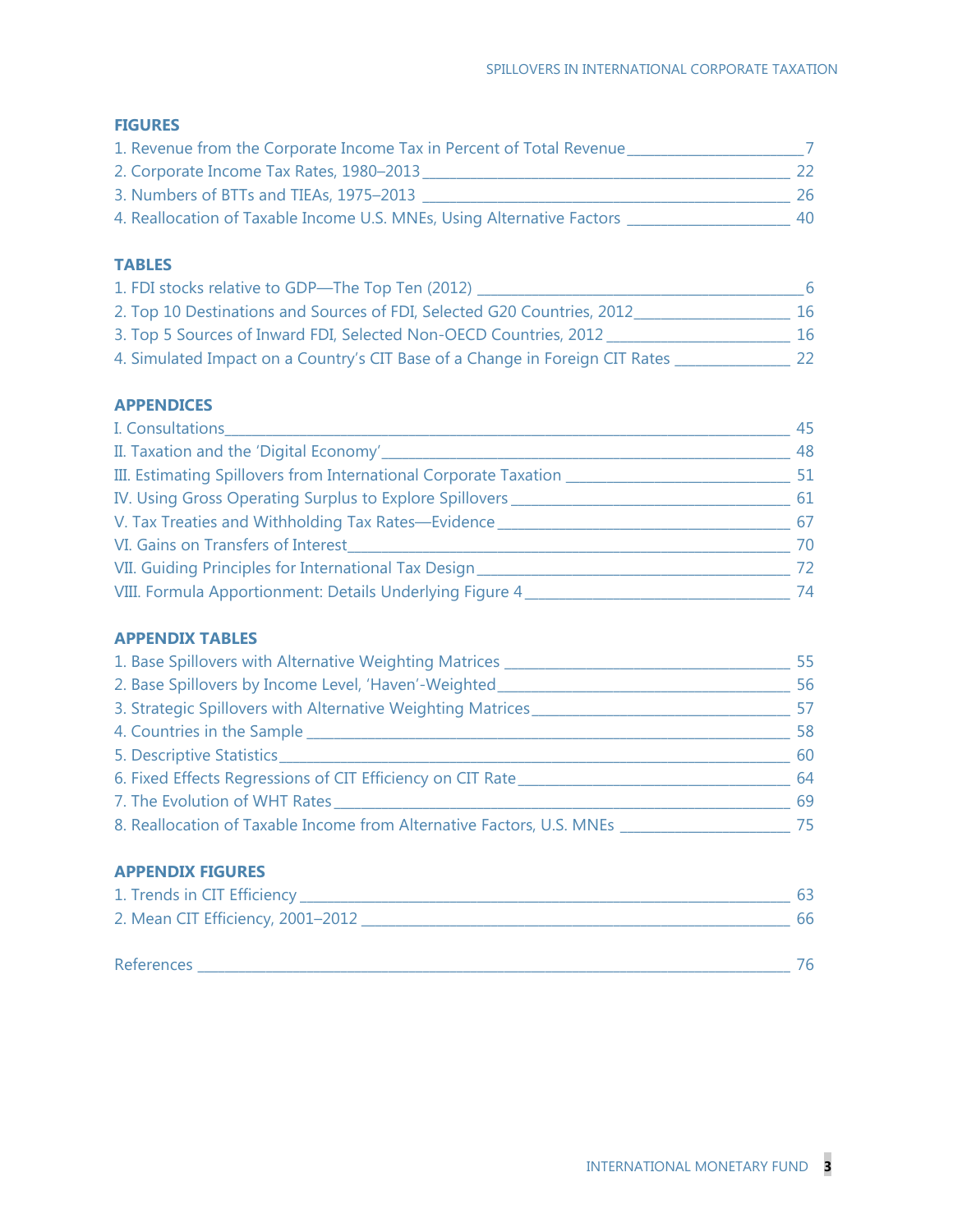## **FIGURES**

| 1. Revenue from the Corporate Income Tax in Percent of Total Revenue   |    |
|------------------------------------------------------------------------|----|
| 2. Corporate Income Tax Rates, 1980-2013                               | 22 |
| 3. Numbers of BTTs and TIEAs, 1975-2013                                | 26 |
| 4. Reallocation of Taxable Income U.S. MNEs, Using Alternative Factors | 40 |

## **TABLES**

| 1. FDI stocks relative to GDP-The Top Ten (2012)                             | 6  |
|------------------------------------------------------------------------------|----|
| 2. Top 10 Destinations and Sources of FDI, Selected G20 Countries, 2012      | 16 |
| 3. Top 5 Sources of Inward FDI, Selected Non-OECD Countries, 2012            | 16 |
| 4. Simulated Impact on a Country's CIT Base of a Change in Foreign CIT Rates | 22 |

## **APPENDICES**

| I. Consultations_                                                      | 45 |
|------------------------------------------------------------------------|----|
| II. Taxation and the 'Digital Economy'________                         | 48 |
| III. Estimating Spillovers from International Corporate Taxation _____ | 51 |
| IV. Using Gross Operating Surplus to Explore Spillovers                | 61 |
| V. Tax Treaties and Withholding Tax Rates-Evidence                     | 67 |
| VI. Gains on Transfers of Interest                                     | 70 |
| VII. Guiding Principles for International Tax Design                   | 72 |
| VIII. Formula Apportionment: Details Underlying Figure 4               | 74 |

### **APPENDIX TABLES**

| 1. Base Spillovers with Alternative Weighting Matrices                | 55 |
|-----------------------------------------------------------------------|----|
| 2. Base Spillovers by Income Level, 'Haven'-Weighted_                 | 56 |
| 3. Strategic Spillovers with Alternative Weighting Matrices           | 57 |
| 4. Countries in the Sample                                            | 58 |
| 5. Descriptive Statistics_                                            | 60 |
| 6. Fixed Effects Regressions of CIT Efficiency on CIT Rate            | 64 |
| 7. The Evolution of WHT Rates                                         | 69 |
| 8. Reallocation of Taxable Income from Alternative Factors, U.S. MNEs | 75 |

## **APPENDIX FIGURES**

| 1. Trends in CIT Efficiency_      | 63 |
|-----------------------------------|----|
| 2. Mean CIT Efficiency, 2001-2012 | 66 |
|                                   |    |
| <b>References</b>                 | 76 |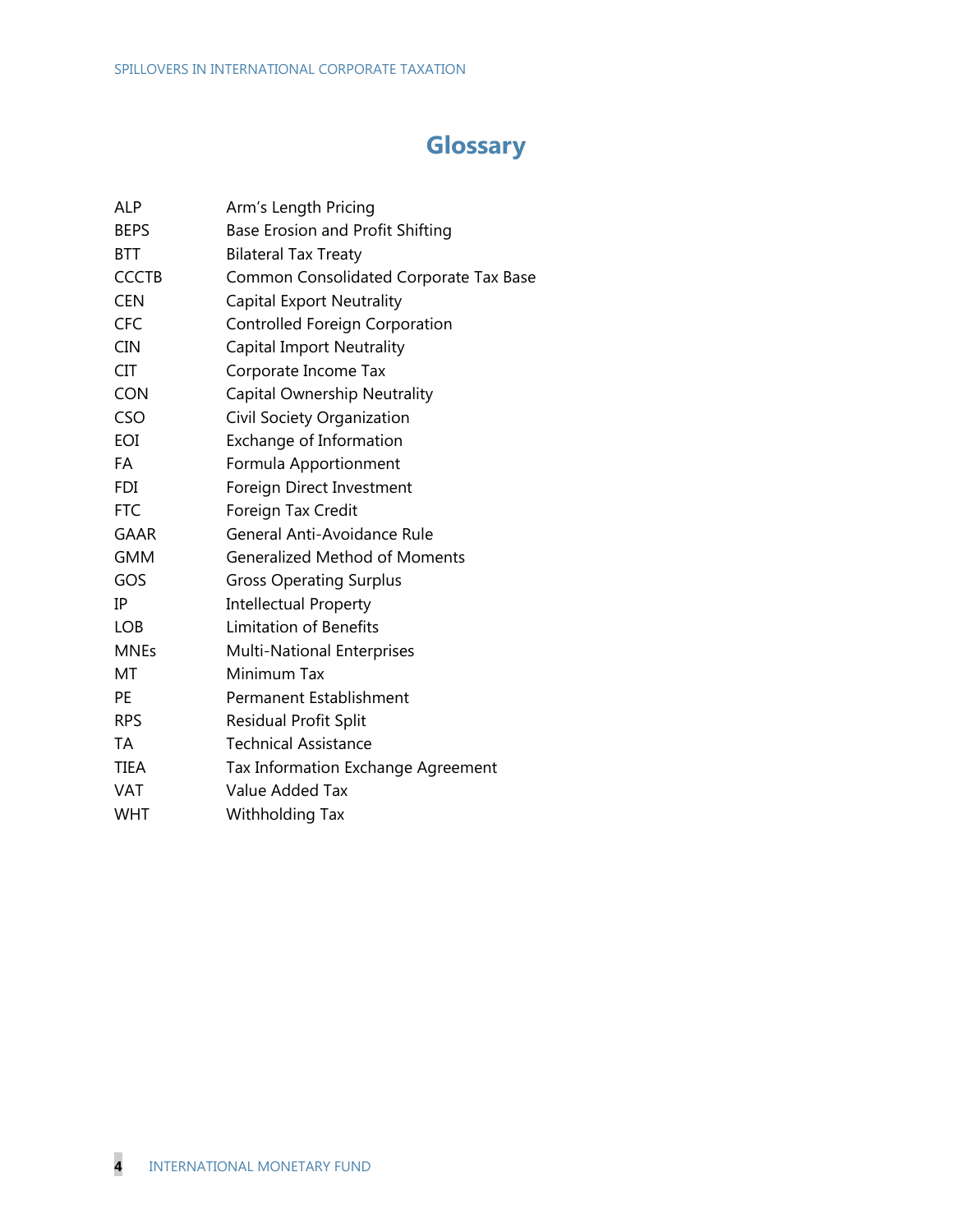# **Glossary**

| ALP          | Arm's Length Pricing                   |
|--------------|----------------------------------------|
| <b>BEPS</b>  | Base Erosion and Profit Shifting       |
| <b>BTT</b>   | <b>Bilateral Tax Treaty</b>            |
| <b>CCCTB</b> | Common Consolidated Corporate Tax Base |
| <b>CEN</b>   | Capital Export Neutrality              |
| <b>CFC</b>   | Controlled Foreign Corporation         |
| <b>CIN</b>   | <b>Capital Import Neutrality</b>       |
| <b>CIT</b>   | Corporate Income Tax                   |
| <b>CON</b>   | Capital Ownership Neutrality           |
| CSO          | Civil Society Organization             |
| EOI          | Exchange of Information                |
| <b>FA</b>    | Formula Apportionment                  |
| <b>FDI</b>   | Foreign Direct Investment              |
| <b>FTC</b>   | Foreign Tax Credit                     |
| <b>GAAR</b>  | General Anti-Avoidance Rule            |
| <b>GMM</b>   | <b>Generalized Method of Moments</b>   |
| GOS          | <b>Gross Operating Surplus</b>         |
| IP           | <b>Intellectual Property</b>           |
| <b>LOB</b>   | <b>Limitation of Benefits</b>          |
| <b>MNEs</b>  | <b>Multi-National Enterprises</b>      |
| МT           | Minimum Tax                            |
| PE.          | Permanent Establishment                |
| <b>RPS</b>   | <b>Residual Profit Split</b>           |
| <b>TA</b>    | <b>Technical Assistance</b>            |
| <b>TIEA</b>  | Tax Information Exchange Agreement     |
| <b>VAT</b>   | Value Added Tax                        |
| <b>WHT</b>   | Withholding Tax                        |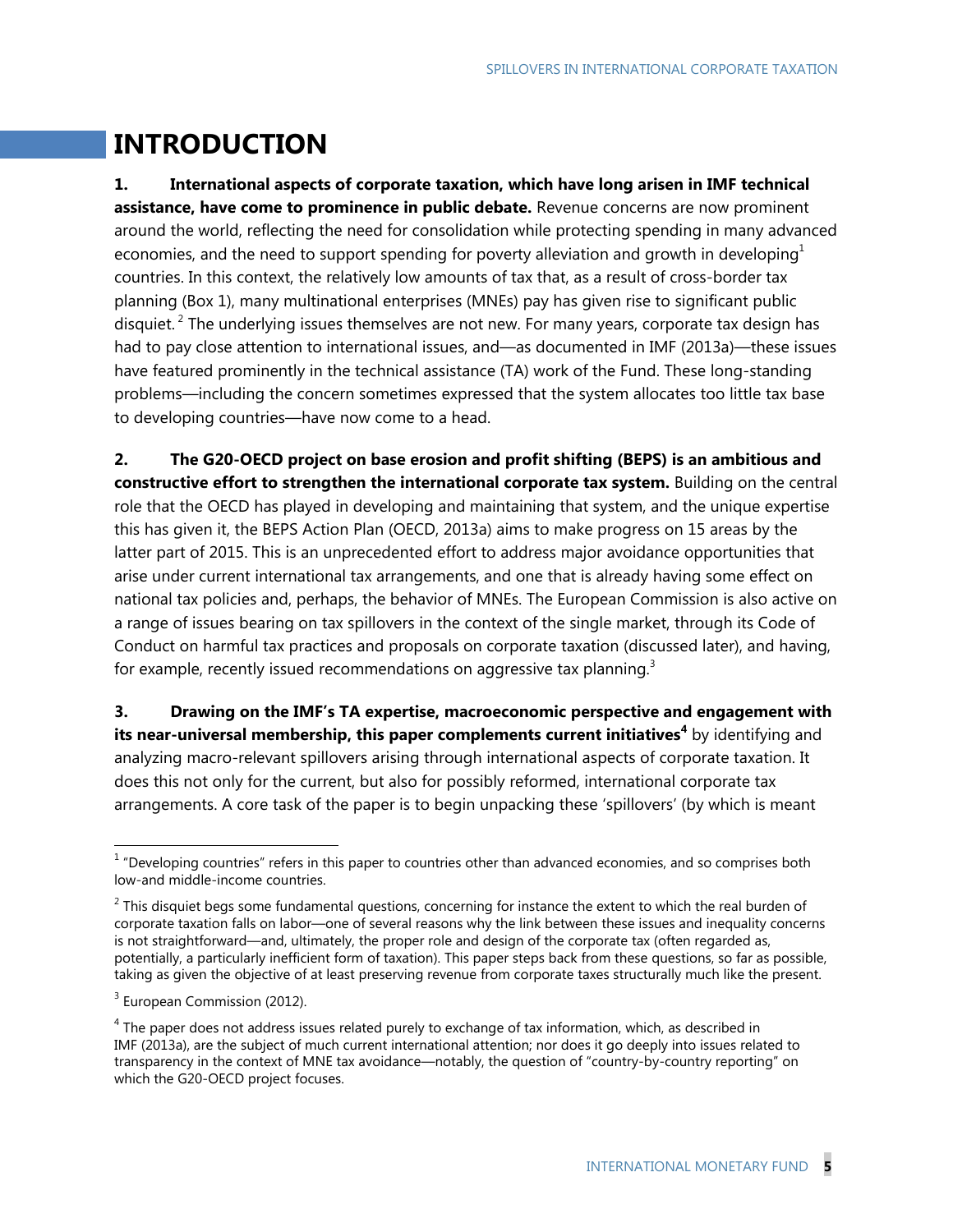# **INTRODUCTION**

**1. International aspects of corporate taxation, which have long arisen in IMF technical assistance, have come to prominence in public debate.** Revenue concerns are now prominent around the world, reflecting the need for consolidation while protecting spending in many advanced economies, and the need to support spending for poverty alleviation and growth in developing<sup>1</sup> countries. In this context, the relatively low amounts of tax that, as a result of cross-border tax planning (Box 1), many multinational enterprises (MNEs) pay has given rise to significant public disquiet.<sup>2</sup> The underlying issues themselves are not new. For many years, corporate tax design has had to pay close attention to international issues, and—as documented in IMF (2013a)—these issues have featured prominently in the technical assistance (TA) work of the Fund. These long-standing problems—including the concern sometimes expressed that the system allocates too little tax base to developing countries—have now come to a head.

**2. The G20-OECD project on base erosion and profit shifting (BEPS) is an ambitious and constructive effort to strengthen the international corporate tax system.** Building on the central role that the OECD has played in developing and maintaining that system, and the unique expertise this has given it, the BEPS Action Plan (OECD, 2013a) aims to make progress on 15 areas by the latter part of 2015. This is an unprecedented effort to address major avoidance opportunities that arise under current international tax arrangements, and one that is already having some effect on national tax policies and, perhaps, the behavior of MNEs. The European Commission is also active on a range of issues bearing on tax spillovers in the context of the single market, through its Code of Conduct on harmful tax practices and proposals on corporate taxation (discussed later), and having, for example, recently issued recommendations on aggressive tax planning.<sup>3</sup>

**3. Drawing on the IMF's TA expertise, macroeconomic perspective and engagement with its near-universal membership, this paper complements current initiatives<sup>4</sup>** by identifying and analyzing macro-relevant spillovers arising through international aspects of corporate taxation. It does this not only for the current, but also for possibly reformed, international corporate tax arrangements. A core task of the paper is to begin unpacking these 'spillovers' (by which is meant

 $1$  "Developing countries" refers in this paper to countries other than advanced economies, and so comprises both low-and middle-income countries.

 $2$  This disquiet begs some fundamental questions, concerning for instance the extent to which the real burden of corporate taxation falls on labor—one of several reasons why the link between these issues and inequality concerns is not straightforward—and, ultimately, the proper role and design of the corporate tax (often regarded as, potentially, a particularly inefficient form of taxation). This paper steps back from these questions, so far as possible, taking as given the objective of at least preserving revenue from corporate taxes structurally much like the present.

<sup>&</sup>lt;sup>3</sup> European Commission (2012).

 $<sup>4</sup>$  The paper does not address issues related purely to exchange of tax information, which, as described in</sup> IMF (2013a), are the subject of much current international attention; nor does it go deeply into issues related to transparency in the context of MNE tax avoidance—notably, the question of "country-by-country reporting" on which the G20-OECD project focuses.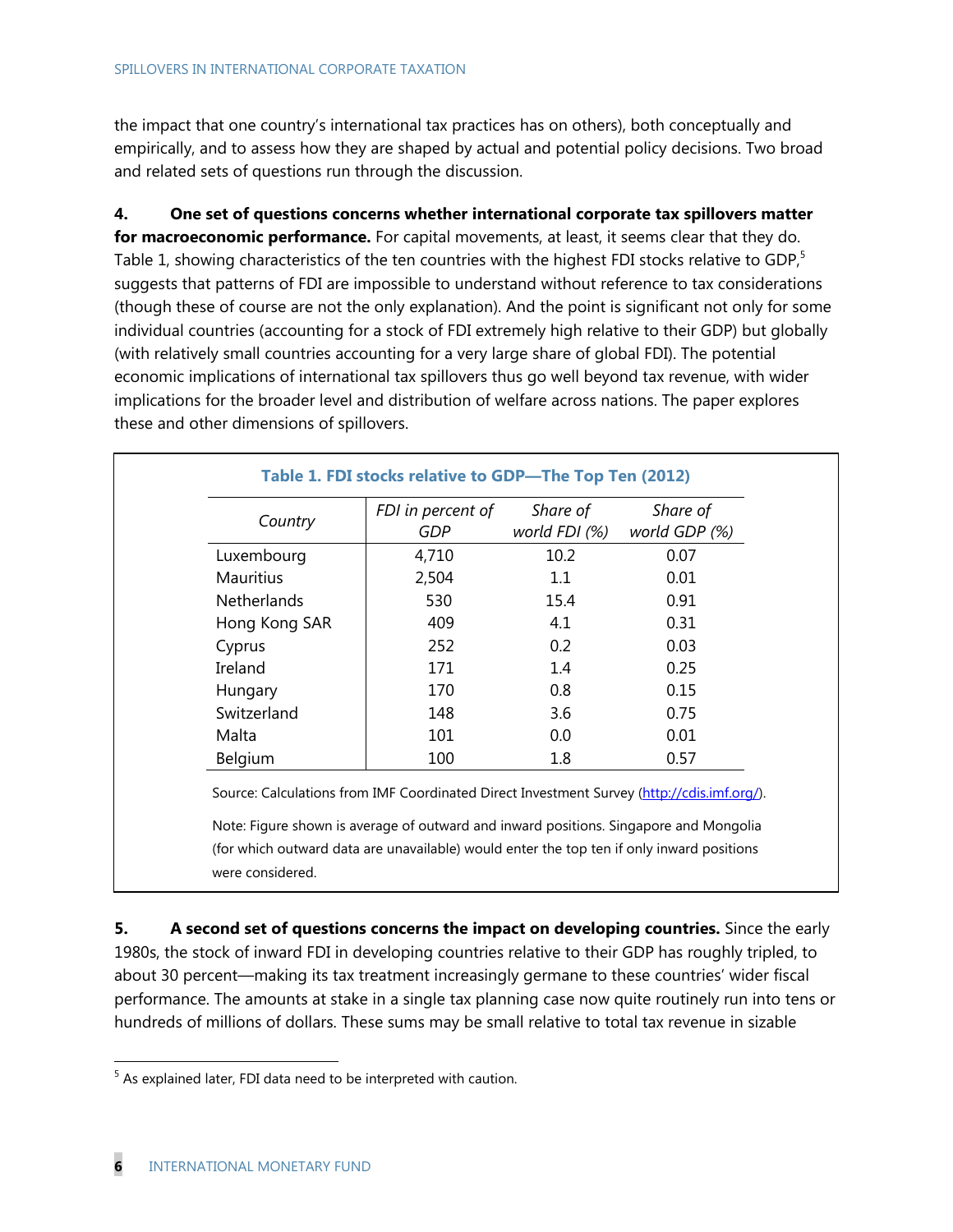the impact that one country's international tax practices has on others), both conceptually and empirically, and to assess how they are shaped by actual and potential policy decisions. Two broad and related sets of questions run through the discussion.

**4. One set of questions concerns whether international corporate tax spillovers matter for macroeconomic performance.** For capital movements, at least, it seems clear that they do. Table 1, showing characteristics of the ten countries with the highest FDI stocks relative to GDP,<sup>5</sup> suggests that patterns of FDI are impossible to understand without reference to tax considerations (though these of course are not the only explanation). And the point is significant not only for some individual countries (accounting for a stock of FDI extremely high relative to their GDP) but globally (with relatively small countries accounting for a very large share of global FDI). The potential economic implications of international tax spillovers thus go well beyond tax revenue, with wider implications for the broader level and distribution of welfare across nations. The paper explores these and other dimensions of spillovers.

| Country            | FDI in percent of<br>GDP | Share of<br>world FDI (%) | Share of<br>world GDP (%) |
|--------------------|--------------------------|---------------------------|---------------------------|
| Luxembourg         | 4,710                    | 10.2                      | 0.07                      |
| <b>Mauritius</b>   | 2,504                    | 1.1                       | 0.01                      |
| <b>Netherlands</b> | 530                      | 15.4                      | 0.91                      |
| Hong Kong SAR      | 409                      | 4.1                       | 0.31                      |
| Cyprus             | 252                      | 0.2                       | 0.03                      |
| Ireland            | 171                      | 1.4                       | 0.25                      |
| Hungary            | 170                      | 0.8                       | 0.15                      |
| Switzerland        | 148                      | 3.6                       | 0.75                      |
| Malta              | 101                      | 0.0                       | 0.01                      |
| Belgium            | 100                      | 1.8                       | 0.57                      |

Note: Figure shown is average of outward and inward positions. Singapore and Mongolia (for which outward data are unavailable) would enter the top ten if only inward positions were considered.

**5.** A second set of questions concerns the impact on developing countries. Since the early 1980s, the stock of inward FDI in developing countries relative to their GDP has roughly tripled, to about 30 percent—making its tax treatment increasingly germane to these countries' wider fiscal performance. The amounts at stake in a single tax planning case now quite routinely run into tens or hundreds of millions of dollars. These sums may be small relative to total tax revenue in sizable

<sup>&</sup>lt;sup>5</sup> As explained later, FDI data need to be interpreted with caution.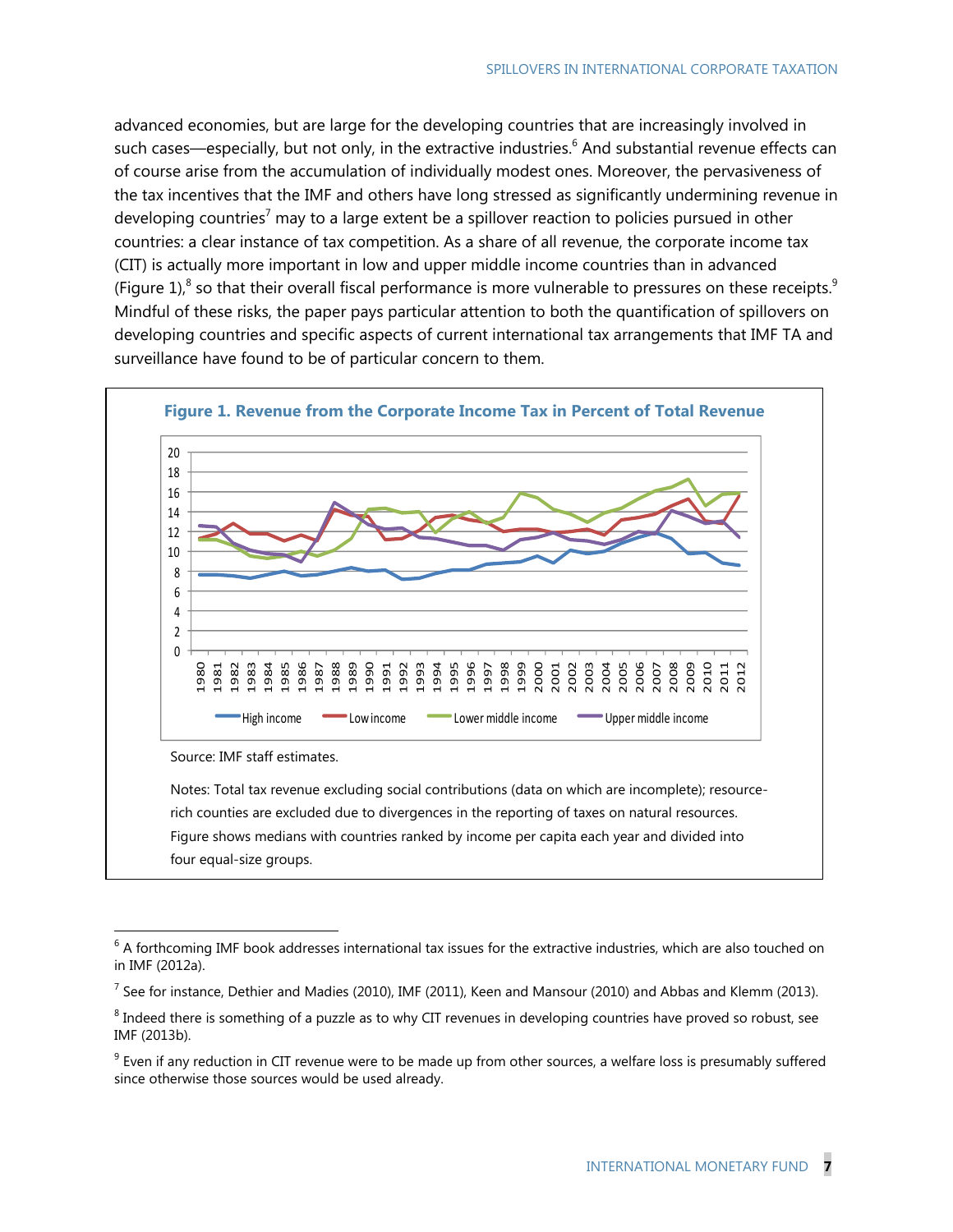advanced economies, but are large for the developing countries that are increasingly involved in such cases—especially, but not only, in the extractive industries.<sup>6</sup> And substantial revenue effects can of course arise from the accumulation of individually modest ones. Moreover, the pervasiveness of the tax incentives that the IMF and others have long stressed as significantly undermining revenue in developing countries<sup>7</sup> may to a large extent be a spillover reaction to policies pursued in other countries: a clear instance of tax competition. As a share of all revenue, the corporate income tax (CIT) is actually more important in low and upper middle income countries than in advanced (Figure 1),<sup>8</sup> so that their overall fiscal performance is more vulnerable to pressures on these receipts.<sup>9</sup> Mindful of these risks, the paper pays particular attention to both the quantification of spillovers on developing countries and specific aspects of current international tax arrangements that IMF TA and surveillance have found to be of particular concern to them.



four equal-size groups.

 A forthcoming IMF book addresses international tax issues for the extractive industries, which are also touched on in IMF (2012a).

 $^7$  See for instance, Dethier and Madies (2010), IMF (2011), Keen and Mansour (2010) and Abbas and Klemm (2013).

 $^8$  Indeed there is something of a puzzle as to why CIT revenues in developing countries have proved so robust, see IMF (2013b).

 Even if any reduction in CIT revenue were to be made up from other sources, a welfare loss is presumably suffered since otherwise those sources would be used already.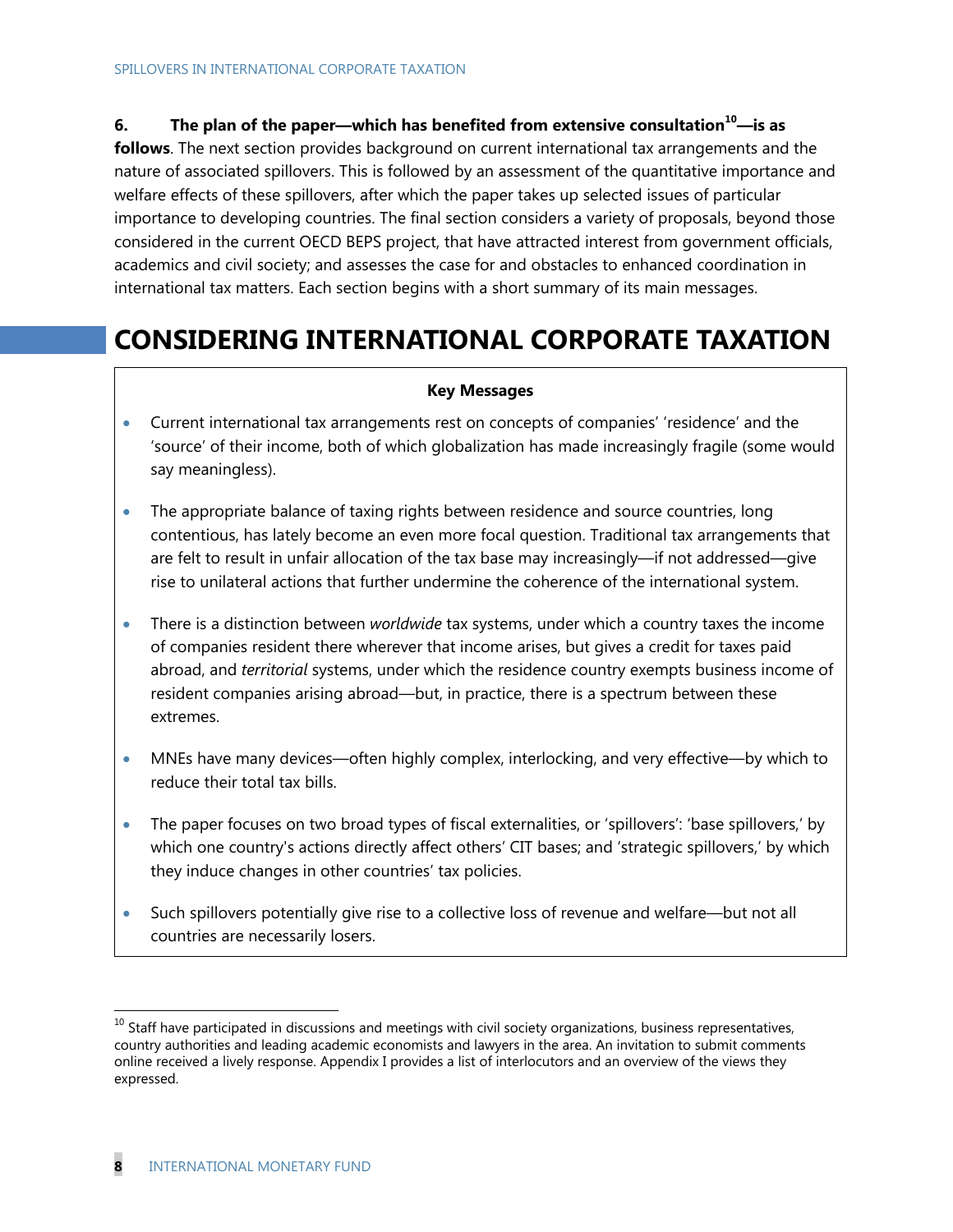## **6. The plan of the paper—which has benefited from extensive consultation10—is as**

**follows**. The next section provides background on current international tax arrangements and the nature of associated spillovers. This is followed by an assessment of the quantitative importance and welfare effects of these spillovers, after which the paper takes up selected issues of particular importance to developing countries. The final section considers a variety of proposals, beyond those considered in the current OECD BEPS project, that have attracted interest from government officials, academics and civil society; and assesses the case for and obstacles to enhanced coordination in international tax matters. Each section begins with a short summary of its main messages.

# **CONSIDERING INTERNATIONAL CORPORATE TAXATION**

#### **Key Messages**

- Current international tax arrangements rest on concepts of companies' 'residence' and the 'source' of their income, both of which globalization has made increasingly fragile (some would say meaningless).
- The appropriate balance of taxing rights between residence and source countries, long contentious, has lately become an even more focal question. Traditional tax arrangements that are felt to result in unfair allocation of the tax base may increasingly—if not addressed—give rise to unilateral actions that further undermine the coherence of the international system.
- There is a distinction between *worldwide* tax systems, under which a country taxes the income of companies resident there wherever that income arises, but gives a credit for taxes paid abroad, and *territorial* systems, under which the residence country exempts business income of resident companies arising abroad—but, in practice, there is a spectrum between these extremes.
- MNEs have many devices—often highly complex, interlocking, and very effective—by which to reduce their total tax bills.
- The paper focuses on two broad types of fiscal externalities, or 'spillovers': 'base spillovers,' by which one country's actions directly affect others' CIT bases; and 'strategic spillovers,' by which they induce changes in other countries' tax policies.
- Such spillovers potentially give rise to a collective loss of revenue and welfare—but not all countries are necessarily losers.

 $10$  Staff have participated in discussions and meetings with civil society organizations, business representatives, country authorities and leading academic economists and lawyers in the area. An invitation to submit comments online received a lively response. Appendix I provides a list of interlocutors and an overview of the views they expressed.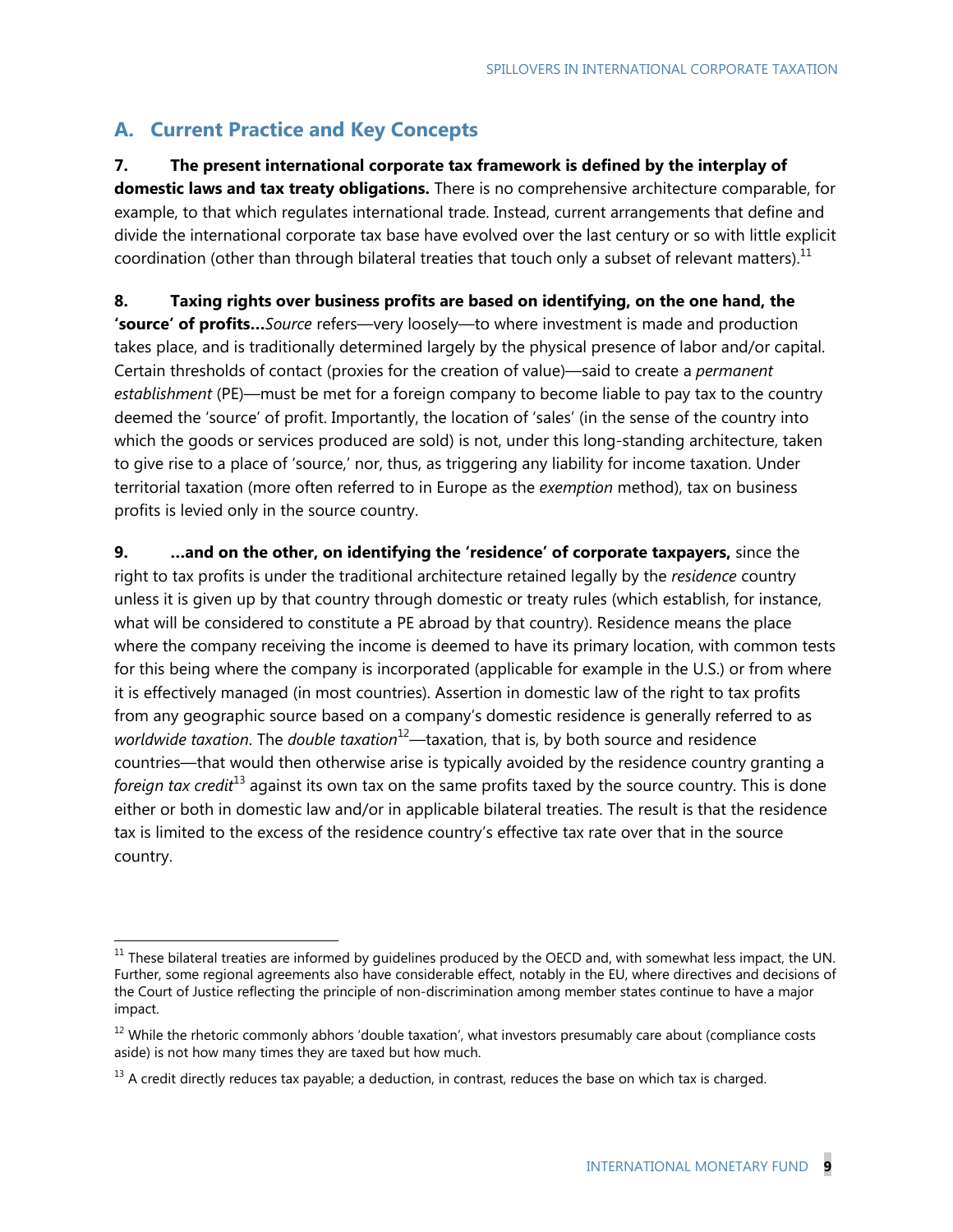# **A. Current Practice and Key Concepts**

-

## **7. The present international corporate tax framework is defined by the interplay of**

**domestic laws and tax treaty obligations.** There is no comprehensive architecture comparable, for example, to that which regulates international trade. Instead, current arrangements that define and divide the international corporate tax base have evolved over the last century or so with little explicit coordination (other than through bilateral treaties that touch only a subset of relevant matters).<sup>11</sup>

**8. Taxing rights over business profits are based on identifying, on the one hand, the 'source' of profits…***Source* refers—very loosely—to where investment is made and production takes place, and is traditionally determined largely by the physical presence of labor and/or capital. Certain thresholds of contact (proxies for the creation of value)—said to create a *permanent establishment* (PE)—must be met for a foreign company to become liable to pay tax to the country deemed the 'source' of profit. Importantly, the location of 'sales' (in the sense of the country into which the goods or services produced are sold) is not, under this long-standing architecture, taken to give rise to a place of 'source,' nor, thus, as triggering any liability for income taxation. Under territorial taxation (more often referred to in Europe as the *exemption* method), tax on business profits is levied only in the source country.

**9. …and on the other, on identifying the 'residence' of corporate taxpayers,** since the right to tax profits is under the traditional architecture retained legally by the *residence* country unless it is given up by that country through domestic or treaty rules (which establish, for instance, what will be considered to constitute a PE abroad by that country). Residence means the place where the company receiving the income is deemed to have its primary location, with common tests for this being where the company is incorporated (applicable for example in the U.S.) or from where it is effectively managed (in most countries). Assertion in domestic law of the right to tax profits from any geographic source based on a company's domestic residence is generally referred to as *worldwide taxation*. The *double taxation*<sup>12</sup>—taxation, that is, by both source and residence countries—that would then otherwise arise is typically avoided by the residence country granting a *foreign tax credit*<sup>13</sup> against its own tax on the same profits taxed by the source country. This is done either or both in domestic law and/or in applicable bilateral treaties. The result is that the residence tax is limited to the excess of the residence country's effective tax rate over that in the source country.

 $11$  These bilateral treaties are informed by guidelines produced by the OECD and, with somewhat less impact, the UN. Further, some regional agreements also have considerable effect, notably in the EU, where directives and decisions of the Court of Justice reflecting the principle of non-discrimination among member states continue to have a major impact.

 $12$  While the rhetoric commonly abhors 'double taxation', what investors presumably care about (compliance costs aside) is not how many times they are taxed but how much.

 $13$  A credit directly reduces tax payable; a deduction, in contrast, reduces the base on which tax is charged.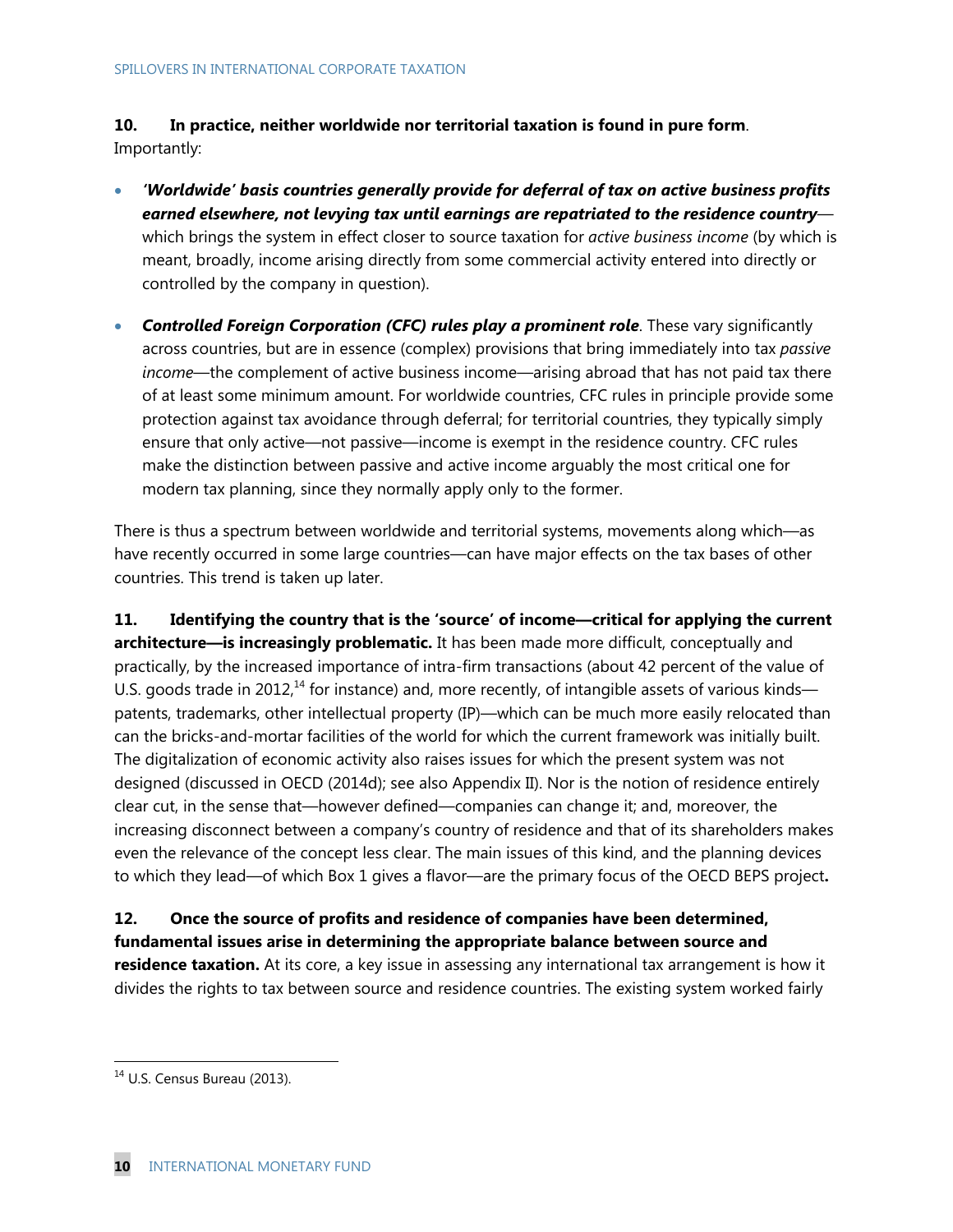**10. In practice, neither worldwide nor territorial taxation is found in pure form**. Importantly:

- *'Worldwide' basis countries generally provide for deferral of tax on active business profits earned elsewhere, not levying tax until earnings are repatriated to the residence country* which brings the system in effect closer to source taxation for *active business income* (by which is meant, broadly, income arising directly from some commercial activity entered into directly or controlled by the company in question).
- **Controlled Foreign Corporation (CFC) rules play a prominent role**. These vary significantly across countries, but are in essence (complex) provisions that bring immediately into tax *passive income*—the complement of active business income—arising abroad that has not paid tax there of at least some minimum amount. For worldwide countries, CFC rules in principle provide some protection against tax avoidance through deferral; for territorial countries, they typically simply ensure that only active—not passive—income is exempt in the residence country. CFC rules make the distinction between passive and active income arguably the most critical one for modern tax planning, since they normally apply only to the former.

There is thus a spectrum between worldwide and territorial systems, movements along which—as have recently occurred in some large countries—can have major effects on the tax bases of other countries. This trend is taken up later.

**11. Identifying the country that is the 'source' of income—critical for applying the current architecture—is increasingly problematic.** It has been made more difficult, conceptually and practically, by the increased importance of intra-firm transactions (about 42 percent of the value of U.S. goods trade in 2012,<sup>14</sup> for instance) and, more recently, of intangible assets of various kinds patents, trademarks, other intellectual property (IP)—which can be much more easily relocated than can the bricks-and-mortar facilities of the world for which the current framework was initially built. The digitalization of economic activity also raises issues for which the present system was not designed (discussed in OECD (2014d); see also Appendix II). Nor is the notion of residence entirely clear cut, in the sense that—however defined—companies can change it; and, moreover, the increasing disconnect between a company's country of residence and that of its shareholders makes even the relevance of the concept less clear. The main issues of this kind, and the planning devices to which they lead—of which Box 1 gives a flavor—are the primary focus of the OECD BEPS project**.** 

**12. Once the source of profits and residence of companies have been determined, fundamental issues arise in determining the appropriate balance between source and residence taxation.** At its core, a key issue in assessing any international tax arrangement is how it divides the rights to tax between source and residence countries. The existing system worked fairly

 $14$  U.S. Census Bureau (2013).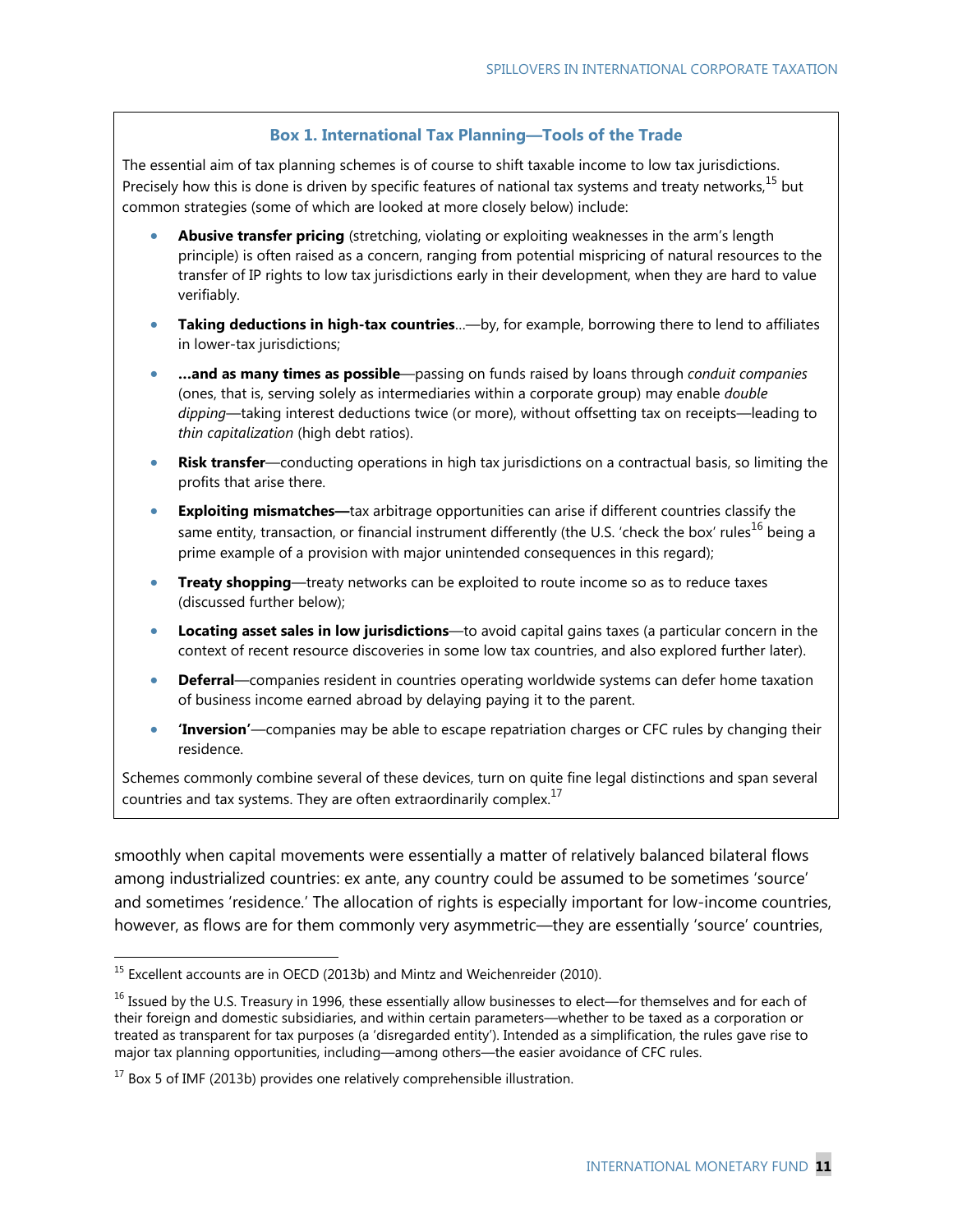### **Box 1. International Tax Planning―Tools of the Trade**

The essential aim of tax planning schemes is of course to shift taxable income to low tax jurisdictions. Precisely how this is done is driven by specific features of national tax systems and treaty networks,<sup>15</sup> but common strategies (some of which are looked at more closely below) include:

- **Abusive transfer pricing** (stretching, violating or exploiting weaknesses in the arm's length principle) is often raised as a concern, ranging from potential mispricing of natural resources to the transfer of IP rights to low tax jurisdictions early in their development, when they are hard to value verifiably.
- **Taking deductions in high-tax countries**…—by, for example, borrowing there to lend to affiliates in lower-tax jurisdictions;
- **…and as many times as possible**—passing on funds raised by loans through *conduit companies* (ones, that is, serving solely as intermediaries within a corporate group) may enable *double dipping*—taking interest deductions twice (or more), without offsetting tax on receipts—leading to *thin capitalization* (high debt ratios).
- **Risk transfer**—conducting operations in high tax jurisdictions on a contractual basis, so limiting the profits that arise there.
- **Exploiting mismatches—**tax arbitrage opportunities can arise if different countries classify the same entity, transaction, or financial instrument differently (the U.S. 'check the box' rules<sup>16</sup> being a prime example of a provision with major unintended consequences in this regard);
- **Treaty shopping**—treaty networks can be exploited to route income so as to reduce taxes (discussed further below);
- **Locating asset sales in low jurisdictions**—to avoid capital gains taxes (a particular concern in the context of recent resource discoveries in some low tax countries, and also explored further later).
- **Deferral**—companies resident in countries operating worldwide systems can defer home taxation of business income earned abroad by delaying paying it to the parent.
- **'Inversion'**—companies may be able to escape repatriation charges or CFC rules by changing their residence.

Schemes commonly combine several of these devices, turn on quite fine legal distinctions and span several countries and tax systems. They are often extraordinarily complex.<sup>17</sup>

smoothly when capital movements were essentially a matter of relatively balanced bilateral flows among industrialized countries: ex ante, any country could be assumed to be sometimes 'source' and sometimes 'residence.' The allocation of rights is especially important for low-income countries, however, as flows are for them commonly very asymmetric—they are essentially 'source' countries,

 $^{15}$  Excellent accounts are in OECD (2013b) and Mintz and Weichenreider (2010).

 $16$  Issued by the U.S. Treasury in 1996, these essentially allow businesses to elect—for themselves and for each of their foreign and domestic subsidiaries, and within certain parameters—whether to be taxed as a corporation or treated as transparent for tax purposes (a 'disregarded entity'). Intended as a simplification, the rules gave rise to major tax planning opportunities, including—among others—the easier avoidance of CFC rules.

 $17$  Box 5 of IMF (2013b) provides one relatively comprehensible illustration.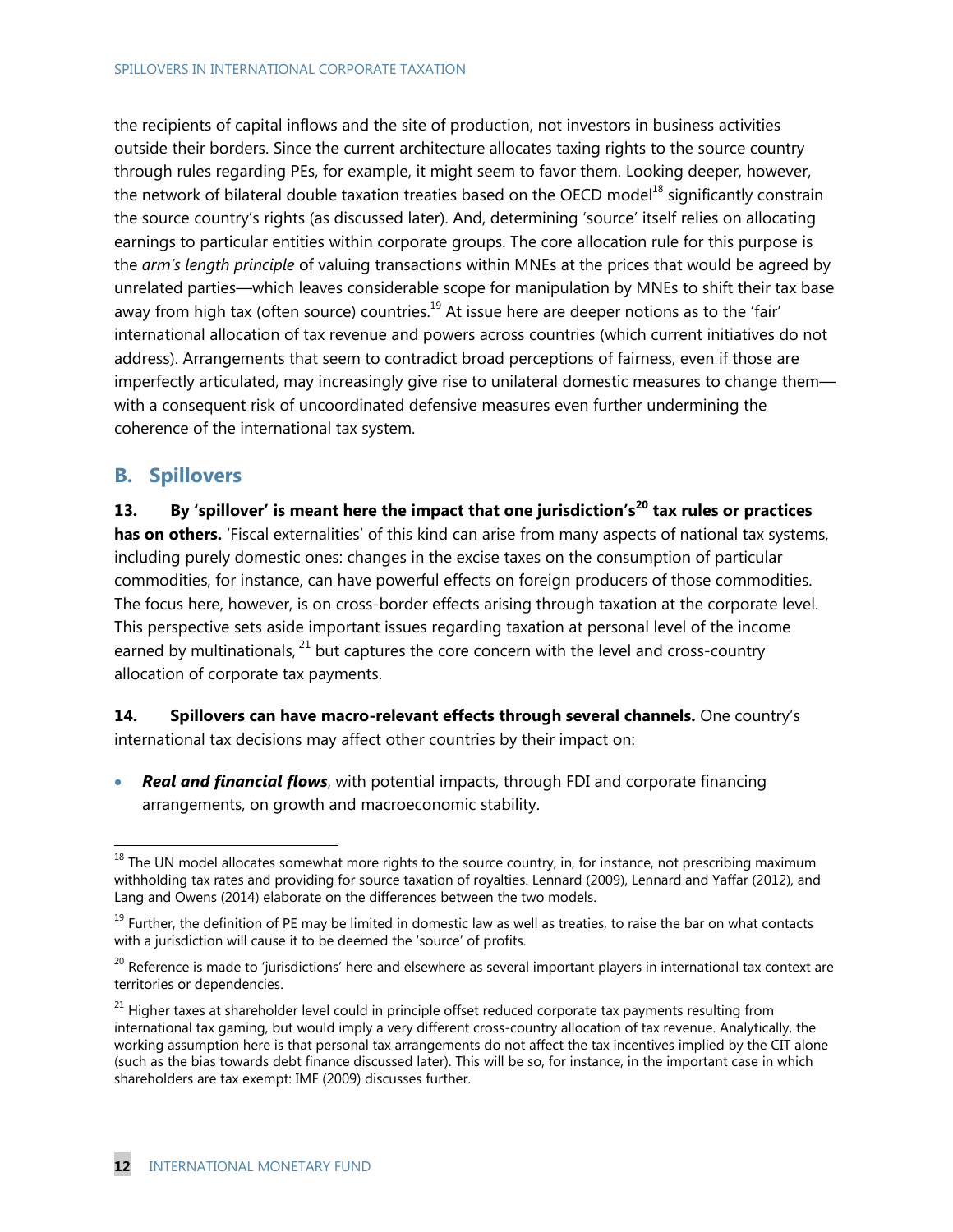the recipients of capital inflows and the site of production, not investors in business activities outside their borders. Since the current architecture allocates taxing rights to the source country through rules regarding PEs, for example, it might seem to favor them. Looking deeper, however, the network of bilateral double taxation treaties based on the OECD model<sup>18</sup> significantly constrain the source country's rights (as discussed later). And, determining 'source' itself relies on allocating earnings to particular entities within corporate groups. The core allocation rule for this purpose is the *arm's length principle* of valuing transactions within MNEs at the prices that would be agreed by unrelated parties—which leaves considerable scope for manipulation by MNEs to shift their tax base away from high tax (often source) countries. $19$  At issue here are deeper notions as to the 'fair' international allocation of tax revenue and powers across countries (which current initiatives do not address). Arrangements that seem to contradict broad perceptions of fairness, even if those are imperfectly articulated, may increasingly give rise to unilateral domestic measures to change them with a consequent risk of uncoordinated defensive measures even further undermining the coherence of the international tax system.

## **B. Spillovers**

-

**13. By 'spillover' is meant here the impact that one jurisdiction's20 tax rules or practices has on others.** 'Fiscal externalities' of this kind can arise from many aspects of national tax systems, including purely domestic ones: changes in the excise taxes on the consumption of particular commodities, for instance, can have powerful effects on foreign producers of those commodities. The focus here, however, is on cross-border effects arising through taxation at the corporate level. This perspective sets aside important issues regarding taxation at personal level of the income earned by multinationals,  $^{21}$  but captures the core concern with the level and cross-country allocation of corporate tax payments.

**14. Spillovers can have macro-relevant effects through several channels.** One country's international tax decisions may affect other countries by their impact on:

 *Real and financial flows*, with potential impacts, through FDI and corporate financing arrangements, on growth and macroeconomic stability.

 $18$  The UN model allocates somewhat more rights to the source country, in, for instance, not prescribing maximum withholding tax rates and providing for source taxation of royalties. Lennard (2009), Lennard and Yaffar (2012), and Lang and Owens (2014) elaborate on the differences between the two models.

 $19$  Further, the definition of PE may be limited in domestic law as well as treaties, to raise the bar on what contacts with a jurisdiction will cause it to be deemed the 'source' of profits.

<sup>&</sup>lt;sup>20</sup> Reference is made to 'jurisdictions' here and elsewhere as several important players in international tax context are territories or dependencies.

 $21$  Higher taxes at shareholder level could in principle offset reduced corporate tax payments resulting from international tax gaming, but would imply a very different cross-country allocation of tax revenue. Analytically, the working assumption here is that personal tax arrangements do not affect the tax incentives implied by the CIT alone (such as the bias towards debt finance discussed later). This will be so, for instance, in the important case in which shareholders are tax exempt: IMF (2009) discusses further.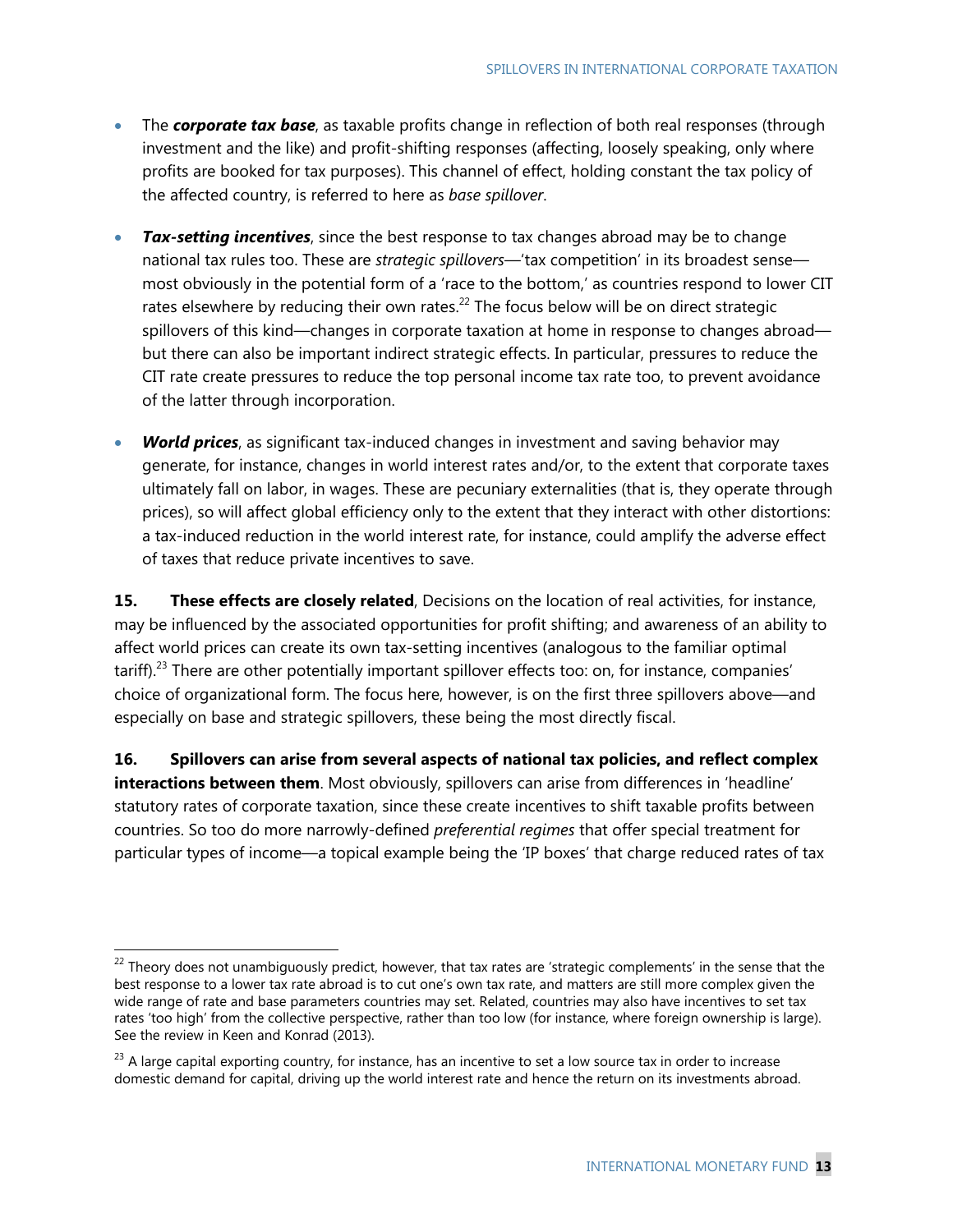- The **corporate tax base**, as taxable profits change in reflection of both real responses (through investment and the like) and profit-shifting responses (affecting, loosely speaking, only where profits are booked for tax purposes). This channel of effect, holding constant the tax policy of the affected country, is referred to here as *base spillover*.
- *Tax-setting incentives*, since the best response to tax changes abroad may be to change national tax rules too. These are *strategic spillovers*—'tax competition' in its broadest sense most obviously in the potential form of a 'race to the bottom,' as countries respond to lower CIT rates elsewhere by reducing their own rates. $^{22}$  The focus below will be on direct strategic spillovers of this kind—changes in corporate taxation at home in response to changes abroad but there can also be important indirect strategic effects. In particular, pressures to reduce the CIT rate create pressures to reduce the top personal income tax rate too, to prevent avoidance of the latter through incorporation.
- *World prices*, as significant tax-induced changes in investment and saving behavior may generate, for instance, changes in world interest rates and/or, to the extent that corporate taxes ultimately fall on labor, in wages. These are pecuniary externalities (that is, they operate through prices), so will affect global efficiency only to the extent that they interact with other distortions: a tax-induced reduction in the world interest rate, for instance, could amplify the adverse effect of taxes that reduce private incentives to save.

**15. These effects are closely related**, Decisions on the location of real activities, for instance, may be influenced by the associated opportunities for profit shifting; and awareness of an ability to affect world prices can create its own tax-setting incentives (analogous to the familiar optimal tariff).<sup>23</sup> There are other potentially important spillover effects too: on, for instance, companies' choice of organizational form. The focus here, however, is on the first three spillovers above—and especially on base and strategic spillovers, these being the most directly fiscal.

**16. Spillovers can arise from several aspects of national tax policies, and reflect complex interactions between them**. Most obviously, spillovers can arise from differences in 'headline' statutory rates of corporate taxation, since these create incentives to shift taxable profits between countries. So too do more narrowly-defined *preferential regimes* that offer special treatment for particular types of income—a topical example being the 'IP boxes' that charge reduced rates of tax

<sup>&</sup>lt;sup>22</sup> Theory does not unambiguously predict, however, that tax rates are 'strategic complements' in the sense that the best response to a lower tax rate abroad is to cut one's own tax rate, and matters are still more complex given the wide range of rate and base parameters countries may set. Related, countries may also have incentives to set tax rates 'too high' from the collective perspective, rather than too low (for instance, where foreign ownership is large). See the review in Keen and Konrad (2013).

 $23$  A large capital exporting country, for instance, has an incentive to set a low source tax in order to increase domestic demand for capital, driving up the world interest rate and hence the return on its investments abroad.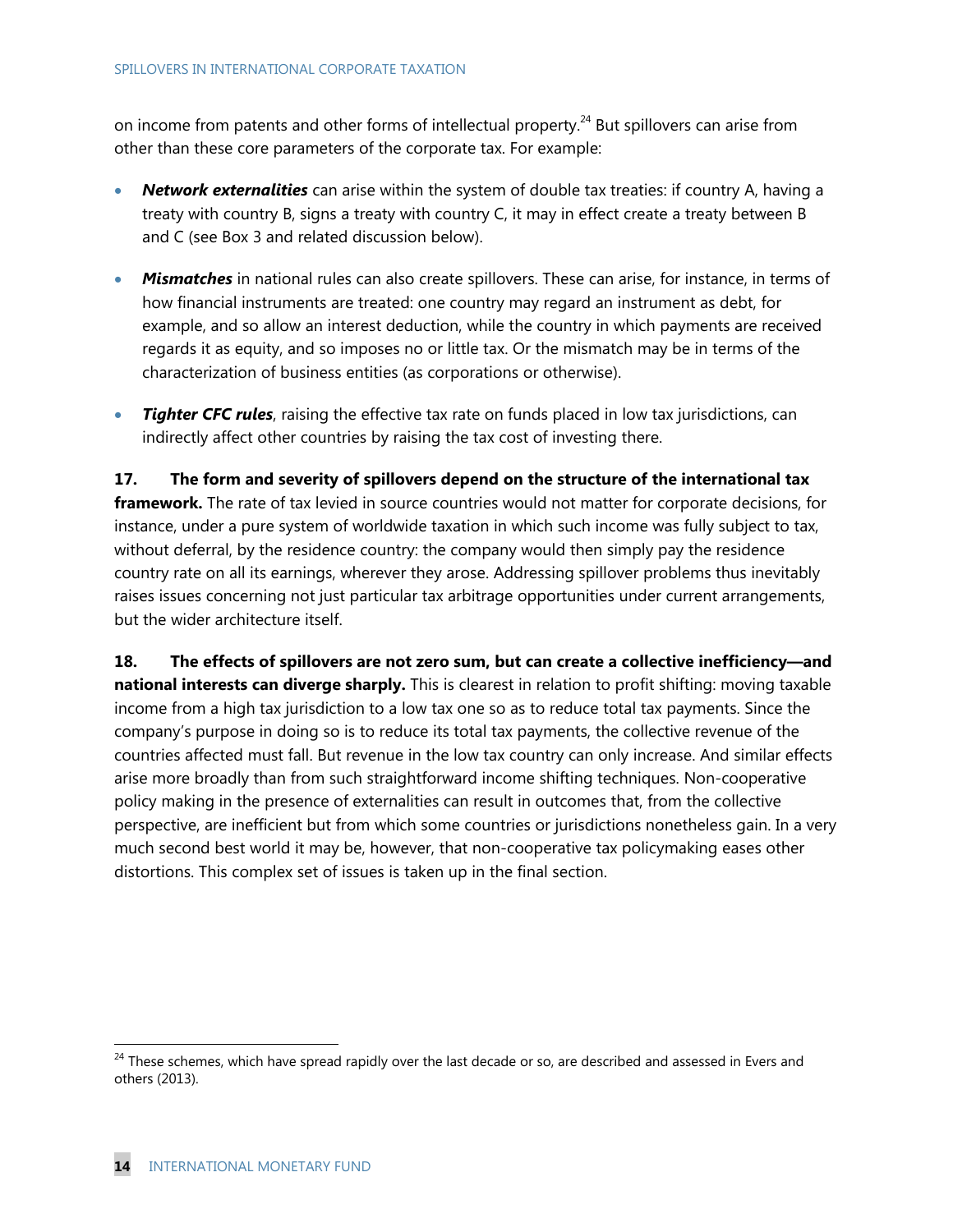on income from patents and other forms of intellectual property.<sup>24</sup> But spillovers can arise from other than these core parameters of the corporate tax. For example:

- *Network externalities* can arise within the system of double tax treaties: if country A, having a treaty with country B, signs a treaty with country C, it may in effect create a treaty between B and C (see Box 3 and related discussion below).
- *Mismatches* in national rules can also create spillovers. These can arise, for instance, in terms of how financial instruments are treated: one country may regard an instrument as debt, for example, and so allow an interest deduction, while the country in which payments are received regards it as equity, and so imposes no or little tax. Or the mismatch may be in terms of the characterization of business entities (as corporations or otherwise).
- *Tighter CFC rules, raising the effective tax rate on funds placed in low tax jurisdictions, can* indirectly affect other countries by raising the tax cost of investing there.

**17. The form and severity of spillovers depend on the structure of the international tax framework.** The rate of tax levied in source countries would not matter for corporate decisions, for instance, under a pure system of worldwide taxation in which such income was fully subject to tax, without deferral, by the residence country: the company would then simply pay the residence country rate on all its earnings, wherever they arose. Addressing spillover problems thus inevitably raises issues concerning not just particular tax arbitrage opportunities under current arrangements, but the wider architecture itself.

**18. The effects of spillovers are not zero sum, but can create a collective inefficiency—and national interests can diverge sharply.** This is clearest in relation to profit shifting: moving taxable income from a high tax jurisdiction to a low tax one so as to reduce total tax payments. Since the company's purpose in doing so is to reduce its total tax payments, the collective revenue of the countries affected must fall. But revenue in the low tax country can only increase. And similar effects arise more broadly than from such straightforward income shifting techniques. Non-cooperative policy making in the presence of externalities can result in outcomes that, from the collective perspective, are inefficient but from which some countries or jurisdictions nonetheless gain. In a very much second best world it may be, however, that non-cooperative tax policymaking eases other distortions. This complex set of issues is taken up in the final section.

<sup>&</sup>lt;sup>24</sup> These schemes, which have spread rapidly over the last decade or so, are described and assessed in Evers and others (2013).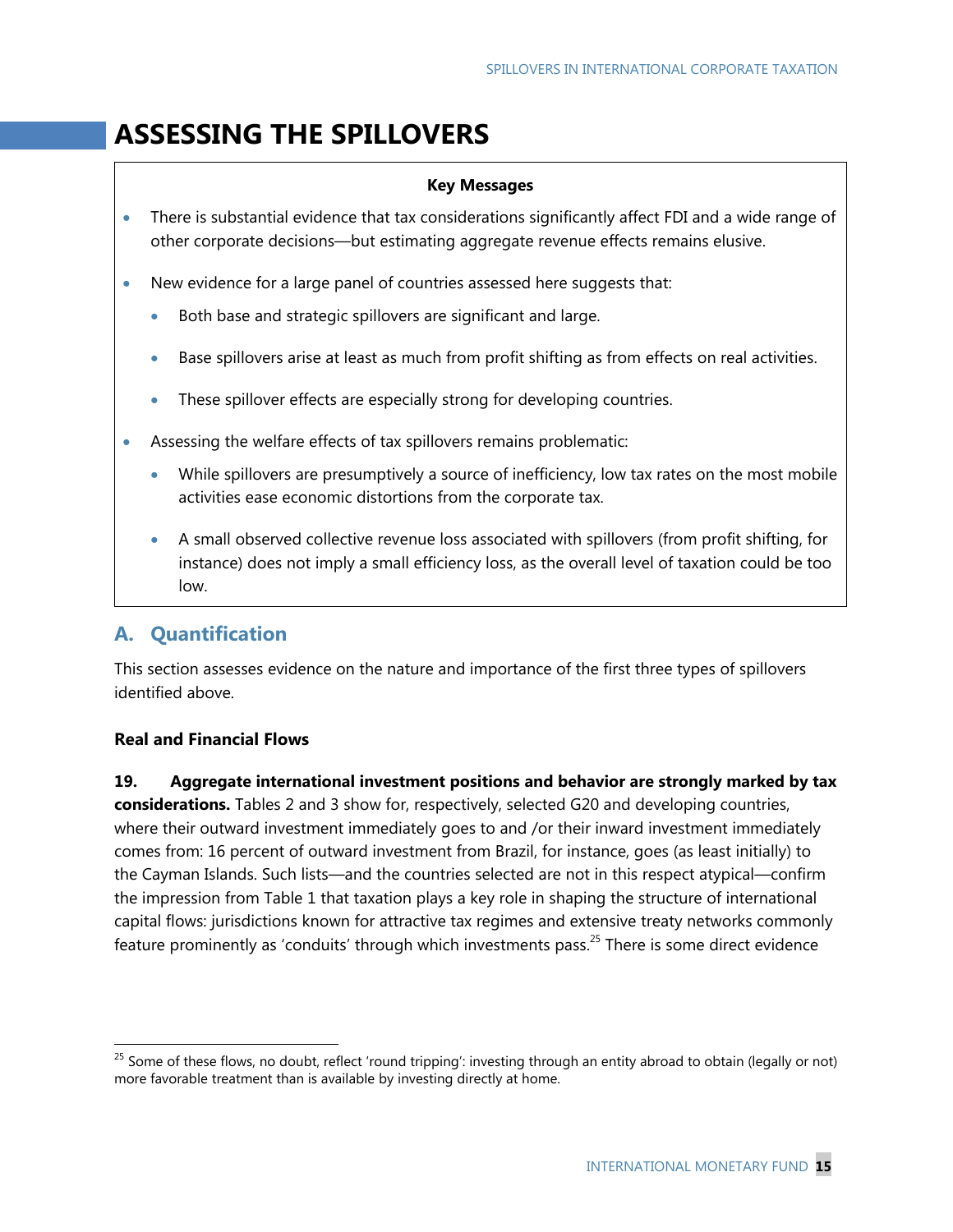# **ASSESSING THE SPILLOVERS**

### **Key Messages**

- There is substantial evidence that tax considerations significantly affect FDI and a wide range of other corporate decisions—but estimating aggregate revenue effects remains elusive.
- New evidence for a large panel of countries assessed here suggests that:
	- Both base and strategic spillovers are significant and large.
	- Base spillovers arise at least as much from profit shifting as from effects on real activities.
	- These spillover effects are especially strong for developing countries.
- Assessing the welfare effects of tax spillovers remains problematic:
	- While spillovers are presumptively a source of inefficiency, low tax rates on the most mobile activities ease economic distortions from the corporate tax.
	- A small observed collective revenue loss associated with spillovers (from profit shifting, for instance) does not imply a small efficiency loss, as the overall level of taxation could be too low.

# **A. Quantification**

This section assesses evidence on the nature and importance of the first three types of spillovers identified above.

## **Real and Financial Flows**

-

**19. Aggregate international investment positions and behavior are strongly marked by tax considerations.** Tables 2 and 3 show for, respectively, selected G20 and developing countries, where their outward investment immediately goes to and /or their inward investment immediately comes from: 16 percent of outward investment from Brazil, for instance, goes (as least initially) to the Cayman Islands. Such lists—and the countries selected are not in this respect atypical—confirm the impression from Table 1 that taxation plays a key role in shaping the structure of international capital flows: jurisdictions known for attractive tax regimes and extensive treaty networks commonly feature prominently as 'conduits' through which investments pass.<sup>25</sup> There is some direct evidence

<sup>&</sup>lt;sup>25</sup> Some of these flows, no doubt, reflect 'round tripping': investing through an entity abroad to obtain (legally or not) more favorable treatment than is available by investing directly at home.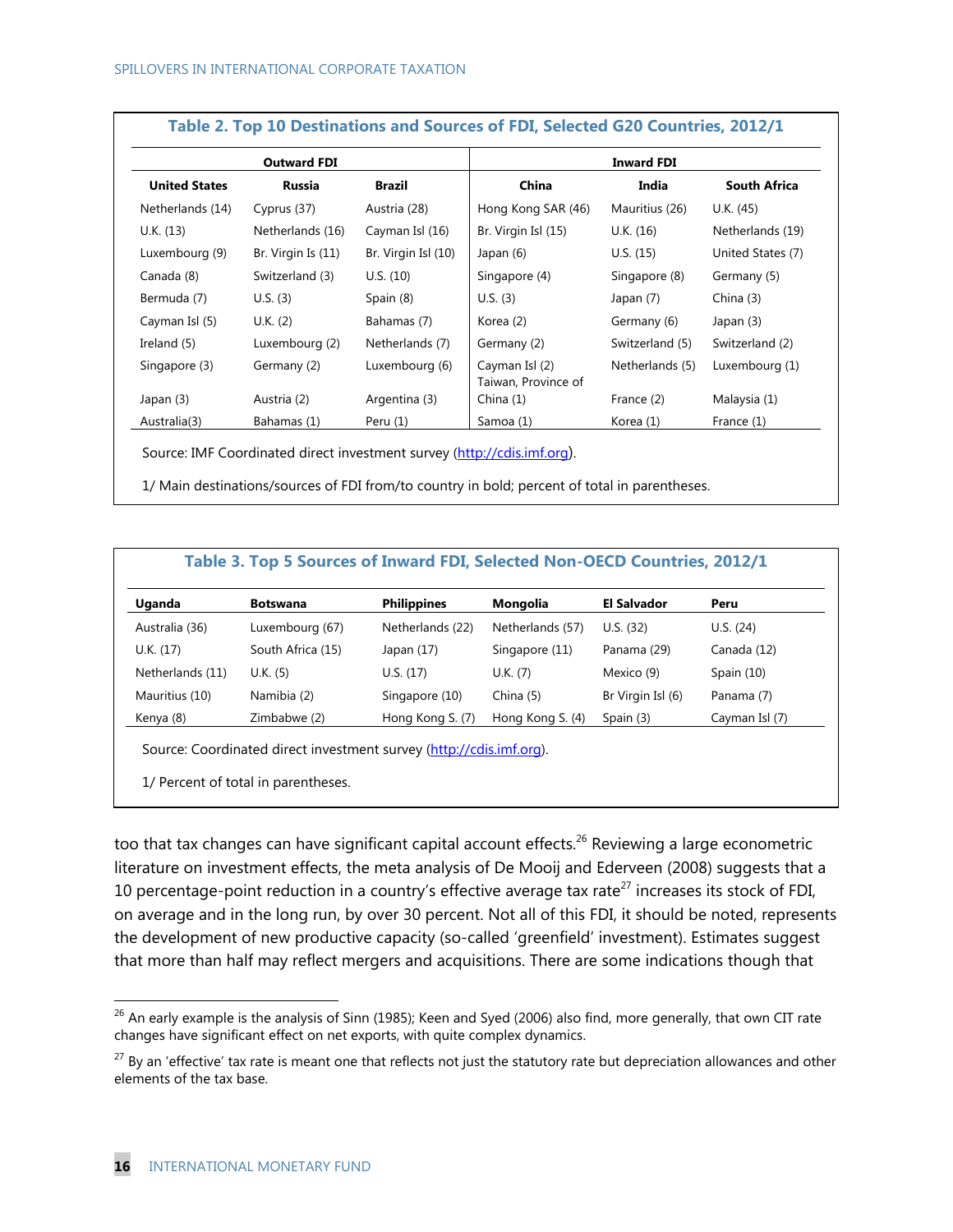| <b>Outward FDI</b>   |                    |                     | <b>Inward FDI</b>                     |                 |                     |
|----------------------|--------------------|---------------------|---------------------------------------|-----------------|---------------------|
| <b>United States</b> | <b>Russia</b>      | <b>Brazil</b>       | China                                 | India           | <b>South Africa</b> |
| Netherlands (14)     | Cyprus (37)        | Austria (28)        | Hong Kong SAR (46)                    | Mauritius (26)  | U.K. (45)           |
| U.K. (13)            | Netherlands (16)   | Cayman Isl (16)     | Br. Virgin Isl (15)                   | U.K. (16)       | Netherlands (19)    |
| Luxembourg (9)       | Br. Virgin Is (11) | Br. Virgin Isl (10) | Japan (6)                             | U.S. (15)       | United States (7)   |
| Canada (8)           | Switzerland (3)    | U.S. (10)           | Singapore (4)                         | Singapore (8)   | Germany (5)         |
| Bermuda (7)          | U.S. (3)           | Spain (8)           | U.S. (3)                              | Japan (7)       | China $(3)$         |
| Cayman Isl (5)       | U.K. (2)           | Bahamas (7)         | Korea (2)                             | Germany (6)     | Japan (3)           |
| Ireland (5)          | Luxembourg (2)     | Netherlands (7)     | Germany (2)                           | Switzerland (5) | Switzerland (2)     |
| Singapore (3)        | Germany (2)        | Luxembourg (6)      | Cayman Isl (2)<br>Taiwan, Province of | Netherlands (5) | Luxembourg (1)      |
| Japan (3)            | Austria (2)        | Argentina (3)       | China(1)                              | France (2)      | Malaysia (1)        |
| Australia(3)         | Bahamas (1)        | Peru (1)            | Samoa (1)                             | Korea (1)       | France (1)          |

1/ Main destinations/sources of FDI from/to country in bold; percent of total in parentheses.

#### **Table 3. Top 5 Sources of Inward FDI, Selected Non-OECD Countries, 2012/1**

| Uganda           | <b>Botswana</b>   | <b>Philippines</b> | Mongolia         | <b>El Salvador</b> | Peru           |
|------------------|-------------------|--------------------|------------------|--------------------|----------------|
|                  |                   |                    |                  |                    |                |
| Australia (36)   | Luxembourg (67)   | Netherlands (22)   | Netherlands (57) | U.S. (32)          | U.S. (24)      |
| U.K. (17)        | South Africa (15) | Japan $(17)$       | Singapore (11)   | Panama (29)        | Canada (12)    |
| Netherlands (11) | U.K. (5)          | U.S. (17)          | U.K. (7)         | Mexico (9)         | Spain $(10)$   |
| Mauritius (10)   | Namibia (2)       | Singapore (10)     | China (5)        | Br Virgin Isl (6)  | Panama (7)     |
| Kenya (8)        | Zimbabwe (2)      | Hong Kong S. (7)   | Hong Kong S. (4) | Spain $(3)$        | Cayman Isl (7) |

Source: Coordinated direct investment survey (http://cdis.imf.org).

1/ Percent of total in parentheses.

too that tax changes can have significant capital account effects.<sup>26</sup> Reviewing a large econometric literature on investment effects, the meta analysis of De Mooij and Ederveen (2008) suggests that a 10 percentage-point reduction in a country's effective average tax rate<sup>27</sup> increases its stock of FDI, on average and in the long run, by over 30 percent. Not all of this FDI, it should be noted, represents the development of new productive capacity (so-called 'greenfield' investment). Estimates suggest that more than half may reflect mergers and acquisitions. There are some indications though that

 $26$  An early example is the analysis of Sinn (1985); Keen and Syed (2006) also find, more generally, that own CIT rate changes have significant effect on net exports, with quite complex dynamics.

 $27$  By an 'effective' tax rate is meant one that reflects not just the statutory rate but depreciation allowances and other elements of the tax base.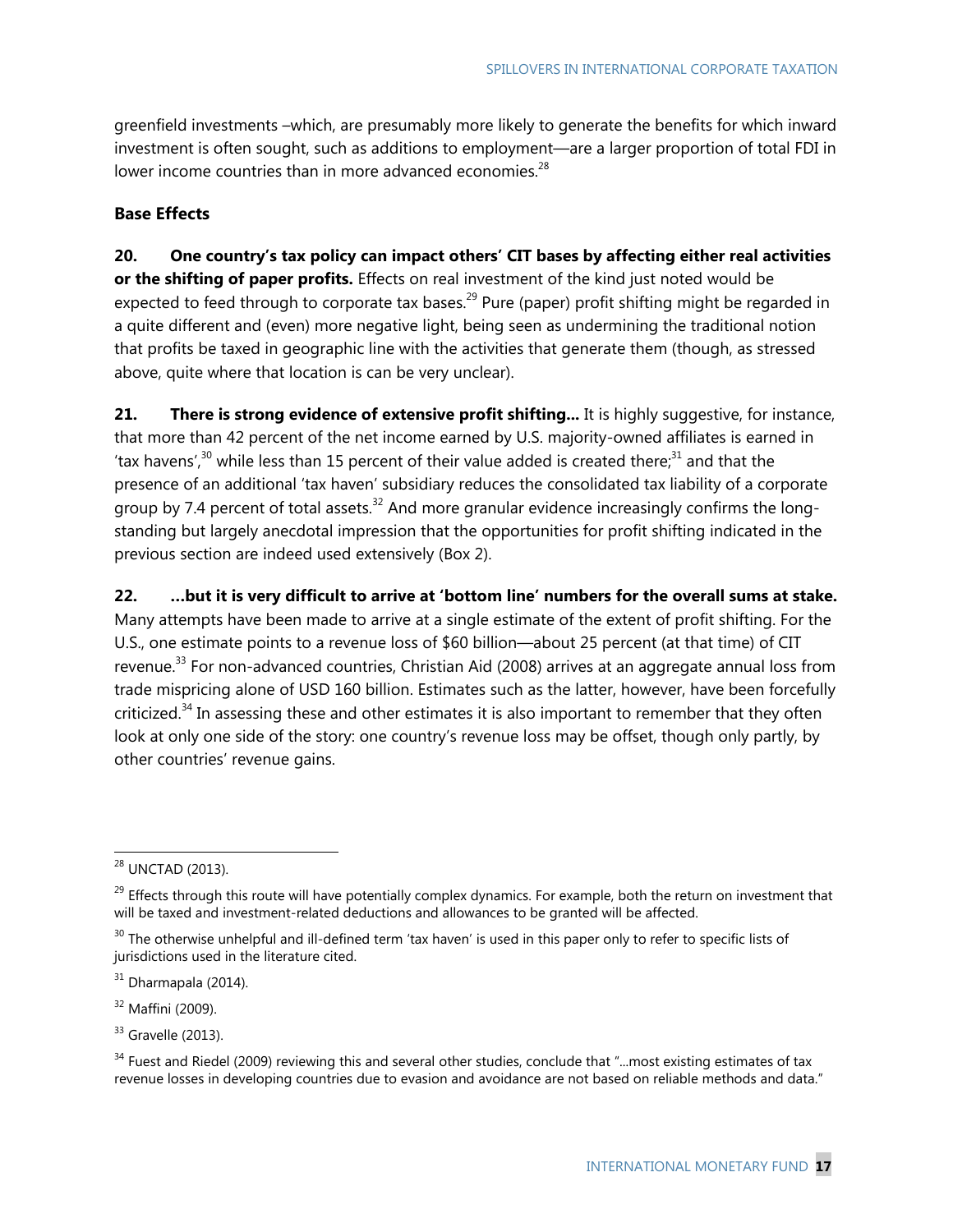greenfield investments –which, are presumably more likely to generate the benefits for which inward investment is often sought, such as additions to employment—are a larger proportion of total FDI in lower income countries than in more advanced economies.<sup>28</sup>

## **Base Effects**

**20. One country's tax policy can impact others' CIT bases by affecting either real activities or the shifting of paper profits.** Effects on real investment of the kind just noted would be expected to feed through to corporate tax bases.<sup>29</sup> Pure (paper) profit shifting might be regarded in a quite different and (even) more negative light, being seen as undermining the traditional notion that profits be taxed in geographic line with the activities that generate them (though, as stressed above, quite where that location is can be very unclear).

21. There is strong evidence of extensive profit shifting... It is highly suggestive, for instance, that more than 42 percent of the net income earned by U.S. majority-owned affiliates is earned in 'tax havens',<sup>30</sup> while less than 15 percent of their value added is created there;<sup>31</sup> and that the presence of an additional 'tax haven' subsidiary reduces the consolidated tax liability of a corporate group by 7.4 percent of total assets.<sup>32</sup> And more granular evidence increasingly confirms the longstanding but largely anecdotal impression that the opportunities for profit shifting indicated in the previous section are indeed used extensively (Box 2).

**22. …but it is very difficult to arrive at 'bottom line' numbers for the overall sums at stake.**  Many attempts have been made to arrive at a single estimate of the extent of profit shifting. For the U.S., one estimate points to a revenue loss of \$60 billion—about 25 percent (at that time) of CIT revenue.<sup>33</sup> For non-advanced countries, Christian Aid (2008) arrives at an aggregate annual loss from trade mispricing alone of USD 160 billion. Estimates such as the latter, however, have been forcefully criticized.<sup>34</sup> In assessing these and other estimates it is also important to remember that they often look at only one side of the story: one country's revenue loss may be offset, though only partly, by other countries' revenue gains.

<sup>&</sup>lt;sup>28</sup> UNCTAD (2013).

 $^{29}$  Effects through this route will have potentially complex dynamics. For example, both the return on investment that will be taxed and investment-related deductions and allowances to be granted will be affected.

 $30$  The otherwise unhelpful and ill-defined term 'tax haven' is used in this paper only to refer to specific lists of jurisdictions used in the literature cited.

 $31$  Dharmapala (2014).

<sup>32</sup> Maffini (2009).

 $33$  Gravelle (2013).

 $34$  Fuest and Riedel (2009) reviewing this and several other studies, conclude that "...most existing estimates of tax revenue losses in developing countries due to evasion and avoidance are not based on reliable methods and data."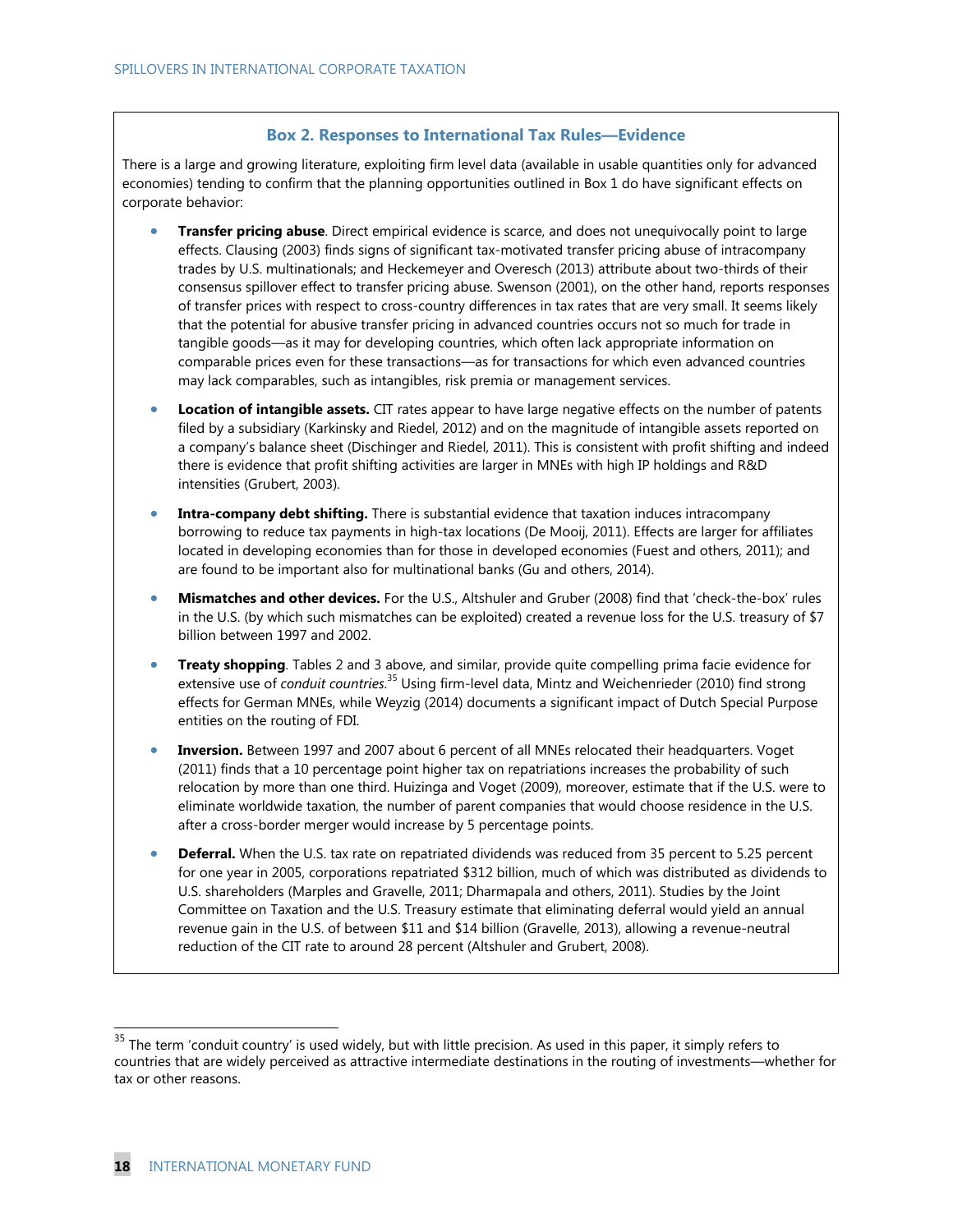#### **Box 2. Responses to International Tax Rules—Evidence**

There is a large and growing literature, exploiting firm level data (available in usable quantities only for advanced economies) tending to confirm that the planning opportunities outlined in Box 1 do have significant effects on corporate behavior:

- **Transfer pricing abuse**. Direct empirical evidence is scarce, and does not unequivocally point to large effects. Clausing (2003) finds signs of significant tax-motivated transfer pricing abuse of intracompany trades by U.S. multinationals; and Heckemeyer and Overesch (2013) attribute about two-thirds of their consensus spillover effect to transfer pricing abuse. Swenson (2001), on the other hand, reports responses of transfer prices with respect to cross-country differences in tax rates that are very small. It seems likely that the potential for abusive transfer pricing in advanced countries occurs not so much for trade in tangible goods—as it may for developing countries, which often lack appropriate information on comparable prices even for these transactions—as for transactions for which even advanced countries may lack comparables, such as intangibles, risk premia or management services.
- **Location of intangible assets.** CIT rates appear to have large negative effects on the number of patents filed by a subsidiary (Karkinsky and Riedel, 2012) and on the magnitude of intangible assets reported on a company's balance sheet (Dischinger and Riedel, 2011). This is consistent with profit shifting and indeed there is evidence that profit shifting activities are larger in MNEs with high IP holdings and R&D intensities (Grubert, 2003).
- **Intra-company debt shifting.** There is substantial evidence that taxation induces intracompany borrowing to reduce tax payments in high-tax locations (De Mooij, 2011). Effects are larger for affiliates located in developing economies than for those in developed economies (Fuest and others, 2011); and are found to be important also for multinational banks (Gu and others, 2014).
- **Mismatches and other devices.** For the U.S., Altshuler and Gruber (2008) find that 'check-the-box' rules in the U.S. (by which such mismatches can be exploited) created a revenue loss for the U.S. treasury of \$7 billion between 1997 and 2002.
- **Treaty shopping**. Tables 2 and 3 above, and similar, provide quite compelling prima facie evidence for extensive use of *conduit countries*. 35 Using firm-level data, Mintz and Weichenrieder (2010) find strong effects for German MNEs, while Weyzig (2014) documents a significant impact of Dutch Special Purpose entities on the routing of FDI.
- **Inversion.** Between 1997 and 2007 about 6 percent of all MNEs relocated their headquarters. Voget (2011) finds that a 10 percentage point higher tax on repatriations increases the probability of such relocation by more than one third. Huizinga and Voget (2009), moreover, estimate that if the U.S. were to eliminate worldwide taxation, the number of parent companies that would choose residence in the U.S. after a cross-border merger would increase by 5 percentage points.
- **Deferral.** When the U.S. tax rate on repatriated dividends was reduced from 35 percent to 5.25 percent for one year in 2005, corporations repatriated \$312 billion, much of which was distributed as dividends to U.S. shareholders (Marples and Gravelle, 2011; Dharmapala and others, 2011). Studies by the Joint Committee on Taxation and the U.S. Treasury estimate that eliminating deferral would yield an annual revenue gain in the U.S. of between \$11 and \$14 billion (Gravelle, 2013), allowing a revenue-neutral reduction of the CIT rate to around 28 percent (Altshuler and Grubert, 2008).

 $35$  The term 'conduit country' is used widely, but with little precision. As used in this paper, it simply refers to countries that are widely perceived as attractive intermediate destinations in the routing of investments—whether for tax or other reasons.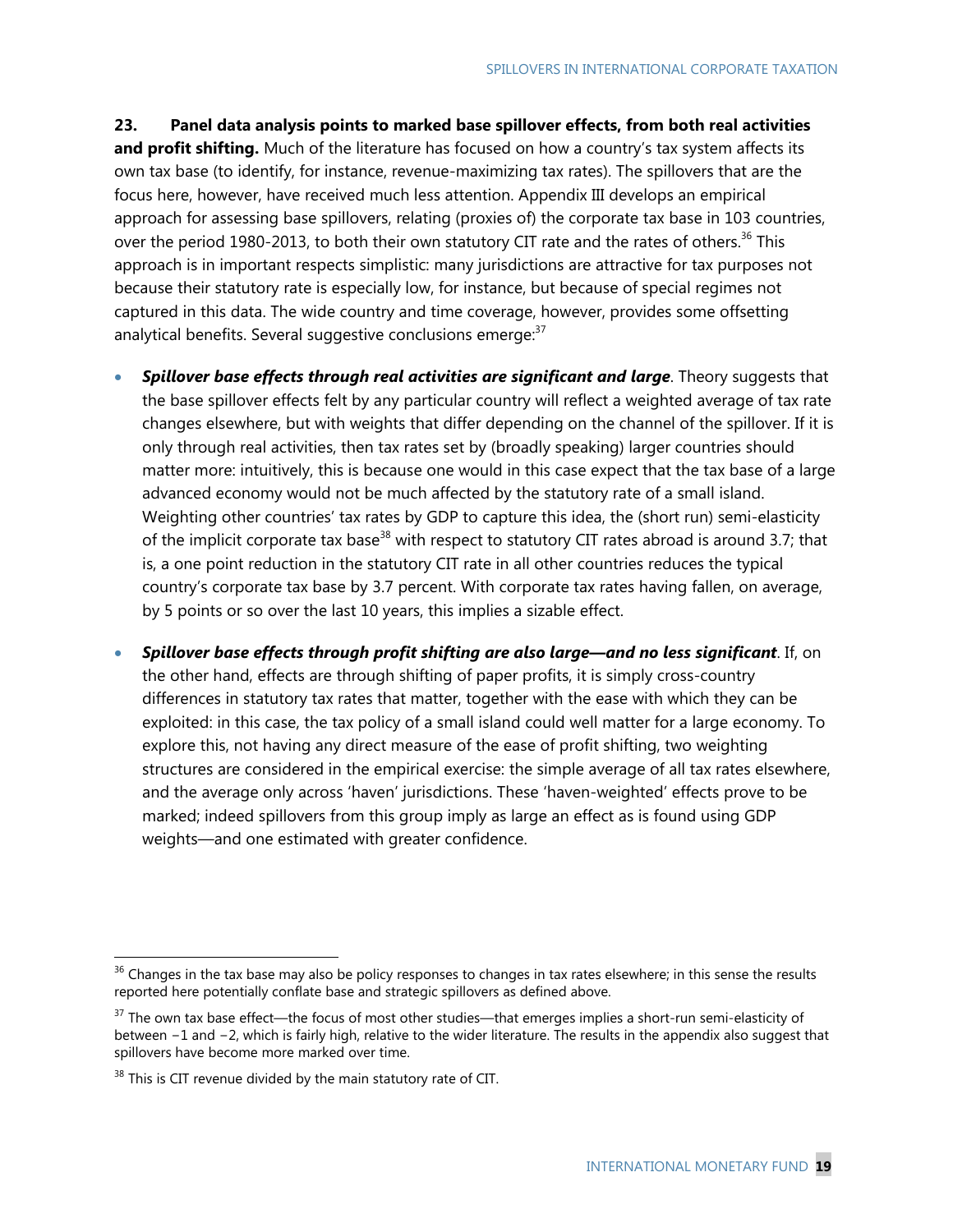**23. Panel data analysis points to marked base spillover effects, from both real activities and profit shifting.** Much of the literature has focused on how a country's tax system affects its own tax base (to identify, for instance, revenue-maximizing tax rates). The spillovers that are the focus here, however, have received much less attention. Appendix III develops an empirical approach for assessing base spillovers, relating (proxies of) the corporate tax base in 103 countries, over the period 1980-2013, to both their own statutory CIT rate and the rates of others.<sup>36</sup> This approach is in important respects simplistic: many jurisdictions are attractive for tax purposes not because their statutory rate is especially low, for instance, but because of special regimes not captured in this data. The wide country and time coverage, however, provides some offsetting analytical benefits. Several suggestive conclusions emerge: $37$ 

- **Spillover base effects through real activities are significant and large**. Theory suggests that the base spillover effects felt by any particular country will reflect a weighted average of tax rate changes elsewhere, but with weights that differ depending on the channel of the spillover. If it is only through real activities, then tax rates set by (broadly speaking) larger countries should matter more: intuitively, this is because one would in this case expect that the tax base of a large advanced economy would not be much affected by the statutory rate of a small island. Weighting other countries' tax rates by GDP to capture this idea, the (short run) semi-elasticity of the implicit corporate tax base<sup>38</sup> with respect to statutory CIT rates abroad is around 3.7; that is, a one point reduction in the statutory CIT rate in all other countries reduces the typical country's corporate tax base by 3.7 percent. With corporate tax rates having fallen, on average, by 5 points or so over the last 10 years, this implies a sizable effect.
- *Spillover base effects through profit shifting are also large—and no less significant*. If, on the other hand, effects are through shifting of paper profits, it is simply cross-country differences in statutory tax rates that matter, together with the ease with which they can be exploited: in this case, the tax policy of a small island could well matter for a large economy. To explore this, not having any direct measure of the ease of profit shifting, two weighting structures are considered in the empirical exercise: the simple average of all tax rates elsewhere, and the average only across 'haven' jurisdictions. These 'haven-weighted' effects prove to be marked; indeed spillovers from this group imply as large an effect as is found using GDP weights—and one estimated with greater confidence.

 $36$  Changes in the tax base may also be policy responses to changes in tax rates elsewhere; in this sense the results reported here potentially conflate base and strategic spillovers as defined above.

<sup>&</sup>lt;sup>37</sup> The own tax base effect—the focus of most other studies—that emerges implies a short-run semi-elasticity of between −1 and −2, which is fairly high, relative to the wider literature. The results in the appendix also suggest that spillovers have become more marked over time.

 $38$  This is CIT revenue divided by the main statutory rate of CIT.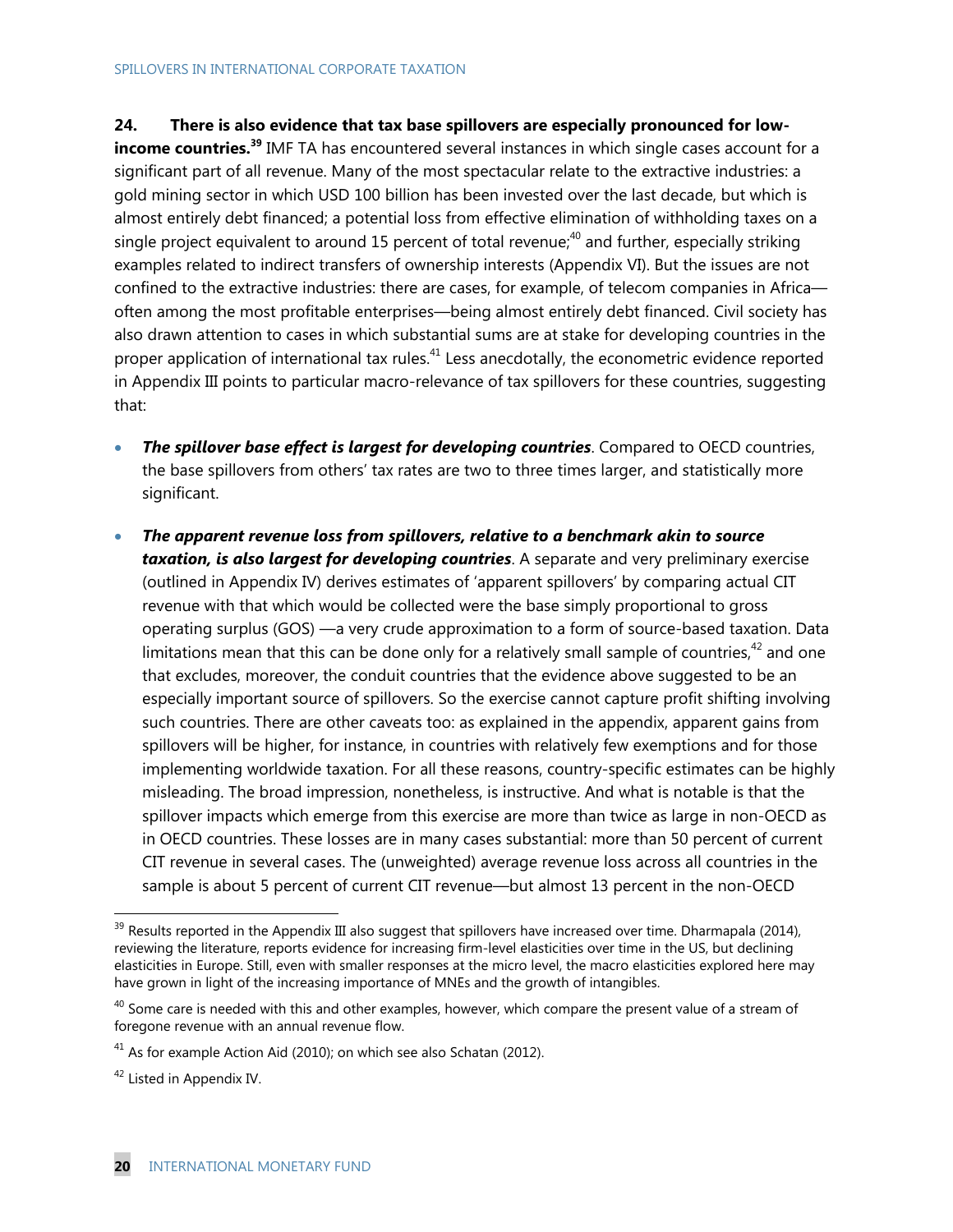## **24. There is also evidence that tax base spillovers are especially pronounced for low-**

**income countries.**<sup>39</sup> IMF TA has encountered several instances in which single cases account for a significant part of all revenue. Many of the most spectacular relate to the extractive industries: a gold mining sector in which USD 100 billion has been invested over the last decade, but which is almost entirely debt financed; a potential loss from effective elimination of withholding taxes on a single project equivalent to around 15 percent of total revenue;<sup>40</sup> and further, especially striking examples related to indirect transfers of ownership interests (Appendix VI). But the issues are not confined to the extractive industries: there are cases, for example, of telecom companies in Africa often among the most profitable enterprises—being almost entirely debt financed. Civil society has also drawn attention to cases in which substantial sums are at stake for developing countries in the proper application of international tax rules.<sup>41</sup> Less anecdotally, the econometric evidence reported in Appendix III points to particular macro-relevance of tax spillovers for these countries, suggesting that:

- *The spillover base effect is largest for developing countries*. Compared to OECD countries, the base spillovers from others' tax rates are two to three times larger, and statistically more significant.
- *The apparent revenue loss from spillovers, relative to a benchmark akin to source taxation, is also largest for developing countries*. A separate and very preliminary exercise (outlined in Appendix IV) derives estimates of 'apparent spillovers' by comparing actual CIT revenue with that which would be collected were the base simply proportional to gross operating surplus (GOS) —a very crude approximation to a form of source-based taxation. Data limitations mean that this can be done only for a relatively small sample of countries, $42$  and one that excludes, moreover, the conduit countries that the evidence above suggested to be an especially important source of spillovers. So the exercise cannot capture profit shifting involving such countries. There are other caveats too: as explained in the appendix, apparent gains from spillovers will be higher, for instance, in countries with relatively few exemptions and for those implementing worldwide taxation. For all these reasons, country-specific estimates can be highly misleading. The broad impression, nonetheless, is instructive. And what is notable is that the spillover impacts which emerge from this exercise are more than twice as large in non-OECD as in OECD countries. These losses are in many cases substantial: more than 50 percent of current CIT revenue in several cases. The (unweighted) average revenue loss across all countries in the sample is about 5 percent of current CIT revenue—but almost 13 percent in the non-OECD

 $39$  Results reported in the Appendix III also suggest that spillovers have increased over time. Dharmapala (2014), reviewing the literature, reports evidence for increasing firm-level elasticities over time in the US, but declining elasticities in Europe. Still, even with smaller responses at the micro level, the macro elasticities explored here may have grown in light of the increasing importance of MNEs and the growth of intangibles.

 $40$  Some care is needed with this and other examples, however, which compare the present value of a stream of foregone revenue with an annual revenue flow.

 $41$  As for example Action Aid (2010); on which see also Schatan (2012).

<sup>&</sup>lt;sup>42</sup> Listed in Appendix IV.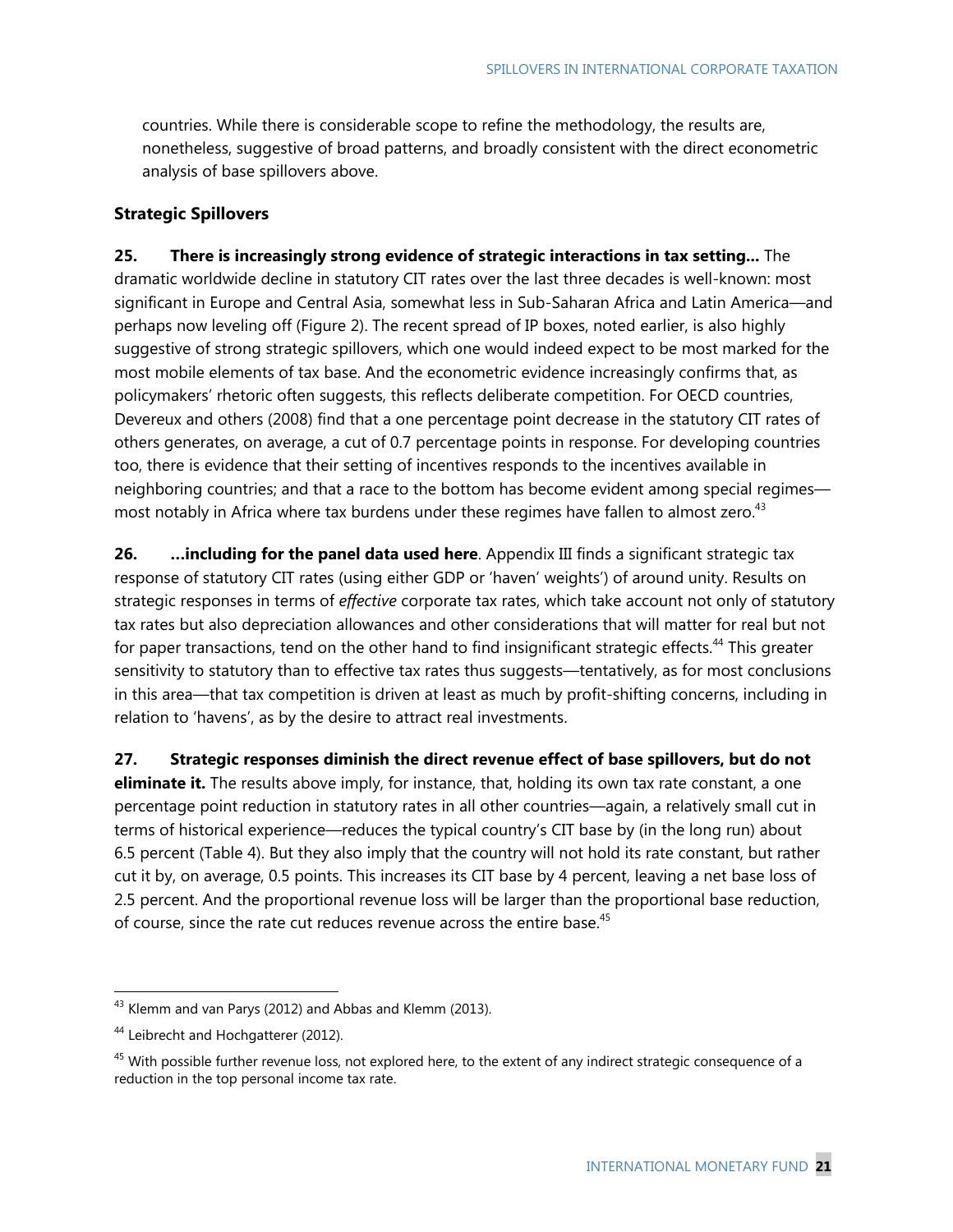countries. While there is considerable scope to refine the methodology, the results are, nonetheless, suggestive of broad patterns, and broadly consistent with the direct econometric analysis of base spillovers above.

### **Strategic Spillovers**

**25. There is increasingly strong evidence of strategic interactions in tax setting...** The dramatic worldwide decline in statutory CIT rates over the last three decades is well-known: most significant in Europe and Central Asia, somewhat less in Sub-Saharan Africa and Latin America—and perhaps now leveling off (Figure 2). The recent spread of IP boxes, noted earlier, is also highly suggestive of strong strategic spillovers, which one would indeed expect to be most marked for the most mobile elements of tax base. And the econometric evidence increasingly confirms that, as policymakers' rhetoric often suggests, this reflects deliberate competition. For OECD countries, Devereux and others (2008) find that a one percentage point decrease in the statutory CIT rates of others generates, on average, a cut of 0.7 percentage points in response. For developing countries too, there is evidence that their setting of incentives responds to the incentives available in neighboring countries; and that a race to the bottom has become evident among special regimes most notably in Africa where tax burdens under these regimes have fallen to almost zero.<sup>43</sup>

**26. …including for the panel data used here**. Appendix III finds a significant strategic tax response of statutory CIT rates (using either GDP or 'haven' weights') of around unity. Results on strategic responses in terms of *effective* corporate tax rates, which take account not only of statutory tax rates but also depreciation allowances and other considerations that will matter for real but not for paper transactions, tend on the other hand to find insignificant strategic effects.<sup>44</sup> This greater sensitivity to statutory than to effective tax rates thus suggests—tentatively, as for most conclusions in this area—that tax competition is driven at least as much by profit-shifting concerns, including in relation to 'havens', as by the desire to attract real investments.

**27. Strategic responses diminish the direct revenue effect of base spillovers, but do not eliminate it.** The results above imply, for instance, that, holding its own tax rate constant, a one percentage point reduction in statutory rates in all other countries—again, a relatively small cut in terms of historical experience—reduces the typical country's CIT base by (in the long run) about 6.5 percent (Table 4). But they also imply that the country will not hold its rate constant, but rather cut it by, on average, 0.5 points. This increases its CIT base by 4 percent, leaving a net base loss of 2.5 percent. And the proportional revenue loss will be larger than the proportional base reduction, of course, since the rate cut reduces revenue across the entire base.<sup>45</sup>

<sup>&</sup>lt;sup>43</sup> Klemm and van Parys (2012) and Abbas and Klemm (2013).

<sup>&</sup>lt;sup>44</sup> Leibrecht and Hochgatterer (2012).

 $45$  With possible further revenue loss, not explored here, to the extent of any indirect strategic consequence of a reduction in the top personal income tax rate.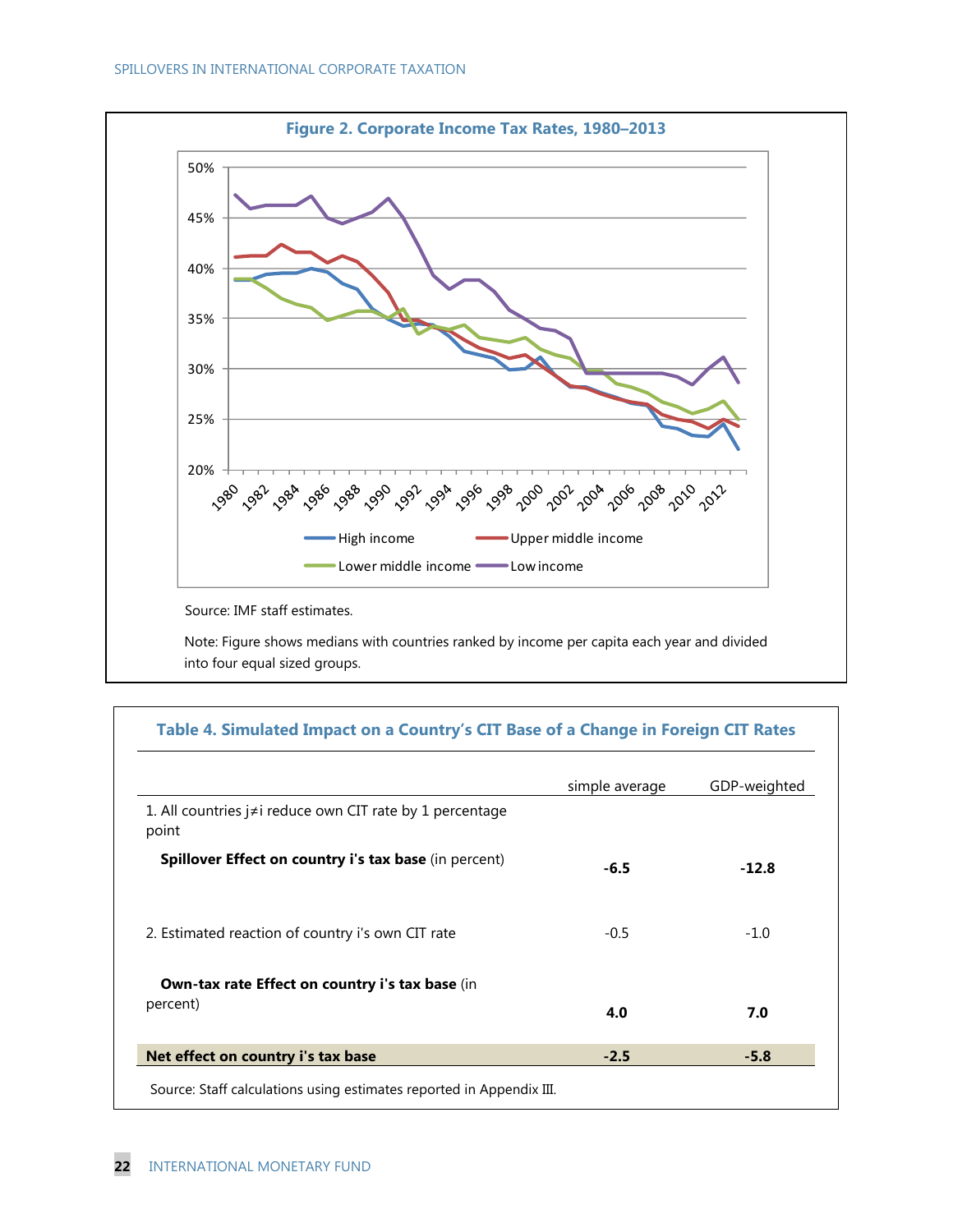

Note: Figure shows medians with countries ranked by income per capita each year and divided into four equal sized groups.

## **Table 4. Simulated Impact on a Country's CIT Base of a Change in Foreign CIT Rates**

|                                                                          | simple average | GDP-weighted |
|--------------------------------------------------------------------------|----------------|--------------|
| 1. All countries $j \neq i$ reduce own CIT rate by 1 percentage<br>point |                |              |
| Spillover Effect on country i's tax base (in percent)                    | $-6.5$         | $-12.8$      |
| 2. Estimated reaction of country i's own CIT rate                        | $-0.5$         | $-1.0$       |
| <b>Own-tax rate Effect on country i's tax base (in</b>                   |                |              |
| percent)                                                                 | 4.0            | 7.0          |
| Net effect on country i's tax base                                       | $-2.5$         | $-5.8$       |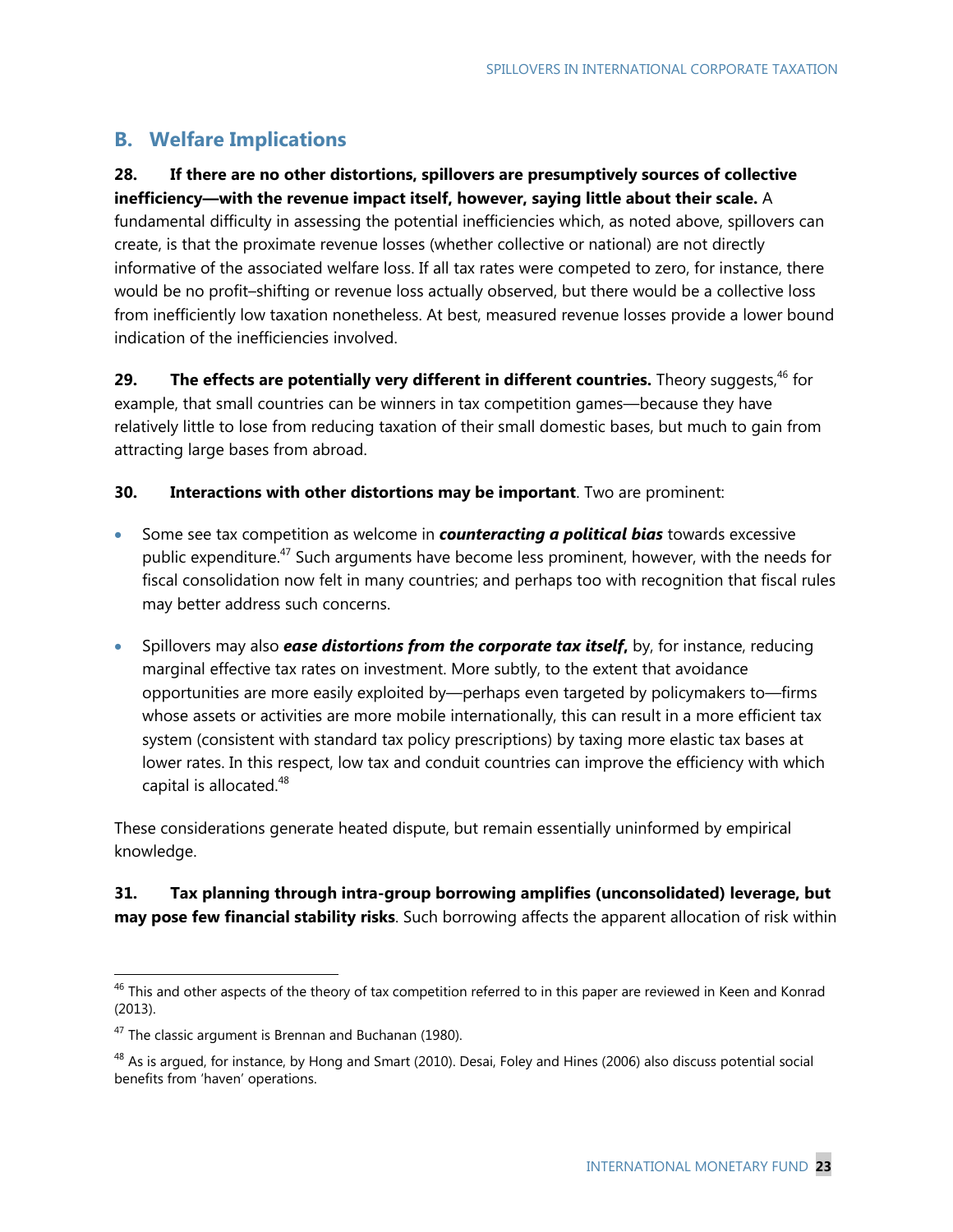# **B. Welfare Implications**

# **28. If there are no other distortions, spillovers are presumptively sources of collective**

**inefficiency—with the revenue impact itself, however, saying little about their scale.** A fundamental difficulty in assessing the potential inefficiencies which, as noted above, spillovers can create, is that the proximate revenue losses (whether collective or national) are not directly informative of the associated welfare loss. If all tax rates were competed to zero, for instance, there would be no profit–shifting or revenue loss actually observed, but there would be a collective loss from inefficiently low taxation nonetheless. At best, measured revenue losses provide a lower bound indication of the inefficiencies involved.

29. The effects are potentially very different in different countries. Theory suggests,<sup>46</sup> for example, that small countries can be winners in tax competition games—because they have relatively little to lose from reducing taxation of their small domestic bases, but much to gain from attracting large bases from abroad.

## **30. Interactions with other distortions may be important**. Two are prominent:

- Some see tax competition as welcome in *counteracting a political bias* towards excessive public expenditure.<sup>47</sup> Such arguments have become less prominent, however, with the needs for fiscal consolidation now felt in many countries; and perhaps too with recognition that fiscal rules may better address such concerns.
- Spillovers may also *ease distortions from the corporate tax itself***,** by, for instance, reducing marginal effective tax rates on investment. More subtly, to the extent that avoidance opportunities are more easily exploited by—perhaps even targeted by policymakers to—firms whose assets or activities are more mobile internationally, this can result in a more efficient tax system (consistent with standard tax policy prescriptions) by taxing more elastic tax bases at lower rates. In this respect, low tax and conduit countries can improve the efficiency with which capital is allocated.<sup>48</sup>

These considerations generate heated dispute, but remain essentially uninformed by empirical knowledge.

## **31. Tax planning through intra-group borrowing amplifies (unconsolidated) leverage, but may pose few financial stability risks**. Such borrowing affects the apparent allocation of risk within

 $^{46}$  This and other aspects of the theory of tax competition referred to in this paper are reviewed in Keen and Konrad (2013).

 $47$  The classic argument is Brennan and Buchanan (1980).

 $^{48}$  As is argued, for instance, by Hong and Smart (2010). Desai, Foley and Hines (2006) also discuss potential social benefits from 'haven' operations.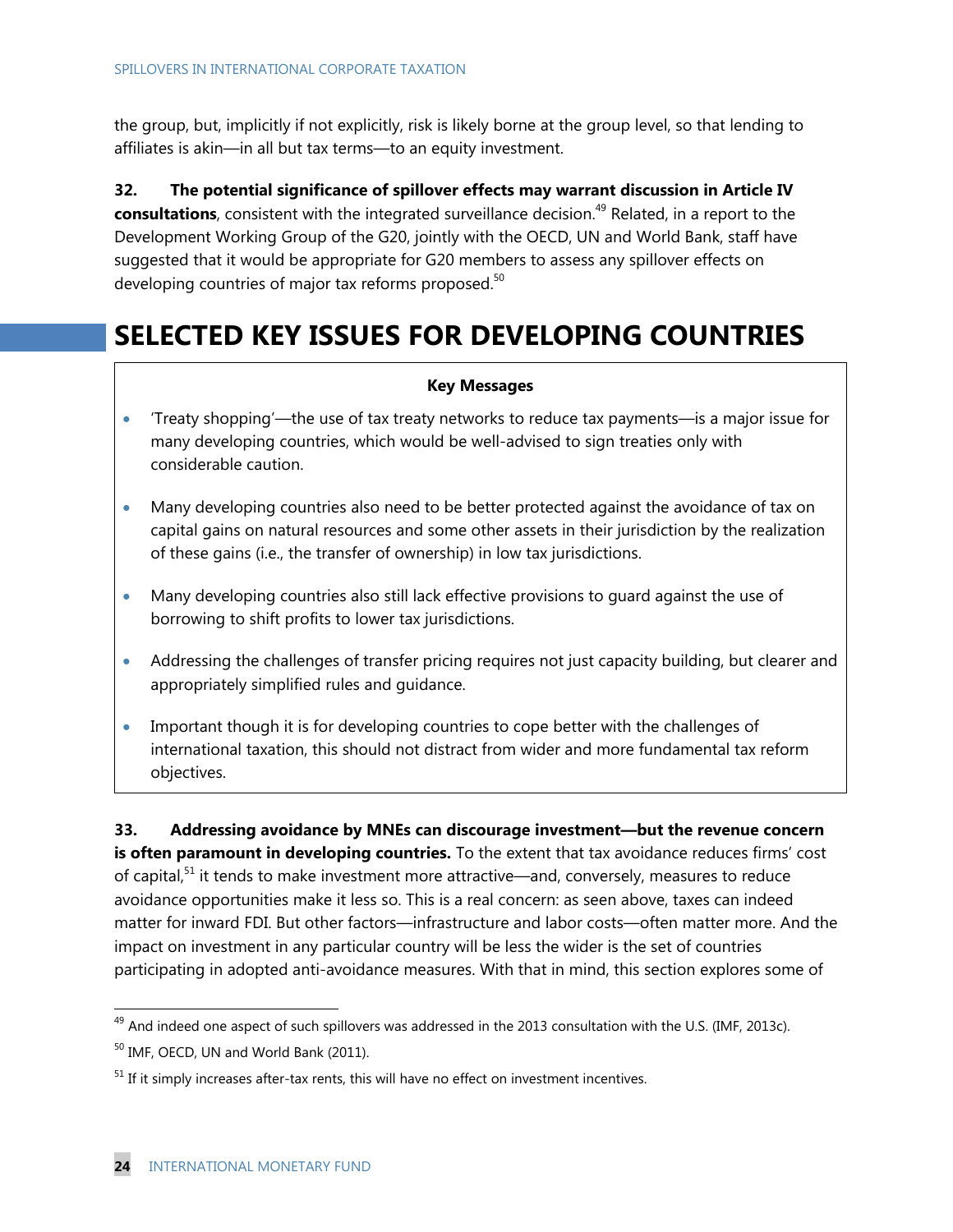the group, but, implicitly if not explicitly, risk is likely borne at the group level, so that lending to affiliates is akin—in all but tax terms—to an equity investment.

**32. The potential significance of spillover effects may warrant discussion in Article IV consultations**, consistent with the integrated surveillance decision.<sup>49</sup> Related, in a report to the Development Working Group of the G20, jointly with the OECD, UN and World Bank, staff have suggested that it would be appropriate for G20 members to assess any spillover effects on developing countries of major tax reforms proposed.<sup>50</sup>

# **SELECTED KEY ISSUES FOR DEVELOPING COUNTRIES**

#### **Key Messages**

- 'Treaty shopping'—the use of tax treaty networks to reduce tax payments—is a major issue for many developing countries, which would be well-advised to sign treaties only with considerable caution.
- Many developing countries also need to be better protected against the avoidance of tax on capital gains on natural resources and some other assets in their jurisdiction by the realization of these gains (i.e., the transfer of ownership) in low tax jurisdictions.
- Many developing countries also still lack effective provisions to guard against the use of borrowing to shift profits to lower tax jurisdictions.
- Addressing the challenges of transfer pricing requires not just capacity building, but clearer and appropriately simplified rules and guidance.
- Important though it is for developing countries to cope better with the challenges of international taxation, this should not distract from wider and more fundamental tax reform objectives.

**33. Addressing avoidance by MNEs can discourage investment—but the revenue concern is often paramount in developing countries.** To the extent that tax avoidance reduces firms' cost of capital,<sup>51</sup> it tends to make investment more attractive—and, conversely, measures to reduce avoidance opportunities make it less so. This is a real concern: as seen above, taxes can indeed matter for inward FDI. But other factors—infrastructure and labor costs—often matter more. And the impact on investment in any particular country will be less the wider is the set of countries participating in adopted anti-avoidance measures. With that in mind, this section explores some of

<sup>&</sup>lt;sup>49</sup> And indeed one aspect of such spillovers was addressed in the 2013 consultation with the U.S. (IMF, 2013c).

<sup>&</sup>lt;sup>50</sup> IMF, OECD, UN and World Bank (2011).

 $51$  If it simply increases after-tax rents, this will have no effect on investment incentives.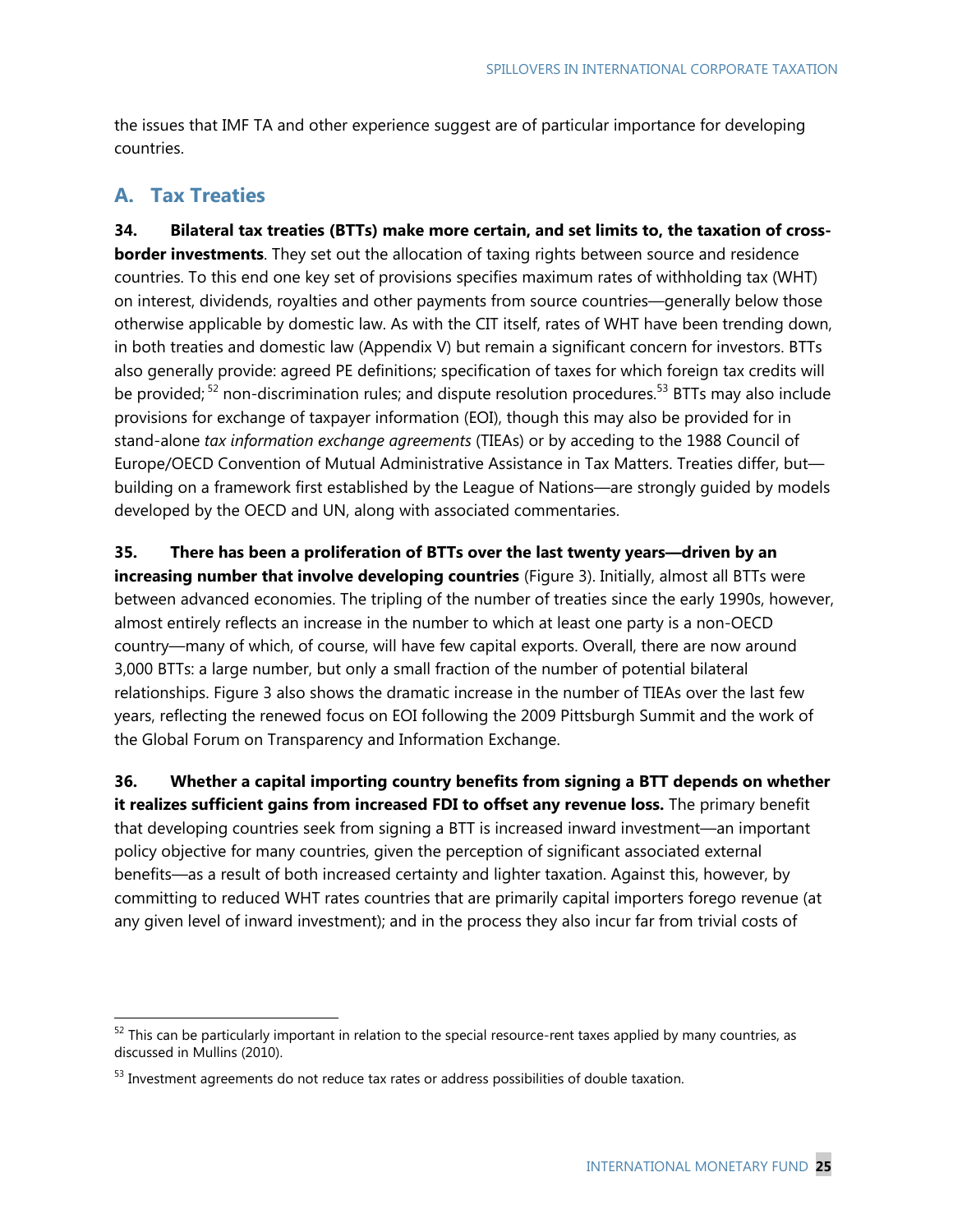the issues that IMF TA and other experience suggest are of particular importance for developing countries.

# **A. Tax Treaties**

-

**34. Bilateral tax treaties (BTTs) make more certain, and set limits to, the taxation of crossborder investments**. They set out the allocation of taxing rights between source and residence countries. To this end one key set of provisions specifies maximum rates of withholding tax (WHT) on interest, dividends, royalties and other payments from source countries—generally below those otherwise applicable by domestic law. As with the CIT itself, rates of WHT have been trending down, in both treaties and domestic law (Appendix V) but remain a significant concern for investors. BTTs also generally provide: agreed PE definitions; specification of taxes for which foreign tax credits will be provided;<sup>52</sup> non-discrimination rules; and dispute resolution procedures.<sup>53</sup> BTTs may also include provisions for exchange of taxpayer information (EOI), though this may also be provided for in stand-alone *tax information exchange agreements* (TIEAs) or by acceding to the 1988 Council of Europe/OECD Convention of Mutual Administrative Assistance in Tax Matters. Treaties differ, but building on a framework first established by the League of Nations—are strongly guided by models developed by the OECD and UN, along with associated commentaries.

**35. There has been a proliferation of BTTs over the last twenty years—driven by an increasing number that involve developing countries** (Figure 3). Initially, almost all BTTs were between advanced economies. The tripling of the number of treaties since the early 1990s, however, almost entirely reflects an increase in the number to which at least one party is a non-OECD country—many of which, of course, will have few capital exports. Overall, there are now around 3,000 BTTs: a large number, but only a small fraction of the number of potential bilateral relationships. Figure 3 also shows the dramatic increase in the number of TIEAs over the last few years, reflecting the renewed focus on EOI following the 2009 Pittsburgh Summit and the work of the Global Forum on Transparency and Information Exchange.

**36. Whether a capital importing country benefits from signing a BTT depends on whether it realizes sufficient gains from increased FDI to offset any revenue loss.** The primary benefit that developing countries seek from signing a BTT is increased inward investment—an important policy objective for many countries, given the perception of significant associated external benefits—as a result of both increased certainty and lighter taxation. Against this, however, by committing to reduced WHT rates countries that are primarily capital importers forego revenue (at any given level of inward investment); and in the process they also incur far from trivial costs of

 $52$  This can be particularly important in relation to the special resource-rent taxes applied by many countries, as discussed in Mullins (2010).

<sup>&</sup>lt;sup>53</sup> Investment agreements do not reduce tax rates or address possibilities of double taxation.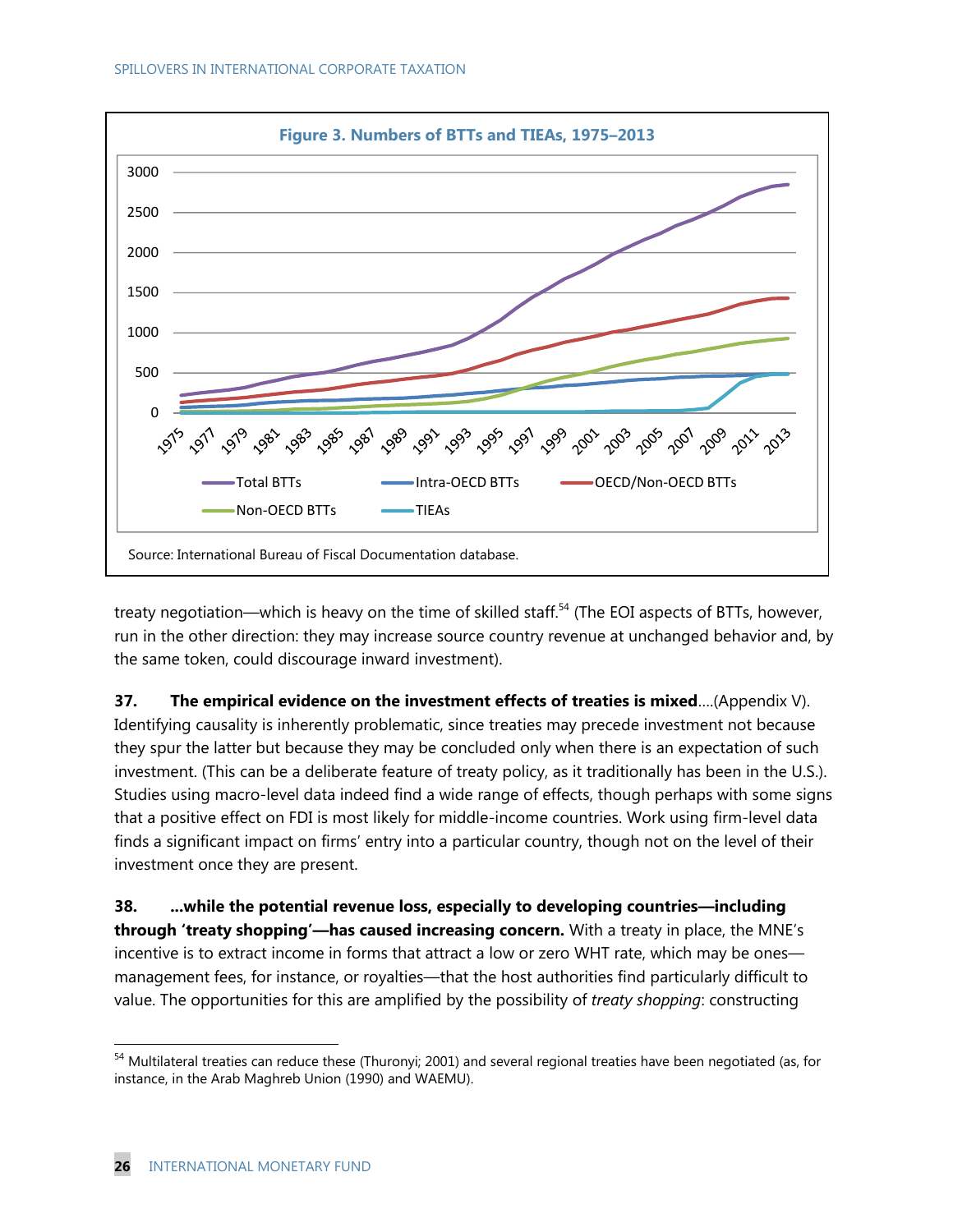

treaty negotiation—which is heavy on the time of skilled staff.<sup>54</sup> (The EOI aspects of BTTs, however, run in the other direction: they may increase source country revenue at unchanged behavior and, by the same token, could discourage inward investment).

**37. The empirical evidence on the investment effects of treaties is mixed**….(Appendix V). Identifying causality is inherently problematic, since treaties may precede investment not because they spur the latter but because they may be concluded only when there is an expectation of such investment. (This can be a deliberate feature of treaty policy, as it traditionally has been in the U.S.). Studies using macro-level data indeed find a wide range of effects, though perhaps with some signs that a positive effect on FDI is most likely for middle-income countries. Work using firm-level data finds a significant impact on firms' entry into a particular country, though not on the level of their investment once they are present.

**38. ...while the potential revenue loss, especially to developing countries—including through 'treaty shopping'—has caused increasing concern.** With a treaty in place, the MNE's incentive is to extract income in forms that attract a low or zero WHT rate, which may be ones management fees, for instance, or royalties—that the host authorities find particularly difficult to value. The opportunities for this are amplified by the possibility of *treaty shopping*: constructing

<sup>&</sup>lt;sup>54</sup> Multilateral treaties can reduce these (Thuronyi; 2001) and several regional treaties have been negotiated (as, for instance, in the Arab Maghreb Union (1990) and WAEMU).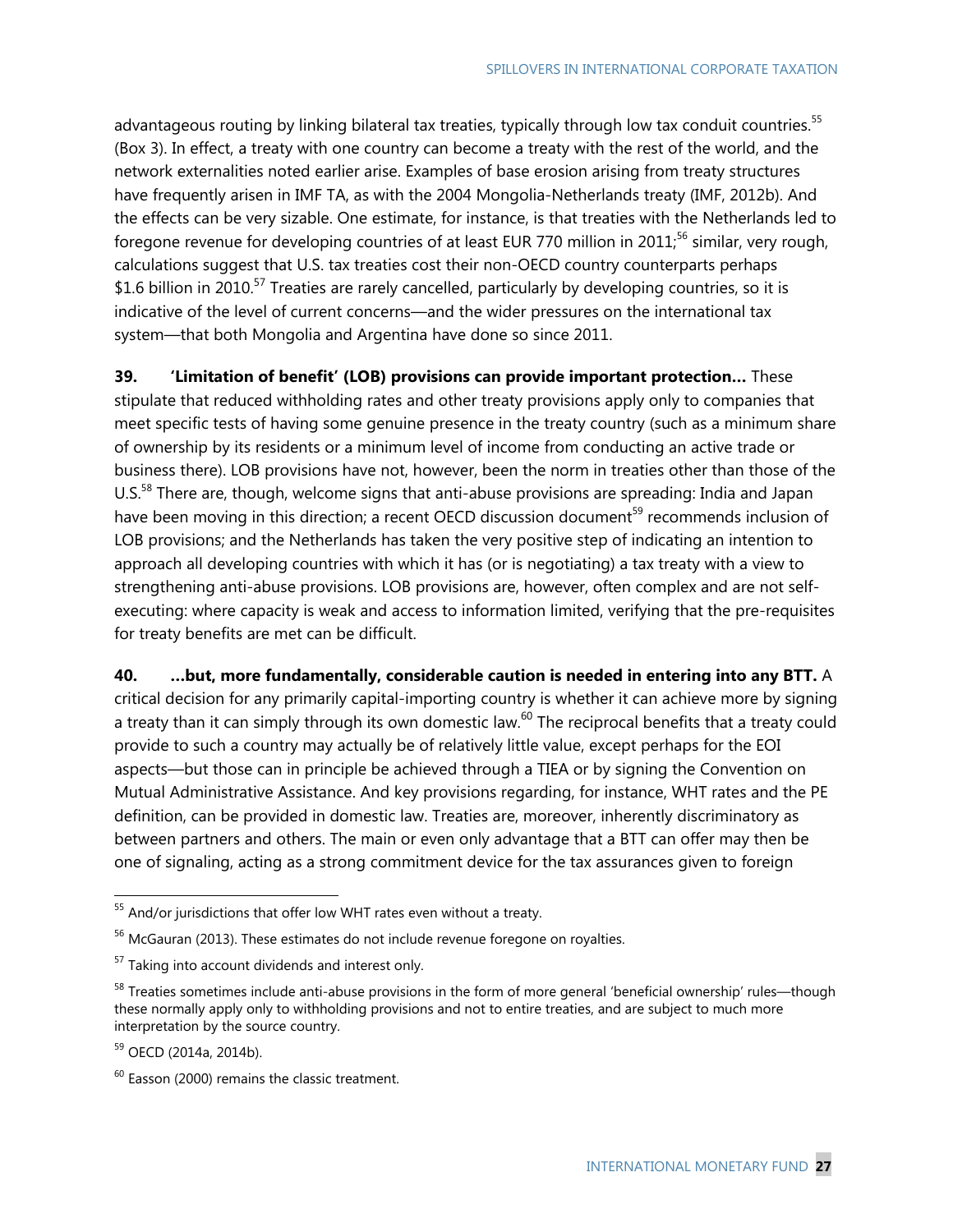advantageous routing by linking bilateral tax treaties, typically through low tax conduit countries.<sup>55</sup> (Box 3). In effect, a treaty with one country can become a treaty with the rest of the world, and the network externalities noted earlier arise. Examples of base erosion arising from treaty structures have frequently arisen in IMF TA, as with the 2004 Mongolia-Netherlands treaty (IMF, 2012b). And the effects can be very sizable. One estimate, for instance, is that treaties with the Netherlands led to foregone revenue for developing countries of at least EUR 770 million in 2011;<sup>56</sup> similar, very rough, calculations suggest that U.S. tax treaties cost their non-OECD country counterparts perhaps \$1.6 billion in 2010.<sup>57</sup> Treaties are rarely cancelled, particularly by developing countries, so it is indicative of the level of current concerns—and the wider pressures on the international tax system—that both Mongolia and Argentina have done so since 2011.

**39. 'Limitation of benefit' (LOB) provisions can provide important protection…** These stipulate that reduced withholding rates and other treaty provisions apply only to companies that meet specific tests of having some genuine presence in the treaty country (such as a minimum share of ownership by its residents or a minimum level of income from conducting an active trade or business there). LOB provisions have not, however, been the norm in treaties other than those of the U.S.<sup>58</sup> There are, though, welcome signs that anti-abuse provisions are spreading: India and Japan have been moving in this direction; a recent OECD discussion document<sup>59</sup> recommends inclusion of LOB provisions; and the Netherlands has taken the very positive step of indicating an intention to approach all developing countries with which it has (or is negotiating) a tax treaty with a view to strengthening anti-abuse provisions. LOB provisions are, however, often complex and are not selfexecuting: where capacity is weak and access to information limited, verifying that the pre-requisites for treaty benefits are met can be difficult.

**40. …but, more fundamentally, considerable caution is needed in entering into any BTT.** A critical decision for any primarily capital-importing country is whether it can achieve more by signing a treaty than it can simply through its own domestic law.<sup>60</sup> The reciprocal benefits that a treaty could provide to such a country may actually be of relatively little value, except perhaps for the EOI aspects—but those can in principle be achieved through a TIEA or by signing the Convention on Mutual Administrative Assistance. And key provisions regarding, for instance, WHT rates and the PE definition, can be provided in domestic law. Treaties are, moreover, inherently discriminatory as between partners and others. The main or even only advantage that a BTT can offer may then be one of signaling, acting as a strong commitment device for the tax assurances given to foreign

 $55$  And/or jurisdictions that offer low WHT rates even without a treaty.

<sup>&</sup>lt;sup>56</sup> McGauran (2013). These estimates do not include revenue foregone on royalties.

<sup>&</sup>lt;sup>57</sup> Taking into account dividends and interest only.

<sup>&</sup>lt;sup>58</sup> Treaties sometimes include anti-abuse provisions in the form of more general 'beneficial ownership' rules—though these normally apply only to withholding provisions and not to entire treaties, and are subject to much more interpretation by the source country.

<sup>59</sup> OECD (2014a, 2014b).

 $60$  Easson (2000) remains the classic treatment.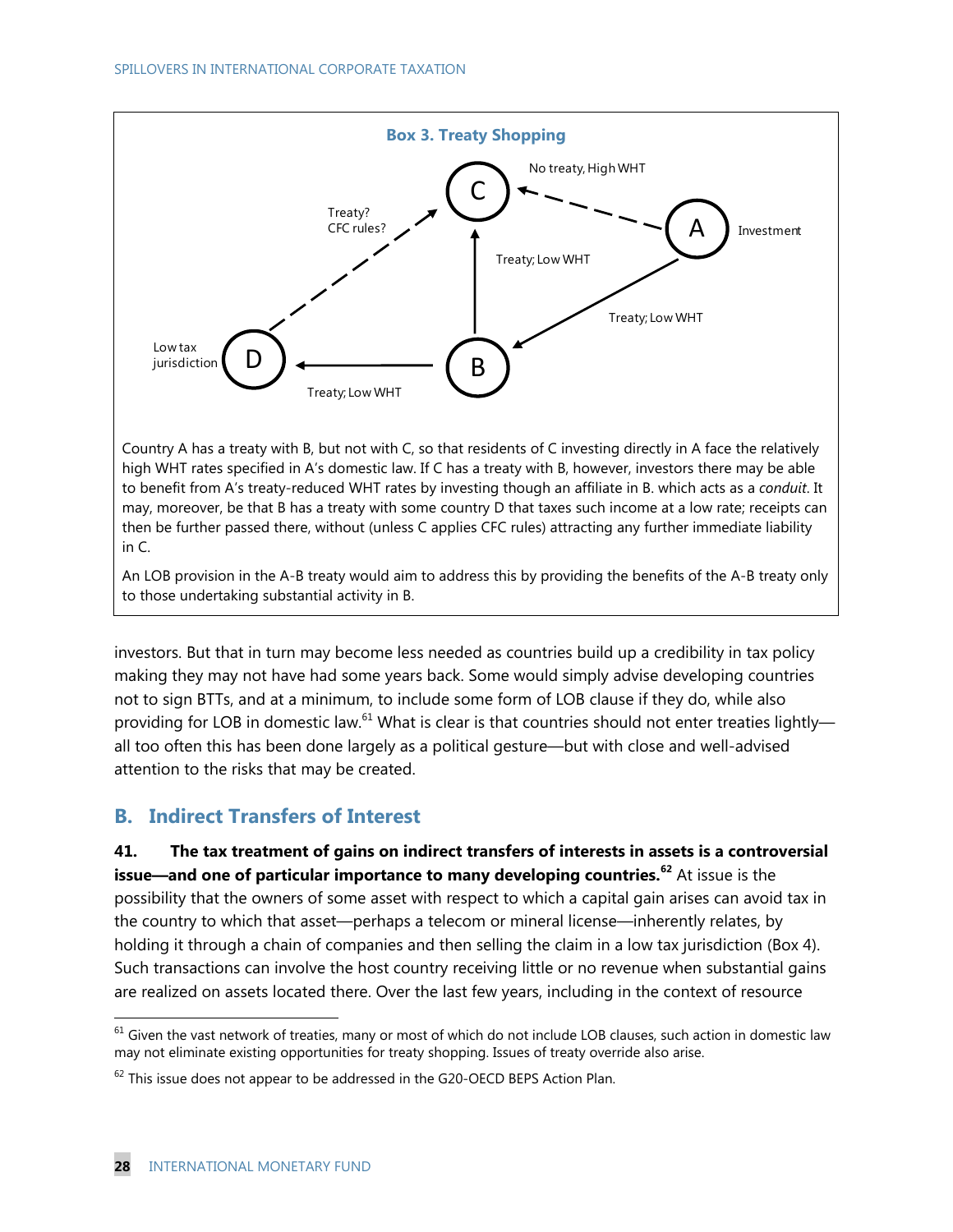

Country A has a treaty with B, but not with C, so that residents of C investing directly in A face the relatively high WHT rates specified in A's domestic law. If C has a treaty with B, however, investors there may be able to benefit from A's treaty-reduced WHT rates by investing though an affiliate in B. which acts as a *conduit*. It may, moreover, be that B has a treaty with some country D that taxes such income at a low rate; receipts can then be further passed there, without (unless C applies CFC rules) attracting any further immediate liability in C.

An LOB provision in the A-B treaty would aim to address this by providing the benefits of the A-B treaty only to those undertaking substantial activity in B.

investors. But that in turn may become less needed as countries build up a credibility in tax policy making they may not have had some years back. Some would simply advise developing countries not to sign BTTs, and at a minimum, to include some form of LOB clause if they do, while also providing for LOB in domestic law.<sup>61</sup> What is clear is that countries should not enter treaties lightly all too often this has been done largely as a political gesture—but with close and well-advised attention to the risks that may be created.

# **B. Indirect Transfers of Interest**

**41. The tax treatment of gains on indirect transfers of interests in assets is a controversial issue—and one of particular importance to many developing countries.<sup>62</sup>** At issue is the possibility that the owners of some asset with respect to which a capital gain arises can avoid tax in the country to which that asset—perhaps a telecom or mineral license—inherently relates, by holding it through a chain of companies and then selling the claim in a low tax jurisdiction (Box 4). Such transactions can involve the host country receiving little or no revenue when substantial gains are realized on assets located there. Over the last few years, including in the context of resource

 $61$  Given the vast network of treaties, many or most of which do not include LOB clauses, such action in domestic law may not eliminate existing opportunities for treaty shopping. Issues of treaty override also arise.

 $62$  This issue does not appear to be addressed in the G20-OECD BEPS Action Plan.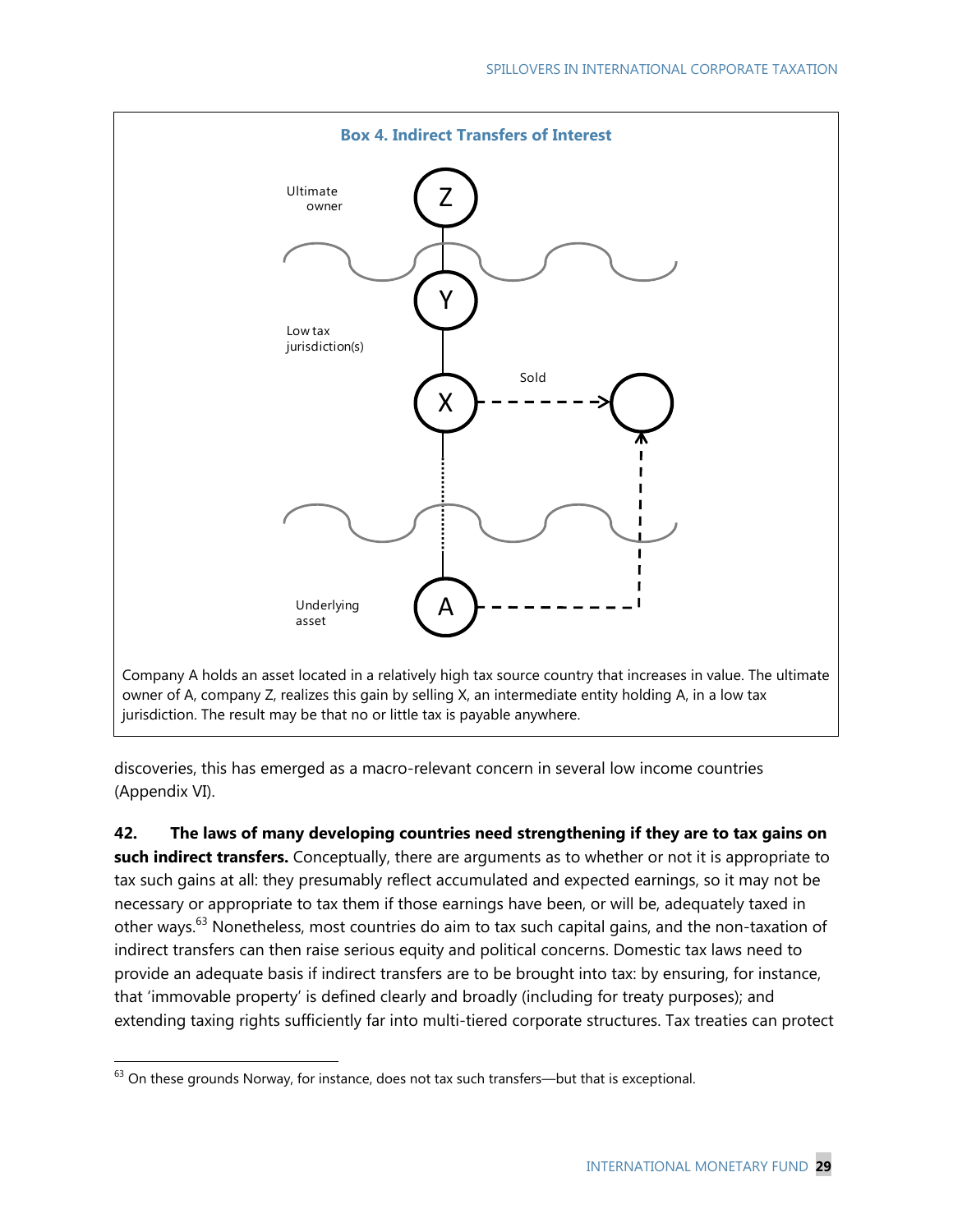

discoveries, this has emerged as a macro-relevant concern in several low income countries (Appendix VI).

**42. The laws of many developing countries need strengthening if they are to tax gains on such indirect transfers.** Conceptually, there are arguments as to whether or not it is appropriate to tax such gains at all: they presumably reflect accumulated and expected earnings, so it may not be necessary or appropriate to tax them if those earnings have been, or will be, adequately taxed in other ways.<sup>63</sup> Nonetheless, most countries do aim to tax such capital gains, and the non-taxation of indirect transfers can then raise serious equity and political concerns. Domestic tax laws need to provide an adequate basis if indirect transfers are to be brought into tax: by ensuring, for instance, that 'immovable property' is defined clearly and broadly (including for treaty purposes); and extending taxing rights sufficiently far into multi-tiered corporate structures. Tax treaties can protect

 $63$  On these grounds Norway, for instance, does not tax such transfers—but that is exceptional.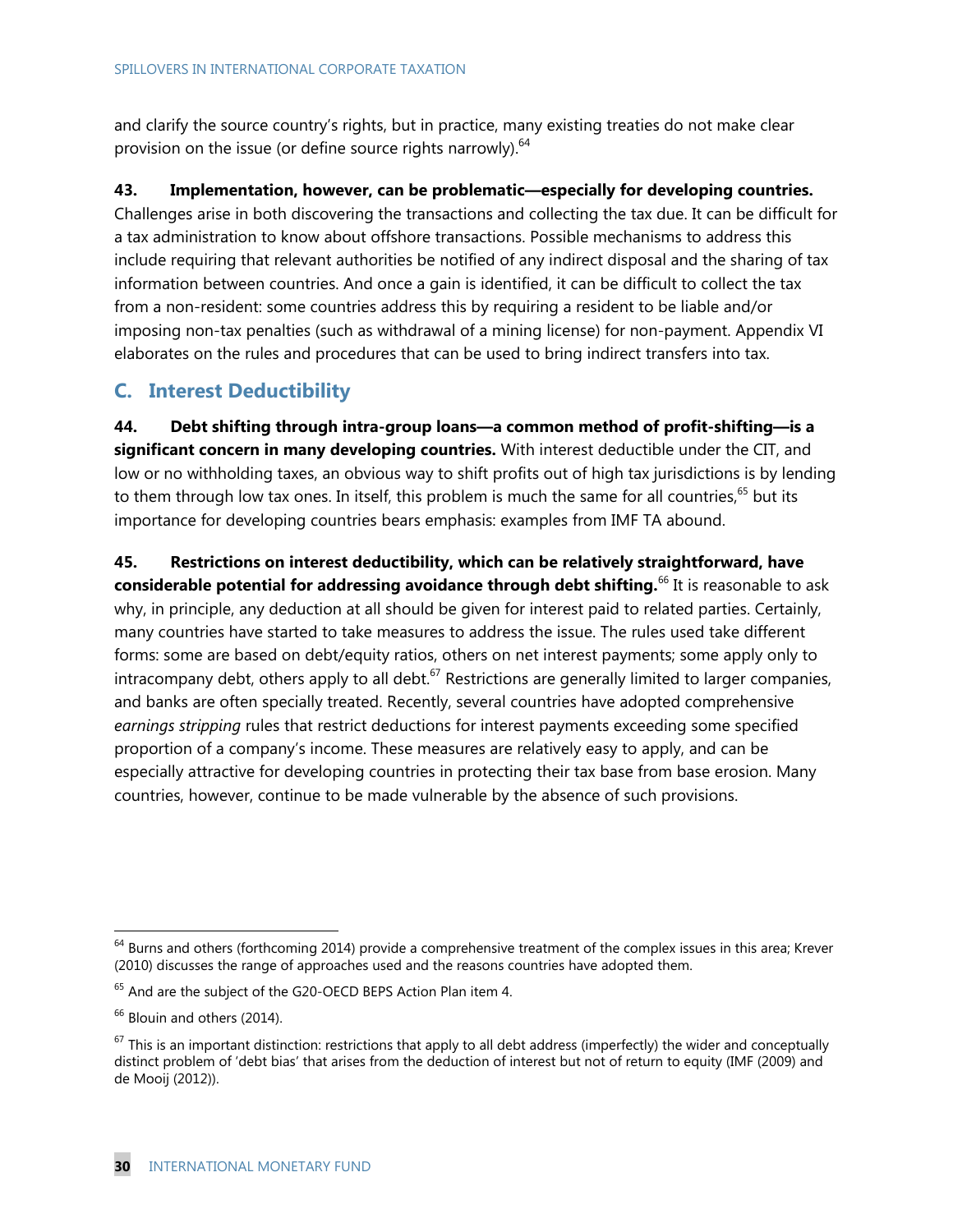and clarify the source country's rights, but in practice, many existing treaties do not make clear provision on the issue (or define source rights narrowly).<sup>64</sup>

## **43. Implementation, however, can be problematic—especially for developing countries.**

Challenges arise in both discovering the transactions and collecting the tax due. It can be difficult for a tax administration to know about offshore transactions. Possible mechanisms to address this include requiring that relevant authorities be notified of any indirect disposal and the sharing of tax information between countries. And once a gain is identified, it can be difficult to collect the tax from a non-resident: some countries address this by requiring a resident to be liable and/or imposing non-tax penalties (such as withdrawal of a mining license) for non-payment. Appendix VI elaborates on the rules and procedures that can be used to bring indirect transfers into tax.

## **C. Interest Deductibility**

**44. Debt shifting through intra-group loans—a common method of profit-shifting—is a significant concern in many developing countries.** With interest deductible under the CIT, and low or no withholding taxes, an obvious way to shift profits out of high tax jurisdictions is by lending to them through low tax ones. In itself, this problem is much the same for all countries,  $65$  but its importance for developing countries bears emphasis: examples from IMF TA abound.

**45. Restrictions on interest deductibility, which can be relatively straightforward, have considerable potential for addressing avoidance through debt shifting.**66 It is reasonable to ask why, in principle, any deduction at all should be given for interest paid to related parties. Certainly, many countries have started to take measures to address the issue. The rules used take different forms: some are based on debt/equity ratios, others on net interest payments; some apply only to intracompany debt, others apply to all debt.<sup>67</sup> Restrictions are generally limited to larger companies, and banks are often specially treated. Recently, several countries have adopted comprehensive *earnings stripping* rules that restrict deductions for interest payments exceeding some specified proportion of a company's income. These measures are relatively easy to apply, and can be especially attractive for developing countries in protecting their tax base from base erosion. Many countries, however, continue to be made vulnerable by the absence of such provisions.

 $64$  Burns and others (forthcoming 2014) provide a comprehensive treatment of the complex issues in this area; Krever (2010) discusses the range of approaches used and the reasons countries have adopted them.

 $65$  And are the subject of the G20-OECD BEPS Action Plan item 4.

<sup>&</sup>lt;sup>66</sup> Blouin and others (2014).

 $67$  This is an important distinction: restrictions that apply to all debt address (imperfectly) the wider and conceptually distinct problem of 'debt bias' that arises from the deduction of interest but not of return to equity (IMF (2009) and de Mooij (2012)).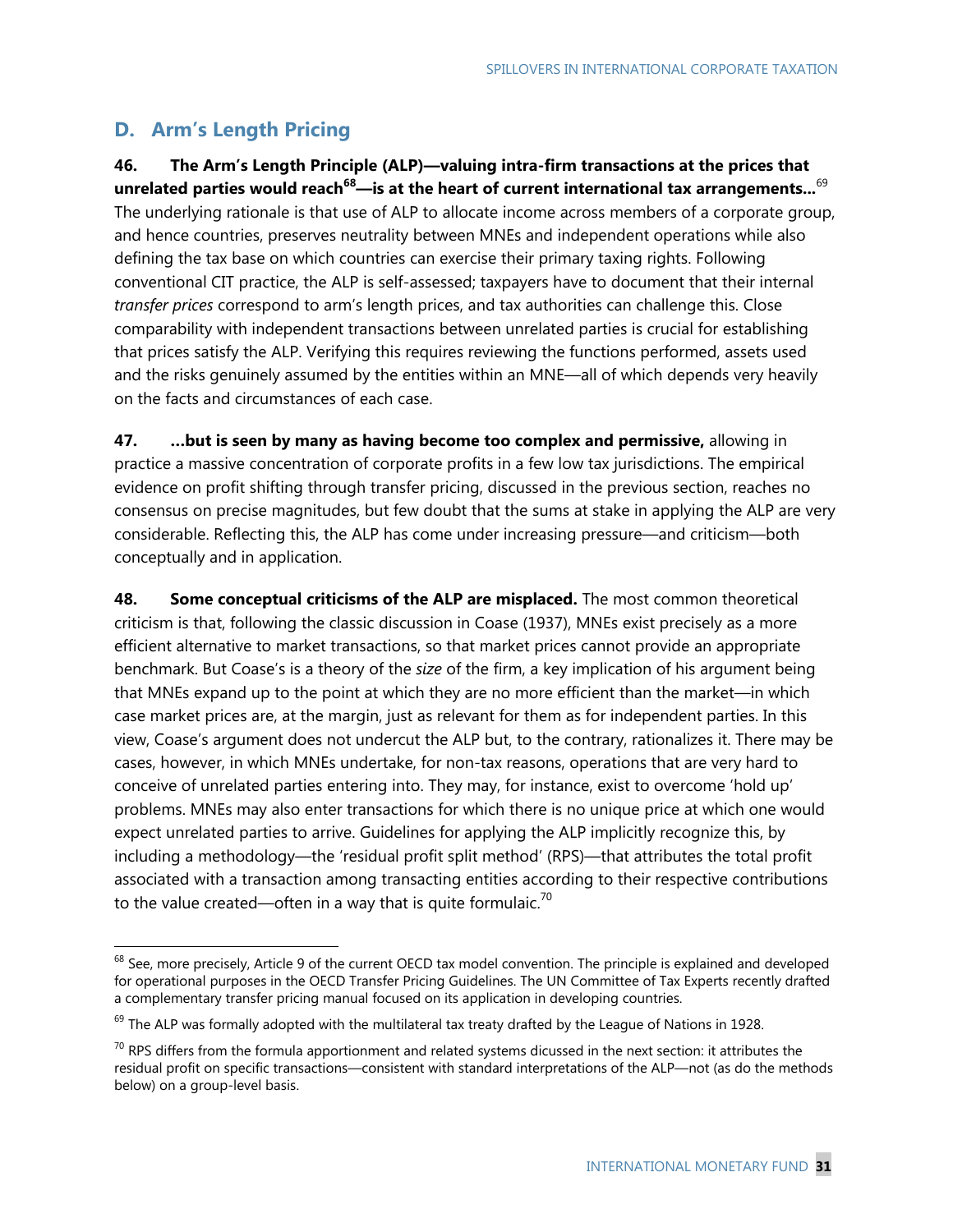# **D. Arm's Length Pricing**

-

**46. The Arm's Length Principle (ALP)—valuing intra-firm transactions at the prices that unrelated parties would reach68—is at the heart of current international tax arrangements...**<sup>69</sup> The underlying rationale is that use of ALP to allocate income across members of a corporate group, and hence countries, preserves neutrality between MNEs and independent operations while also defining the tax base on which countries can exercise their primary taxing rights. Following conventional CIT practice, the ALP is self-assessed; taxpayers have to document that their internal *transfer prices* correspond to arm's length prices, and tax authorities can challenge this. Close comparability with independent transactions between unrelated parties is crucial for establishing that prices satisfy the ALP. Verifying this requires reviewing the functions performed, assets used and the risks genuinely assumed by the entities within an MNE—all of which depends very heavily on the facts and circumstances of each case.

**47. …but is seen by many as having become too complex and permissive,** allowing in practice a massive concentration of corporate profits in a few low tax jurisdictions. The empirical evidence on profit shifting through transfer pricing, discussed in the previous section, reaches no consensus on precise magnitudes, but few doubt that the sums at stake in applying the ALP are very considerable. Reflecting this, the ALP has come under increasing pressure—and criticism—both conceptually and in application.

**48. Some conceptual criticisms of the ALP are misplaced.** The most common theoretical criticism is that, following the classic discussion in Coase (1937), MNEs exist precisely as a more efficient alternative to market transactions, so that market prices cannot provide an appropriate benchmark. But Coase's is a theory of the *size* of the firm, a key implication of his argument being that MNEs expand up to the point at which they are no more efficient than the market—in which case market prices are, at the margin, just as relevant for them as for independent parties. In this view, Coase's argument does not undercut the ALP but, to the contrary, rationalizes it. There may be cases, however, in which MNEs undertake, for non-tax reasons, operations that are very hard to conceive of unrelated parties entering into. They may, for instance, exist to overcome 'hold up' problems. MNEs may also enter transactions for which there is no unique price at which one would expect unrelated parties to arrive. Guidelines for applying the ALP implicitly recognize this, by including a methodology—the 'residual profit split method' (RPS)—that attributes the total profit associated with a transaction among transacting entities according to their respective contributions to the value created—often in a way that is quite formulaic.<sup>70</sup>

 $68$  See, more precisely, Article 9 of the current OECD tax model convention. The principle is explained and developed for operational purposes in the OECD Transfer Pricing Guidelines. The UN Committee of Tax Experts recently drafted a complementary transfer pricing manual focused on its application in developing countries.

 $69$  The ALP was formally adopted with the multilateral tax treaty drafted by the League of Nations in 1928.

 $70$  RPS differs from the formula apportionment and related systems dicussed in the next section: it attributes the residual profit on specific transactions—consistent with standard interpretations of the ALP—not (as do the methods below) on a group-level basis.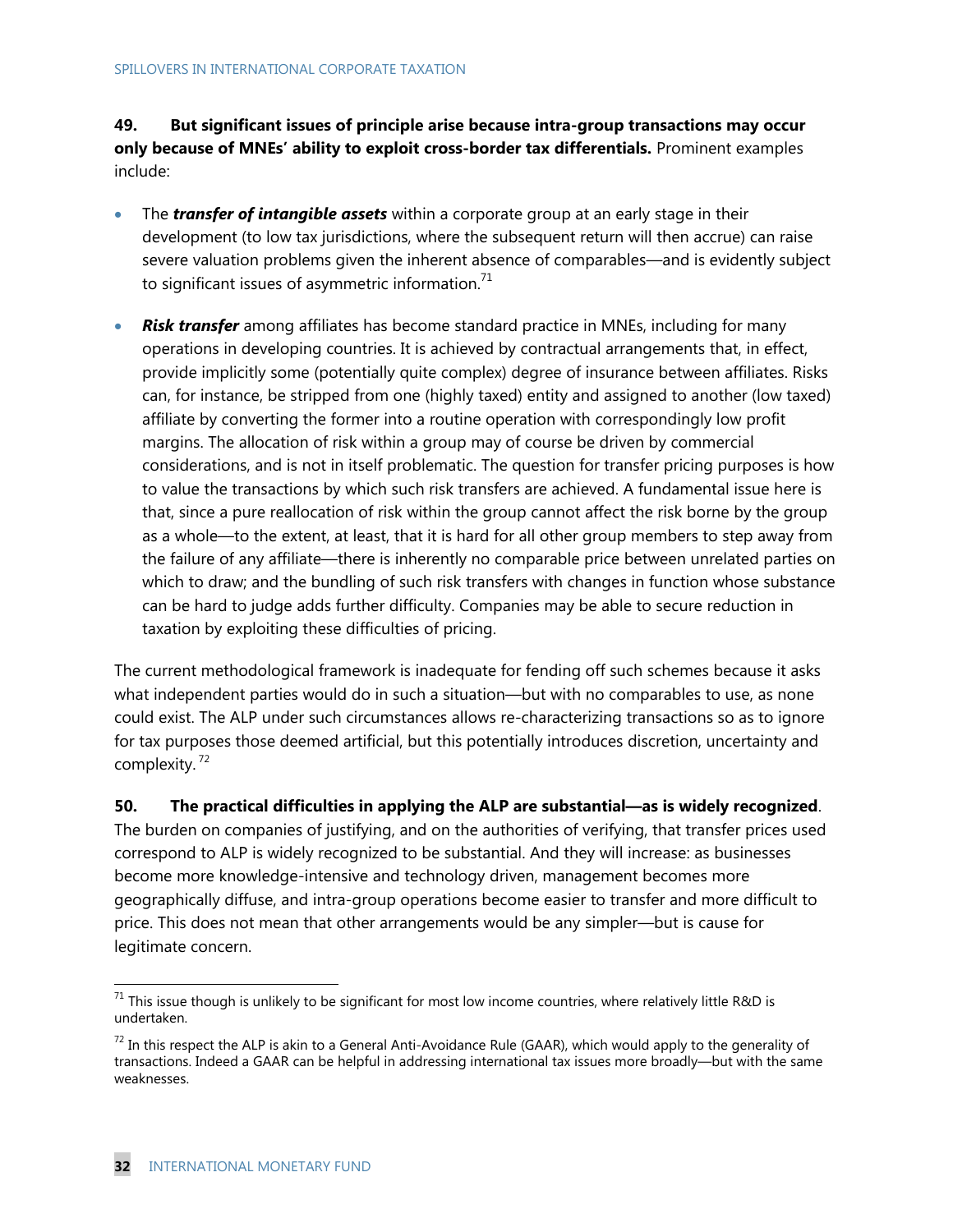**49. But significant issues of principle arise because intra-group transactions may occur only because of MNEs' ability to exploit cross-border tax differentials.** Prominent examples include:

- The *transfer of intangible assets* within a corporate group at an early stage in their development (to low tax jurisdictions, where the subsequent return will then accrue) can raise severe valuation problems given the inherent absence of comparables—and is evidently subject to significant issues of asymmetric information.<sup>71</sup>
- *Risk transfer* among affiliates has become standard practice in MNEs, including for many operations in developing countries. It is achieved by contractual arrangements that, in effect, provide implicitly some (potentially quite complex) degree of insurance between affiliates. Risks can, for instance, be stripped from one (highly taxed) entity and assigned to another (low taxed) affiliate by converting the former into a routine operation with correspondingly low profit margins. The allocation of risk within a group may of course be driven by commercial considerations, and is not in itself problematic. The question for transfer pricing purposes is how to value the transactions by which such risk transfers are achieved. A fundamental issue here is that, since a pure reallocation of risk within the group cannot affect the risk borne by the group as a whole—to the extent, at least, that it is hard for all other group members to step away from the failure of any affiliate—there is inherently no comparable price between unrelated parties on which to draw; and the bundling of such risk transfers with changes in function whose substance can be hard to judge adds further difficulty. Companies may be able to secure reduction in taxation by exploiting these difficulties of pricing.

The current methodological framework is inadequate for fending off such schemes because it asks what independent parties would do in such a situation—but with no comparables to use, as none could exist. The ALP under such circumstances allows re-characterizing transactions so as to ignore for tax purposes those deemed artificial, but this potentially introduces discretion, uncertainty and complexity.<sup>72</sup>

### **50. The practical difficulties in applying the ALP are substantial—as is widely recognized**.

The burden on companies of justifying, and on the authorities of verifying, that transfer prices used correspond to ALP is widely recognized to be substantial. And they will increase: as businesses become more knowledge-intensive and technology driven, management becomes more geographically diffuse, and intra-group operations become easier to transfer and more difficult to price. This does not mean that other arrangements would be any simpler—but is cause for legitimate concern.

 $71$  This issue though is unlikely to be significant for most low income countries, where relatively little R&D is undertaken.

 $72$  In this respect the ALP is akin to a General Anti-Avoidance Rule (GAAR), which would apply to the generality of transactions. Indeed a GAAR can be helpful in addressing international tax issues more broadly—but with the same weaknesses.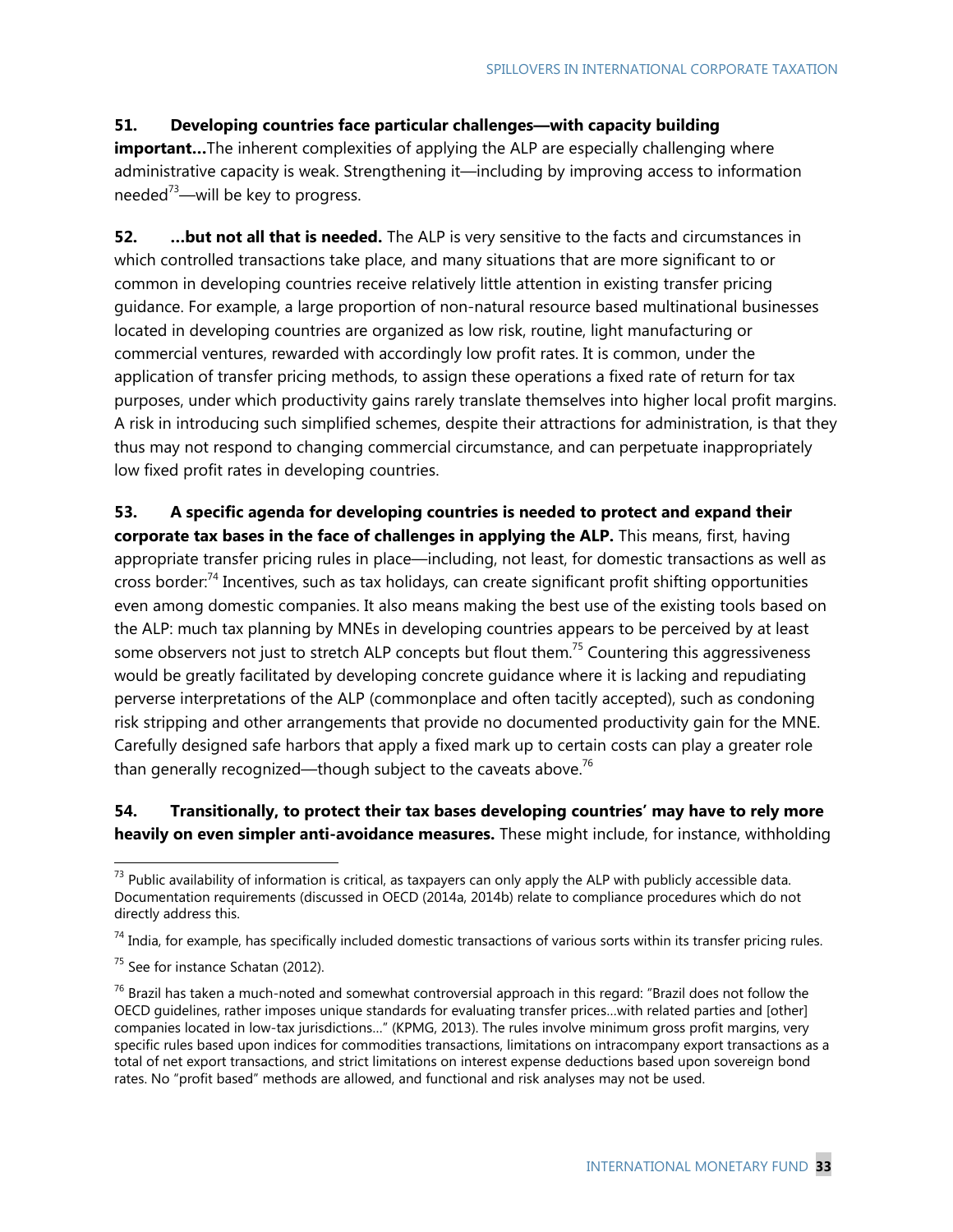## **51. Developing countries face particular challenges—with capacity building**

**important...**The inherent complexities of applying the ALP are especially challenging where administrative capacity is weak. Strengthening it—including by improving access to information needed $73$ —will be key to progress.

**52.** ... but not all that is needed. The ALP is very sensitive to the facts and circumstances in which controlled transactions take place, and many situations that are more significant to or common in developing countries receive relatively little attention in existing transfer pricing guidance. For example, a large proportion of non-natural resource based multinational businesses located in developing countries are organized as low risk, routine, light manufacturing or commercial ventures, rewarded with accordingly low profit rates. It is common, under the application of transfer pricing methods, to assign these operations a fixed rate of return for tax purposes, under which productivity gains rarely translate themselves into higher local profit margins. A risk in introducing such simplified schemes, despite their attractions for administration, is that they thus may not respond to changing commercial circumstance, and can perpetuate inappropriately low fixed profit rates in developing countries.

**53. A specific agenda for developing countries is needed to protect and expand their corporate tax bases in the face of challenges in applying the ALP.** This means, first, having appropriate transfer pricing rules in place—including, not least, for domestic transactions as well as cross border:<sup>74</sup> Incentives, such as tax holidays, can create significant profit shifting opportunities even among domestic companies. It also means making the best use of the existing tools based on the ALP: much tax planning by MNEs in developing countries appears to be perceived by at least some observers not just to stretch ALP concepts but flout them.<sup>75</sup> Countering this aggressiveness would be greatly facilitated by developing concrete guidance where it is lacking and repudiating perverse interpretations of the ALP (commonplace and often tacitly accepted), such as condoning risk stripping and other arrangements that provide no documented productivity gain for the MNE. Carefully designed safe harbors that apply a fixed mark up to certain costs can play a greater role than generally recognized—though subject to the caveats above.<sup>76</sup>

## **54. Transitionally, to protect their tax bases developing countries' may have to rely more heavily on even simpler anti-avoidance measures.** These might include, for instance, withholding

 $74$  India, for example, has specifically included domestic transactions of various sorts within its transfer pricing rules.

 $73$  Public availability of information is critical, as taxpayers can only apply the ALP with publicly accessible data. Documentation requirements (discussed in OECD (2014a, 2014b) relate to compliance procedures which do not directly address this.

 $75$  See for instance Schatan (2012).

 $76$  Brazil has taken a much-noted and somewhat controversial approach in this regard: "Brazil does not follow the OECD guidelines, rather imposes unique standards for evaluating transfer prices…with related parties and [other] companies located in low-tax jurisdictions…" (KPMG, 2013). The rules involve minimum gross profit margins, very specific rules based upon indices for commodities transactions, limitations on intracompany export transactions as a total of net export transactions, and strict limitations on interest expense deductions based upon sovereign bond rates. No "profit based" methods are allowed, and functional and risk analyses may not be used.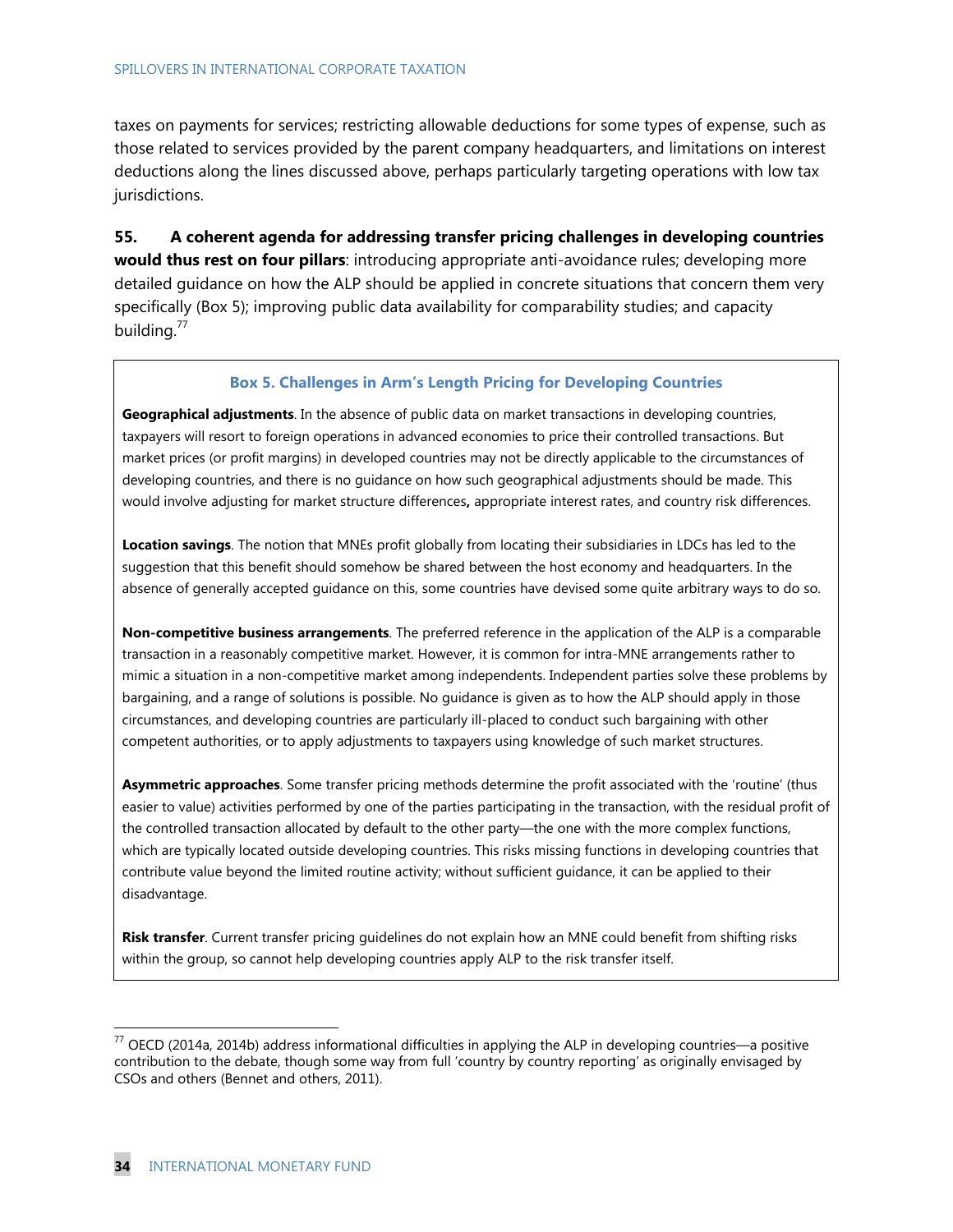taxes on payments for services; restricting allowable deductions for some types of expense, such as those related to services provided by the parent company headquarters, and limitations on interest deductions along the lines discussed above, perhaps particularly targeting operations with low tax jurisdictions.

**55. A coherent agenda for addressing transfer pricing challenges in developing countries would thus rest on four pillars**: introducing appropriate anti-avoidance rules; developing more detailed guidance on how the ALP should be applied in concrete situations that concern them very specifically (Box 5); improving public data availability for comparability studies; and capacity building.<sup>77</sup>

#### **Box 5. Challenges in Arm's Length Pricing for Developing Countries**

**Geographical adjustments**. In the absence of public data on market transactions in developing countries, taxpayers will resort to foreign operations in advanced economies to price their controlled transactions. But market prices (or profit margins) in developed countries may not be directly applicable to the circumstances of developing countries, and there is no guidance on how such geographical adjustments should be made. This would involve adjusting for market structure differences**,** appropriate interest rates, and country risk differences.

**Location savings**. The notion that MNEs profit globally from locating their subsidiaries in LDCs has led to the suggestion that this benefit should somehow be shared between the host economy and headquarters. In the absence of generally accepted guidance on this, some countries have devised some quite arbitrary ways to do so.

**Non-competitive business arrangements**. The preferred reference in the application of the ALP is a comparable transaction in a reasonably competitive market. However, it is common for intra-MNE arrangements rather to mimic a situation in a non-competitive market among independents. Independent parties solve these problems by bargaining, and a range of solutions is possible. No guidance is given as to how the ALP should apply in those circumstances, and developing countries are particularly ill-placed to conduct such bargaining with other competent authorities, or to apply adjustments to taxpayers using knowledge of such market structures.

**Asymmetric approaches**. Some transfer pricing methods determine the profit associated with the 'routine' (thus easier to value) activities performed by one of the parties participating in the transaction, with the residual profit of the controlled transaction allocated by default to the other party—the one with the more complex functions, which are typically located outside developing countries. This risks missing functions in developing countries that contribute value beyond the limited routine activity; without sufficient guidance, it can be applied to their disadvantage.

**Risk transfer**. Current transfer pricing guidelines do not explain how an MNE could benefit from shifting risks within the group, so cannot help developing countries apply ALP to the risk transfer itself.

 $^{77}$  OECD (2014a, 2014b) address informational difficulties in applying the ALP in developing countries—a positive contribution to the debate, though some way from full 'country by country reporting' as originally envisaged by CSOs and others (Bennet and others, 2011).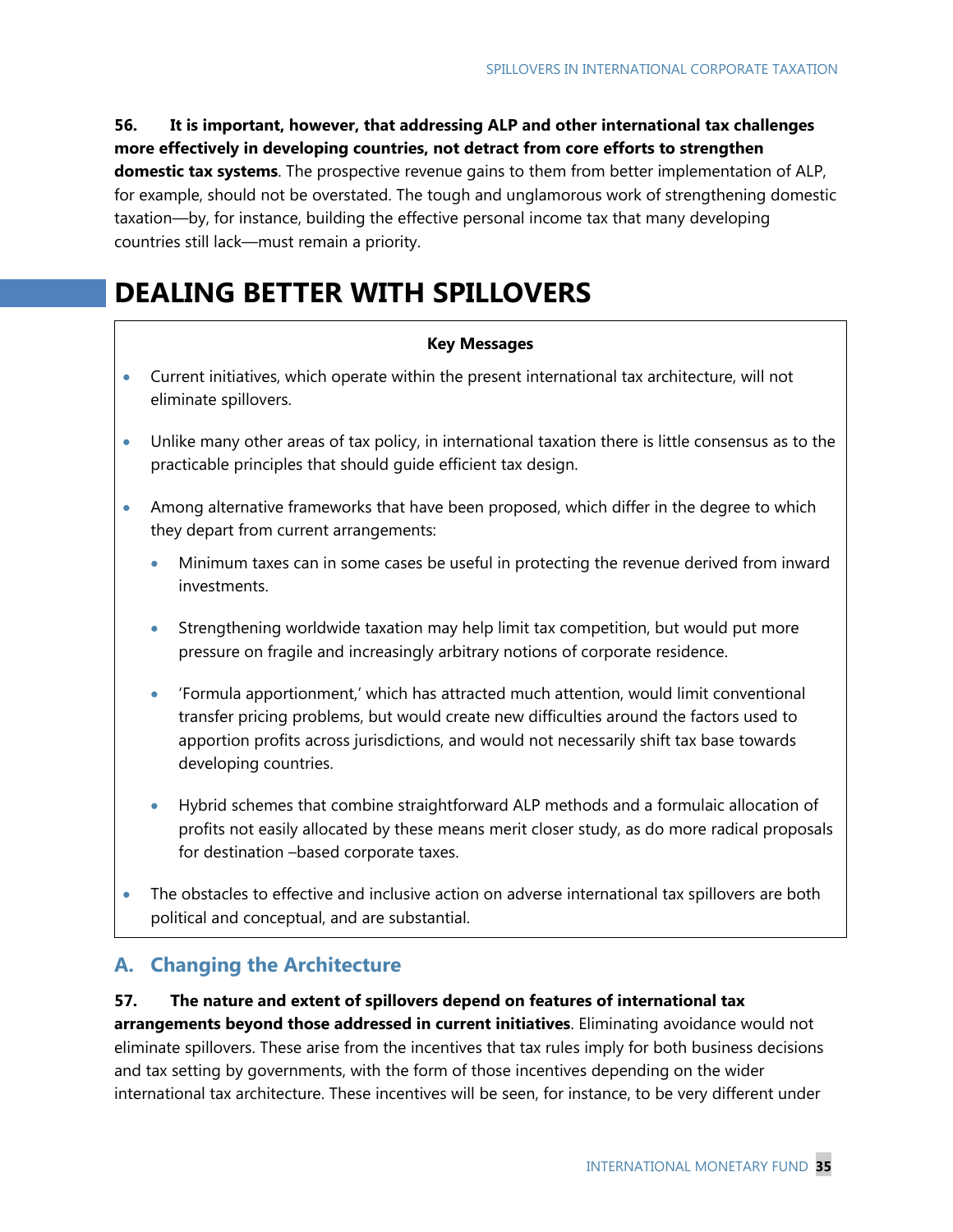# **56. It is important, however, that addressing ALP and other international tax challenges more effectively in developing countries, not detract from core efforts to strengthen domestic tax systems**. The prospective revenue gains to them from better implementation of ALP, for example, should not be overstated. The tough and unglamorous work of strengthening domestic taxation—by, for instance, building the effective personal income tax that many developing countries still lack—must remain a priority.

# **DEALING BETTER WITH SPILLOVERS**

### **Key Messages**

- Current initiatives, which operate within the present international tax architecture, will not eliminate spillovers.
- Unlike many other areas of tax policy, in international taxation there is little consensus as to the practicable principles that should guide efficient tax design.
- Among alternative frameworks that have been proposed, which differ in the degree to which they depart from current arrangements:
	- Minimum taxes can in some cases be useful in protecting the revenue derived from inward investments.
	- Strengthening worldwide taxation may help limit tax competition, but would put more pressure on fragile and increasingly arbitrary notions of corporate residence.
	- 'Formula apportionment,' which has attracted much attention, would limit conventional transfer pricing problems, but would create new difficulties around the factors used to apportion profits across jurisdictions, and would not necessarily shift tax base towards developing countries.
	- Hybrid schemes that combine straightforward ALP methods and a formulaic allocation of profits not easily allocated by these means merit closer study, as do more radical proposals for destination –based corporate taxes.
- The obstacles to effective and inclusive action on adverse international tax spillovers are both political and conceptual, and are substantial.

# **A. Changing the Architecture**

## **57. The nature and extent of spillovers depend on features of international tax**

**arrangements beyond those addressed in current initiatives**. Eliminating avoidance would not eliminate spillovers. These arise from the incentives that tax rules imply for both business decisions and tax setting by governments, with the form of those incentives depending on the wider international tax architecture. These incentives will be seen, for instance, to be very different under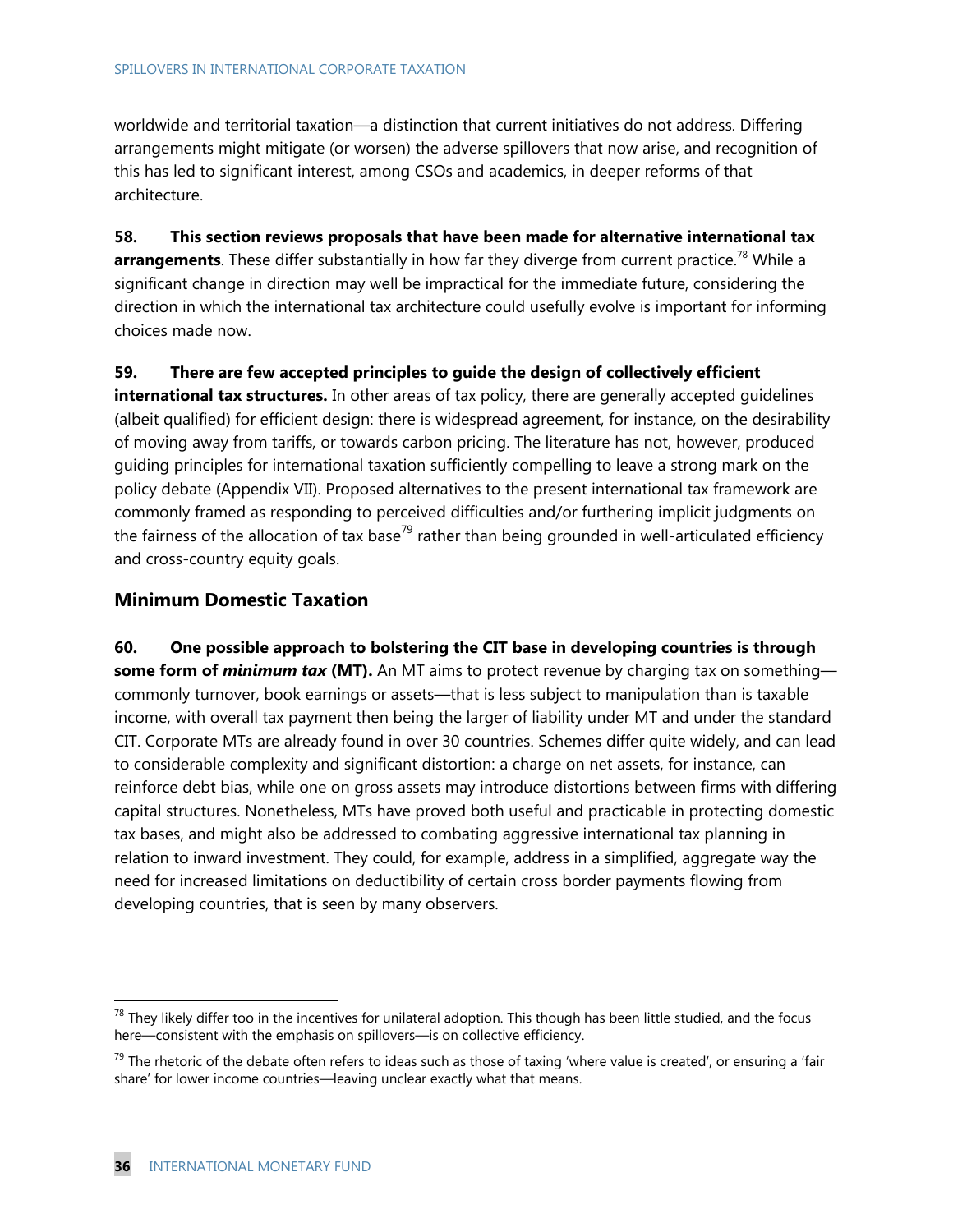#### SPILLOVERS IN INTERNATIONAL CORPORATE TAXATION

worldwide and territorial taxation—a distinction that current initiatives do not address. Differing arrangements might mitigate (or worsen) the adverse spillovers that now arise, and recognition of this has led to significant interest, among CSOs and academics, in deeper reforms of that architecture.

**58. This section reviews proposals that have been made for alternative international tax**  arrangements. These differ substantially in how far they diverge from current practice.<sup>78</sup> While a significant change in direction may well be impractical for the immediate future, considering the direction in which the international tax architecture could usefully evolve is important for informing choices made now.

### **59. There are few accepted principles to guide the design of collectively efficient**

**international tax structures.** In other areas of tax policy, there are generally accepted guidelines (albeit qualified) for efficient design: there is widespread agreement, for instance, on the desirability of moving away from tariffs, or towards carbon pricing. The literature has not, however, produced guiding principles for international taxation sufficiently compelling to leave a strong mark on the policy debate (Appendix VII). Proposed alternatives to the present international tax framework are commonly framed as responding to perceived difficulties and/or furthering implicit judgments on the fairness of the allocation of tax base<sup>79</sup> rather than being grounded in well-articulated efficiency and cross-country equity goals.

## **Minimum Domestic Taxation**

**60. One possible approach to bolstering the CIT base in developing countries is through some form of** *minimum tax* **(MT).** An MT aims to protect revenue by charging tax on something commonly turnover, book earnings or assets—that is less subject to manipulation than is taxable income, with overall tax payment then being the larger of liability under MT and under the standard CIT. Corporate MTs are already found in over 30 countries. Schemes differ quite widely, and can lead to considerable complexity and significant distortion: a charge on net assets, for instance, can reinforce debt bias, while one on gross assets may introduce distortions between firms with differing capital structures. Nonetheless, MTs have proved both useful and practicable in protecting domestic tax bases, and might also be addressed to combating aggressive international tax planning in relation to inward investment. They could, for example, address in a simplified, aggregate way the need for increased limitations on deductibility of certain cross border payments flowing from developing countries, that is seen by many observers.

 $^{78}$  They likely differ too in the incentives for unilateral adoption. This though has been little studied, and the focus here—consistent with the emphasis on spillovers—is on collective efficiency.

 $^{79}$  The rhetoric of the debate often refers to ideas such as those of taxing 'where value is created', or ensuring a 'fair share' for lower income countries—leaving unclear exactly what that means.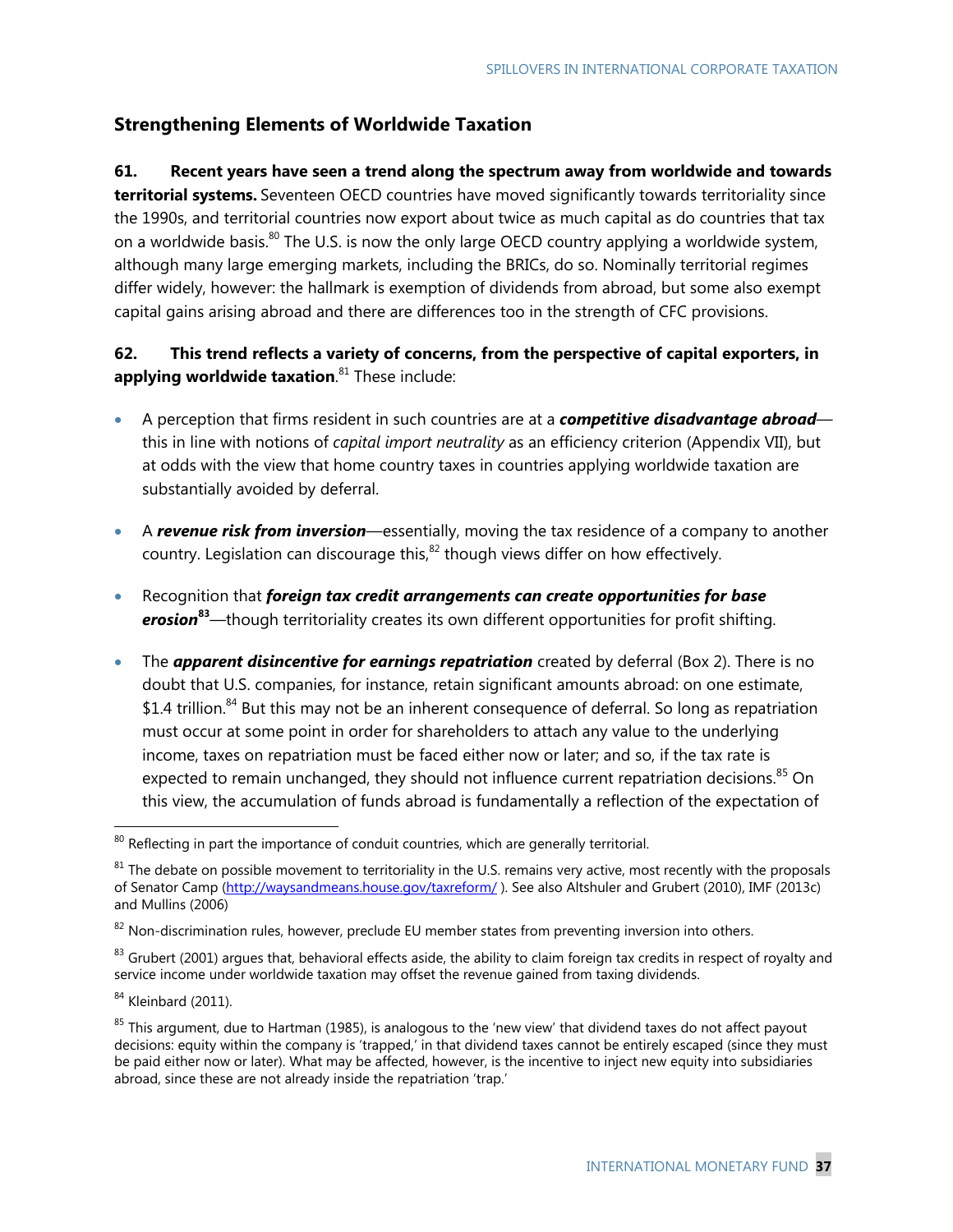## **Strengthening Elements of Worldwide Taxation**

## **61. Recent years have seen a trend along the spectrum away from worldwide and towards**

**territorial systems.** Seventeen OECD countries have moved significantly towards territoriality since the 1990s, and territorial countries now export about twice as much capital as do countries that tax on a worldwide basis.<sup>80</sup> The U.S. is now the only large OECD country applying a worldwide system, although many large emerging markets, including the BRICs, do so. Nominally territorial regimes differ widely, however: the hallmark is exemption of dividends from abroad, but some also exempt capital gains arising abroad and there are differences too in the strength of CFC provisions.

## **62. This trend reflects a variety of concerns, from the perspective of capital exporters, in applying worldwide taxation**. 81 These include:

- A perception that firms resident in such countries are at a *competitive disadvantage abroad* this in line with notions of *capital import neutrality* as an efficiency criterion (Appendix VII), but at odds with the view that home country taxes in countries applying worldwide taxation are substantially avoided by deferral.
- A *revenue risk from inversion*—essentially, moving the tax residence of a company to another country. Legislation can discourage this,<sup>82</sup> though views differ on how effectively.
- Recognition that *foreign tax credit arrangements can create opportunities for base erosion***<sup>83</sup>**—though territoriality creates its own different opportunities for profit shifting.
- The *apparent disincentive for earnings repatriation* created by deferral (Box 2). There is no doubt that U.S. companies, for instance, retain significant amounts abroad: on one estimate, \$1.4 trillion.<sup>84</sup> But this may not be an inherent consequence of deferral. So long as repatriation must occur at some point in order for shareholders to attach any value to the underlying income, taxes on repatriation must be faced either now or later; and so, if the tax rate is expected to remain unchanged, they should not influence current repatriation decisions.<sup>85</sup> On this view, the accumulation of funds abroad is fundamentally a reflection of the expectation of

 $80$  Reflecting in part the importance of conduit countries, which are generally territorial.

 $81$  The debate on possible movement to territoriality in the U.S. remains very active, most recently with the proposals of Senator Camp (http://waysandmeans.house.gov/taxreform/ ). See also Altshuler and Grubert (2010), IMF (2013c) and Mullins (2006)

 $82$  Non-discrimination rules, however, preclude EU member states from preventing inversion into others.

<sup>&</sup>lt;sup>83</sup> Grubert (2001) argues that, behavioral effects aside, the ability to claim foreign tax credits in respect of royalty and service income under worldwide taxation may offset the revenue gained from taxing dividends.

 $84$  Kleinbard (2011).

 $85$  This argument, due to Hartman (1985), is analogous to the 'new view' that dividend taxes do not affect payout decisions: equity within the company is 'trapped,' in that dividend taxes cannot be entirely escaped (since they must be paid either now or later). What may be affected, however, is the incentive to inject new equity into subsidiaries abroad, since these are not already inside the repatriation 'trap.'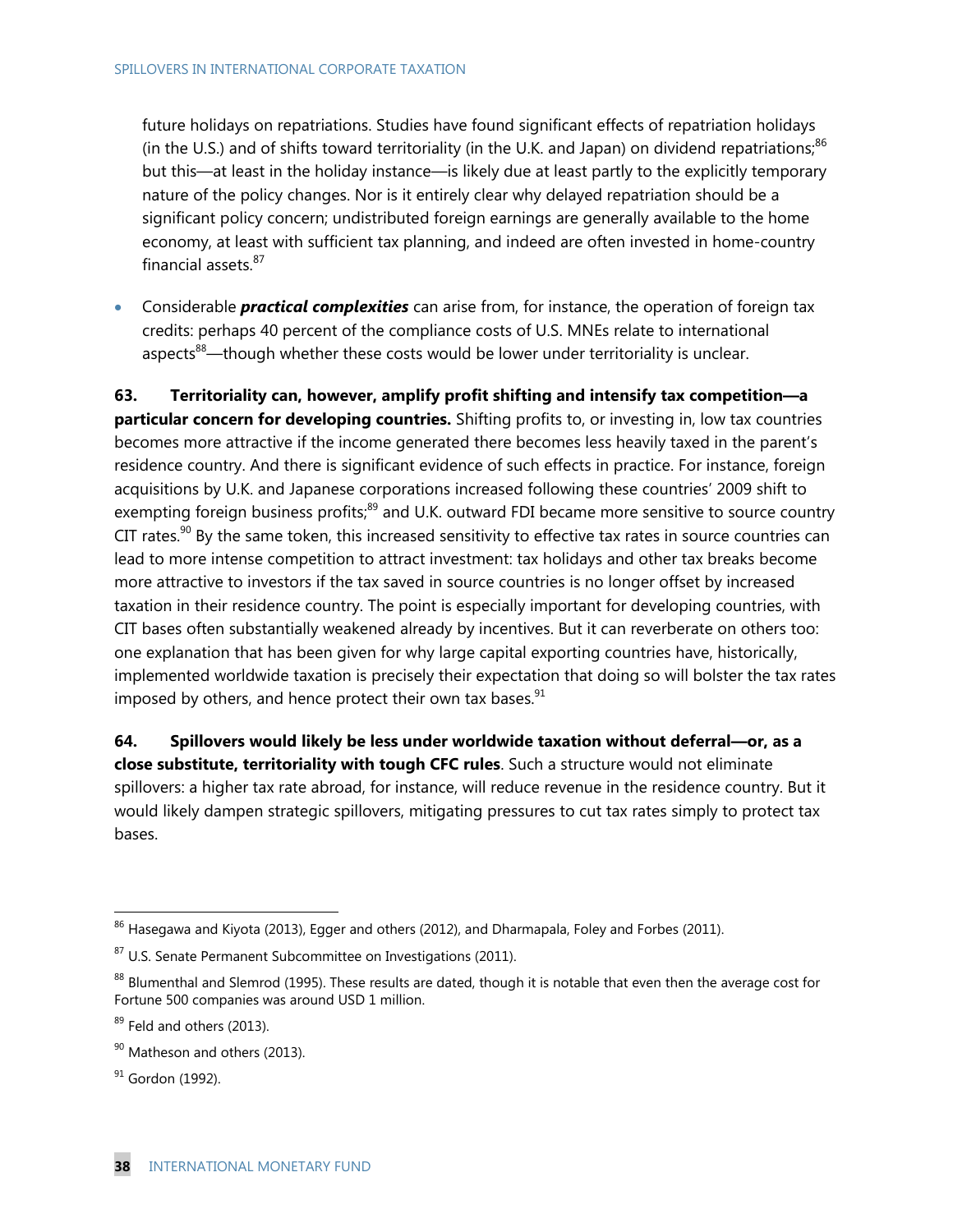future holidays on repatriations. Studies have found significant effects of repatriation holidays (in the U.S.) and of shifts toward territoriality (in the U.K. and Japan) on dividend repatriations;  $86$ but this—at least in the holiday instance—is likely due at least partly to the explicitly temporary nature of the policy changes. Nor is it entirely clear why delayed repatriation should be a significant policy concern; undistributed foreign earnings are generally available to the home economy, at least with sufficient tax planning, and indeed are often invested in home-country financial assets.<sup>87</sup>

 Considerable *practical complexities* can arise from, for instance, the operation of foreign tax credits: perhaps 40 percent of the compliance costs of U.S. MNEs relate to international aspects<sup>88</sup>—though whether these costs would be lower under territoriality is unclear.

**63. Territoriality can, however, amplify profit shifting and intensify tax competition—a particular concern for developing countries.** Shifting profits to, or investing in, low tax countries becomes more attractive if the income generated there becomes less heavily taxed in the parent's residence country. And there is significant evidence of such effects in practice. For instance, foreign acquisitions by U.K. and Japanese corporations increased following these countries' 2009 shift to exempting foreign business profits;<sup>89</sup> and U.K. outward FDI became more sensitive to source country CIT rates. $90$  By the same token, this increased sensitivity to effective tax rates in source countries can lead to more intense competition to attract investment: tax holidays and other tax breaks become more attractive to investors if the tax saved in source countries is no longer offset by increased taxation in their residence country. The point is especially important for developing countries, with CIT bases often substantially weakened already by incentives. But it can reverberate on others too: one explanation that has been given for why large capital exporting countries have, historically, implemented worldwide taxation is precisely their expectation that doing so will bolster the tax rates imposed by others, and hence protect their own tax bases. $91$ 

**64. Spillovers would likely be less under worldwide taxation without deferral—or, as a close substitute, territoriality with tough CFC rules**. Such a structure would not eliminate spillovers: a higher tax rate abroad, for instance, will reduce revenue in the residence country. But it would likely dampen strategic spillovers, mitigating pressures to cut tax rates simply to protect tax bases.

 $^{86}$  Hasegawa and Kiyota (2013), Egger and others (2012), and Dharmapala, Foley and Forbes (2011).

 $87$  U.S. Senate Permanent Subcommittee on Investigations (2011).

<sup>88</sup> Blumenthal and Slemrod (1995). These results are dated, though it is notable that even then the average cost for Fortune 500 companies was around USD 1 million.

 $89$  Feld and others (2013).

<sup>&</sup>lt;sup>90</sup> Matheson and others (2013).

<sup>&</sup>lt;sup>91</sup> Gordon (1992).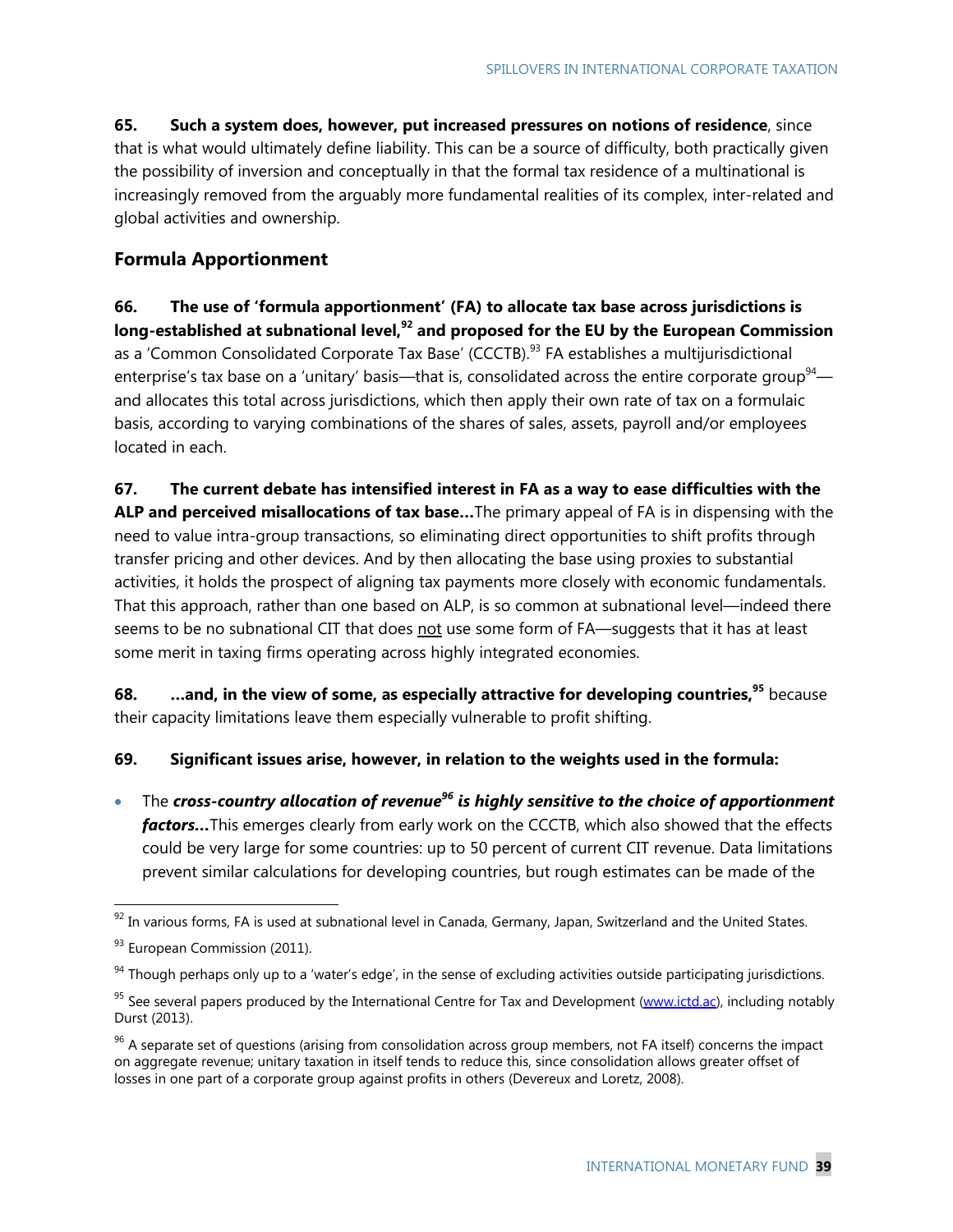**65. Such a system does, however, put increased pressures on notions of residence**, since that is what would ultimately define liability. This can be a source of difficulty, both practically given the possibility of inversion and conceptually in that the formal tax residence of a multinational is increasingly removed from the arguably more fundamental realities of its complex, inter-related and global activities and ownership.

## **Formula Apportionment**

**66. The use of 'formula apportionment' (FA) to allocate tax base across jurisdictions is long-established at subnational level,92 and proposed for the EU by the European Commission**  as a 'Common Consolidated Corporate Tax Base' (CCCTB).<sup>93</sup> FA establishes a multijurisdictional enterprise's tax base on a 'unitary' basis—that is, consolidated across the entire corporate group<sup>94</sup> and allocates this total across jurisdictions, which then apply their own rate of tax on a formulaic basis, according to varying combinations of the shares of sales, assets, payroll and/or employees located in each.

**67. The current debate has intensified interest in FA as a way to ease difficulties with the ALP and perceived misallocations of tax base…**The primary appeal of FA is in dispensing with the need to value intra-group transactions, so eliminating direct opportunities to shift profits through transfer pricing and other devices. And by then allocating the base using proxies to substantial activities, it holds the prospect of aligning tax payments more closely with economic fundamentals. That this approach, rather than one based on ALP, is so common at subnational level—indeed there seems to be no subnational CIT that does not use some form of FA—suggests that it has at least some merit in taxing firms operating across highly integrated economies.

**68. …and, in the view of some, as especially attractive for developing countries,**<sup>95</sup> because their capacity limitations leave them especially vulnerable to profit shifting.

**69. Significant issues arise, however, in relation to the weights used in the formula:** 

 The *cross-country allocation of revenue96 is highly sensitive to the choice of apportionment factors…*This emerges clearly from early work on the CCCTB, which also showed that the effects could be very large for some countries: up to 50 percent of current CIT revenue. Data limitations prevent similar calculations for developing countries, but rough estimates can be made of the

 $92$  In various forms, FA is used at subnational level in Canada, Germany, Japan, Switzerland and the United States.

<sup>&</sup>lt;sup>93</sup> European Commission (2011).

 $94$  Though perhaps only up to a 'water's edge', in the sense of excluding activities outside participating jurisdictions.

<sup>&</sup>lt;sup>95</sup> See several papers produced by the International Centre for Tax and Development (www.ictd.ac), including notably Durst (2013).

 $96$  A separate set of questions (arising from consolidation across group members, not FA itself) concerns the impact on aggregate revenue; unitary taxation in itself tends to reduce this, since consolidation allows greater offset of losses in one part of a corporate group against profits in others (Devereux and Loretz, 2008).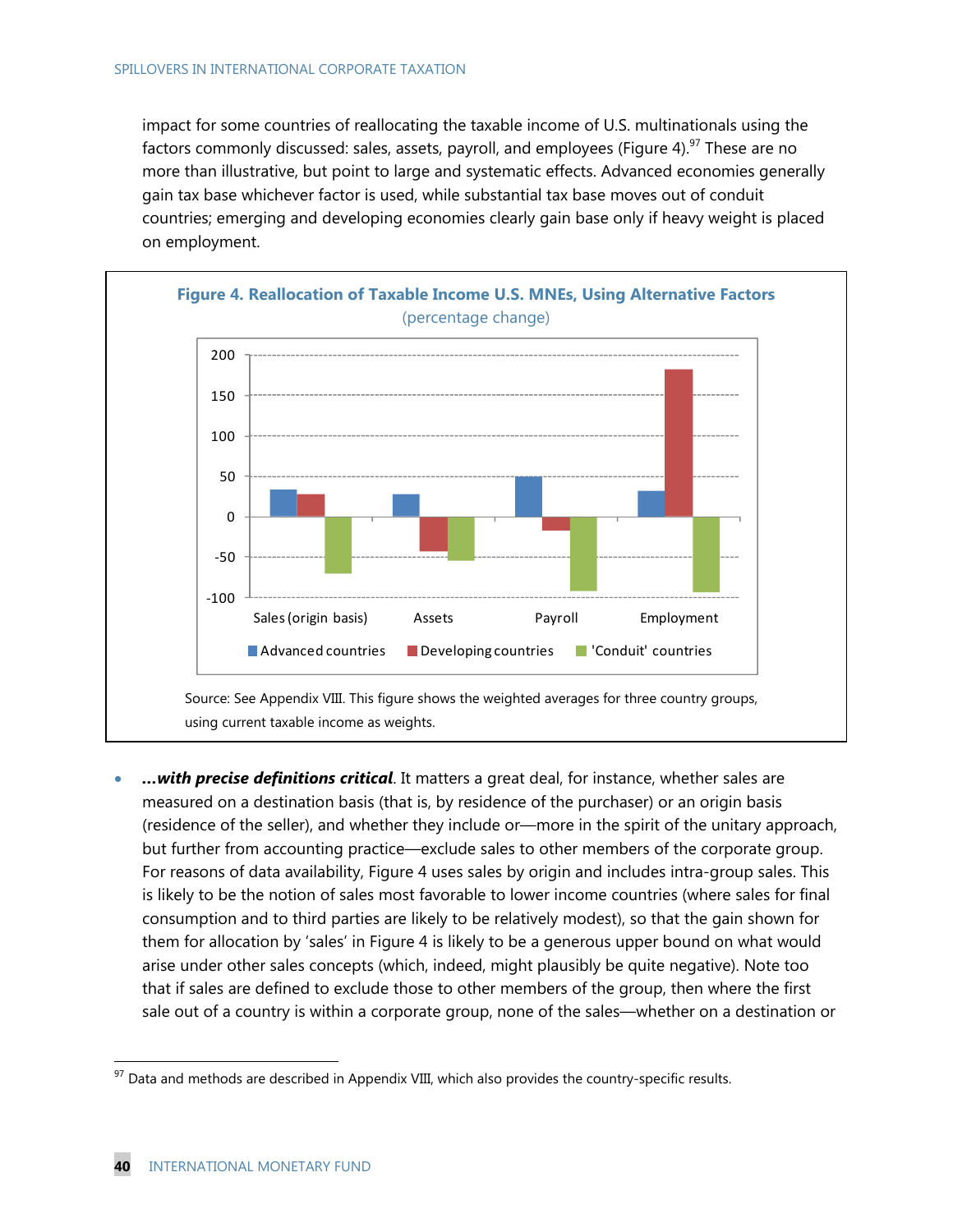impact for some countries of reallocating the taxable income of U.S. multinationals using the factors commonly discussed: sales, assets, payroll, and employees (Figure 4).<sup>97</sup> These are no more than illustrative, but point to large and systematic effects. Advanced economies generally gain tax base whichever factor is used, while substantial tax base moves out of conduit countries; emerging and developing economies clearly gain base only if heavy weight is placed on employment.



 *…with precise definitions critical*. It matters a great deal, for instance, whether sales are measured on a destination basis (that is, by residence of the purchaser) or an origin basis (residence of the seller), and whether they include or—more in the spirit of the unitary approach, but further from accounting practice—exclude sales to other members of the corporate group. For reasons of data availability, Figure 4 uses sales by origin and includes intra-group sales. This is likely to be the notion of sales most favorable to lower income countries (where sales for final consumption and to third parties are likely to be relatively modest), so that the gain shown for them for allocation by 'sales' in Figure 4 is likely to be a generous upper bound on what would arise under other sales concepts (which, indeed, might plausibly be quite negative). Note too that if sales are defined to exclude those to other members of the group, then where the first sale out of a country is within a corporate group, none of the sales—whether on a destination or

 $97$  Data and methods are described in Appendix VIII, which also provides the country-specific results.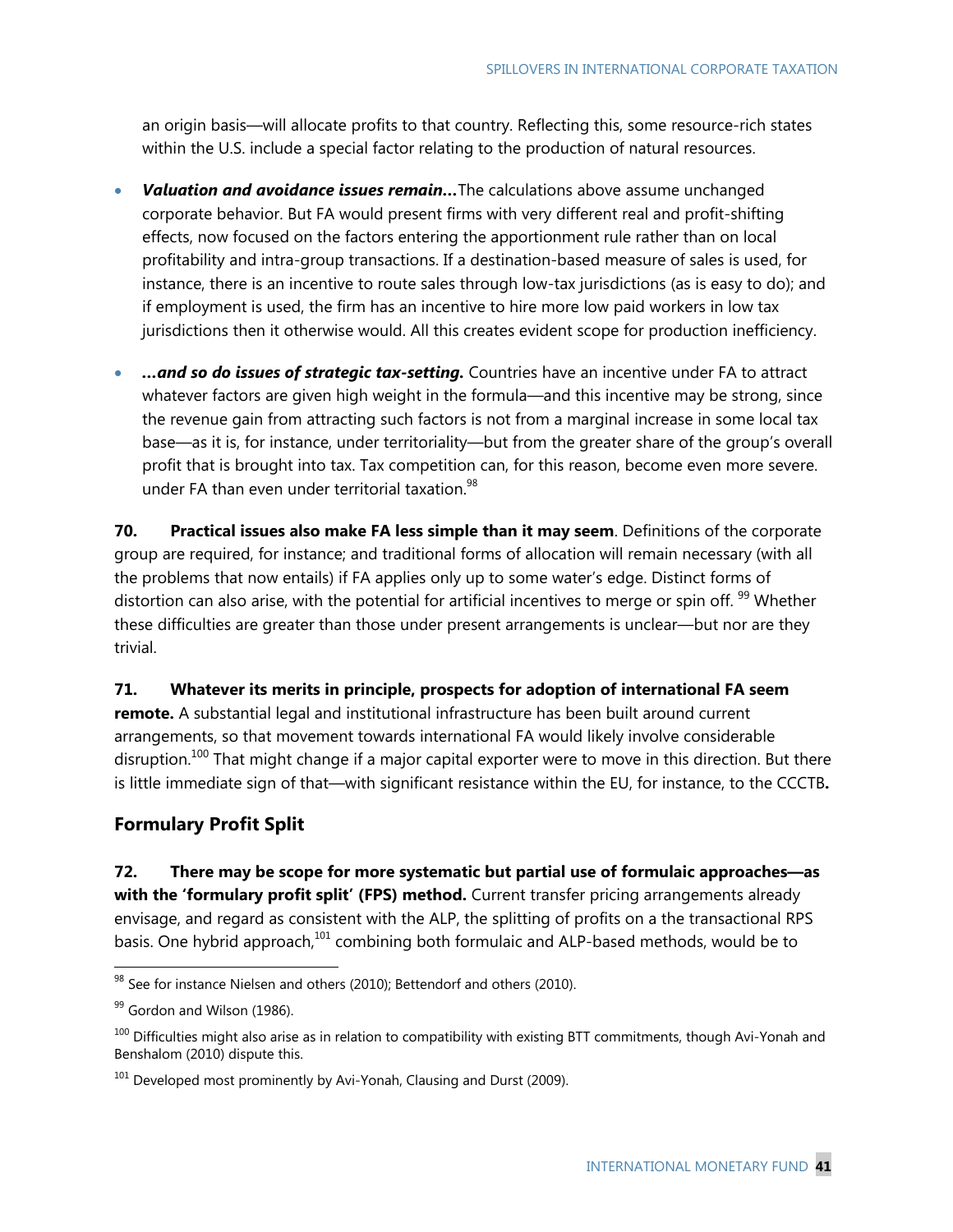an origin basis—will allocate profits to that country. Reflecting this, some resource-rich states within the U.S. include a special factor relating to the production of natural resources.

- *Valuation and avoidance issues remain…*The calculations above assume unchanged corporate behavior. But FA would present firms with very different real and profit-shifting effects, now focused on the factors entering the apportionment rule rather than on local profitability and intra-group transactions. If a destination-based measure of sales is used, for instance, there is an incentive to route sales through low-tax jurisdictions (as is easy to do); and if employment is used, the firm has an incentive to hire more low paid workers in low tax jurisdictions then it otherwise would. All this creates evident scope for production inefficiency.
- *…and so do issues of strategic tax-setting.* Countries have an incentive under FA to attract whatever factors are given high weight in the formula—and this incentive may be strong, since the revenue gain from attracting such factors is not from a marginal increase in some local tax base—as it is, for instance, under territoriality—but from the greater share of the group's overall profit that is brought into tax. Tax competition can, for this reason, become even more severe. under FA than even under territorial taxation.<sup>98</sup>

**70. Practical issues also make FA less simple than it may seem**. Definitions of the corporate group are required, for instance; and traditional forms of allocation will remain necessary (with all the problems that now entails) if FA applies only up to some water's edge. Distinct forms of distortion can also arise, with the potential for artificial incentives to merge or spin off. <sup>99</sup> Whether these difficulties are greater than those under present arrangements is unclear—but nor are they trivial.

**71. Whatever its merits in principle, prospects for adoption of international FA seem remote.** A substantial legal and institutional infrastructure has been built around current arrangements, so that movement towards international FA would likely involve considerable disruption.<sup>100</sup> That might change if a major capital exporter were to move in this direction. But there is little immediate sign of that—with significant resistance within the EU, for instance, to the CCCTB**.**

## **Formulary Profit Split**

**72. There may be scope for more systematic but partial use of formulaic approaches—as**  with the 'formulary profit split' (FPS) method. Current transfer pricing arrangements already envisage, and regard as consistent with the ALP, the splitting of profits on a the transactional RPS basis. One hybrid approach,<sup>101</sup> combining both formulaic and ALP-based methods, would be to

 $98$  See for instance Nielsen and others (2010); Bettendorf and others (2010).

 $99$  Gordon and Wilson (1986).

 $100$  Difficulties might also arise as in relation to compatibility with existing BTT commitments, though Avi-Yonah and Benshalom (2010) dispute this.

 $101$  Developed most prominently by Avi-Yonah, Clausing and Durst (2009).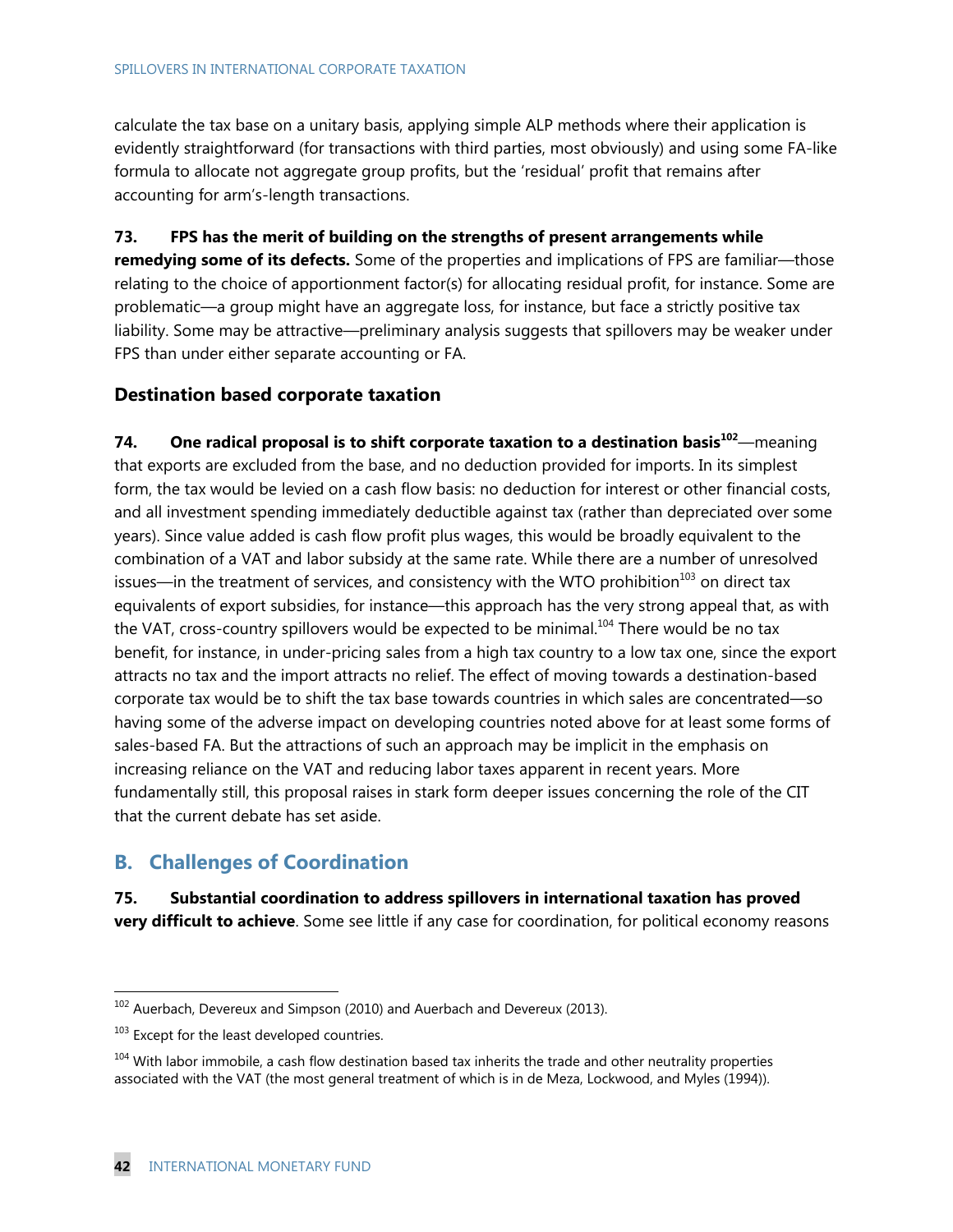#### SPILLOVERS IN INTERNATIONAL CORPORATE TAXATION

calculate the tax base on a unitary basis, applying simple ALP methods where their application is evidently straightforward (for transactions with third parties, most obviously) and using some FA-like formula to allocate not aggregate group profits, but the 'residual' profit that remains after accounting for arm's-length transactions.

**73. FPS has the merit of building on the strengths of present arrangements while remedying some of its defects.** Some of the properties and implications of FPS are familiar—those relating to the choice of apportionment factor(s) for allocating residual profit, for instance. Some are problematic—a group might have an aggregate loss, for instance, but face a strictly positive tax liability. Some may be attractive—preliminary analysis suggests that spillovers may be weaker under FPS than under either separate accounting or FA.

## **Destination based corporate taxation**

**74. One radical proposal is to shift corporate taxation to a destination basis<sup>102</sup>**—meaning that exports are excluded from the base, and no deduction provided for imports. In its simplest form, the tax would be levied on a cash flow basis: no deduction for interest or other financial costs, and all investment spending immediately deductible against tax (rather than depreciated over some years). Since value added is cash flow profit plus wages, this would be broadly equivalent to the combination of a VAT and labor subsidy at the same rate. While there are a number of unresolved issues—in the treatment of services, and consistency with the WTO prohibition<sup>103</sup> on direct tax equivalents of export subsidies, for instance—this approach has the very strong appeal that, as with the VAT, cross-country spillovers would be expected to be minimal.<sup>104</sup> There would be no tax benefit, for instance, in under-pricing sales from a high tax country to a low tax one, since the export attracts no tax and the import attracts no relief. The effect of moving towards a destination-based corporate tax would be to shift the tax base towards countries in which sales are concentrated—so having some of the adverse impact on developing countries noted above for at least some forms of sales-based FA. But the attractions of such an approach may be implicit in the emphasis on increasing reliance on the VAT and reducing labor taxes apparent in recent years. More fundamentally still, this proposal raises in stark form deeper issues concerning the role of the CIT that the current debate has set aside.

## **B. Challenges of Coordination**

**75. Substantial coordination to address spillovers in international taxation has proved very difficult to achieve**. Some see little if any case for coordination, for political economy reasons

 $102$  Auerbach, Devereux and Simpson (2010) and Auerbach and Devereux (2013).

 $103$  Except for the least developed countries.

<sup>&</sup>lt;sup>104</sup> With labor immobile, a cash flow destination based tax inherits the trade and other neutrality properties associated with the VAT (the most general treatment of which is in de Meza, Lockwood, and Myles (1994)).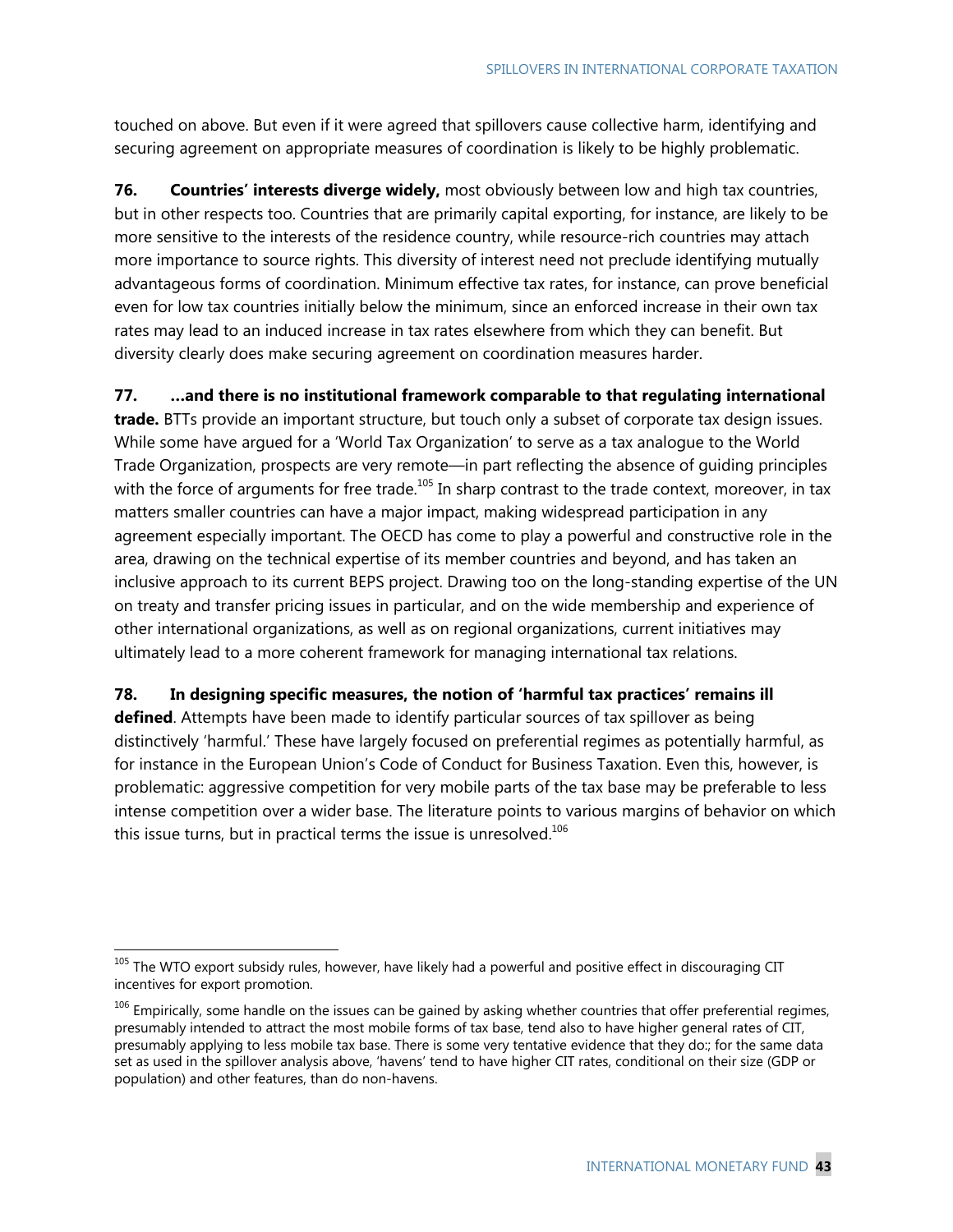touched on above. But even if it were agreed that spillovers cause collective harm, identifying and securing agreement on appropriate measures of coordination is likely to be highly problematic.

**76. Countries' interests diverge widely,** most obviously between low and high tax countries, but in other respects too. Countries that are primarily capital exporting, for instance, are likely to be more sensitive to the interests of the residence country, while resource-rich countries may attach more importance to source rights. This diversity of interest need not preclude identifying mutually advantageous forms of coordination. Minimum effective tax rates, for instance, can prove beneficial even for low tax countries initially below the minimum, since an enforced increase in their own tax rates may lead to an induced increase in tax rates elsewhere from which they can benefit. But diversity clearly does make securing agreement on coordination measures harder.

**77. …and there is no institutional framework comparable to that regulating international** 

**trade.** BTTs provide an important structure, but touch only a subset of corporate tax design issues. While some have argued for a 'World Tax Organization' to serve as a tax analogue to the World Trade Organization, prospects are very remote—in part reflecting the absence of guiding principles with the force of arguments for free trade.<sup>105</sup> In sharp contrast to the trade context, moreover, in tax matters smaller countries can have a major impact, making widespread participation in any agreement especially important. The OECD has come to play a powerful and constructive role in the area, drawing on the technical expertise of its member countries and beyond, and has taken an inclusive approach to its current BEPS project. Drawing too on the long-standing expertise of the UN on treaty and transfer pricing issues in particular, and on the wide membership and experience of other international organizations, as well as on regional organizations, current initiatives may ultimately lead to a more coherent framework for managing international tax relations.

### **78. In designing specific measures, the notion of 'harmful tax practices' remains ill**

**defined**. Attempts have been made to identify particular sources of tax spillover as being distinctively 'harmful.' These have largely focused on preferential regimes as potentially harmful, as for instance in the European Union's Code of Conduct for Business Taxation. Even this, however, is problematic: aggressive competition for very mobile parts of the tax base may be preferable to less intense competition over a wider base. The literature points to various margins of behavior on which this issue turns, but in practical terms the issue is unresolved. $106$ 

<sup>&</sup>lt;sup>105</sup> The WTO export subsidy rules, however, have likely had a powerful and positive effect in discouraging CIT incentives for export promotion.

 $106$  Empirically, some handle on the issues can be gained by asking whether countries that offer preferential regimes, presumably intended to attract the most mobile forms of tax base, tend also to have higher general rates of CIT, presumably applying to less mobile tax base. There is some very tentative evidence that they do:; for the same data set as used in the spillover analysis above, 'havens' tend to have higher CIT rates, conditional on their size (GDP or population) and other features, than do non-havens.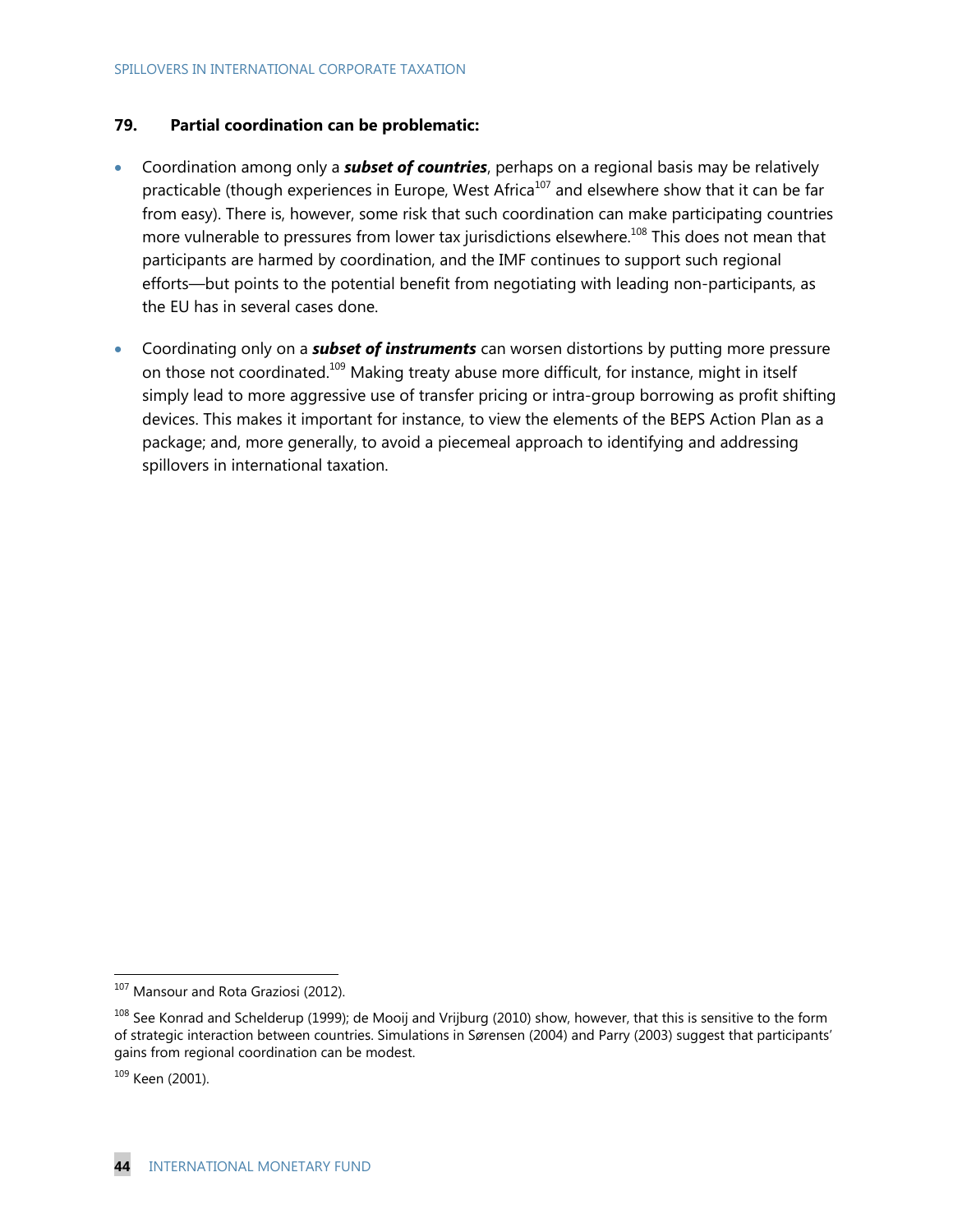### **79. Partial coordination can be problematic:**

- Coordination among only a *subset of countries*, perhaps on a regional basis may be relatively practicable (though experiences in Europe, West Africa<sup>107</sup> and elsewhere show that it can be far from easy). There is, however, some risk that such coordination can make participating countries more vulnerable to pressures from lower tax jurisdictions elsewhere.<sup>108</sup> This does not mean that participants are harmed by coordination, and the IMF continues to support such regional efforts—but points to the potential benefit from negotiating with leading non-participants, as the EU has in several cases done.
- Coordinating only on a *subset of instruments* can worsen distortions by putting more pressure on those not coordinated.109 Making treaty abuse more difficult, for instance, might in itself simply lead to more aggressive use of transfer pricing or intra-group borrowing as profit shifting devices. This makes it important for instance, to view the elements of the BEPS Action Plan as a package; and, more generally, to avoid a piecemeal approach to identifying and addressing spillovers in international taxation.

<sup>&</sup>lt;sup>107</sup> Mansour and Rota Graziosi (2012).

<sup>&</sup>lt;sup>108</sup> See Konrad and Schelderup (1999); de Mooij and Vrijburg (2010) show, however, that this is sensitive to the form of strategic interaction between countries. Simulations in Sørensen (2004) and Parry (2003) suggest that participants' gains from regional coordination can be modest.

<sup>109</sup> Keen (2001).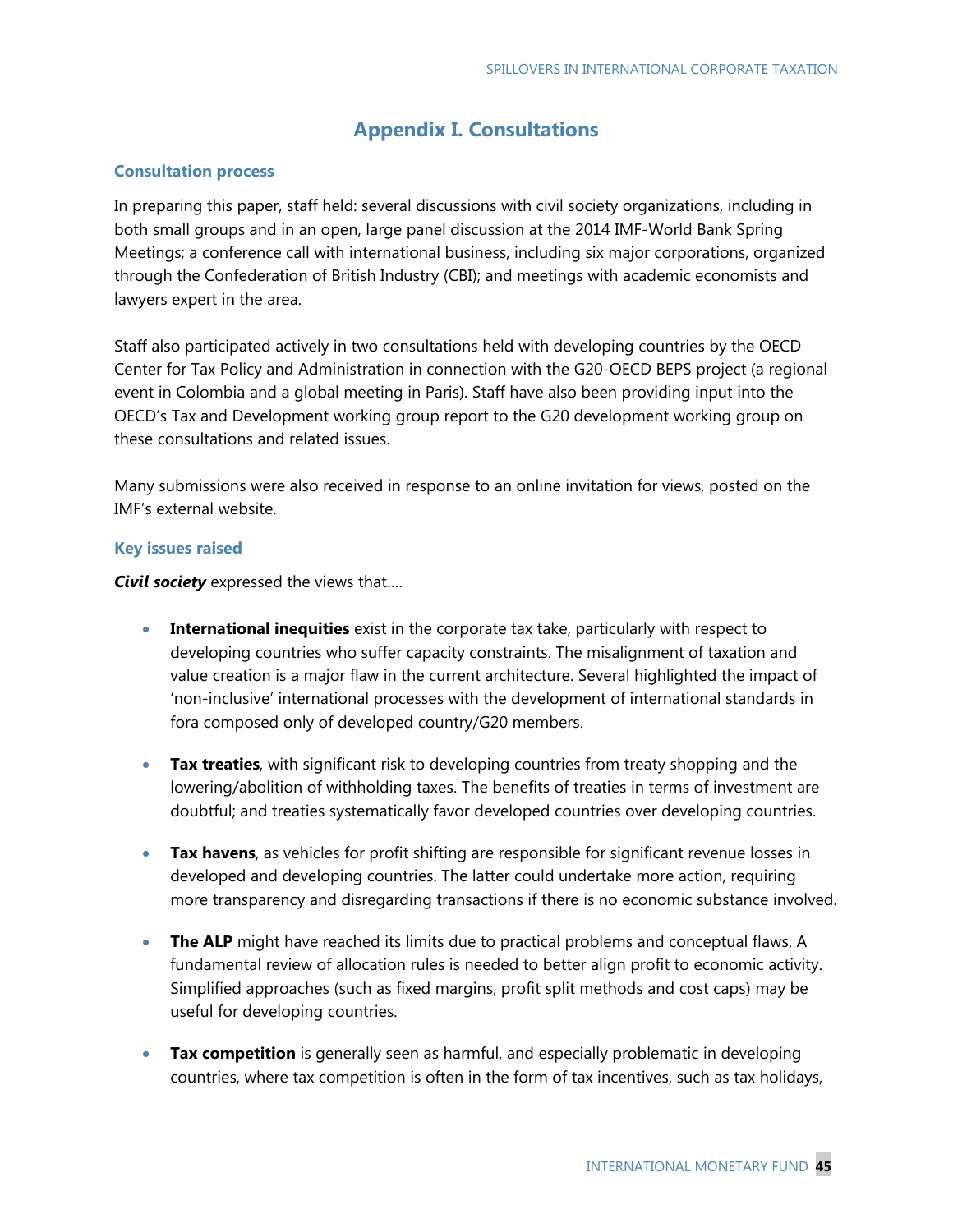## **Appendix I. Consultations**

#### **Consultation process**

In preparing this paper, staff held: several discussions with civil society organizations, including in both small groups and in an open, large panel discussion at the 2014 IMF-World Bank Spring Meetings; a conference call with international business, including six major corporations, organized through the Confederation of British Industry (CBI); and meetings with academic economists and lawyers expert in the area.

Staff also participated actively in two consultations held with developing countries by the OECD Center for Tax Policy and Administration in connection with the G20-OECD BEPS project (a regional event in Colombia and a global meeting in Paris). Staff have also been providing input into the OECD's Tax and Development working group report to the G20 development working group on these consultations and related issues.

Many submissions were also received in response to an online invitation for views, posted on the IMF's external website.

### **Key issues raised**

*Civil society* expressed the views that….

- **International inequities** exist in the corporate tax take, particularly with respect to developing countries who suffer capacity constraints. The misalignment of taxation and value creation is a major flaw in the current architecture. Several highlighted the impact of 'non-inclusive' international processes with the development of international standards in fora composed only of developed country/G20 members.
- **Tax treaties**, with significant risk to developing countries from treaty shopping and the lowering/abolition of withholding taxes. The benefits of treaties in terms of investment are doubtful; and treaties systematically favor developed countries over developing countries.
- **Tax havens**, as vehicles for profit shifting are responsible for significant revenue losses in developed and developing countries. The latter could undertake more action, requiring more transparency and disregarding transactions if there is no economic substance involved.
- **The ALP** might have reached its limits due to practical problems and conceptual flaws. A fundamental review of allocation rules is needed to better align profit to economic activity. Simplified approaches (such as fixed margins, profit split methods and cost caps) may be useful for developing countries.
- **Tax competition** is generally seen as harmful, and especially problematic in developing countries, where tax competition is often in the form of tax incentives, such as tax holidays,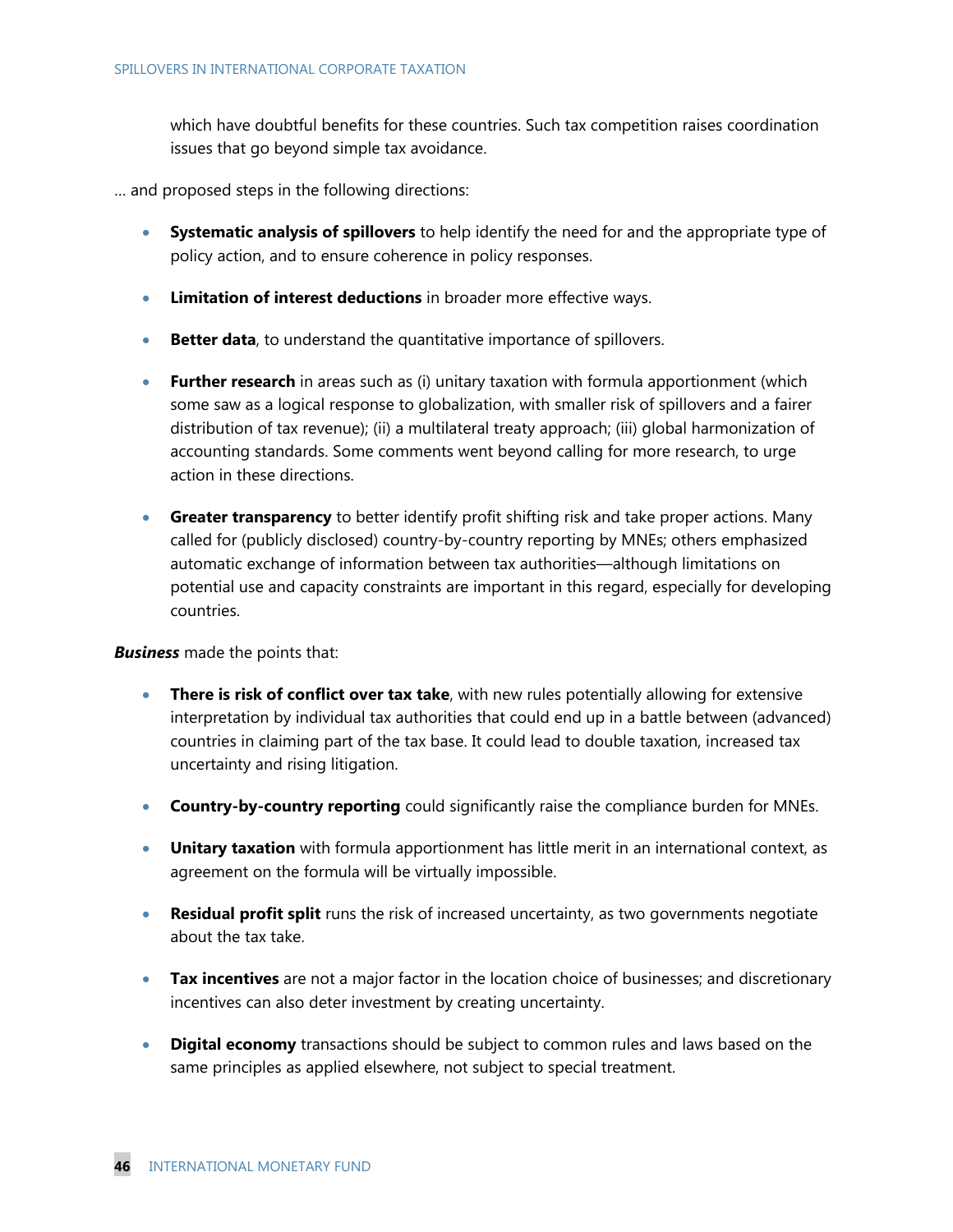which have doubtful benefits for these countries. Such tax competition raises coordination issues that go beyond simple tax avoidance.

… and proposed steps in the following directions:

- **Systematic analysis of spillovers** to help identify the need for and the appropriate type of policy action, and to ensure coherence in policy responses.
- **Limitation of interest deductions** in broader more effective ways.
- **Better data**, to understand the quantitative importance of spillovers.
- **Further research** in areas such as (i) unitary taxation with formula apportionment (which some saw as a logical response to globalization, with smaller risk of spillovers and a fairer distribution of tax revenue); (ii) a multilateral treaty approach; (iii) global harmonization of accounting standards. Some comments went beyond calling for more research, to urge action in these directions.
- **Greater transparency** to better identify profit shifting risk and take proper actions. Many called for (publicly disclosed) country-by-country reporting by MNEs; others emphasized automatic exchange of information between tax authorities—although limitations on potential use and capacity constraints are important in this regard, especially for developing countries.

### *Business* made the points that:

- **There is risk of conflict over tax take**, with new rules potentially allowing for extensive interpretation by individual tax authorities that could end up in a battle between (advanced) countries in claiming part of the tax base. It could lead to double taxation, increased tax uncertainty and rising litigation.
- **Country-by-country reporting** could significantly raise the compliance burden for MNEs.
- **Unitary taxation** with formula apportionment has little merit in an international context, as agreement on the formula will be virtually impossible.
- **Residual profit split** runs the risk of increased uncertainty, as two governments negotiate about the tax take.
- **Tax incentives** are not a major factor in the location choice of businesses; and discretionary incentives can also deter investment by creating uncertainty.
- **Digital economy** transactions should be subject to common rules and laws based on the same principles as applied elsewhere, not subject to special treatment.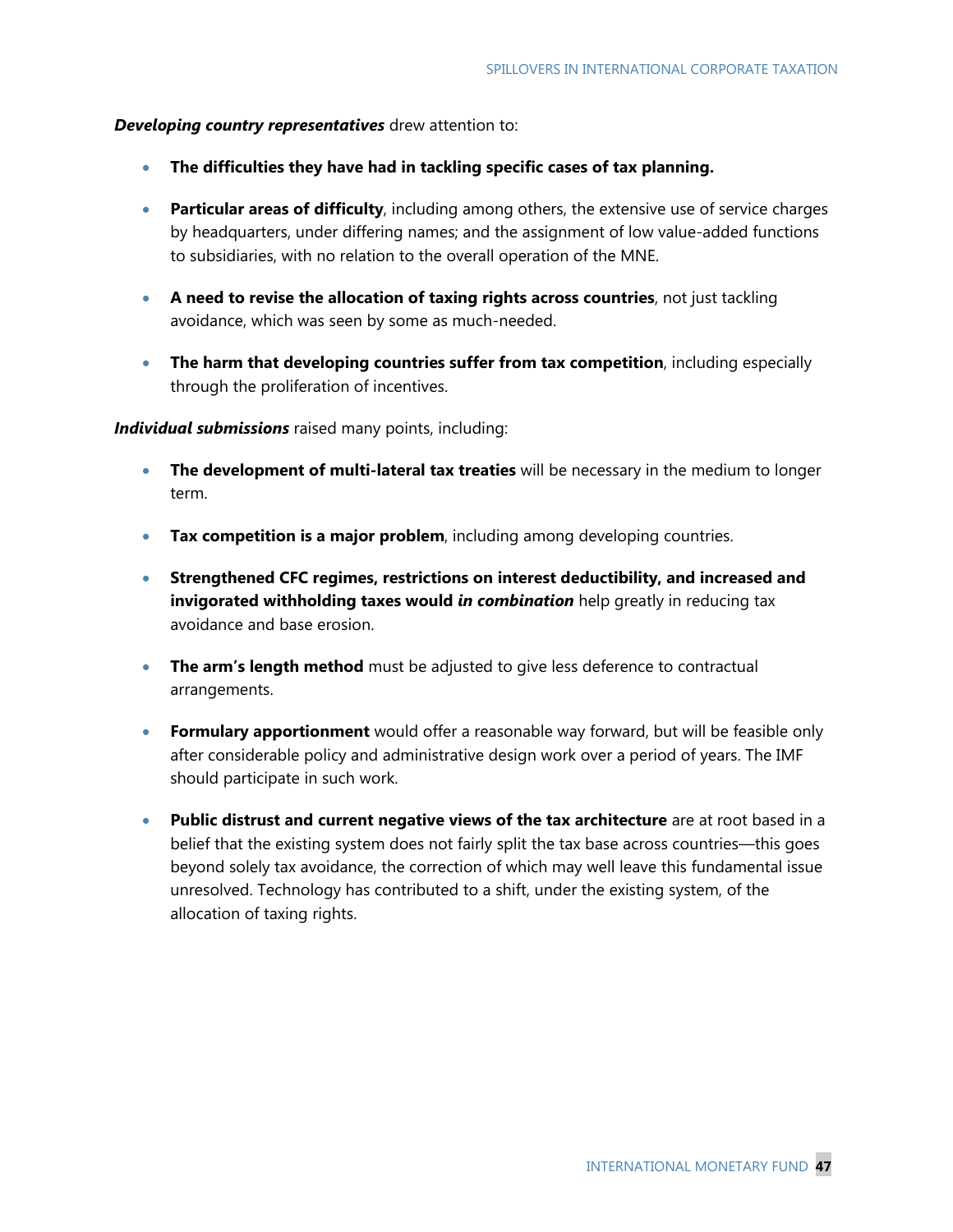### *Developing country representatives* drew attention to:

- **The difficulties they have had in tackling specific cases of tax planning.**
- **Particular areas of difficulty**, including among others, the extensive use of service charges by headquarters, under differing names; and the assignment of low value-added functions to subsidiaries, with no relation to the overall operation of the MNE.
- **A need to revise the allocation of taxing rights across countries**, not just tackling avoidance, which was seen by some as much-needed.
- **The harm that developing countries suffer from tax competition**, including especially through the proliferation of incentives.

### *Individual submissions* raised many points, including:

- **The development of multi-lateral tax treaties** will be necessary in the medium to longer term.
- **Tax competition is a major problem**, including among developing countries.
- **Strengthened CFC regimes, restrictions on interest deductibility, and increased and invigorated withholding taxes would** *in combination* help greatly in reducing tax avoidance and base erosion.
- **The arm's length method** must be adjusted to give less deference to contractual arrangements.
- **Formulary apportionment** would offer a reasonable way forward, but will be feasible only after considerable policy and administrative design work over a period of years. The IMF should participate in such work.
- **Public distrust and current negative views of the tax architecture** are at root based in a belief that the existing system does not fairly split the tax base across countries—this goes beyond solely tax avoidance, the correction of which may well leave this fundamental issue unresolved. Technology has contributed to a shift, under the existing system, of the allocation of taxing rights.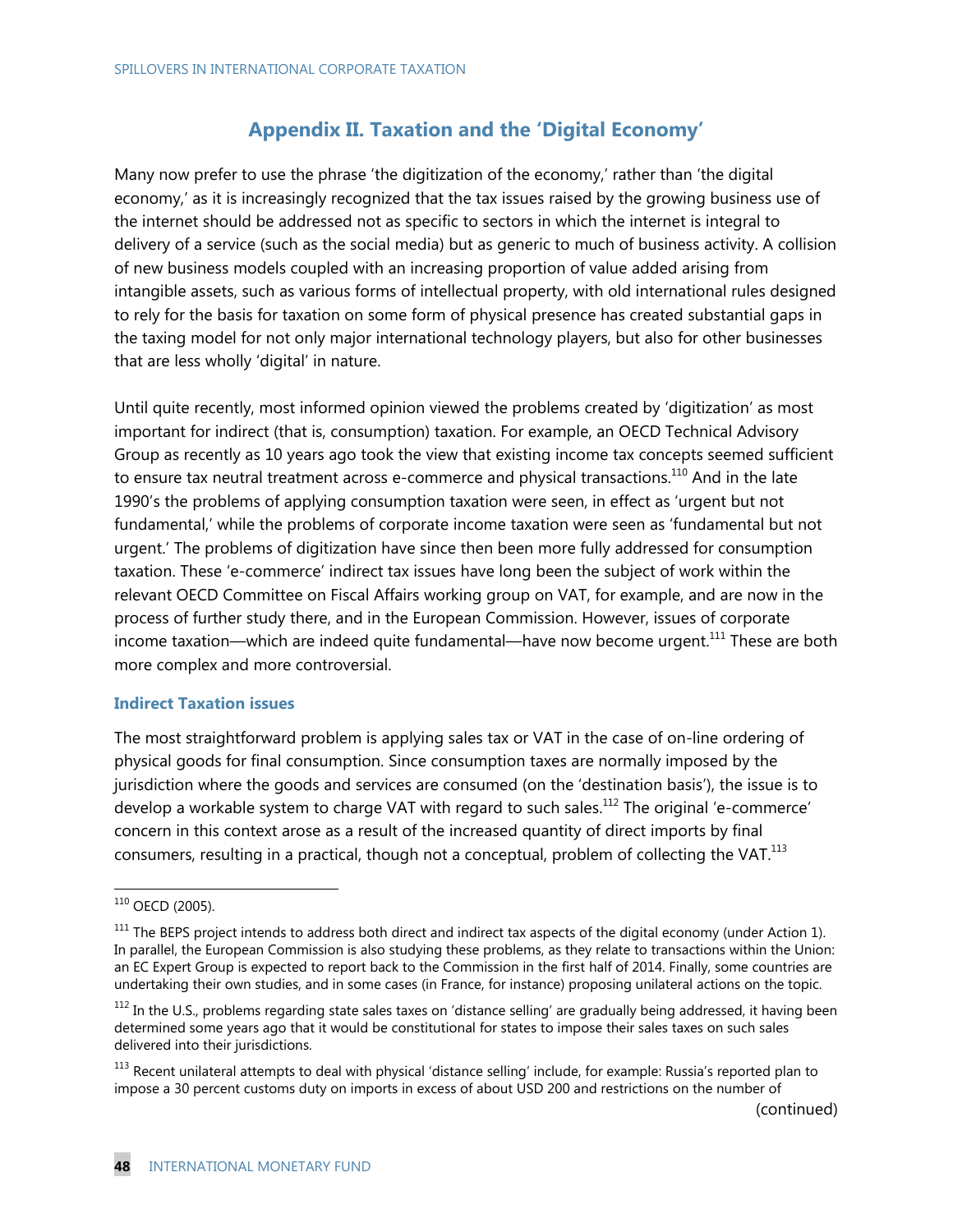## **Appendix II. Taxation and the 'Digital Economy'**

Many now prefer to use the phrase 'the digitization of the economy,' rather than 'the digital economy,' as it is increasingly recognized that the tax issues raised by the growing business use of the internet should be addressed not as specific to sectors in which the internet is integral to delivery of a service (such as the social media) but as generic to much of business activity. A collision of new business models coupled with an increasing proportion of value added arising from intangible assets, such as various forms of intellectual property, with old international rules designed to rely for the basis for taxation on some form of physical presence has created substantial gaps in the taxing model for not only major international technology players, but also for other businesses that are less wholly 'digital' in nature.

Until quite recently, most informed opinion viewed the problems created by 'digitization' as most important for indirect (that is, consumption) taxation. For example, an OECD Technical Advisory Group as recently as 10 years ago took the view that existing income tax concepts seemed sufficient to ensure tax neutral treatment across e-commerce and physical transactions.<sup>110</sup> And in the late 1990's the problems of applying consumption taxation were seen, in effect as 'urgent but not fundamental,' while the problems of corporate income taxation were seen as 'fundamental but not urgent.' The problems of digitization have since then been more fully addressed for consumption taxation. These 'e-commerce' indirect tax issues have long been the subject of work within the relevant OECD Committee on Fiscal Affairs working group on VAT, for example, and are now in the process of further study there, and in the European Commission. However, issues of corporate income taxation—which are indeed quite fundamental—have now become urgent.<sup>111</sup> These are both more complex and more controversial.

#### **Indirect Taxation issues**

The most straightforward problem is applying sales tax or VAT in the case of on-line ordering of physical goods for final consumption. Since consumption taxes are normally imposed by the jurisdiction where the goods and services are consumed (on the 'destination basis'), the issue is to develop a workable system to charge VAT with regard to such sales.<sup>112</sup> The original 'e-commerce' concern in this context arose as a result of the increased quantity of direct imports by final consumers, resulting in a practical, though not a conceptual, problem of collecting the VAT. $^{113}$ 

-

(continued)

 $110$  OECD (2005).

 $111$  The BEPS project intends to address both direct and indirect tax aspects of the digital economy (under Action 1). In parallel, the European Commission is also studying these problems, as they relate to transactions within the Union: an EC Expert Group is expected to report back to the Commission in the first half of 2014. Finally, some countries are undertaking their own studies, and in some cases (in France, for instance) proposing unilateral actions on the topic.

 $112$  In the U.S., problems regarding state sales taxes on 'distance selling' are gradually being addressed, it having been determined some years ago that it would be constitutional for states to impose their sales taxes on such sales delivered into their jurisdictions.

<sup>&</sup>lt;sup>113</sup> Recent unilateral attempts to deal with physical 'distance selling' include, for example: Russia's reported plan to impose a 30 percent customs duty on imports in excess of about USD 200 and restrictions on the number of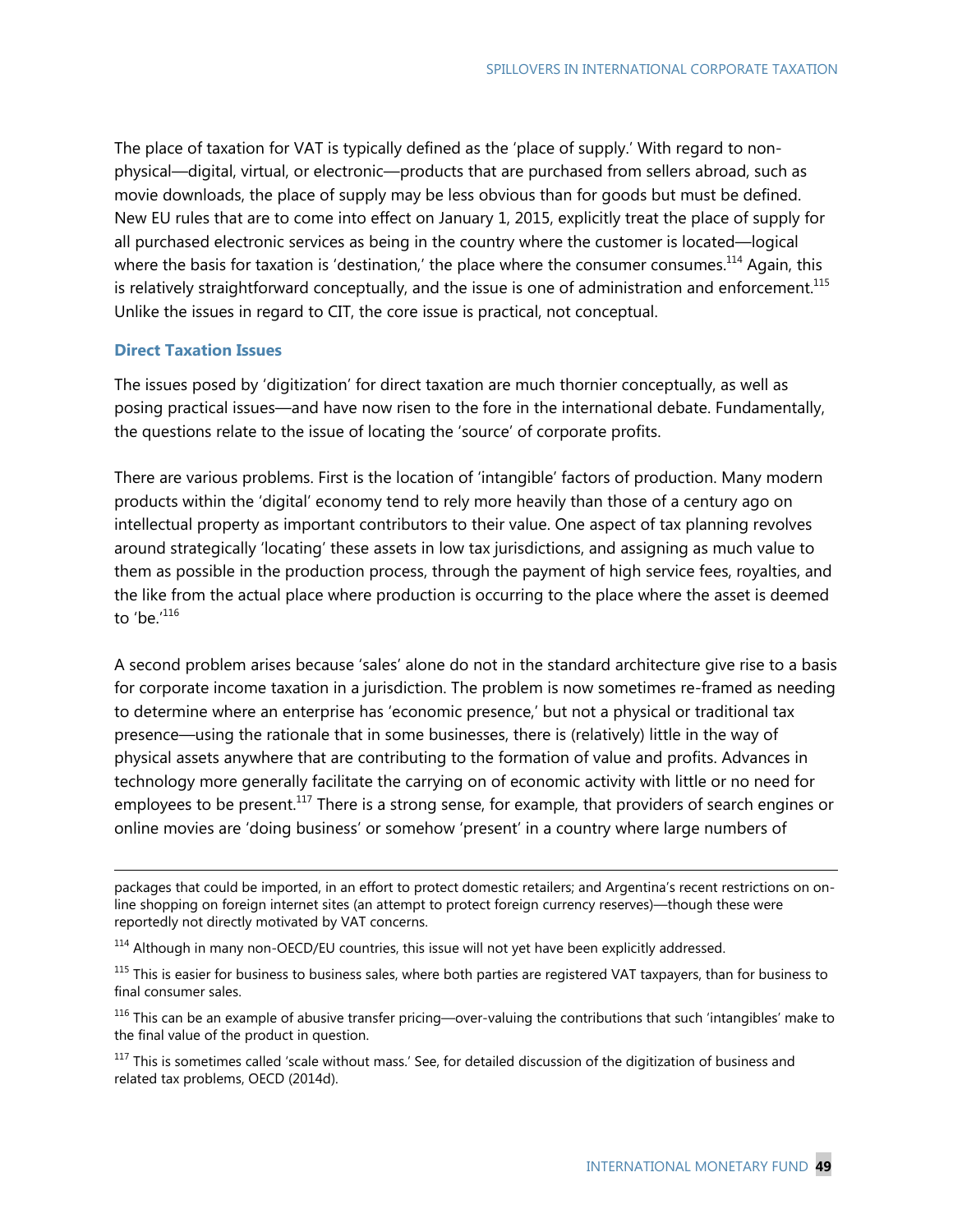The place of taxation for VAT is typically defined as the 'place of supply.' With regard to nonphysical—digital, virtual, or electronic—products that are purchased from sellers abroad, such as movie downloads, the place of supply may be less obvious than for goods but must be defined. New EU rules that are to come into effect on January 1, 2015, explicitly treat the place of supply for all purchased electronic services as being in the country where the customer is located—logical where the basis for taxation is 'destination,' the place where the consumer consumes.<sup>114</sup> Again, this is relatively straightforward conceptually, and the issue is one of administration and enforcement.<sup>115</sup> Unlike the issues in regard to CIT, the core issue is practical, not conceptual.

### **Direct Taxation Issues**

-

The issues posed by 'digitization' for direct taxation are much thornier conceptually, as well as posing practical issues—and have now risen to the fore in the international debate. Fundamentally, the questions relate to the issue of locating the 'source' of corporate profits.

There are various problems. First is the location of 'intangible' factors of production. Many modern products within the 'digital' economy tend to rely more heavily than those of a century ago on intellectual property as important contributors to their value. One aspect of tax planning revolves around strategically 'locating' these assets in low tax jurisdictions, and assigning as much value to them as possible in the production process, through the payment of high service fees, royalties, and the like from the actual place where production is occurring to the place where the asset is deemed to 'be.'<sup>116</sup>

A second problem arises because 'sales' alone do not in the standard architecture give rise to a basis for corporate income taxation in a jurisdiction. The problem is now sometimes re-framed as needing to determine where an enterprise has 'economic presence,' but not a physical or traditional tax presence—using the rationale that in some businesses, there is (relatively) little in the way of physical assets anywhere that are contributing to the formation of value and profits. Advances in technology more generally facilitate the carrying on of economic activity with little or no need for employees to be present.<sup>117</sup> There is a strong sense, for example, that providers of search engines or online movies are 'doing business' or somehow 'present' in a country where large numbers of

packages that could be imported, in an effort to protect domestic retailers; and Argentina's recent restrictions on online shopping on foreign internet sites (an attempt to protect foreign currency reserves)—though these were reportedly not directly motivated by VAT concerns.

<sup>&</sup>lt;sup>114</sup> Although in many non-OECD/EU countries, this issue will not yet have been explicitly addressed.

<sup>&</sup>lt;sup>115</sup> This is easier for business to business sales, where both parties are registered VAT taxpayers, than for business to final consumer sales.

 $116$  This can be an example of abusive transfer pricing—over-valuing the contributions that such 'intangibles' make to the final value of the product in question.

 $117$  This is sometimes called 'scale without mass.' See, for detailed discussion of the digitization of business and related tax problems, OECD (2014d).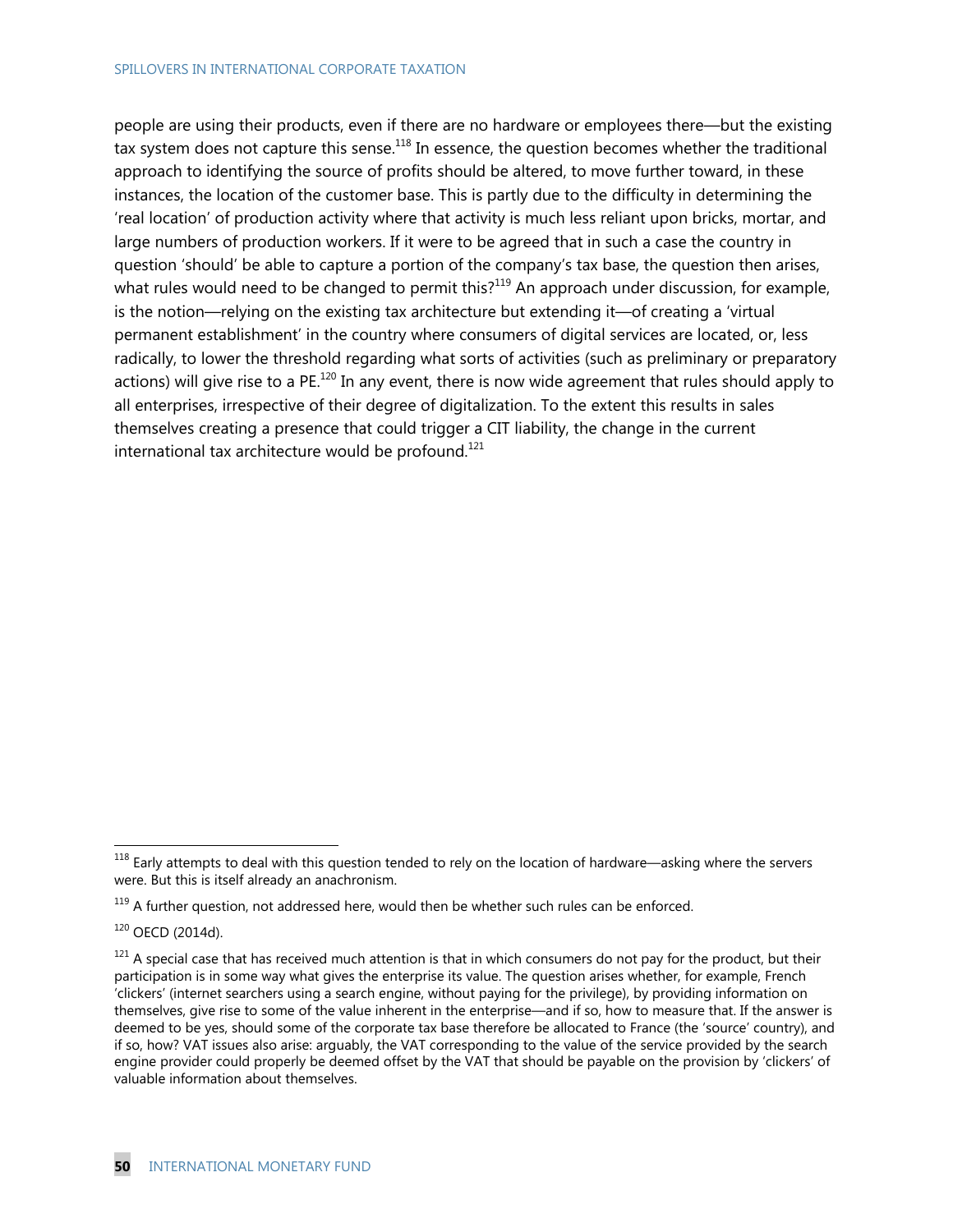#### SPILLOVERS IN INTERNATIONAL CORPORATE TAXATION

people are using their products, even if there are no hardware or employees there—but the existing tax system does not capture this sense.<sup>118</sup> In essence, the question becomes whether the traditional approach to identifying the source of profits should be altered, to move further toward, in these instances, the location of the customer base. This is partly due to the difficulty in determining the 'real location' of production activity where that activity is much less reliant upon bricks, mortar, and large numbers of production workers. If it were to be agreed that in such a case the country in question 'should' be able to capture a portion of the company's tax base, the question then arises, what rules would need to be changed to permit this?<sup>119</sup> An approach under discussion, for example, is the notion—relying on the existing tax architecture but extending it—of creating a 'virtual permanent establishment' in the country where consumers of digital services are located, or, less radically, to lower the threshold regarding what sorts of activities (such as preliminary or preparatory actions) will give rise to a PE.<sup>120</sup> In any event, there is now wide agreement that rules should apply to all enterprises, irrespective of their degree of digitalization. To the extent this results in sales themselves creating a presence that could trigger a CIT liability, the change in the current international tax architecture would be profound. $121$ 

 $118$  Early attempts to deal with this question tended to rely on the location of hardware—asking where the servers were. But this is itself already an anachronism.

 $119$  A further question, not addressed here, would then be whether such rules can be enforced.

 $120$  OECD (2014d).

 $121$  A special case that has received much attention is that in which consumers do not pay for the product, but their participation is in some way what gives the enterprise its value. The question arises whether, for example, French 'clickers' (internet searchers using a search engine, without paying for the privilege), by providing information on themselves, give rise to some of the value inherent in the enterprise—and if so, how to measure that. If the answer is deemed to be yes, should some of the corporate tax base therefore be allocated to France (the 'source' country), and if so, how? VAT issues also arise: arguably, the VAT corresponding to the value of the service provided by the search engine provider could properly be deemed offset by the VAT that should be payable on the provision by 'clickers' of valuable information about themselves.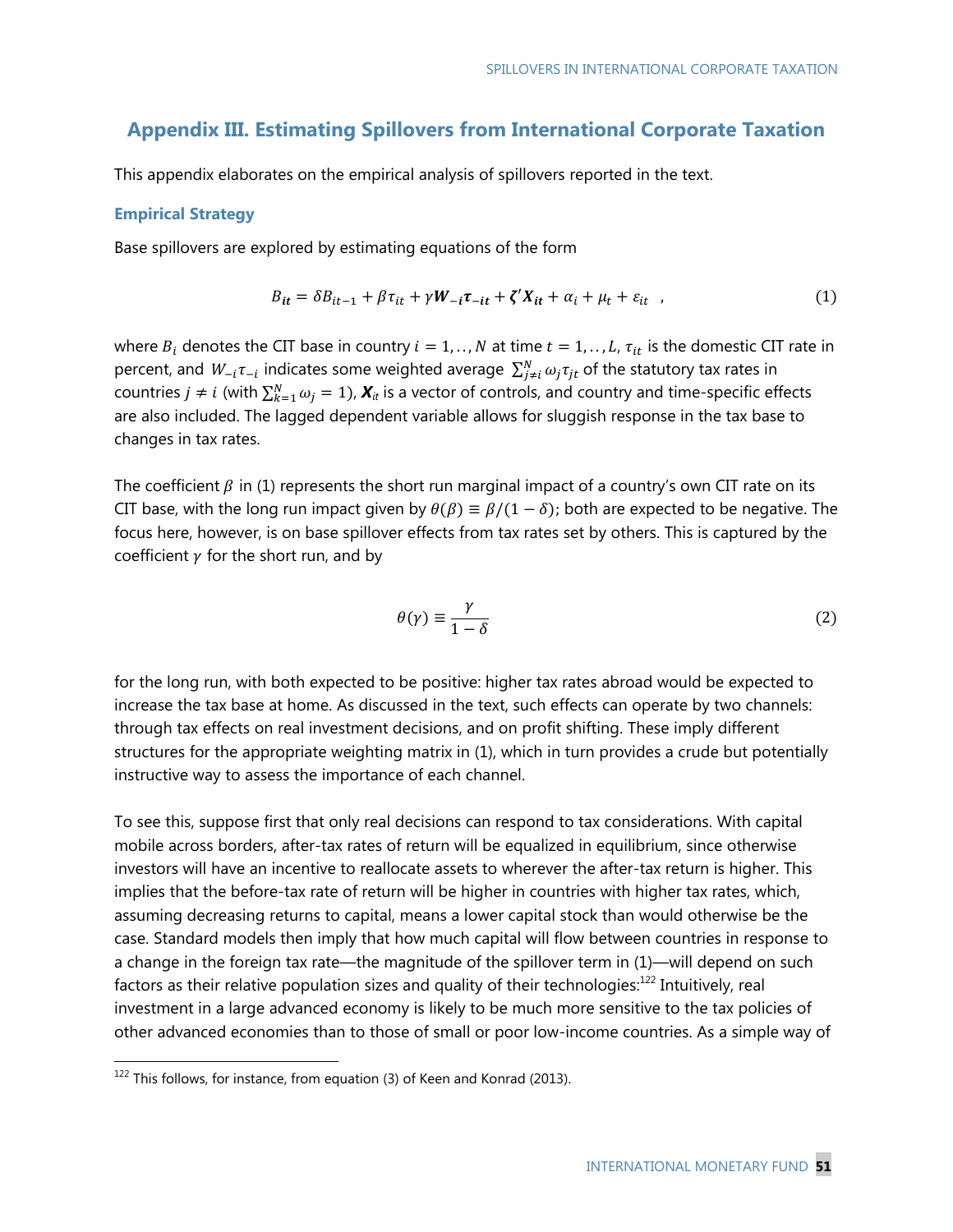## **Appendix III. Estimating Spillovers from International Corporate Taxation**

This appendix elaborates on the empirical analysis of spillovers reported in the text.

#### **Empirical Strategy**

Base spillovers are explored by estimating equations of the form

$$
B_{it} = \delta B_{it-1} + \beta \tau_{it} + \gamma W_{-i} \tau_{-it} + \zeta' X_{it} + \alpha_i + \mu_t + \varepsilon_{it} \quad , \tag{1}
$$

where  $B_i$  denotes the CIT base in country  $i = 1, \ldots, N$  at time  $t = 1, \ldots, L$ ,  $\tau_{it}$  is the domestic CIT rate in percent, and  $W_{-i}\tau_{-i}$  indicates some weighted average  $\sum_{j\neq i}^{N}\omega_j\tau_{jt}$  of the statutory tax rates in countries  $j \neq i$  (with  $\sum_{k=1}^{N} \omega_j = 1$ ),  $\bm{X}_i$  is a vector of controls, and country and time-specific effects are also included. The lagged dependent variable allows for sluggish response in the tax base to changes in tax rates.

The coefficient  $\beta$  in (1) represents the short run marginal impact of a country's own CIT rate on its CIT base, with the long run impact given by  $\theta(\beta) \equiv \beta/(1 - \delta)$ ; both are expected to be negative. The focus here, however, is on base spillover effects from tax rates set by others. This is captured by the coefficient  $\gamma$  for the short run, and by

$$
\theta(\gamma) \equiv \frac{\gamma}{1 - \delta} \tag{2}
$$

for the long run, with both expected to be positive: higher tax rates abroad would be expected to increase the tax base at home. As discussed in the text, such effects can operate by two channels: through tax effects on real investment decisions, and on profit shifting. These imply different structures for the appropriate weighting matrix in (1), which in turn provides a crude but potentially instructive way to assess the importance of each channel.

To see this, suppose first that only real decisions can respond to tax considerations. With capital mobile across borders, after-tax rates of return will be equalized in equilibrium, since otherwise investors will have an incentive to reallocate assets to wherever the after-tax return is higher. This implies that the before-tax rate of return will be higher in countries with higher tax rates, which, assuming decreasing returns to capital, means a lower capital stock than would otherwise be the case. Standard models then imply that how much capital will flow between countries in response to a change in the foreign tax rate—the magnitude of the spillover term in (1)—will depend on such factors as their relative population sizes and quality of their technologies: $^{122}$  Intuitively, real investment in a large advanced economy is likely to be much more sensitive to the tax policies of other advanced economies than to those of small or poor low-income countries. As a simple way of

 $122$  This follows, for instance, from equation (3) of Keen and Konrad (2013).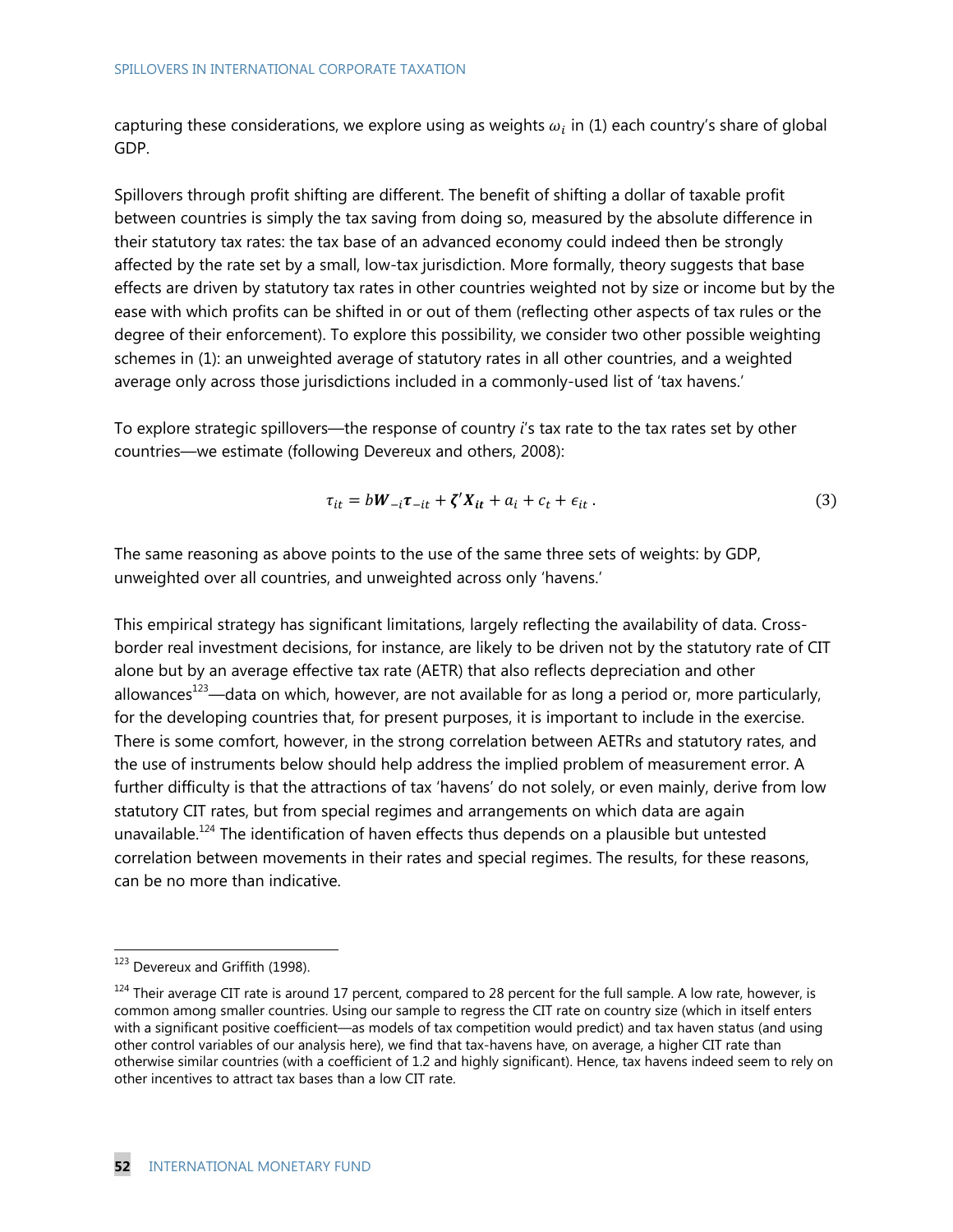capturing these considerations, we explore using as weights  $\omega_i$  in (1) each country's share of global GDP.

Spillovers through profit shifting are different. The benefit of shifting a dollar of taxable profit between countries is simply the tax saving from doing so, measured by the absolute difference in their statutory tax rates: the tax base of an advanced economy could indeed then be strongly affected by the rate set by a small, low-tax jurisdiction. More formally, theory suggests that base effects are driven by statutory tax rates in other countries weighted not by size or income but by the ease with which profits can be shifted in or out of them (reflecting other aspects of tax rules or the degree of their enforcement). To explore this possibility, we consider two other possible weighting schemes in (1): an unweighted average of statutory rates in all other countries, and a weighted average only across those jurisdictions included in a commonly-used list of 'tax havens.'

To explore strategic spillovers—the response of country *i*'s tax rate to the tax rates set by other countries—we estimate (following Devereux and others, 2008):

$$
\tau_{it} = bW_{-i}\tau_{-it} + \zeta'X_{it} + a_i + c_t + \epsilon_{it} \,. \tag{3}
$$

The same reasoning as above points to the use of the same three sets of weights: by GDP, unweighted over all countries, and unweighted across only 'havens.'

This empirical strategy has significant limitations, largely reflecting the availability of data. Crossborder real investment decisions, for instance, are likely to be driven not by the statutory rate of CIT alone but by an average effective tax rate (AETR) that also reflects depreciation and other allowances<sup>123</sup>—data on which, however, are not available for as long a period or, more particularly, for the developing countries that, for present purposes, it is important to include in the exercise. There is some comfort, however, in the strong correlation between AETRs and statutory rates, and the use of instruments below should help address the implied problem of measurement error. A further difficulty is that the attractions of tax 'havens' do not solely, or even mainly, derive from low statutory CIT rates, but from special regimes and arrangements on which data are again unavailable.<sup>124</sup> The identification of haven effects thus depends on a plausible but untested correlation between movements in their rates and special regimes. The results, for these reasons, can be no more than indicative.

<sup>&</sup>lt;sup>123</sup> Devereux and Griffith (1998).

 $124$  Their average CIT rate is around 17 percent, compared to 28 percent for the full sample. A low rate, however, is common among smaller countries. Using our sample to regress the CIT rate on country size (which in itself enters with a significant positive coefficient—as models of tax competition would predict) and tax haven status (and using other control variables of our analysis here), we find that tax-havens have, on average, a higher CIT rate than otherwise similar countries (with a coefficient of 1.2 and highly significant). Hence, tax havens indeed seem to rely on other incentives to attract tax bases than a low CIT rate.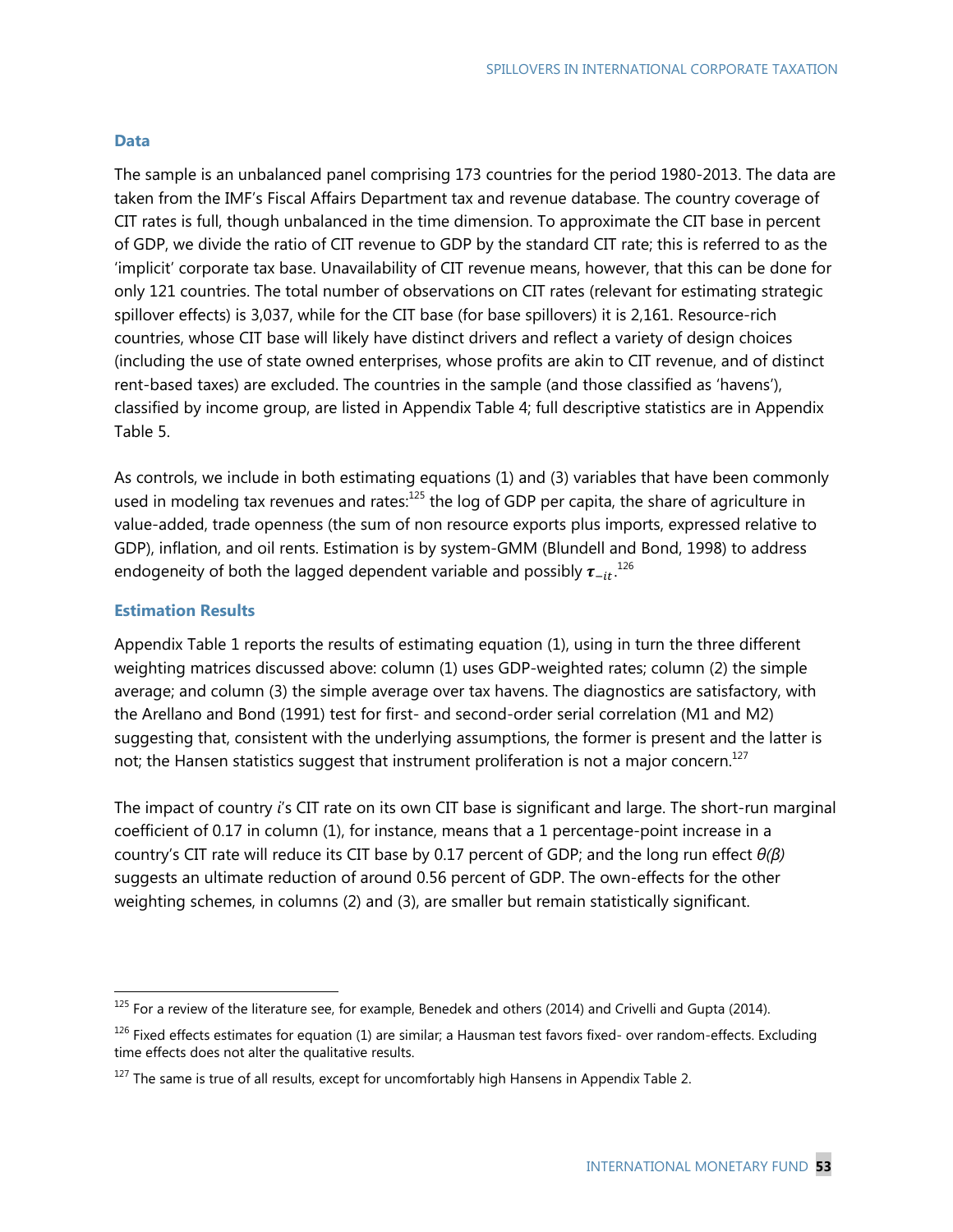#### **Data**

The sample is an unbalanced panel comprising 173 countries for the period 1980-2013. The data are taken from the IMF's Fiscal Affairs Department tax and revenue database. The country coverage of CIT rates is full, though unbalanced in the time dimension. To approximate the CIT base in percent of GDP, we divide the ratio of CIT revenue to GDP by the standard CIT rate; this is referred to as the 'implicit' corporate tax base. Unavailability of CIT revenue means, however, that this can be done for only 121 countries. The total number of observations on CIT rates (relevant for estimating strategic spillover effects) is 3,037, while for the CIT base (for base spillovers) it is 2,161. Resource-rich countries, whose CIT base will likely have distinct drivers and reflect a variety of design choices (including the use of state owned enterprises, whose profits are akin to CIT revenue, and of distinct rent-based taxes) are excluded. The countries in the sample (and those classified as 'havens'), classified by income group, are listed in Appendix Table 4; full descriptive statistics are in Appendix Table 5.

As controls, we include in both estimating equations (1) and (3) variables that have been commonly used in modeling tax revenues and rates:<sup>125</sup> the log of GDP per capita, the share of agriculture in value-added, trade openness (the sum of non resource exports plus imports, expressed relative to GDP), inflation, and oil rents. Estimation is by system-GMM (Blundell and Bond, 1998) to address endogeneity of both the lagged dependent variable and possibly  $\pmb{\tau}_{-it}$ .  $^{126}$ 

## **Estimation Results**

-

Appendix Table 1 reports the results of estimating equation (1), using in turn the three different weighting matrices discussed above: column (1) uses GDP-weighted rates; column (2) the simple average; and column (3) the simple average over tax havens. The diagnostics are satisfactory, with the Arellano and Bond (1991) test for first- and second-order serial correlation (M1 and M2) suggesting that, consistent with the underlying assumptions, the former is present and the latter is not; the Hansen statistics suggest that instrument proliferation is not a major concern.<sup>127</sup>

The impact of country *i*'s CIT rate on its own CIT base is significant and large. The short-run marginal coefficient of 0.17 in column (1), for instance, means that a 1 percentage-point increase in a country's CIT rate will reduce its CIT base by 0.17 percent of GDP; and the long run effect *θ(β)*  suggests an ultimate reduction of around 0.56 percent of GDP. The own-effects for the other weighting schemes, in columns (2) and (3), are smaller but remain statistically significant.

<sup>&</sup>lt;sup>125</sup> For a review of the literature see, for example, Benedek and others (2014) and Crivelli and Gupta (2014).

<sup>&</sup>lt;sup>126</sup> Fixed effects estimates for equation (1) are similar; a Hausman test favors fixed- over random-effects. Excluding time effects does not alter the qualitative results.

 $127$  The same is true of all results, except for uncomfortably high Hansens in Appendix Table 2.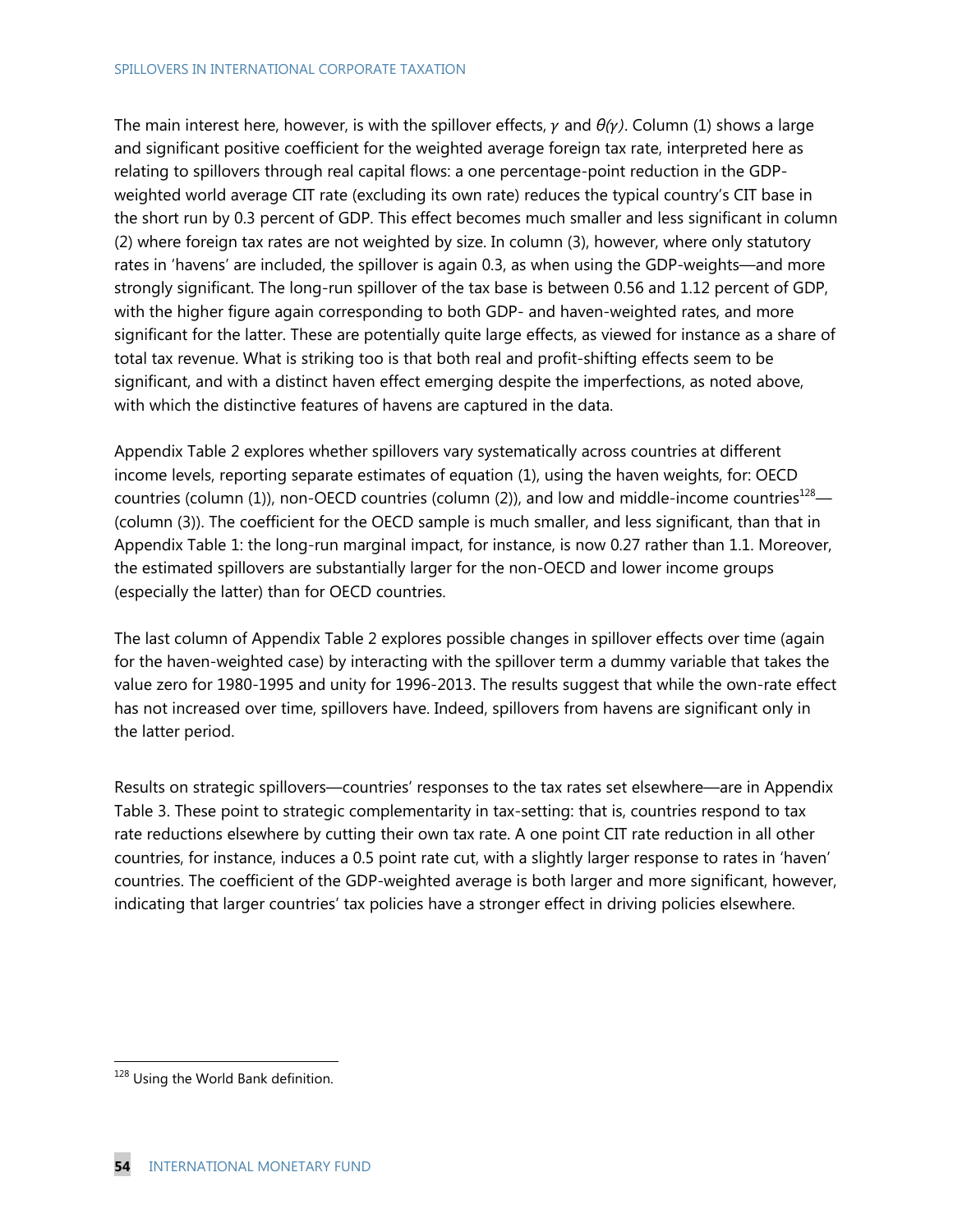#### SPILLOVERS IN INTERNATIONAL CORPORATE TAXATION

The main interest here, however, is with the spillover effects,  $\gamma$  and  $\theta(\gamma)$ . Column (1) shows a large and significant positive coefficient for the weighted average foreign tax rate, interpreted here as relating to spillovers through real capital flows: a one percentage-point reduction in the GDPweighted world average CIT rate (excluding its own rate) reduces the typical country's CIT base in the short run by 0.3 percent of GDP. This effect becomes much smaller and less significant in column (2) where foreign tax rates are not weighted by size. In column (3), however, where only statutory rates in 'havens' are included, the spillover is again 0.3, as when using the GDP-weights—and more strongly significant. The long-run spillover of the tax base is between 0.56 and 1.12 percent of GDP, with the higher figure again corresponding to both GDP- and haven-weighted rates, and more significant for the latter. These are potentially quite large effects, as viewed for instance as a share of total tax revenue. What is striking too is that both real and profit-shifting effects seem to be significant, and with a distinct haven effect emerging despite the imperfections, as noted above, with which the distinctive features of havens are captured in the data.

Appendix Table 2 explores whether spillovers vary systematically across countries at different income levels, reporting separate estimates of equation (1), using the haven weights, for: OECD countries (column (1)), non-OECD countries (column (2)), and low and middle-income countries<sup>128</sup>— (column (3)). The coefficient for the OECD sample is much smaller, and less significant, than that in Appendix Table 1: the long-run marginal impact, for instance, is now 0.27 rather than 1.1. Moreover, the estimated spillovers are substantially larger for the non-OECD and lower income groups (especially the latter) than for OECD countries.

The last column of Appendix Table 2 explores possible changes in spillover effects over time (again for the haven-weighted case) by interacting with the spillover term a dummy variable that takes the value zero for 1980-1995 and unity for 1996-2013. The results suggest that while the own-rate effect has not increased over time, spillovers have. Indeed, spillovers from havens are significant only in the latter period.

Results on strategic spillovers—countries' responses to the tax rates set elsewhere—are in Appendix Table 3. These point to strategic complementarity in tax-setting: that is, countries respond to tax rate reductions elsewhere by cutting their own tax rate. A one point CIT rate reduction in all other countries, for instance, induces a 0.5 point rate cut, with a slightly larger response to rates in 'haven' countries. The coefficient of the GDP-weighted average is both larger and more significant, however, indicating that larger countries' tax policies have a stronger effect in driving policies elsewhere.

<sup>&</sup>lt;sup>128</sup> Using the World Bank definition.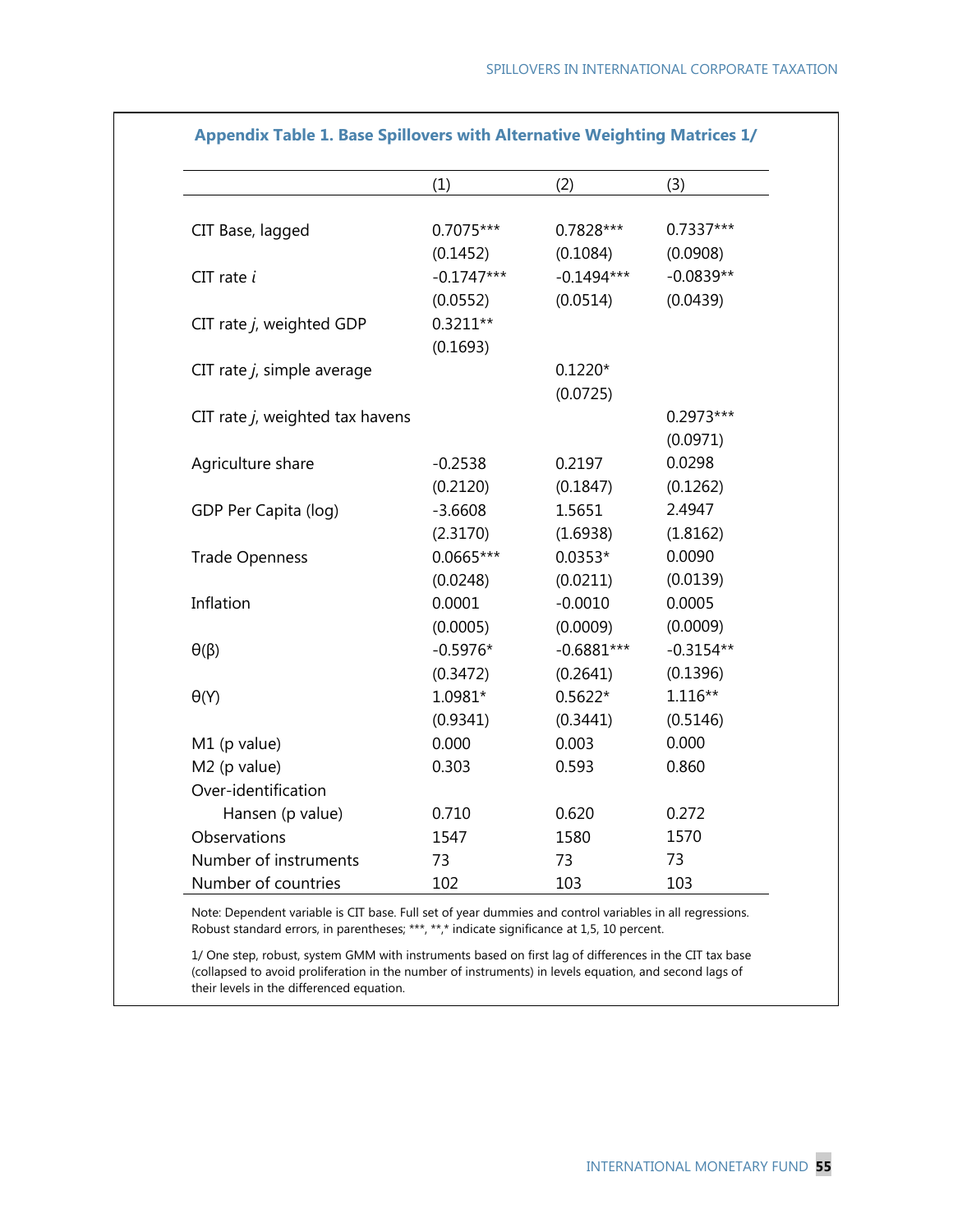|                                 | (1)          | (2)          | (3)         |
|---------------------------------|--------------|--------------|-------------|
|                                 |              |              |             |
| CIT Base, lagged                | 0.7075***    | 0.7828***    | 0.7337***   |
|                                 | (0.1452)     | (0.1084)     | (0.0908)    |
| $CIT$ rate $i$                  | $-0.1747***$ | $-0.1494***$ | $-0.0839**$ |
|                                 | (0.0552)     | (0.0514)     | (0.0439)    |
| CIT rate j, weighted GDP        | $0.3211**$   |              |             |
|                                 | (0.1693)     |              |             |
| CIT rate $j$ , simple average   |              | $0.1220*$    |             |
|                                 |              | (0.0725)     |             |
| CIT rate j, weighted tax havens |              |              | 0.2973***   |
|                                 |              |              | (0.0971)    |
| Agriculture share               | $-0.2538$    | 0.2197       | 0.0298      |
|                                 | (0.2120)     | (0.1847)     | (0.1262)    |
| GDP Per Capita (log)            | $-3.6608$    | 1.5651       | 2.4947      |
|                                 | (2.3170)     | (1.6938)     | (1.8162)    |
| <b>Trade Openness</b>           | 0.0665***    | $0.0353*$    | 0.0090      |
|                                 | (0.0248)     | (0.0211)     | (0.0139)    |
| Inflation                       | 0.0001       | $-0.0010$    | 0.0005      |
|                                 | (0.0005)     | (0.0009)     | (0.0009)    |
| $\theta(\beta)$                 | $-0.5976*$   | $-0.6881***$ | $-0.3154**$ |
|                                 | (0.3472)     | (0.2641)     | (0.1396)    |
| $\theta(Y)$                     | $1.0981*$    | $0.5622*$    | $1.116**$   |
|                                 | (0.9341)     | (0.3441)     | (0.5146)    |
| M1 (p value)                    | 0.000        | 0.003        | 0.000       |
| M2 (p value)                    | 0.303        | 0.593        | 0.860       |
| Over-identification             |              |              |             |
| Hansen (p value)                | 0.710        | 0.620        | 0.272       |
| Observations                    | 1547         | 1580         | 1570        |
| Number of instruments           | 73           | 73           | 73          |
| Number of countries             | 102          | 103          | 103         |

#### **Appendix Table 1. Base Spillovers with Alternative Weighting Matrices 1/**

Note: Dependent variable is CIT base. Full set of year dummies and control variables in all regressions. Robust standard errors, in parentheses; \*\*\*, \*\*,\* indicate significance at 1,5, 10 percent.

1/ One step, robust, system GMM with instruments based on first lag of differences in the CIT tax base (collapsed to avoid proliferation in the number of instruments) in levels equation, and second lags of their levels in the differenced equation.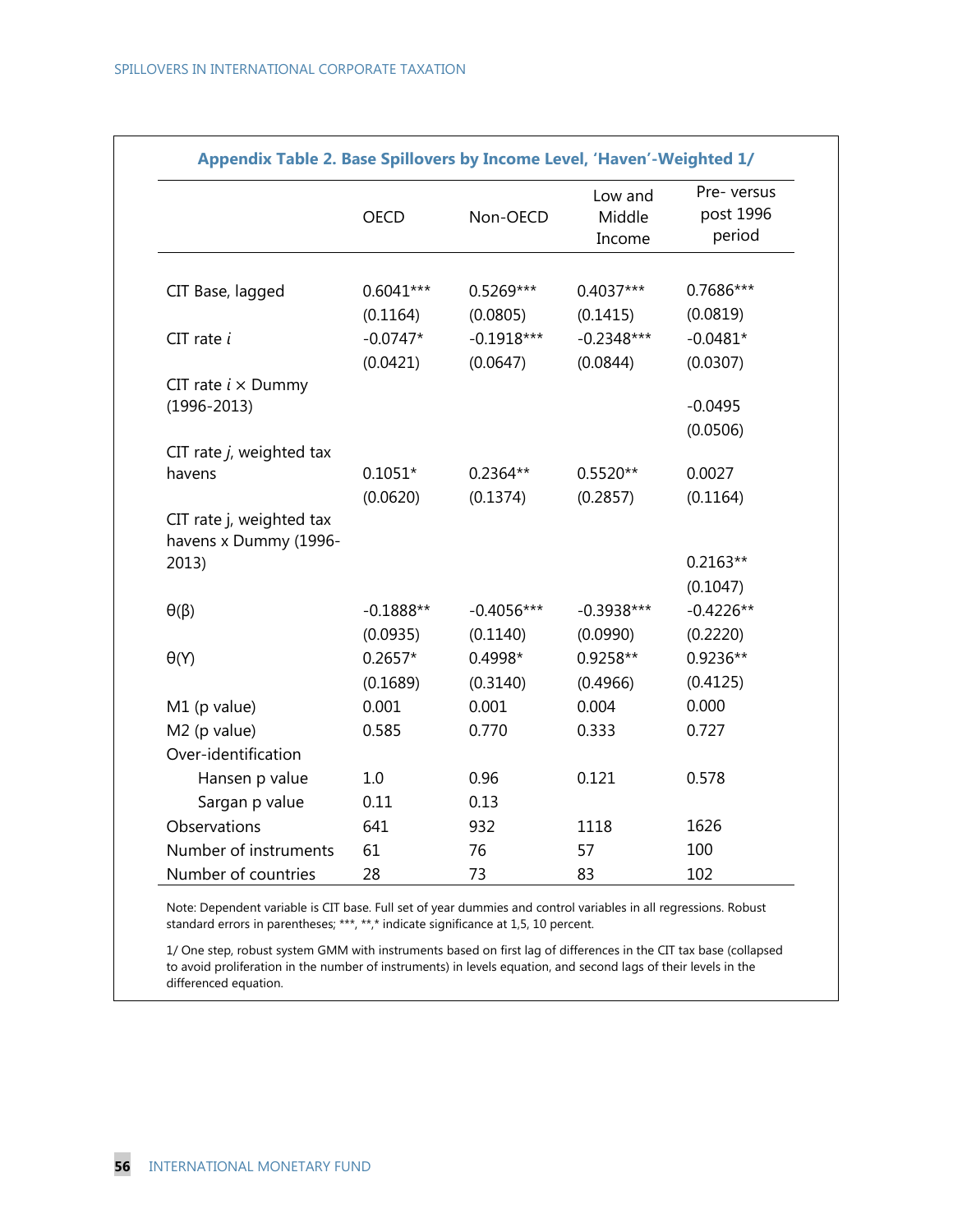|                                                   | <b>OECD</b> | Non-OECD     | Low and<br>Middle<br>Income | Pre- versus<br>post 1996<br>period |
|---------------------------------------------------|-------------|--------------|-----------------------------|------------------------------------|
|                                                   | $0.6041***$ | $0.5269***$  | $0.4037***$                 | 0.7686***                          |
| CIT Base, lagged                                  |             |              |                             |                                    |
|                                                   | (0.1164)    | (0.0805)     | (0.1415)                    | (0.0819)                           |
| $CIT$ rate $i$                                    | $-0.0747*$  | $-0.1918***$ | $-0.2348***$                | $-0.0481*$                         |
|                                                   | (0.0421)    | (0.0647)     | (0.0844)                    | (0.0307)                           |
| CIT rate $i \times$ Dummy                         |             |              |                             | $-0.0495$                          |
| $(1996 - 2013)$                                   |             |              |                             |                                    |
|                                                   |             |              |                             | (0.0506)                           |
| CIT rate $j$ , weighted tax<br>havens             | $0.1051*$   | $0.2364**$   | $0.5520**$                  | 0.0027                             |
|                                                   | (0.0620)    | (0.1374)     | (0.2857)                    | (0.1164)                           |
| CIT rate j, weighted tax<br>havens x Dummy (1996- |             |              |                             |                                    |
| 2013)                                             |             |              |                             | $0.2163**$                         |
|                                                   |             |              |                             | (0.1047)                           |
| $\theta(\beta)$                                   | $-0.1888**$ | $-0.4056***$ | $-0.3938***$                | $-0.4226**$                        |
|                                                   | (0.0935)    | (0.1140)     | (0.0990)                    | (0.2220)                           |
| $\theta(Y)$                                       | $0.2657*$   | 0.4998*      | $0.9258**$                  | $0.9236**$                         |
|                                                   | (0.1689)    | (0.3140)     | (0.4966)                    | (0.4125)                           |
| M1 (p value)                                      | 0.001       | 0.001        | 0.004                       | 0.000                              |
| M2 (p value)                                      | 0.585       | 0.770        | 0.333                       | 0.727                              |
| Over-identification                               |             |              |                             |                                    |
| Hansen p value                                    | 1.0         | 0.96         | 0.121                       | 0.578                              |
| Sargan p value                                    | 0.11        | 0.13         |                             |                                    |
| Observations                                      | 641         | 932          | 1118                        | 1626                               |
| Number of instruments                             | 61          | 76           | 57                          | 100                                |
| Number of countries                               | 28          | 73           | 83                          | 102                                |

Note: Dependent variable is CIT base. Full set of year dummies and control variables in all regressions. Robust standard errors in parentheses; \*\*\*, \*\*,\* indicate significance at 1,5, 10 percent.

1/ One step, robust system GMM with instruments based on first lag of differences in the CIT tax base (collapsed to avoid proliferation in the number of instruments) in levels equation, and second lags of their levels in the differenced equation.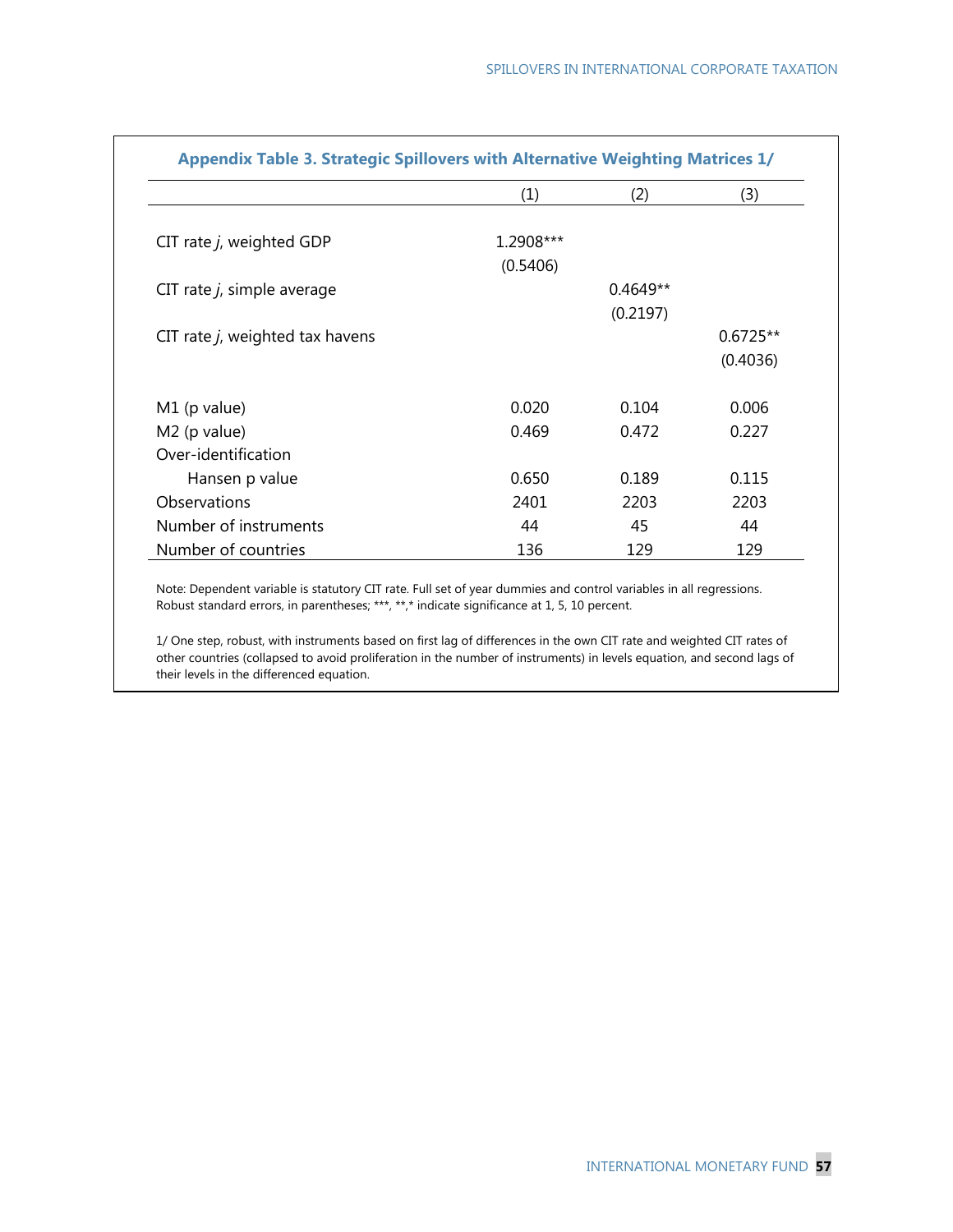|                                 | (1)       | (2)        | (3)        |
|---------------------------------|-----------|------------|------------|
| CIT rate j, weighted GDP        | 1.2908*** |            |            |
|                                 | (0.5406)  |            |            |
| CIT rate $j$ , simple average   |           | $0.4649**$ |            |
|                                 |           | (0.2197)   |            |
| CIT rate j, weighted tax havens |           |            | $0.6725**$ |
|                                 |           |            | (0.4036)   |
| M1 (p value)                    | 0.020     | 0.104      | 0.006      |
| M2 (p value)                    | 0.469     | 0.472      | 0.227      |
| Over-identification             |           |            |            |
| Hansen p value                  | 0.650     | 0.189      | 0.115      |
| Observations                    | 2401      | 2203       | 2203       |
| Number of instruments           | 44        | 45         | 44         |
| Number of countries             | 136       | 129        | 129        |

Note: Dependent variable is statutory CIT rate. Full set of year dummies and control variables in all regressions. Robust standard errors, in parentheses; \*\*\*, \*\*,\* indicate significance at 1, 5, 10 percent.

1/ One step, robust, with instruments based on first lag of differences in the own CIT rate and weighted CIT rates of other countries (collapsed to avoid proliferation in the number of instruments) in levels equation, and second lags of their levels in the differenced equation.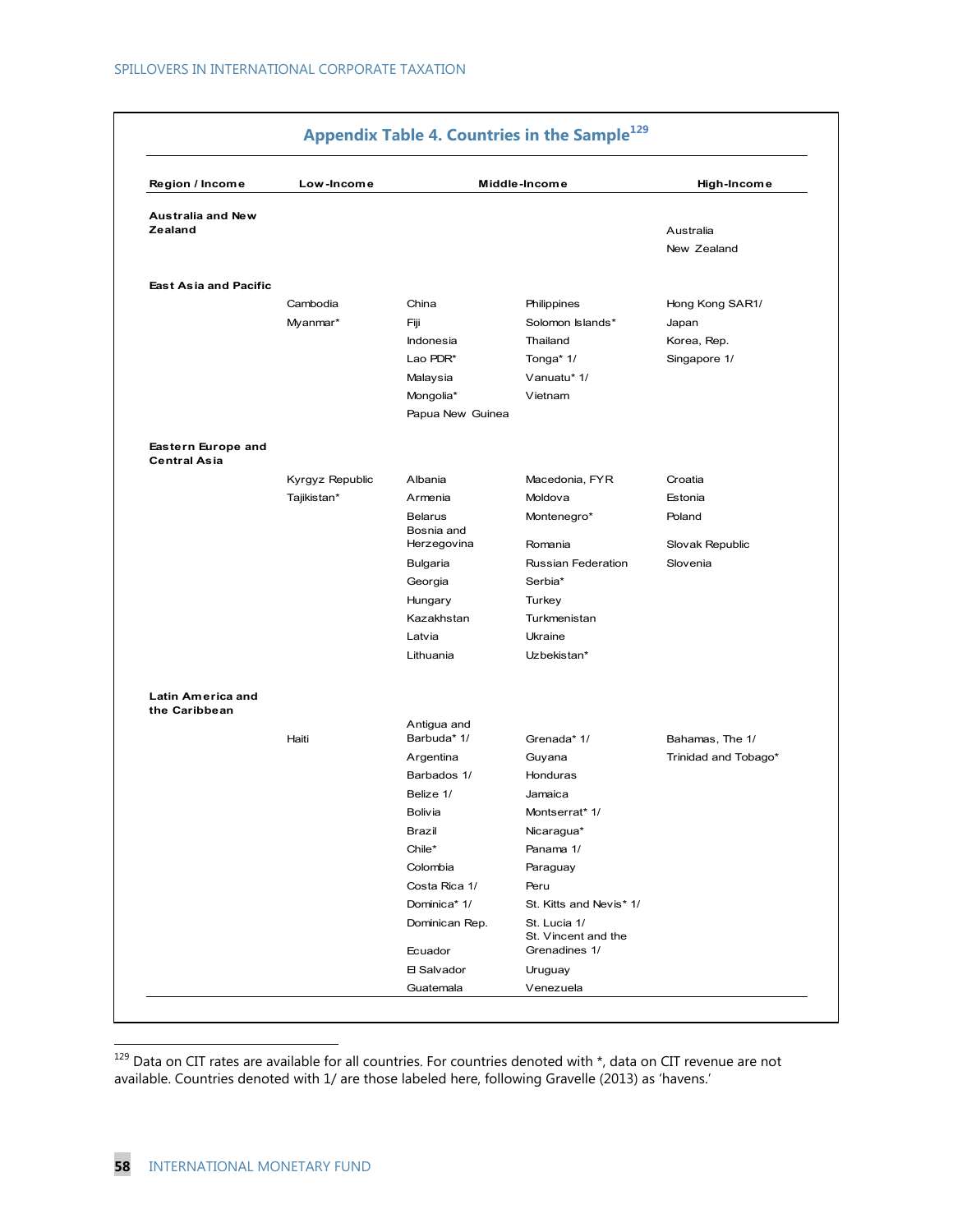| Region / Income                           | Low-Income      |                              | Middle-Income                       | High-Income          |
|-------------------------------------------|-----------------|------------------------------|-------------------------------------|----------------------|
|                                           |                 |                              |                                     |                      |
| <b>Australia and New</b><br>Zealand       |                 |                              |                                     | Australia            |
|                                           |                 |                              |                                     | New Zealand          |
|                                           |                 |                              |                                     |                      |
| <b>East Asia and Pacific</b>              |                 |                              |                                     |                      |
|                                           | Cambodia        | China                        | Philippines                         | Hong Kong SAR1/      |
|                                           | Myanmar*        | Fiji                         | Solomon Islands*                    | Japan                |
|                                           |                 | Indonesia                    | Thailand                            | Korea, Rep.          |
|                                           |                 | Lao PDR*                     | Tonga* 1/                           | Singapore 1/         |
|                                           |                 | Malaysia                     | Vanuatu* 1/                         |                      |
|                                           |                 | Mongolia*                    | Vietnam                             |                      |
|                                           |                 | Papua New Guinea             |                                     |                      |
| Eastern Europe and<br><b>Central Asia</b> |                 |                              |                                     |                      |
|                                           | Kyrgyz Republic | Albania                      | Macedonia, FYR                      | Croatia              |
|                                           | Tajikistan*     | Armenia                      | Moldova                             | Estonia              |
|                                           |                 | <b>Belarus</b><br>Bosnia and | Montenegro*                         | Poland               |
|                                           |                 | Herzegovina                  | Romania                             | Slovak Republic      |
|                                           |                 | Bulgaria                     | Russian Federation                  | Slovenia             |
|                                           |                 | Georgia                      | Serbia*                             |                      |
|                                           |                 | Hungary                      | Turkey                              |                      |
|                                           |                 | Kazakhstan                   | Turkmenistan                        |                      |
|                                           |                 | Latvia                       | Ukraine                             |                      |
|                                           |                 | Lithuania                    | Uzbekistan*                         |                      |
| Latin America and<br>the Caribbean        |                 |                              |                                     |                      |
|                                           | Haiti           | Antigua and<br>Barbuda* 1/   | Grenada* 1/                         | Bahamas, The 1/      |
|                                           |                 | Argentina                    | Guyana                              | Trinidad and Tobago* |
|                                           |                 | Barbados 1/                  | Honduras                            |                      |
|                                           |                 | Belize 1/                    | Jamaica                             |                      |
|                                           |                 | Bolivia                      | Montserrat* 1/                      |                      |
|                                           |                 | Brazil                       | Nicaragua*                          |                      |
|                                           |                 | Chile*                       | Panama 1/                           |                      |
|                                           |                 | Colombia                     | Paraguay                            |                      |
|                                           |                 | Costa Rica 1/                | Peru                                |                      |
|                                           |                 | Dominica* 1/                 | St. Kitts and Nevis* 1/             |                      |
|                                           |                 | Dominican Rep.               | St. Lucia 1/<br>St. Vincent and the |                      |
|                                           |                 | Ecuador                      | Grenadines 1/                       |                      |
|                                           |                 | 日 Salvador                   | Uruguay<br>Venezuela                |                      |

 $129$  Data on CIT rates are available for all countries. For countries denoted with \*, data on CIT revenue are not available. Countries denoted with 1/ are those labeled here, following Gravelle (2013) as 'havens.'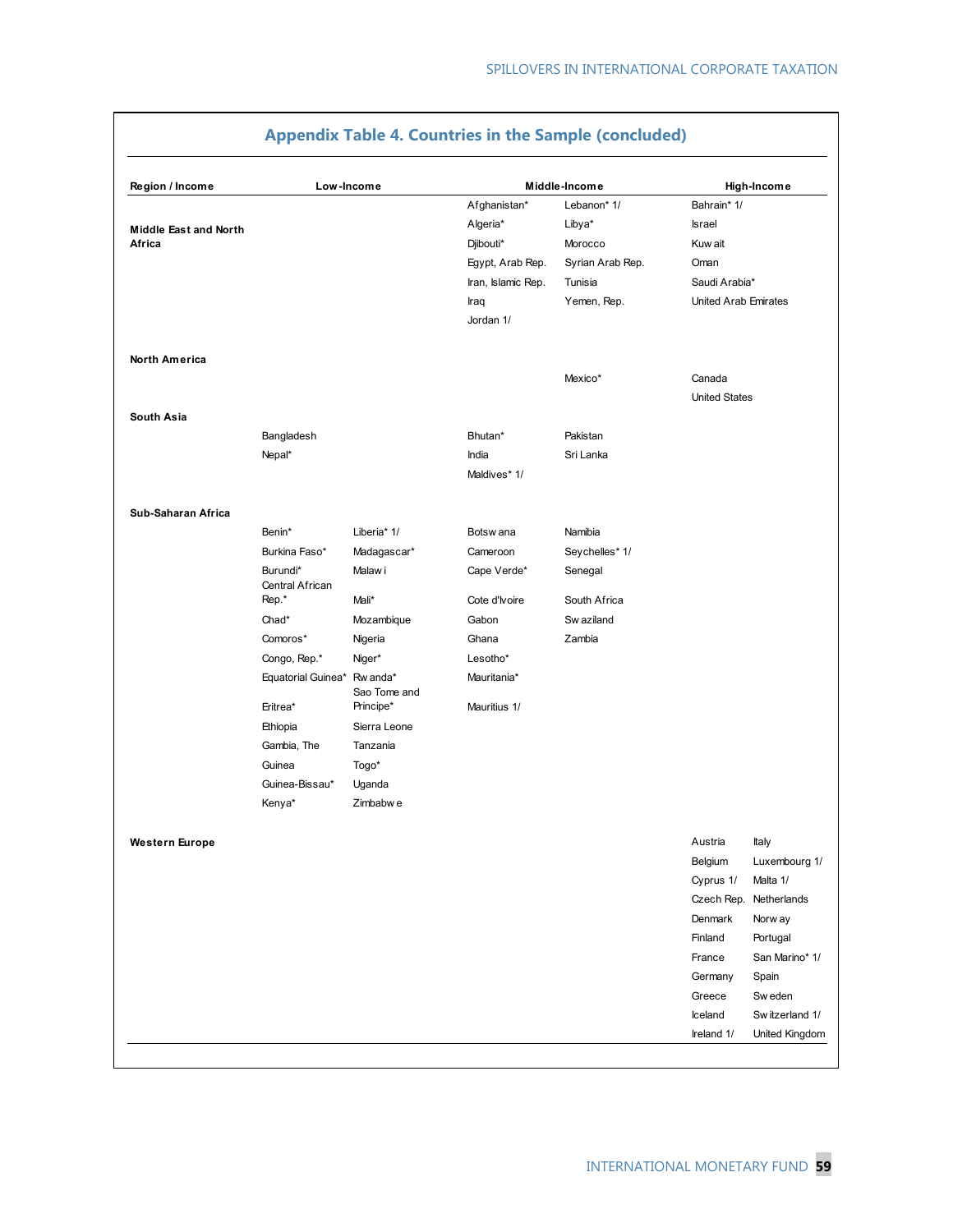| Region / Income              | Low-Income                  |                          |                    | Middle-Income    |                      | High-Income            |
|------------------------------|-----------------------------|--------------------------|--------------------|------------------|----------------------|------------------------|
|                              |                             |                          | Afghanistan*       | Lebanon* 1/      | Bahrain* 1/          |                        |
| <b>Middle East and North</b> |                             |                          | Algeria*           | Libya*           | <b>Israel</b>        |                        |
| Africa                       |                             |                          | Djibouti*          | Morocco          | Kuw ait              |                        |
|                              |                             |                          | Egypt, Arab Rep.   | Syrian Arab Rep. | Oman                 |                        |
|                              |                             |                          | Iran, Islamic Rep. | Tunisia          | Saudi Arabia*        |                        |
|                              |                             |                          | Iraq               | Yemen, Rep.      | United Arab Emirates |                        |
|                              |                             |                          | Jordan 1/          |                  |                      |                        |
| <b>North America</b>         |                             |                          |                    |                  |                      |                        |
|                              |                             |                          |                    | Mexico*          | Canada               |                        |
|                              |                             |                          |                    |                  | <b>United States</b> |                        |
| South Asia                   |                             |                          |                    |                  |                      |                        |
|                              | Bangladesh                  |                          | Bhutan*            | Pakistan         |                      |                        |
|                              | Nepal*                      |                          | India              | Sri Lanka        |                      |                        |
|                              |                             |                          | Maldives* 1/       |                  |                      |                        |
| Sub-Saharan Africa           |                             |                          |                    |                  |                      |                        |
|                              | Benin*                      | Liberia* 1/              | Botsw ana          | Namibia          |                      |                        |
|                              | Burkina Faso*               | Madagascar*              | Cameroon           | Seychelles* 1/   |                      |                        |
|                              | Burundi*<br>Central African | Malaw i                  | Cape Verde*        | Senegal          |                      |                        |
|                              | Rep.*                       | Mali*                    | Cote d'Ivoire      | South Africa     |                      |                        |
|                              | Chad*                       | Mozambique               | Gabon              | Sw aziland       |                      |                        |
|                              | Comoros*                    | Nigeria                  | Ghana              | Zambia           |                      |                        |
|                              | Congo, Rep.*                | Niger*                   | Lesotho*           |                  |                      |                        |
|                              | Equatorial Guinea*          | Rw anda*<br>Sao Tome and | Mauritania*        |                  |                      |                        |
|                              | Eritrea*                    | Principe*                | Mauritius 1/       |                  |                      |                        |
|                              | Ethiopia                    | Sierra Leone             |                    |                  |                      |                        |
|                              | Gambia, The                 | Tanzania                 |                    |                  |                      |                        |
|                              | Guinea                      | Togo*                    |                    |                  |                      |                        |
|                              | Guinea-Bissau*              | Uganda                   |                    |                  |                      |                        |
|                              | Kenya*                      | Zimbabw e                |                    |                  |                      |                        |
| Western Europe               |                             |                          |                    |                  | Austria              | Italy                  |
|                              |                             |                          |                    |                  | Belgium              | Luxembourg 1/          |
|                              |                             |                          |                    |                  | Cyprus 1/            | Malta 1/               |
|                              |                             |                          |                    |                  |                      | Czech Rep. Netherlands |
|                              |                             |                          |                    |                  | Denmark              | Norw ay                |
|                              |                             |                          |                    |                  | Finland              | Portugal               |
|                              |                             |                          |                    |                  | France               | San Marino* 1/         |
|                              |                             |                          |                    |                  | Germany              | Spain                  |
|                              |                             |                          |                    |                  | Greece               | Sw eden                |
|                              |                             |                          |                    |                  | Iceland              | Switzerland 1/         |
|                              |                             |                          |                    |                  | Ireland 1/           | United Kingdom         |

## **Appendix Table 4. Countries in the Sample (concluded)**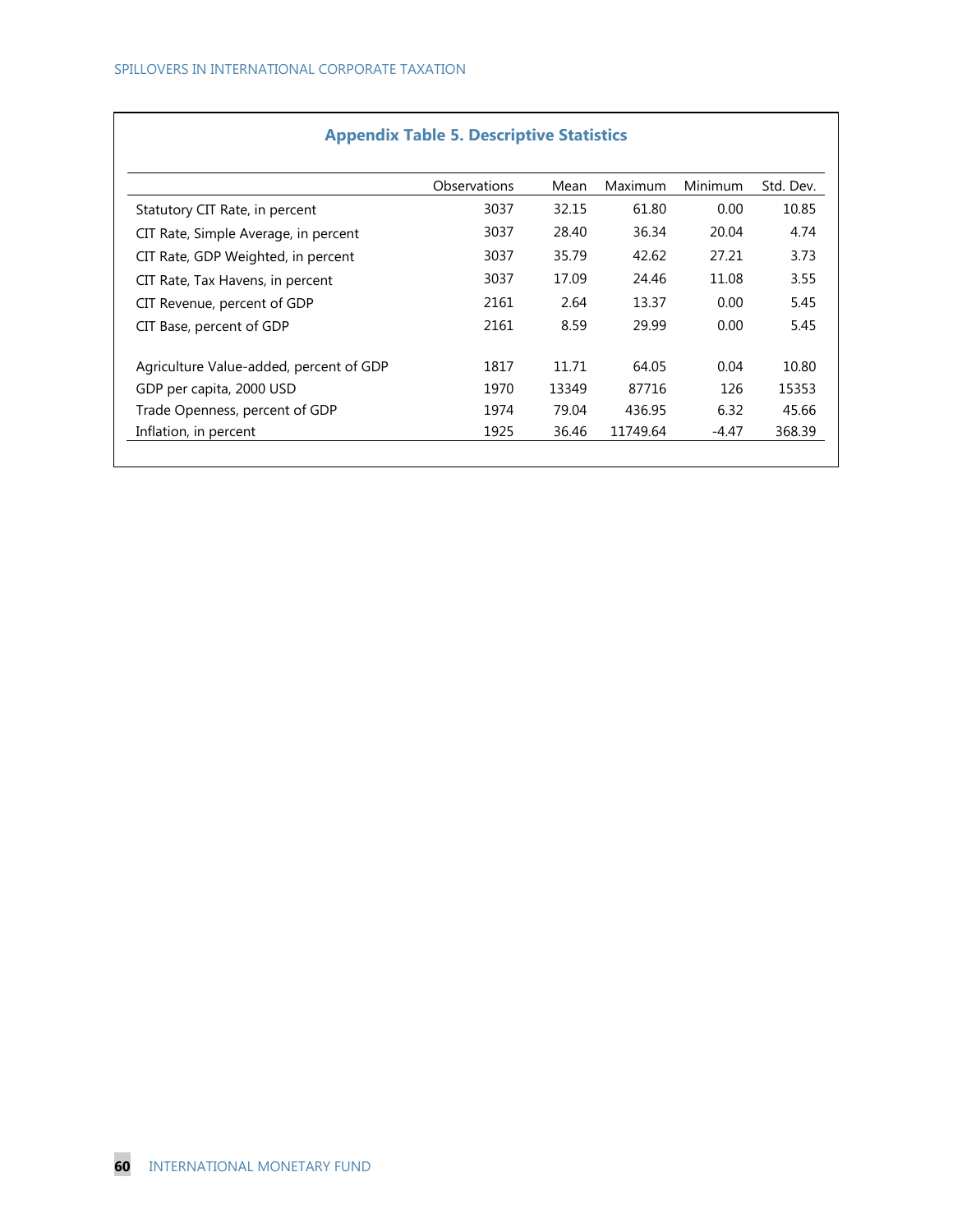|                                         | Observations | Mean  | <b>Maximum</b> | <b>Minimum</b> | Std. Dev. |
|-----------------------------------------|--------------|-------|----------------|----------------|-----------|
| Statutory CIT Rate, in percent          | 3037         | 32.15 | 61.80          | 0.00           | 10.85     |
| CIT Rate, Simple Average, in percent    | 3037         | 28.40 | 36.34          | 20.04          | 4.74      |
| CIT Rate, GDP Weighted, in percent      | 3037         | 35.79 | 42.62          | 27.21          | 3.73      |
| CIT Rate, Tax Havens, in percent        | 3037         | 17.09 | 24.46          | 11.08          | 3.55      |
| CIT Revenue, percent of GDP             | 2161         | 2.64  | 13.37          | 0.00           | 5.45      |
| CIT Base, percent of GDP                | 2161         | 8.59  | 29.99          | 0.00           | 5.45      |
| Agriculture Value-added, percent of GDP | 1817         | 11.71 | 64.05          | 0.04           | 10.80     |
| GDP per capita, 2000 USD                | 1970         | 13349 | 87716          | 126            | 15353     |
| Trade Openness, percent of GDP          | 1974         | 79.04 | 436.95         | 6.32           | 45.66     |
| Inflation, in percent                   | 1925         | 36.46 | 11749.64       | -4.47          | 368.39    |

# **Appendix Table 5. Descriptive Statistics**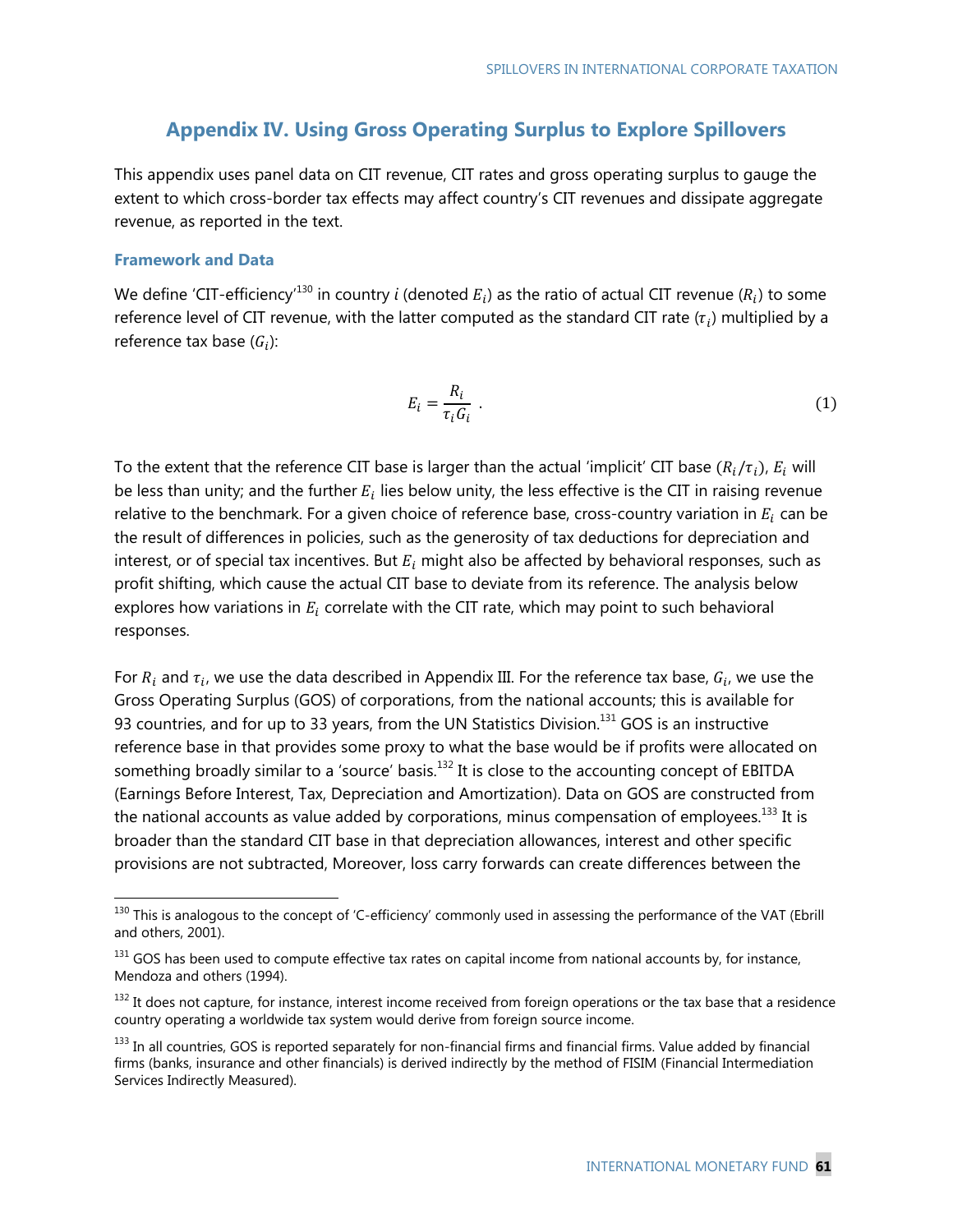## **Appendix IV. Using Gross Operating Surplus to Explore Spillovers**

This appendix uses panel data on CIT revenue, CIT rates and gross operating surplus to gauge the extent to which cross-border tax effects may affect country's CIT revenues and dissipate aggregate revenue, as reported in the text.

### **Framework and Data**

-

We define 'CIT-efficiency<sup>'130</sup> in country *i* (denoted  $E_i$ ) as the ratio of actual CIT revenue ( $R_i$ ) to some reference level of CIT revenue, with the latter computed as the standard CIT rate  $(\tau_i)$  multiplied by a reference tax base  $(G_i)$ :

$$
E_i = \frac{R_i}{\tau_i G_i} \tag{1}
$$

To the extent that the reference CIT base is larger than the actual 'implicit' CIT base  $(R_i/\tau_i)$ ,  $E_i$  will be less than unity; and the further  $E_i$  lies below unity, the less effective is the CIT in raising revenue relative to the benchmark. For a given choice of reference base, cross-country variation in  $E_i$  can be the result of differences in policies, such as the generosity of tax deductions for depreciation and interest, or of special tax incentives. But  $E_i$  might also be affected by behavioral responses, such as profit shifting, which cause the actual CIT base to deviate from its reference. The analysis below explores how variations in  $E_i$  correlate with the CIT rate, which may point to such behavioral responses.

For  $R_i$  and  $\tau_i$ , we use the data described in Appendix III. For the reference tax base,  $G_i$ , we use the Gross Operating Surplus (GOS) of corporations, from the national accounts; this is available for 93 countries, and for up to 33 years, from the UN Statistics Division.<sup>131</sup> GOS is an instructive reference base in that provides some proxy to what the base would be if profits were allocated on something broadly similar to a 'source' basis. $132$  It is close to the accounting concept of EBITDA (Earnings Before Interest, Tax, Depreciation and Amortization). Data on GOS are constructed from the national accounts as value added by corporations, minus compensation of employees.<sup>133</sup> It is broader than the standard CIT base in that depreciation allowances, interest and other specific provisions are not subtracted, Moreover, loss carry forwards can create differences between the

 $130$  This is analogous to the concept of 'C-efficiency' commonly used in assessing the performance of the VAT (Ebrill and others, 2001).

 $131$  GOS has been used to compute effective tax rates on capital income from national accounts by, for instance, Mendoza and others (1994).

 $132$  It does not capture, for instance, interest income received from foreign operations or the tax base that a residence country operating a worldwide tax system would derive from foreign source income.

<sup>&</sup>lt;sup>133</sup> In all countries, GOS is reported separately for non-financial firms and financial firms. Value added by financial firms (banks, insurance and other financials) is derived indirectly by the method of FISIM (Financial Intermediation Services Indirectly Measured).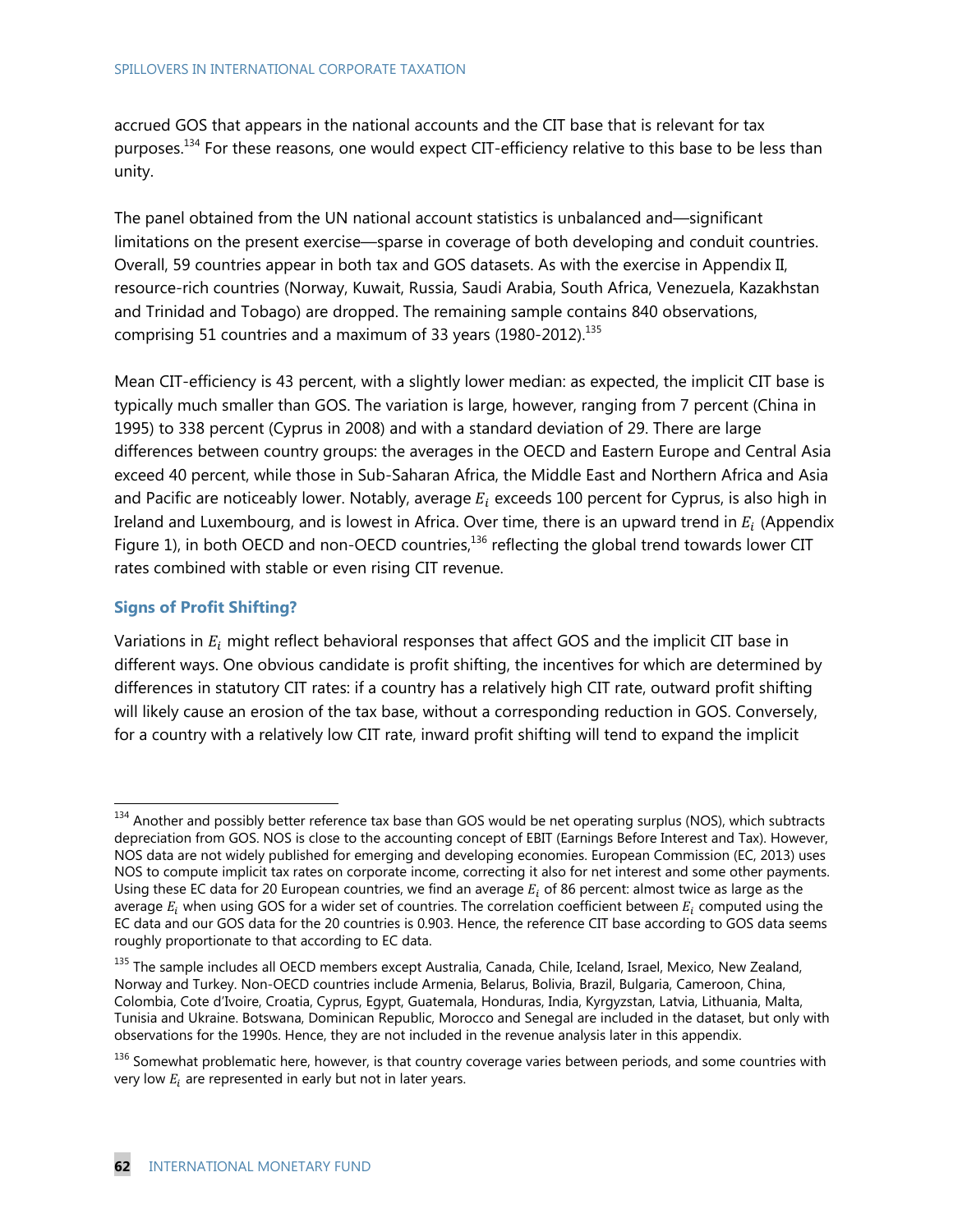#### SPILLOVERS IN INTERNATIONAL CORPORATE TAXATION

accrued GOS that appears in the national accounts and the CIT base that is relevant for tax purposes.<sup>134</sup> For these reasons, one would expect CIT-efficiency relative to this base to be less than unity.

The panel obtained from the UN national account statistics is unbalanced and—significant limitations on the present exercise—sparse in coverage of both developing and conduit countries. Overall, 59 countries appear in both tax and GOS datasets. As with the exercise in Appendix II, resource-rich countries (Norway, Kuwait, Russia, Saudi Arabia, South Africa, Venezuela, Kazakhstan and Trinidad and Tobago) are dropped. The remaining sample contains 840 observations, comprising 51 countries and a maximum of 33 years  $(1980-2012).$ <sup>135</sup>

Mean CIT-efficiency is 43 percent, with a slightly lower median: as expected, the implicit CIT base is typically much smaller than GOS. The variation is large, however, ranging from 7 percent (China in 1995) to 338 percent (Cyprus in 2008) and with a standard deviation of 29. There are large differences between country groups: the averages in the OECD and Eastern Europe and Central Asia exceed 40 percent, while those in Sub-Saharan Africa, the Middle East and Northern Africa and Asia and Pacific are noticeably lower. Notably, average  $E_i$  exceeds 100 percent for Cyprus, is also high in Ireland and Luxembourg, and is lowest in Africa. Over time, there is an upward trend in  $E_i$  (Appendix Figure 1), in both OECD and non-OECD countries,<sup>136</sup> reflecting the global trend towards lower CIT rates combined with stable or even rising CIT revenue.

### **Signs of Profit Shifting?**

-

Variations in  $E_i$  might reflect behavioral responses that affect GOS and the implicit CIT base in different ways. One obvious candidate is profit shifting, the incentives for which are determined by differences in statutory CIT rates: if a country has a relatively high CIT rate, outward profit shifting will likely cause an erosion of the tax base, without a corresponding reduction in GOS. Conversely, for a country with a relatively low CIT rate, inward profit shifting will tend to expand the implicit

 $134$  Another and possibly better reference tax base than GOS would be net operating surplus (NOS), which subtracts depreciation from GOS. NOS is close to the accounting concept of EBIT (Earnings Before Interest and Tax). However, NOS data are not widely published for emerging and developing economies. European Commission (EC, 2013) uses NOS to compute implicit tax rates on corporate income, correcting it also for net interest and some other payments. Using these EC data for 20 European countries, we find an average  $E_i$  of 86 percent: almost twice as large as the average  $E_i$  when using GOS for a wider set of countries. The correlation coefficient between  $E_i$  computed using the EC data and our GOS data for the 20 countries is 0.903. Hence, the reference CIT base according to GOS data seems roughly proportionate to that according to EC data.

<sup>&</sup>lt;sup>135</sup> The sample includes all OECD members except Australia, Canada, Chile, Iceland, Israel, Mexico, New Zealand, Norway and Turkey. Non-OECD countries include Armenia, Belarus, Bolivia, Brazil, Bulgaria, Cameroon, China, Colombia, Cote d'Ivoire, Croatia, Cyprus, Egypt, Guatemala, Honduras, India, Kyrgyzstan, Latvia, Lithuania, Malta, Tunisia and Ukraine. Botswana, Dominican Republic, Morocco and Senegal are included in the dataset, but only with observations for the 1990s. Hence, they are not included in the revenue analysis later in this appendix.

 $136$  Somewhat problematic here, however, is that country coverage varies between periods, and some countries with very low  $E_i$  are represented in early but not in later years.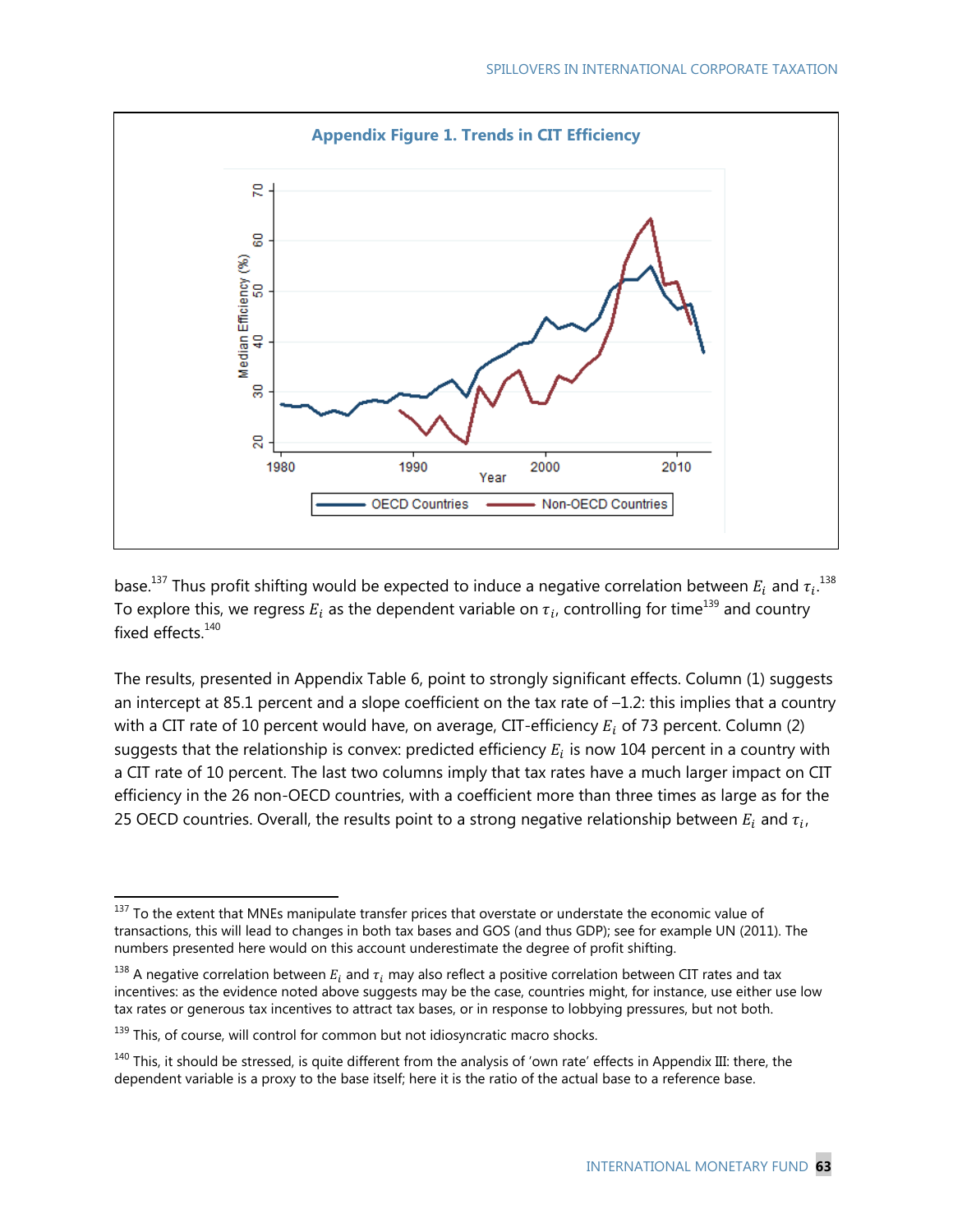

base.<sup>137</sup> Thus profit shifting would be expected to induce a negative correlation between  $E_i$  and  $\tau_i$ .<sup>138</sup> To explore this, we regress  $E_i$  as the dependent variable on  $\tau_i$ , controlling for time<sup>139</sup> and country fixed effects.<sup>140</sup>

The results, presented in Appendix Table 6, point to strongly significant effects. Column (1) suggests an intercept at 85.1 percent and a slope coefficient on the tax rate of –1.2: this implies that a country with a CIT rate of 10 percent would have, on average, CIT-efficiency  $E_i$  of 73 percent. Column (2) suggests that the relationship is convex: predicted efficiency  $E_i$  is now 104 percent in a country with a CIT rate of 10 percent. The last two columns imply that tax rates have a much larger impact on CIT efficiency in the 26 non-OECD countries, with a coefficient more than three times as large as for the 25 OECD countries. Overall, the results point to a strong negative relationship between  $E_i$  and  $\tau_i$ ,

 $137$  To the extent that MNEs manipulate transfer prices that overstate or understate the economic value of transactions, this will lead to changes in both tax bases and GOS (and thus GDP); see for example UN (2011). The numbers presented here would on this account underestimate the degree of profit shifting.

<sup>&</sup>lt;sup>138</sup> A negative correlation between  $E_i$  and  $\tau_i$  may also reflect a positive correlation between CIT rates and tax incentives: as the evidence noted above suggests may be the case, countries might, for instance, use either use low tax rates or generous tax incentives to attract tax bases, or in response to lobbying pressures, but not both.

<sup>&</sup>lt;sup>139</sup> This, of course, will control for common but not idiosyncratic macro shocks.

 $140$  This, it should be stressed, is quite different from the analysis of 'own rate' effects in Appendix III: there, the dependent variable is a proxy to the base itself; here it is the ratio of the actual base to a reference base.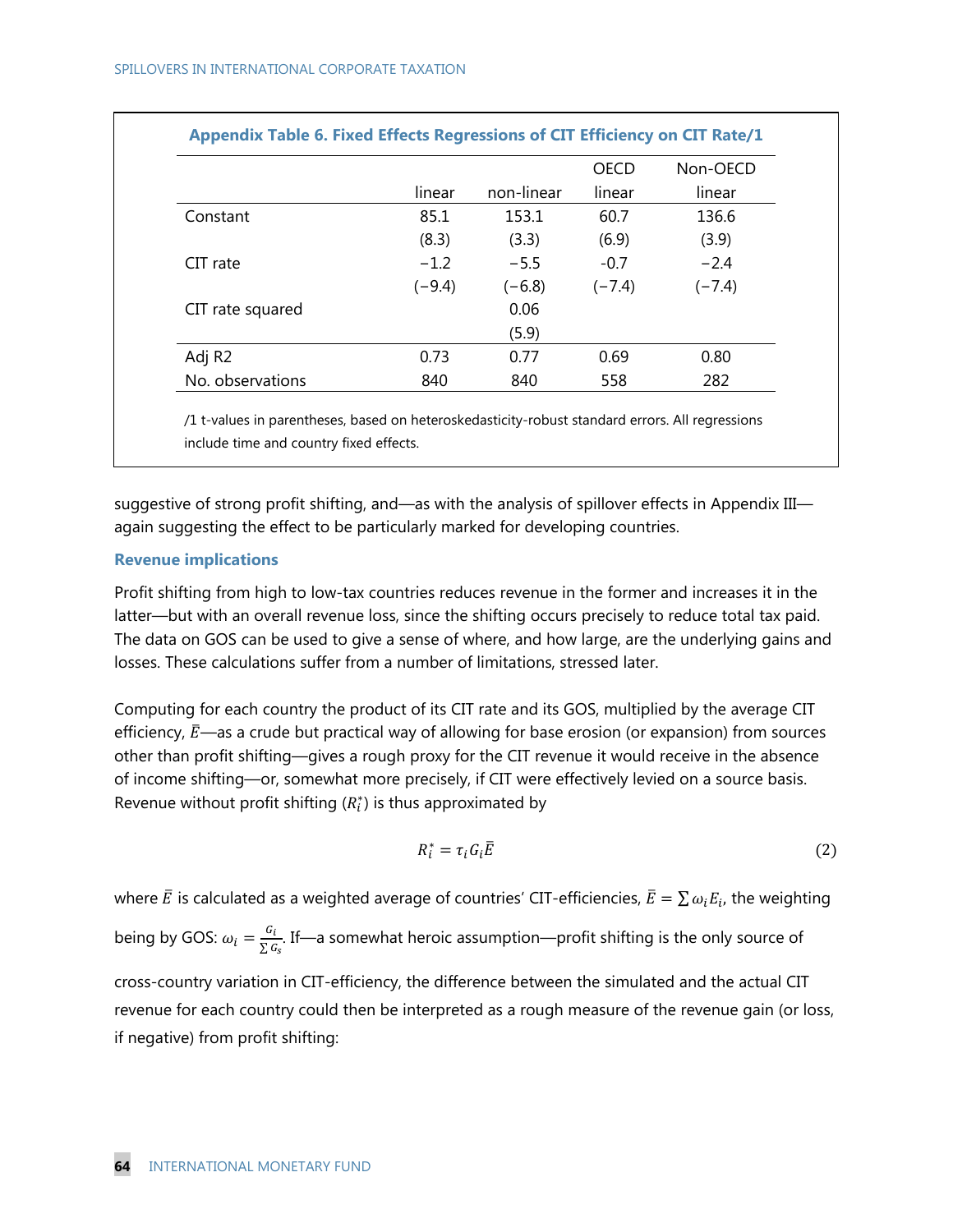|                    |          |            | <b>OECD</b> | Non-OECD |
|--------------------|----------|------------|-------------|----------|
|                    | linear   | non-linear | linear      | linear   |
| Constant           | 85.1     | 153.1      | 60.7        | 136.6    |
|                    | (8.3)    | (3.3)      | (6.9)       | (3.9)    |
| CIT rate           | $-1.2$   | $-5.5$     | $-0.7$      | $-2.4$   |
|                    | $(-9.4)$ | $(-6.8)$   | $(-7.4)$    | $(-7.4)$ |
| CIT rate squared   |          | 0.06       |             |          |
|                    |          | (5.9)      |             |          |
| Adj R <sub>2</sub> | 0.73     | 0.77       | 0.69        | 0.80     |
| No. observations   | 840      | 840        | 558         | 282      |

/1 t-values in parentheses, based on heteroskedasticity-robust standard errors. All regressions include time and country fixed effects.

suggestive of strong profit shifting, and—as with the analysis of spillover effects in Appendix III again suggesting the effect to be particularly marked for developing countries.

#### **Revenue implications**

Profit shifting from high to low-tax countries reduces revenue in the former and increases it in the latter—but with an overall revenue loss, since the shifting occurs precisely to reduce total tax paid. The data on GOS can be used to give a sense of where, and how large, are the underlying gains and losses. These calculations suffer from a number of limitations, stressed later.

Computing for each country the product of its CIT rate and its GOS, multiplied by the average CIT efficiency,  $\bar{E}$ —as a crude but practical way of allowing for base erosion (or expansion) from sources other than profit shifting—gives a rough proxy for the CIT revenue it would receive in the absence of income shifting—or, somewhat more precisely, if CIT were effectively levied on a source basis. Revenue without profit shifting  $(R_i^*)$  is thus approximated by

$$
R_i^* = \tau_i G_i \overline{E}
$$
 (2)

where  $\bar{E}$  is calculated as a weighted average of countries' CIT-efficiencies,  $\bar{E} = \sum \omega_i E_i$ , the weighting

being by GOS:  $\omega_i = \frac{G_i}{\sum G_s}$ . If—a somewhat heroic assumption—profit shifting is the only source of

cross-country variation in CIT-efficiency, the difference between the simulated and the actual CIT revenue for each country could then be interpreted as a rough measure of the revenue gain (or loss, if negative) from profit shifting: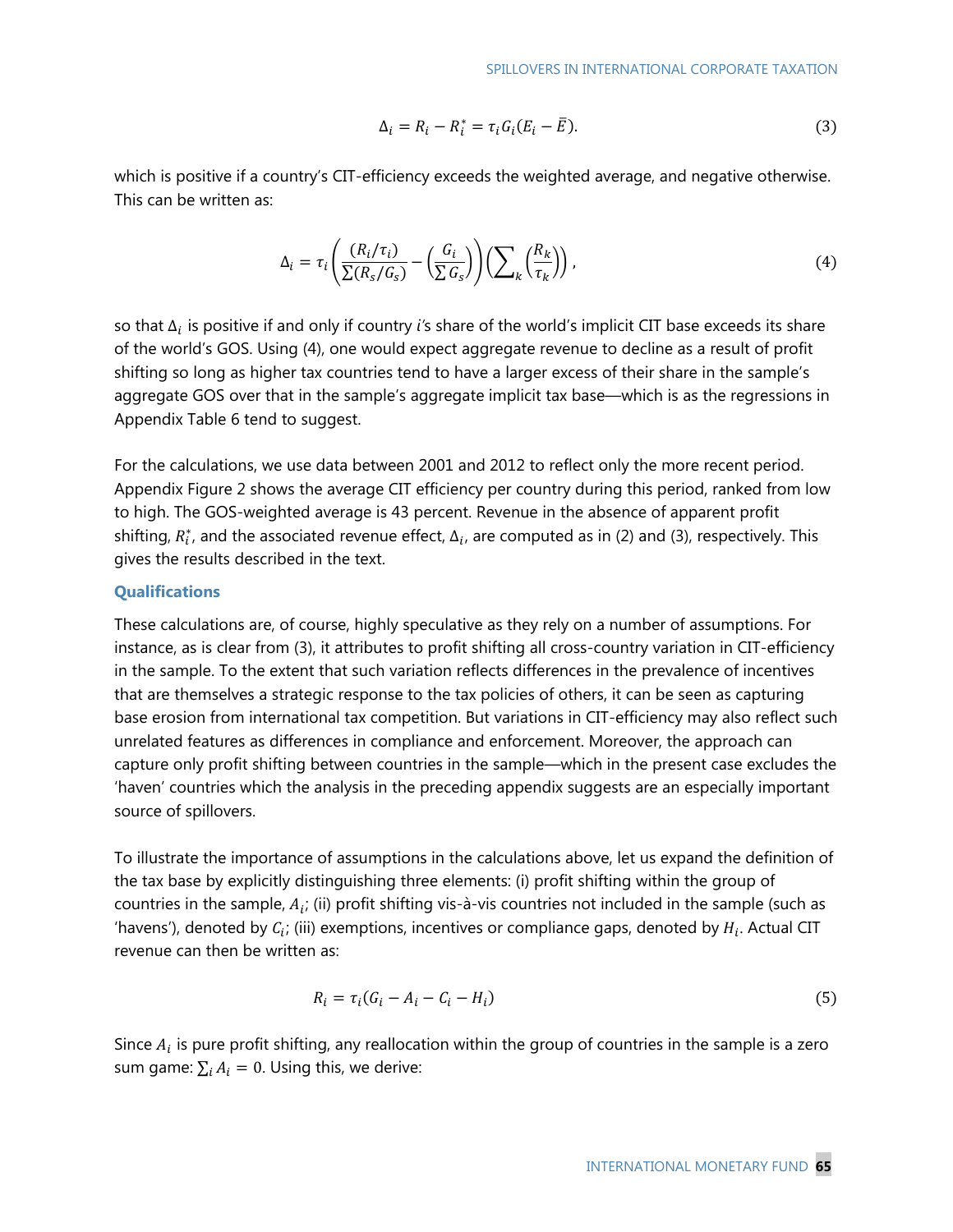$$
\Delta_i = R_i - R_i^* = \tau_i G_i (E_i - \overline{E}). \tag{3}
$$

which is positive if a country's CIT-efficiency exceeds the weighted average, and negative otherwise. This can be written as:

$$
\Delta_i = \tau_i \left( \frac{(R_i/\tau_i)}{\sum (R_s/G_s)} - \left( \frac{G_i}{\sum G_s} \right) \right) \left( \sum_k \left( \frac{R_k}{\tau_k} \right) \right),\tag{4}
$$

so that Δ is positive if and only if country *i'*s share of the world's implicit CIT base exceeds its share of the world's GOS. Using (4), one would expect aggregate revenue to decline as a result of profit shifting so long as higher tax countries tend to have a larger excess of their share in the sample's aggregate GOS over that in the sample's aggregate implicit tax base—which is as the regressions in Appendix Table 6 tend to suggest.

For the calculations, we use data between 2001 and 2012 to reflect only the more recent period. Appendix Figure 2 shows the average CIT efficiency per country during this period, ranked from low to high. The GOS-weighted average is 43 percent. Revenue in the absence of apparent profit shifting,  $R_i^*$ , and the associated revenue effect,  $\Delta_i$ , are computed as in (2) and (3), respectively. This gives the results described in the text.

#### **Qualifications**

These calculations are, of course, highly speculative as they rely on a number of assumptions. For instance, as is clear from (3), it attributes to profit shifting all cross-country variation in CIT-efficiency in the sample. To the extent that such variation reflects differences in the prevalence of incentives that are themselves a strategic response to the tax policies of others, it can be seen as capturing base erosion from international tax competition. But variations in CIT-efficiency may also reflect such unrelated features as differences in compliance and enforcement. Moreover, the approach can capture only profit shifting between countries in the sample—which in the present case excludes the 'haven' countries which the analysis in the preceding appendix suggests are an especially important source of spillovers.

To illustrate the importance of assumptions in the calculations above, let us expand the definition of the tax base by explicitly distinguishing three elements: (i) profit shifting within the group of countries in the sample,  $A_i$ ; (ii) profit shifting vis-à-vis countries not included in the sample (such as 'havens'), denoted by  $C_i$ ; (iii) exemptions, incentives or compliance gaps, denoted by  $H_i$ . Actual CIT revenue can then be written as:

$$
R_i = \tau_i (G_i - A_i - C_i - H_i) \tag{5}
$$

Since  $A_i$  is pure profit shifting, any reallocation within the group of countries in the sample is a zero sum game:  $\sum_i A_i = 0$ . Using this, we derive: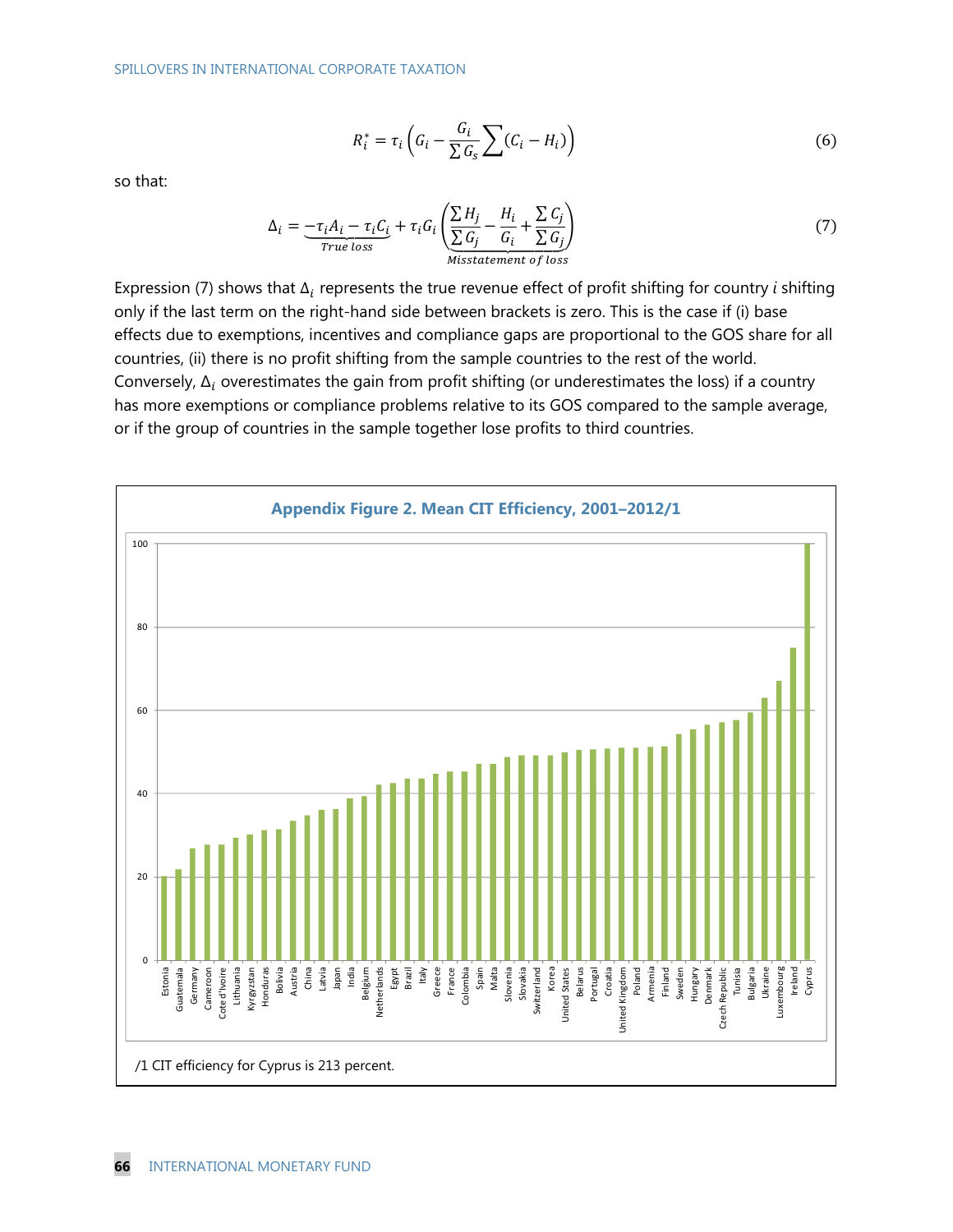$$
R_i^* = \tau_i \left( G_i - \frac{G_i}{\sum G_s} \sum (C_i - H_i) \right) \tag{6}
$$

so that:

$$
\Delta_i = \underbrace{-\tau_i A_i - \tau_i C_i}_{True\ loss} + \tau_i G_i \left( \underbrace{\sum H_j}_{Miss tatement\ of\ loss} - \frac{H_i}{G_i} + \frac{\sum C_j}{\sum G_j} \right)
$$
\n(7)

Expression (7) shows that  $\Delta_i$  represents the true revenue effect of profit shifting for country *i* shifting only if the last term on the right-hand side between brackets is zero. This is the case if (i) base effects due to exemptions, incentives and compliance gaps are proportional to the GOS share for all countries, (ii) there is no profit shifting from the sample countries to the rest of the world. Conversely,  $\Delta_i$  overestimates the gain from profit shifting (or underestimates the loss) if a country has more exemptions or compliance problems relative to its GOS compared to the sample average, or if the group of countries in the sample together lose profits to third countries.

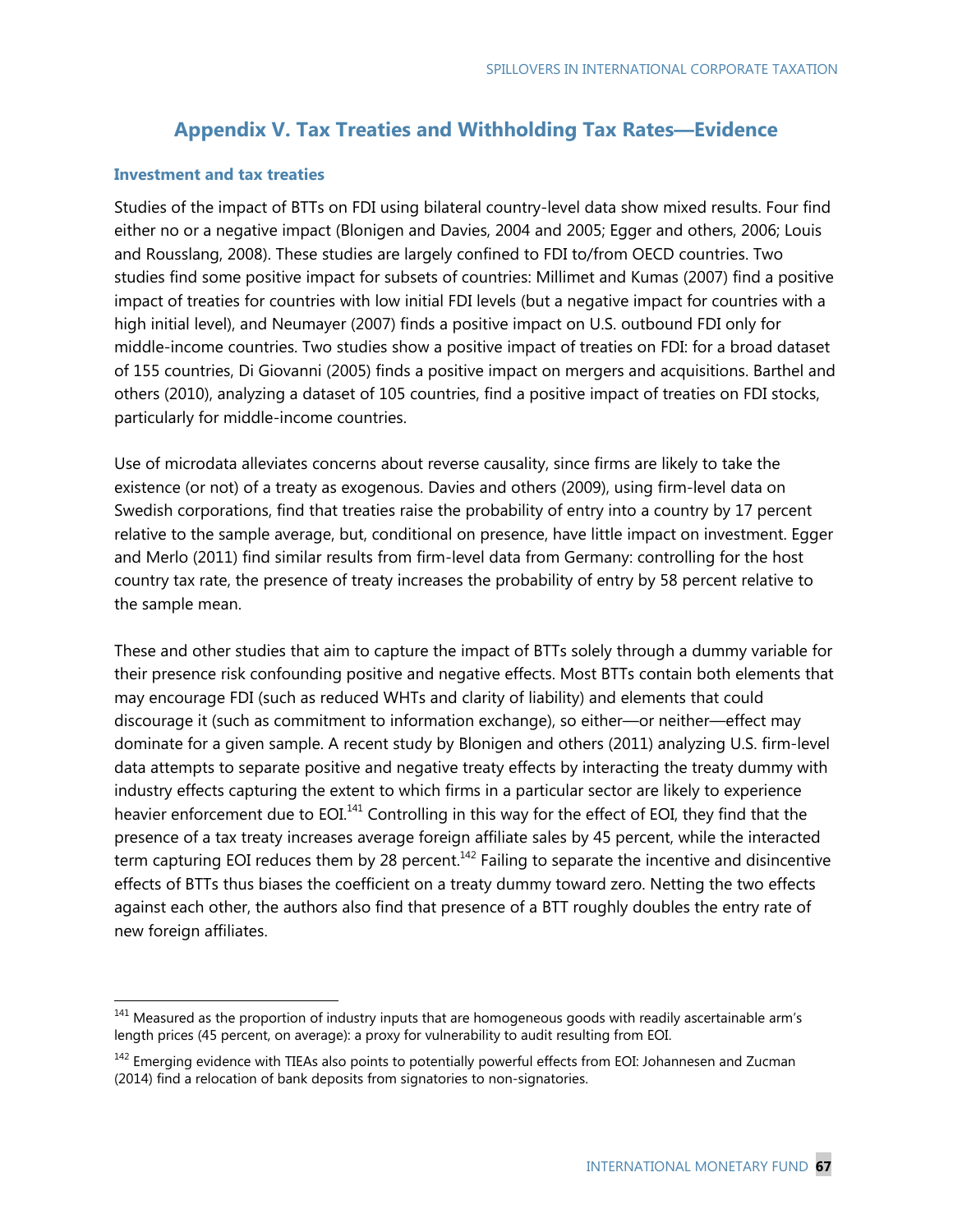## **Appendix V. Tax Treaties and Withholding Tax Rates—Evidence**

#### **Investment and tax treaties**

-

Studies of the impact of BTTs on FDI using bilateral country-level data show mixed results. Four find either no or a negative impact (Blonigen and Davies, 2004 and 2005; Egger and others, 2006; Louis and Rousslang, 2008). These studies are largely confined to FDI to/from OECD countries. Two studies find some positive impact for subsets of countries: Millimet and Kumas (2007) find a positive impact of treaties for countries with low initial FDI levels (but a negative impact for countries with a high initial level), and Neumayer (2007) finds a positive impact on U.S. outbound FDI only for middle-income countries. Two studies show a positive impact of treaties on FDI: for a broad dataset of 155 countries, Di Giovanni (2005) finds a positive impact on mergers and acquisitions. Barthel and others (2010), analyzing a dataset of 105 countries, find a positive impact of treaties on FDI stocks, particularly for middle-income countries.

Use of microdata alleviates concerns about reverse causality, since firms are likely to take the existence (or not) of a treaty as exogenous. Davies and others (2009), using firm-level data on Swedish corporations, find that treaties raise the probability of entry into a country by 17 percent relative to the sample average, but, conditional on presence, have little impact on investment. Egger and Merlo (2011) find similar results from firm-level data from Germany: controlling for the host country tax rate, the presence of treaty increases the probability of entry by 58 percent relative to the sample mean.

These and other studies that aim to capture the impact of BTTs solely through a dummy variable for their presence risk confounding positive and negative effects. Most BTTs contain both elements that may encourage FDI (such as reduced WHTs and clarity of liability) and elements that could discourage it (such as commitment to information exchange), so either—or neither—effect may dominate for a given sample. A recent study by Blonigen and others (2011) analyzing U.S. firm-level data attempts to separate positive and negative treaty effects by interacting the treaty dummy with industry effects capturing the extent to which firms in a particular sector are likely to experience heavier enforcement due to EOI.<sup>141</sup> Controlling in this way for the effect of EOI, they find that the presence of a tax treaty increases average foreign affiliate sales by 45 percent, while the interacted term capturing EOI reduces them by 28 percent.<sup>142</sup> Failing to separate the incentive and disincentive effects of BTTs thus biases the coefficient on a treaty dummy toward zero. Netting the two effects against each other, the authors also find that presence of a BTT roughly doubles the entry rate of new foreign affiliates.

 $141$  Measured as the proportion of industry inputs that are homogeneous goods with readily ascertainable arm's length prices (45 percent, on average): a proxy for vulnerability to audit resulting from EOI.

<sup>&</sup>lt;sup>142</sup> Emerging evidence with TIEAs also points to potentially powerful effects from EOI: Johannesen and Zucman (2014) find a relocation of bank deposits from signatories to non-signatories.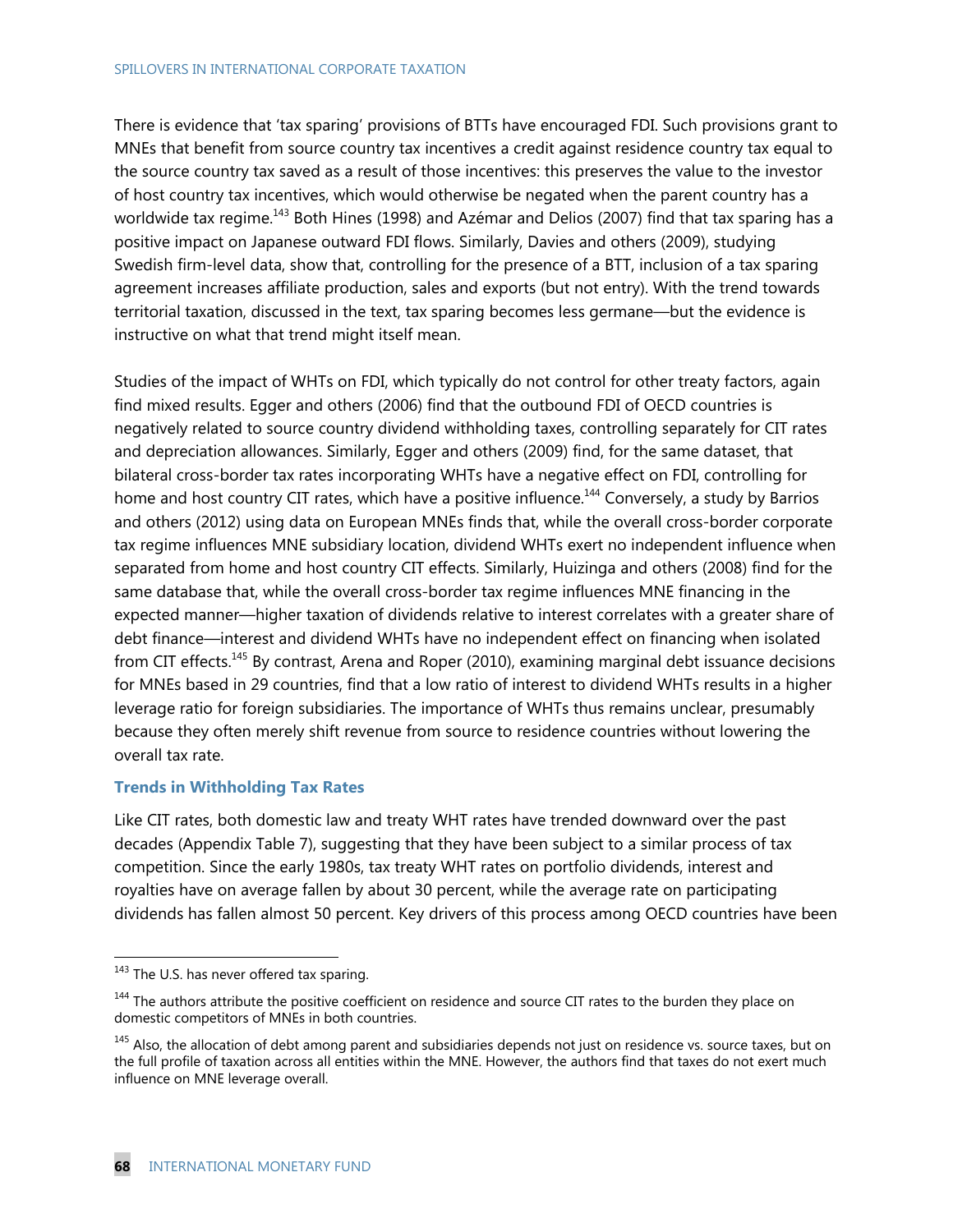#### SPILLOVERS IN INTERNATIONAL CORPORATE TAXATION

There is evidence that 'tax sparing' provisions of BTTs have encouraged FDI. Such provisions grant to MNEs that benefit from source country tax incentives a credit against residence country tax equal to the source country tax saved as a result of those incentives: this preserves the value to the investor of host country tax incentives, which would otherwise be negated when the parent country has a worldwide tax regime.<sup>143</sup> Both Hines (1998) and Azémar and Delios (2007) find that tax sparing has a positive impact on Japanese outward FDI flows. Similarly, Davies and others (2009), studying Swedish firm-level data, show that, controlling for the presence of a BTT, inclusion of a tax sparing agreement increases affiliate production, sales and exports (but not entry). With the trend towards territorial taxation, discussed in the text, tax sparing becomes less germane—but the evidence is instructive on what that trend might itself mean.

Studies of the impact of WHTs on FDI, which typically do not control for other treaty factors, again find mixed results. Egger and others (2006) find that the outbound FDI of OECD countries is negatively related to source country dividend withholding taxes, controlling separately for CIT rates and depreciation allowances. Similarly, Egger and others (2009) find, for the same dataset, that bilateral cross-border tax rates incorporating WHTs have a negative effect on FDI, controlling for home and host country CIT rates, which have a positive influence.<sup>144</sup> Conversely, a study by Barrios and others (2012) using data on European MNEs finds that, while the overall cross-border corporate tax regime influences MNE subsidiary location, dividend WHTs exert no independent influence when separated from home and host country CIT effects. Similarly, Huizinga and others (2008) find for the same database that, while the overall cross-border tax regime influences MNE financing in the expected manner—higher taxation of dividends relative to interest correlates with a greater share of debt finance—interest and dividend WHTs have no independent effect on financing when isolated from CIT effects.<sup>145</sup> By contrast, Arena and Roper (2010), examining marginal debt issuance decisions for MNEs based in 29 countries, find that a low ratio of interest to dividend WHTs results in a higher leverage ratio for foreign subsidiaries. The importance of WHTs thus remains unclear, presumably because they often merely shift revenue from source to residence countries without lowering the overall tax rate.

### **Trends in Withholding Tax Rates**

Like CIT rates, both domestic law and treaty WHT rates have trended downward over the past decades (Appendix Table 7), suggesting that they have been subject to a similar process of tax competition. Since the early 1980s, tax treaty WHT rates on portfolio dividends, interest and royalties have on average fallen by about 30 percent, while the average rate on participating dividends has fallen almost 50 percent. Key drivers of this process among OECD countries have been

<sup>&</sup>lt;sup>143</sup> The U.S. has never offered tax sparing.

<sup>&</sup>lt;sup>144</sup> The authors attribute the positive coefficient on residence and source CIT rates to the burden they place on domestic competitors of MNEs in both countries.

<sup>&</sup>lt;sup>145</sup> Also, the allocation of debt among parent and subsidiaries depends not just on residence vs. source taxes, but on the full profile of taxation across all entities within the MNE. However, the authors find that taxes do not exert much influence on MNE leverage overall.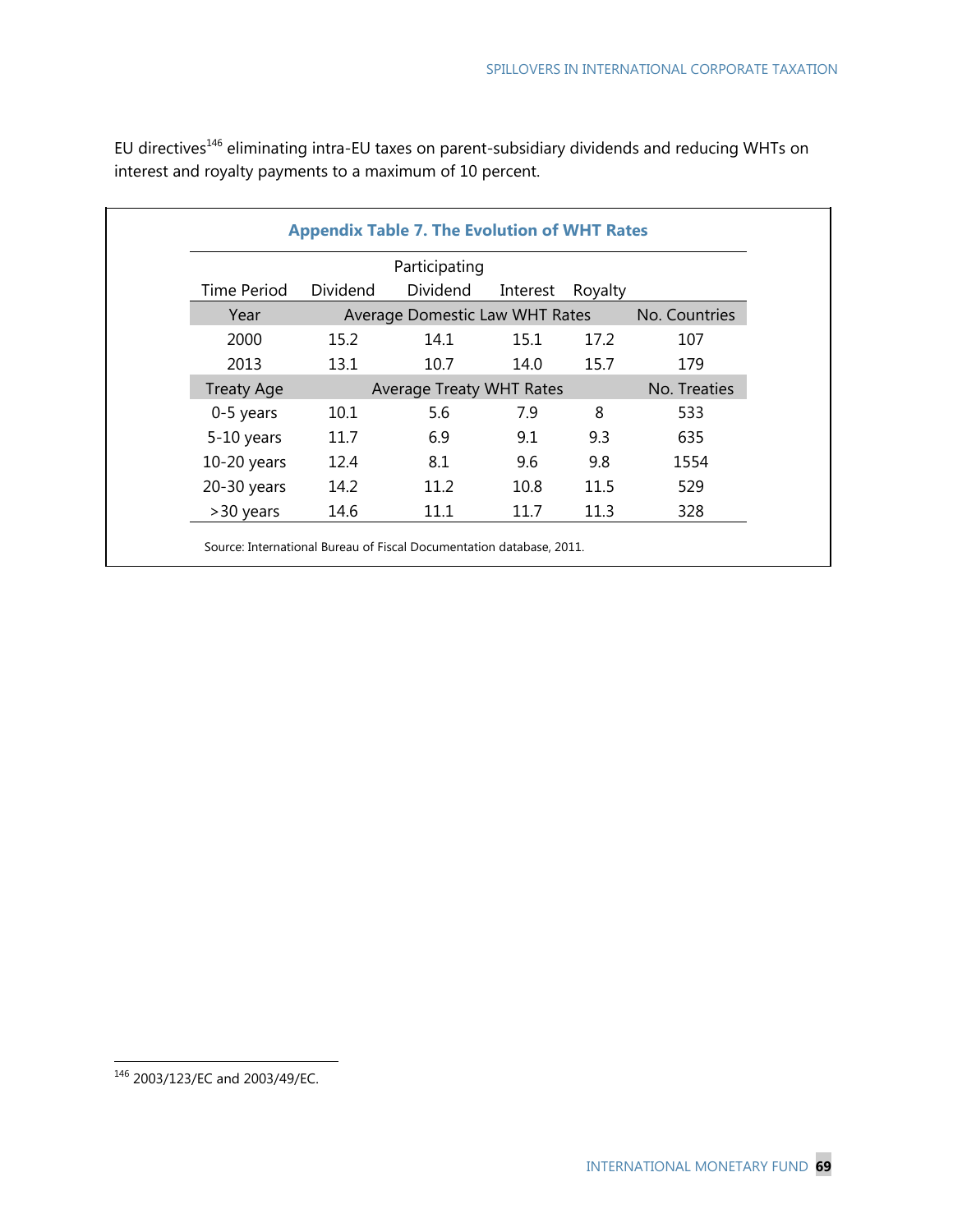|                   |          | Participating                   |          |         |               |
|-------------------|----------|---------------------------------|----------|---------|---------------|
| Time Period       | Dividend | Dividend                        | Interest | Royalty |               |
| Year              |          | Average Domestic Law WHT Rates  |          |         | No. Countries |
| 2000              | 15.2     | 14.1                            | 15.1     | 17.2    | 107           |
| 2013              | 13.1     | 10.7                            | 14.0     | 15.7    | 179           |
| <b>Treaty Age</b> |          | <b>Average Treaty WHT Rates</b> |          |         | No. Treaties  |
| 0-5 years         | 10.1     | 5.6                             | 7.9      | 8       | 533           |
| 5-10 years        | 11.7     | 6.9                             | 9.1      | 9.3     | 635           |
| $10-20$ years     | 12.4     | 8.1                             | 9.6      | 9.8     | 1554          |
| 20-30 years       | 14.2     | 11.2                            | 10.8     | 11.5    | 529           |
| >30 years         | 14.6     | 11.1                            | 11.7     | 11.3    | 328           |

EU directives<sup>146</sup> eliminating intra-EU taxes on parent-subsidiary dividends and reducing WHTs on interest and royalty payments to a maximum of 10 percent.

<sup>146 2003/123/</sup>EC and 2003/49/EC.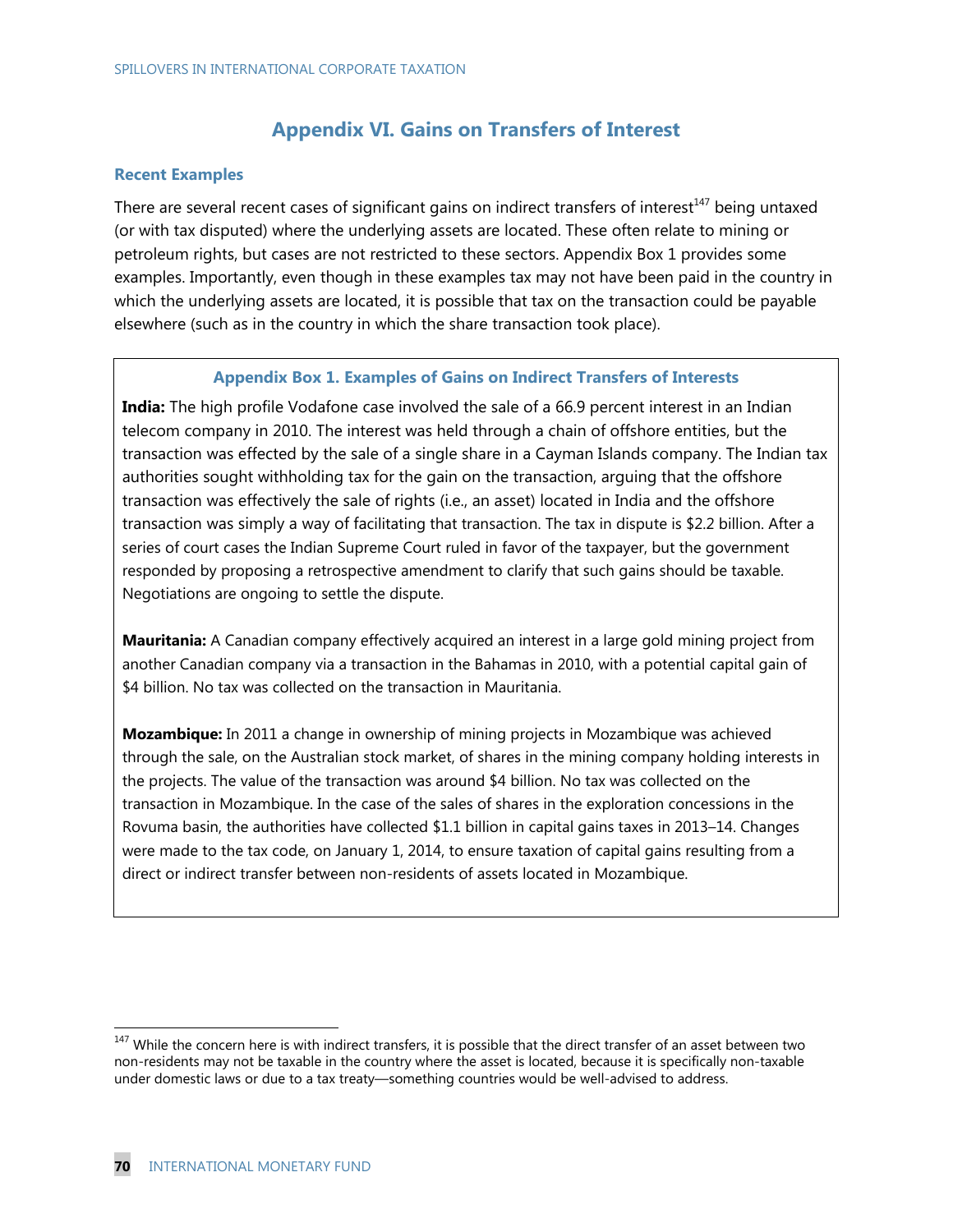## **Appendix VI. Gains on Transfers of Interest**

#### **Recent Examples**

There are several recent cases of significant gains on indirect transfers of interest<sup>147</sup> being untaxed (or with tax disputed) where the underlying assets are located. These often relate to mining or petroleum rights, but cases are not restricted to these sectors. Appendix Box 1 provides some examples. Importantly, even though in these examples tax may not have been paid in the country in which the underlying assets are located, it is possible that tax on the transaction could be payable elsewhere (such as in the country in which the share transaction took place).

#### **Appendix Box 1. Examples of Gains on Indirect Transfers of Interests**

**India:** The high profile Vodafone case involved the sale of a 66.9 percent interest in an Indian telecom company in 2010. The interest was held through a chain of offshore entities, but the transaction was effected by the sale of a single share in a Cayman Islands company. The Indian tax authorities sought withholding tax for the gain on the transaction, arguing that the offshore transaction was effectively the sale of rights (i.e., an asset) located in India and the offshore transaction was simply a way of facilitating that transaction. The tax in dispute is \$2.2 billion. After a series of court cases the Indian Supreme Court ruled in favor of the taxpayer, but the government responded by proposing a retrospective amendment to clarify that such gains should be taxable. Negotiations are ongoing to settle the dispute.

**Mauritania:** A Canadian company effectively acquired an interest in a large gold mining project from another Canadian company via a transaction in the Bahamas in 2010, with a potential capital gain of \$4 billion. No tax was collected on the transaction in Mauritania.

**Mozambique:** In 2011 a change in ownership of mining projects in Mozambique was achieved through the sale, on the Australian stock market, of shares in the mining company holding interests in the projects. The value of the transaction was around \$4 billion. No tax was collected on the transaction in Mozambique. In the case of the sales of shares in the exploration concessions in the Rovuma basin, the authorities have collected \$1.1 billion in capital gains taxes in 2013–14. Changes were made to the tax code, on January 1, 2014, to ensure taxation of capital gains resulting from a direct or indirect transfer between non-residents of assets located in Mozambique.

 $147$  While the concern here is with indirect transfers, it is possible that the direct transfer of an asset between two non-residents may not be taxable in the country where the asset is located, because it is specifically non-taxable under domestic laws or due to a tax treaty—something countries would be well-advised to address.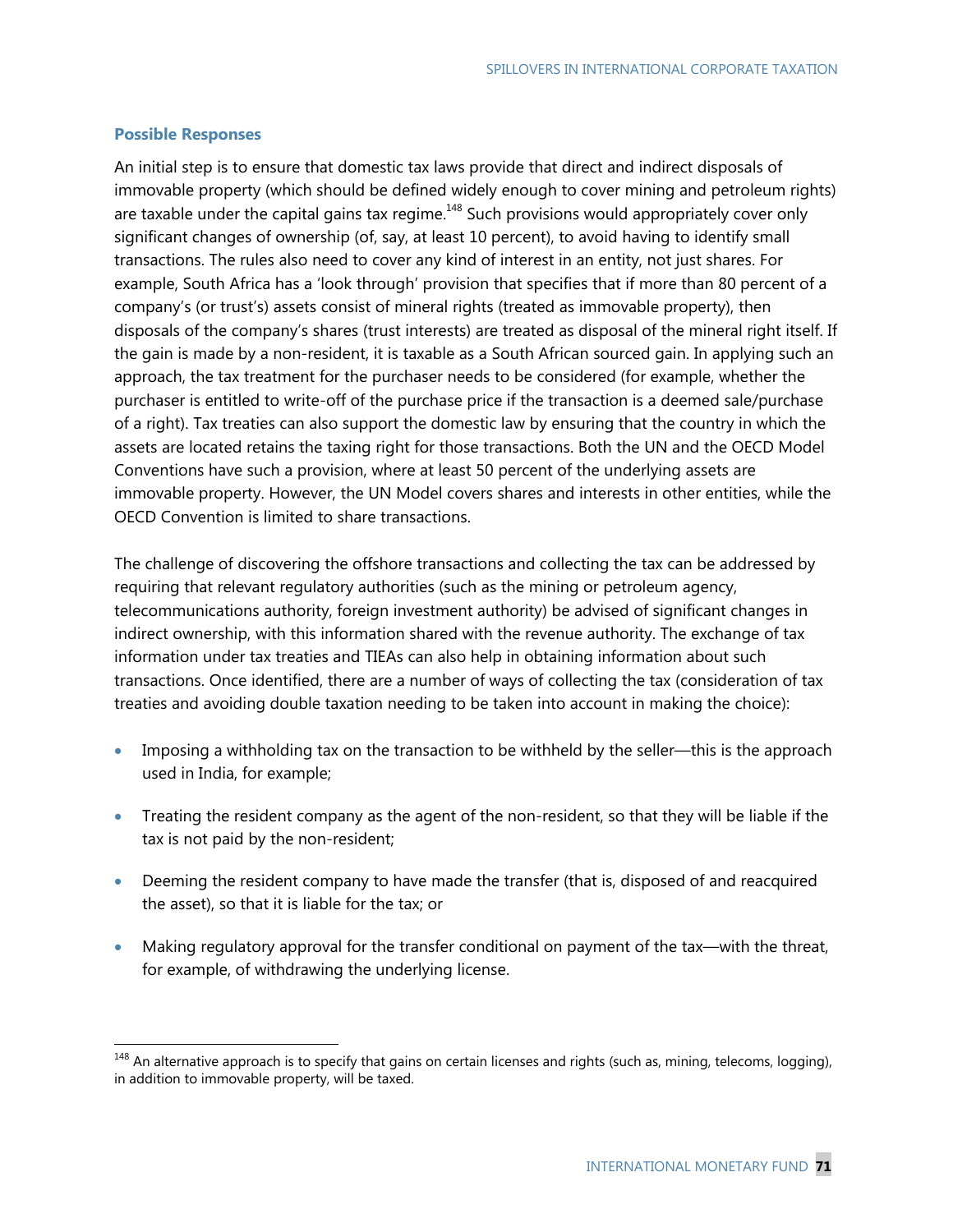#### **Possible Responses**

-

An initial step is to ensure that domestic tax laws provide that direct and indirect disposals of immovable property (which should be defined widely enough to cover mining and petroleum rights) are taxable under the capital gains tax regime.<sup>148</sup> Such provisions would appropriately cover only significant changes of ownership (of, say, at least 10 percent), to avoid having to identify small transactions. The rules also need to cover any kind of interest in an entity, not just shares. For example, South Africa has a 'look through' provision that specifies that if more than 80 percent of a company's (or trust's) assets consist of mineral rights (treated as immovable property), then disposals of the company's shares (trust interests) are treated as disposal of the mineral right itself. If the gain is made by a non-resident, it is taxable as a South African sourced gain. In applying such an approach, the tax treatment for the purchaser needs to be considered (for example, whether the purchaser is entitled to write-off of the purchase price if the transaction is a deemed sale/purchase of a right). Tax treaties can also support the domestic law by ensuring that the country in which the assets are located retains the taxing right for those transactions. Both the UN and the OECD Model Conventions have such a provision, where at least 50 percent of the underlying assets are immovable property. However, the UN Model covers shares and interests in other entities, while the OECD Convention is limited to share transactions.

The challenge of discovering the offshore transactions and collecting the tax can be addressed by requiring that relevant regulatory authorities (such as the mining or petroleum agency, telecommunications authority, foreign investment authority) be advised of significant changes in indirect ownership, with this information shared with the revenue authority. The exchange of tax information under tax treaties and TIEAs can also help in obtaining information about such transactions. Once identified, there are a number of ways of collecting the tax (consideration of tax treaties and avoiding double taxation needing to be taken into account in making the choice):

- Imposing a withholding tax on the transaction to be withheld by the seller—this is the approach used in India, for example;
- Treating the resident company as the agent of the non-resident, so that they will be liable if the tax is not paid by the non-resident;
- Deeming the resident company to have made the transfer (that is, disposed of and reacquired the asset), so that it is liable for the tax; or
- Making regulatory approval for the transfer conditional on payment of the tax—with the threat, for example, of withdrawing the underlying license.

 $148$  An alternative approach is to specify that gains on certain licenses and rights (such as, mining, telecoms, logging), in addition to immovable property, will be taxed.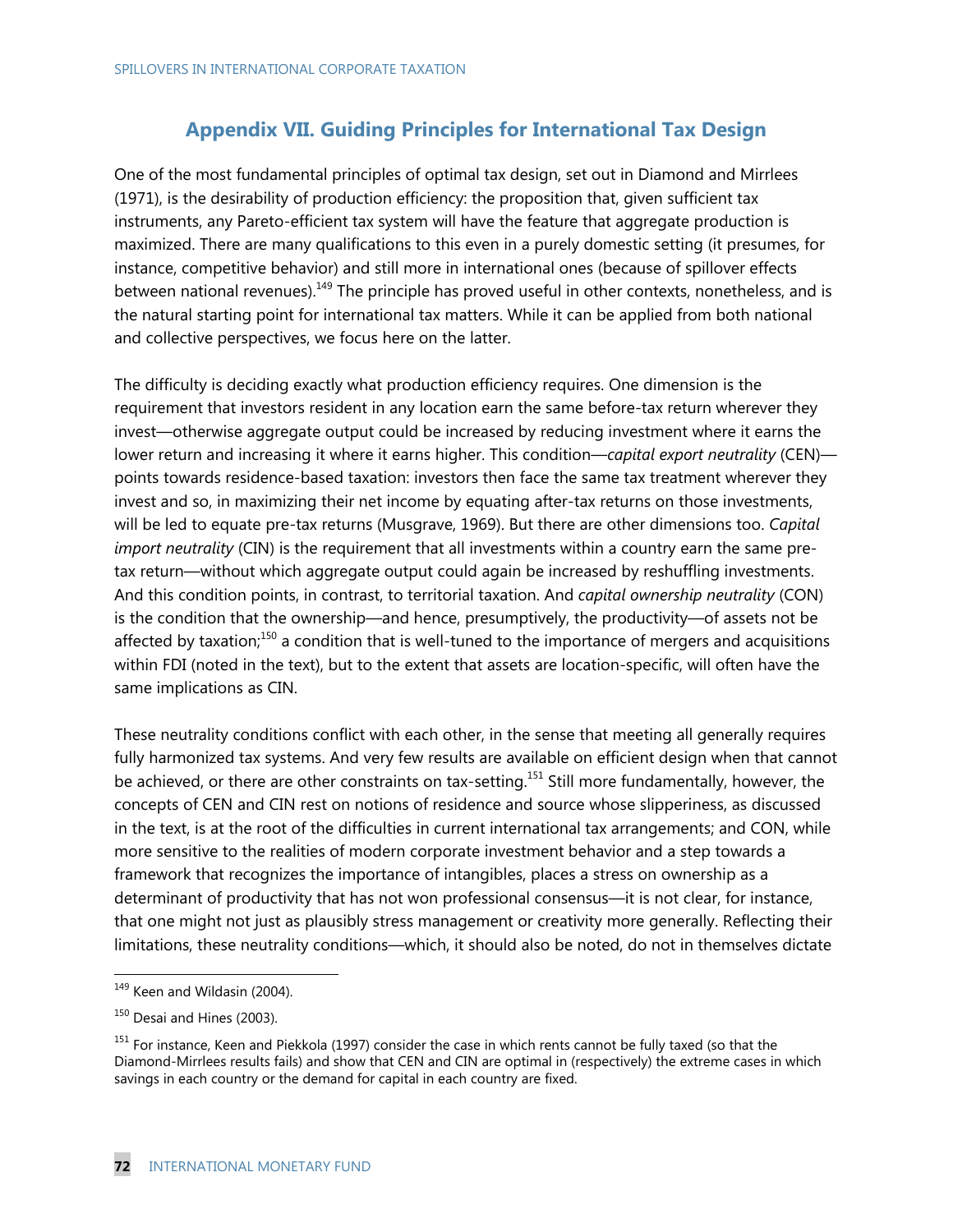## **Appendix VII. Guiding Principles for International Tax Design**

One of the most fundamental principles of optimal tax design, set out in Diamond and Mirrlees (1971), is the desirability of production efficiency: the proposition that, given sufficient tax instruments, any Pareto-efficient tax system will have the feature that aggregate production is maximized. There are many qualifications to this even in a purely domestic setting (it presumes, for instance, competitive behavior) and still more in international ones (because of spillover effects between national revenues).<sup>149</sup> The principle has proved useful in other contexts, nonetheless, and is the natural starting point for international tax matters. While it can be applied from both national and collective perspectives, we focus here on the latter.

The difficulty is deciding exactly what production efficiency requires. One dimension is the requirement that investors resident in any location earn the same before-tax return wherever they invest—otherwise aggregate output could be increased by reducing investment where it earns the lower return and increasing it where it earns higher. This condition—*capital export neutrality* (CEN) points towards residence-based taxation: investors then face the same tax treatment wherever they invest and so, in maximizing their net income by equating after-tax returns on those investments, will be led to equate pre-tax returns (Musgrave, 1969). But there are other dimensions too. *Capital import neutrality* (CIN) is the requirement that all investments within a country earn the same pretax return—without which aggregate output could again be increased by reshuffling investments. And this condition points, in contrast, to territorial taxation. And *capital ownership neutrality* (CON) is the condition that the ownership—and hence, presumptively, the productivity—of assets not be affected by taxation;<sup>150</sup> a condition that is well-tuned to the importance of mergers and acquisitions within FDI (noted in the text), but to the extent that assets are location-specific, will often have the same implications as CIN.

These neutrality conditions conflict with each other, in the sense that meeting all generally requires fully harmonized tax systems. And very few results are available on efficient design when that cannot be achieved, or there are other constraints on tax-setting.<sup>151</sup> Still more fundamentally, however, the concepts of CEN and CIN rest on notions of residence and source whose slipperiness, as discussed in the text, is at the root of the difficulties in current international tax arrangements; and CON, while more sensitive to the realities of modern corporate investment behavior and a step towards a framework that recognizes the importance of intangibles, places a stress on ownership as a determinant of productivity that has not won professional consensus—it is not clear, for instance, that one might not just as plausibly stress management or creativity more generally. Reflecting their limitations, these neutrality conditions—which, it should also be noted, do not in themselves dictate

-

<sup>&</sup>lt;sup>149</sup> Keen and Wildasin (2004).

<sup>&</sup>lt;sup>150</sup> Desai and Hines (2003).

<sup>&</sup>lt;sup>151</sup> For instance, Keen and Piekkola (1997) consider the case in which rents cannot be fully taxed (so that the Diamond-Mirrlees results fails) and show that CEN and CIN are optimal in (respectively) the extreme cases in which savings in each country or the demand for capital in each country are fixed.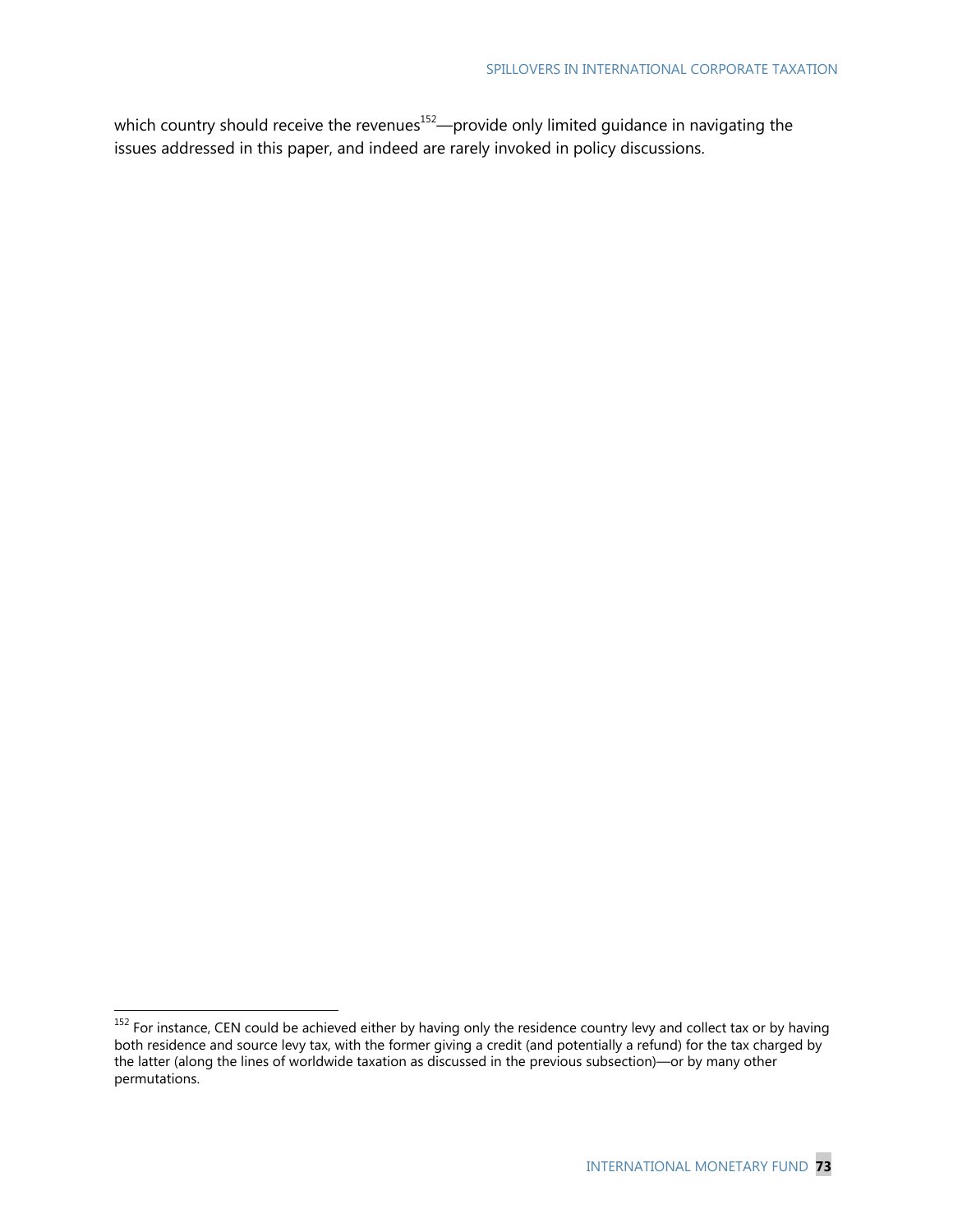which country should receive the revenues<sup>152</sup>—provide only limited guidance in navigating the issues addressed in this paper, and indeed are rarely invoked in policy discussions.

-

 $152$  For instance, CEN could be achieved either by having only the residence country levy and collect tax or by having both residence and source levy tax, with the former giving a credit (and potentially a refund) for the tax charged by the latter (along the lines of worldwide taxation as discussed in the previous subsection)—or by many other permutations.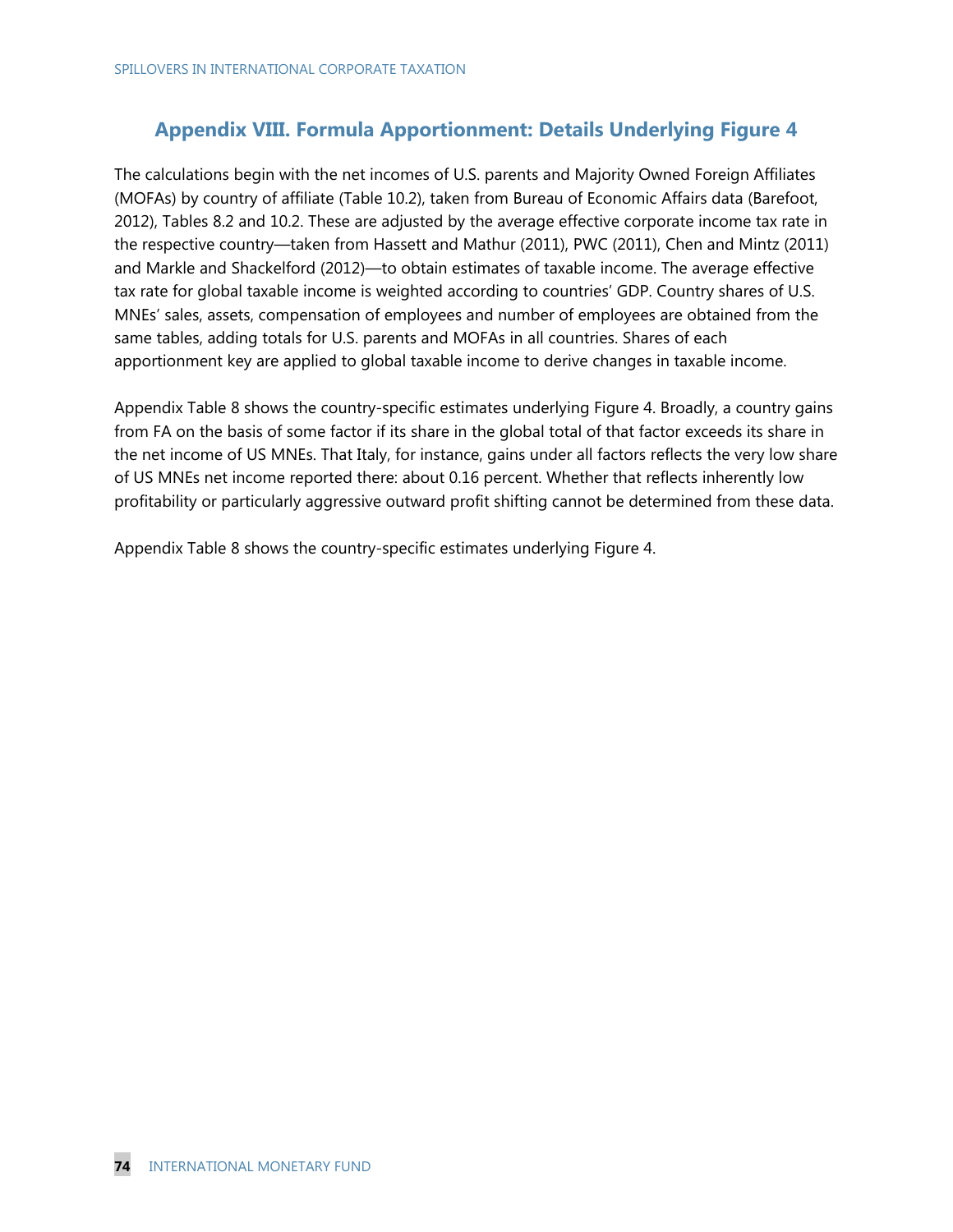## **Appendix VIII. Formula Apportionment: Details Underlying Figure 4**

The calculations begin with the net incomes of U.S. parents and Majority Owned Foreign Affiliates (MOFAs) by country of affiliate (Table 10.2), taken from Bureau of Economic Affairs data (Barefoot, 2012), Tables 8.2 and 10.2. These are adjusted by the average effective corporate income tax rate in the respective country—taken from Hassett and Mathur (2011), PWC (2011), Chen and Mintz (2011) and Markle and Shackelford (2012)—to obtain estimates of taxable income. The average effective tax rate for global taxable income is weighted according to countries' GDP. Country shares of U.S. MNEs' sales, assets, compensation of employees and number of employees are obtained from the same tables, adding totals for U.S. parents and MOFAs in all countries. Shares of each apportionment key are applied to global taxable income to derive changes in taxable income.

Appendix Table 8 shows the country-specific estimates underlying Figure 4. Broadly, a country gains from FA on the basis of some factor if its share in the global total of that factor exceeds its share in the net income of US MNEs. That Italy, for instance, gains under all factors reflects the very low share of US MNEs net income reported there: about 0.16 percent. Whether that reflects inherently low profitability or particularly aggressive outward profit shifting cannot be determined from these data.

Appendix Table 8 shows the country-specific estimates underlying Figure 4.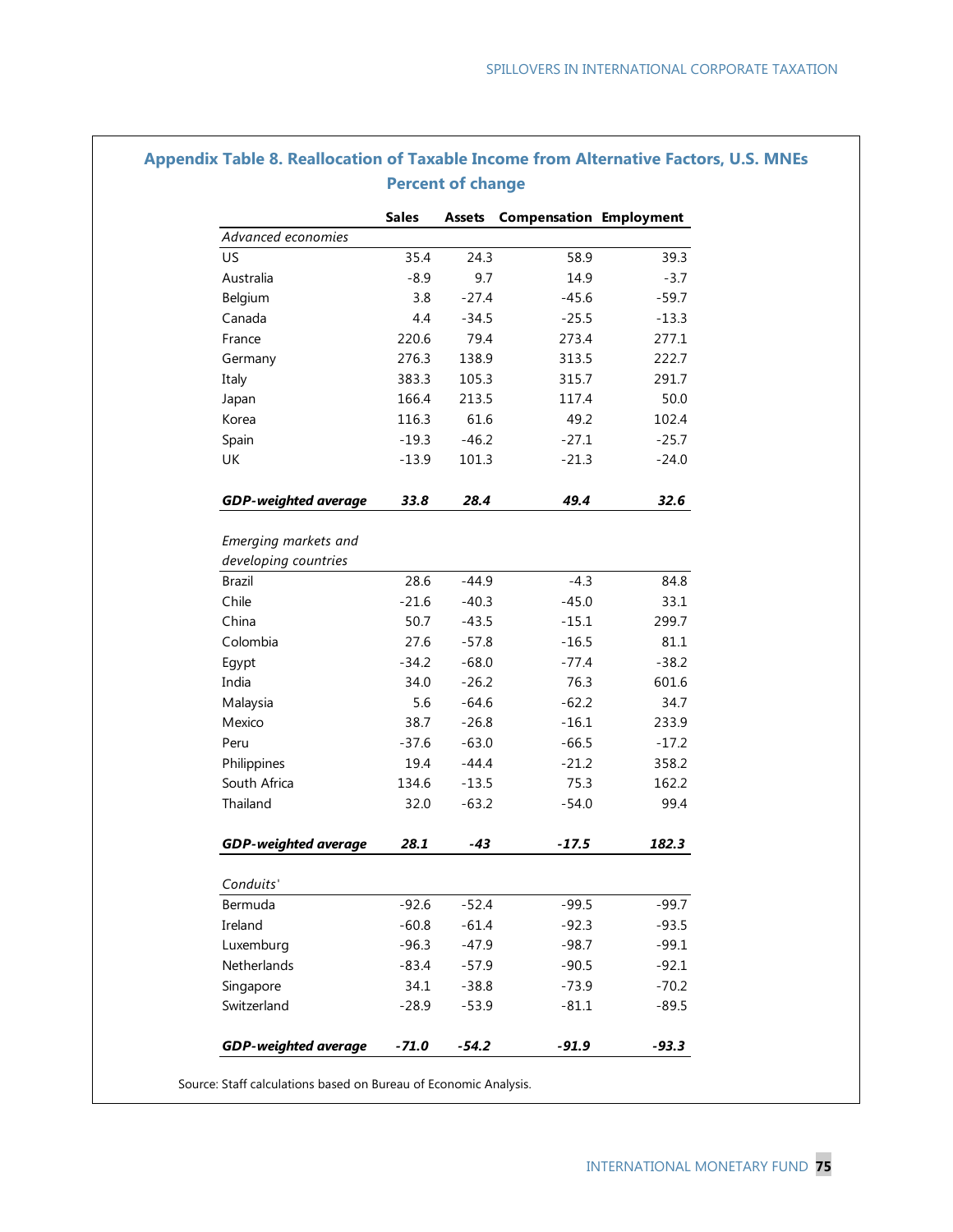|                             | <b>Sales</b> |         | <b>Assets Compensation Employment</b> |         |
|-----------------------------|--------------|---------|---------------------------------------|---------|
| Advanced economies          |              |         |                                       |         |
| US                          | 35.4         | 24.3    | 58.9                                  | 39.3    |
| Australia                   | $-8.9$       | 9.7     | 14.9                                  | $-3.7$  |
| Belgium                     | 3.8          | $-27.4$ | $-45.6$                               | $-59.7$ |
| Canada                      | 4.4          | $-34.5$ | $-25.5$                               | $-13.3$ |
| France                      | 220.6        | 79.4    | 273.4                                 | 277.1   |
| Germany                     | 276.3        | 138.9   | 313.5                                 | 222.7   |
| Italy                       | 383.3        | 105.3   | 315.7                                 | 291.7   |
| Japan                       | 166.4        | 213.5   | 117.4                                 | 50.0    |
| Korea                       | 116.3        | 61.6    | 49.2                                  | 102.4   |
| Spain                       | $-19.3$      | $-46.2$ | $-27.1$                               | $-25.7$ |
| UK                          | $-13.9$      | 101.3   | $-21.3$                               | $-24.0$ |
| <b>GDP-weighted average</b> | 33.8         | 28.4    | 49.4                                  | 32.6    |
|                             |              |         |                                       |         |
| Emerging markets and        |              |         |                                       |         |
| developing countries        |              |         |                                       |         |
| <b>Brazil</b>               | 28.6         | $-44.9$ | $-4.3$                                | 84.8    |
| Chile                       | $-21.6$      | $-40.3$ | $-45.0$                               | 33.1    |
| China                       | 50.7         | $-43.5$ | $-15.1$                               | 299.7   |
| Colombia                    | 27.6         | $-57.8$ | $-16.5$                               | 81.1    |
| Egypt                       | $-34.2$      | $-68.0$ | $-77.4$                               | $-38.2$ |
| India                       | 34.0         | $-26.2$ | 76.3                                  | 601.6   |
| Malaysia                    | 5.6          | $-64.6$ | $-62.2$                               | 34.7    |
| Mexico                      | 38.7         | $-26.8$ | $-16.1$                               | 233.9   |
| Peru                        | $-37.6$      | $-63.0$ | $-66.5$                               | $-17.2$ |
| Philippines                 | 19.4         | $-44.4$ | $-21.2$                               | 358.2   |
| South Africa                | 134.6        | $-13.5$ | 75.3                                  | 162.2   |
| Thailand                    | 32.0         | $-63.2$ | $-54.0$                               | 99.4    |
| <b>GDP-weighted average</b> | 28.1         | $-43$   | $-17.5$                               | 182.3   |
| Conduits'                   |              |         |                                       |         |
| Bermuda                     | $-92.6$      | $-52.4$ | $-99.5$                               | $-99.7$ |
| Ireland                     | $-60.8$      | $-61.4$ | $-92.3$                               | $-93.5$ |
| Luxemburg                   | $-96.3$      | $-47.9$ | $-98.7$                               | $-99.1$ |
| Netherlands                 | $-83.4$      | $-57.9$ | $-90.5$                               | $-92.1$ |
| Singapore                   | 34.1         | $-38.8$ | $-73.9$                               | $-70.2$ |
| Switzerland                 | $-28.9$      | $-53.9$ | $-81.1$                               | $-89.5$ |
| <b>GDP-weighted average</b> | $-71.0$      | $-54.2$ | $-91.9$                               | $-93.3$ |

## **Appendix Table 8. Reallocation of Taxable Income from Alternative Factors, U.S. MNEs**

Source: Staff calculations based on Bureau of Economic Analysis.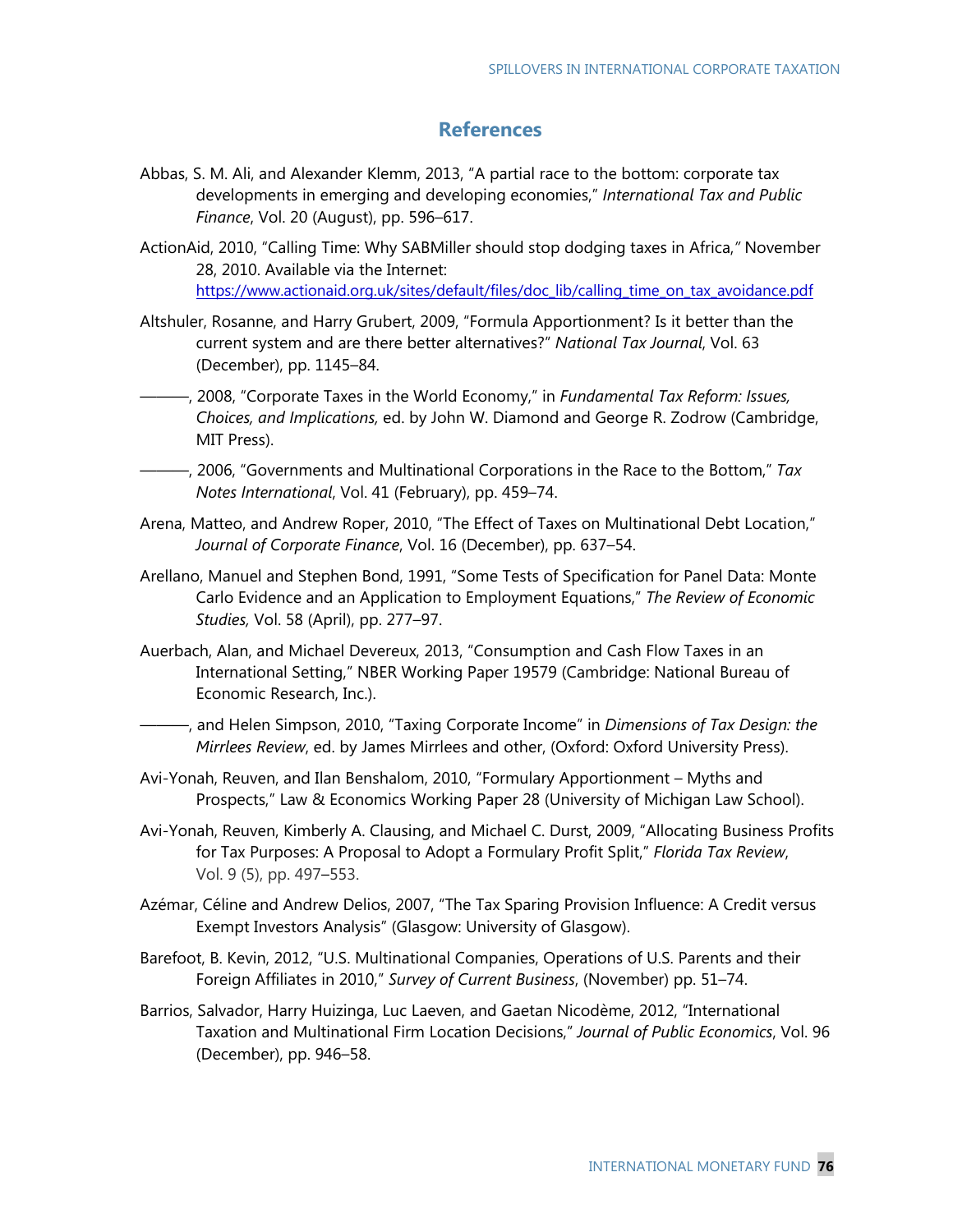## **References**

- Abbas, S. M. Ali, and Alexander Klemm, 2013, "A partial race to the bottom: corporate tax developments in emerging and developing economies," *International Tax and Public Finance*, Vol. 20 (August), pp. 596–617.
- ActionAid, 2010, "Calling Time: Why SABMiller should stop dodging taxes in Africa,*"* November 28, 2010. Available via the Internet: https://www.actionaid.org.uk/sites/default/files/doc\_lib/calling\_time\_on\_tax\_avoidance.pdf
- Altshuler, Rosanne, and Harry Grubert, 2009, "Formula Apportionment? Is it better than the current system and are there better alternatives?" *National Tax Journal*, Vol. 63 (December), pp. 1145–84.
- ———, 2008, "Corporate Taxes in the World Economy," in *Fundamental Tax Reform: Issues, Choices, and Implications,* ed. by John W. Diamond and George R. Zodrow (Cambridge, MIT Press).
- ———, 2006, "Governments and Multinational Corporations in the Race to the Bottom," *Tax Notes International*, Vol. 41 (February), pp. 459–74.
- Arena, Matteo, and Andrew Roper, 2010, "The Effect of Taxes on Multinational Debt Location," *Journal of Corporate Finance*, Vol. 16 (December), pp. 637–54.
- Arellano, Manuel and Stephen Bond, 1991, "Some Tests of Specification for Panel Data: Monte Carlo Evidence and an Application to Employment Equations," *The Review of Economic Studies,* Vol. 58 (April), pp. 277–97.
- Auerbach, Alan, and Michael Devereux, 2013, "Consumption and Cash Flow Taxes in an International Setting," NBER Working Paper 19579 (Cambridge: National Bureau of Economic Research, Inc.).
- ———, and Helen Simpson, 2010, "Taxing Corporate Income" in *Dimensions of Tax Design: the Mirrlees Review*, ed. by James Mirrlees and other, (Oxford: Oxford University Press).
- Avi-Yonah, Reuven, and Ilan Benshalom, 2010, "Formulary Apportionment Myths and Prospects," Law & Economics Working Paper 28 (University of Michigan Law School).
- Avi-Yonah, Reuven, Kimberly A. Clausing, and Michael C. Durst, 2009, "Allocating Business Profits for Tax Purposes: A Proposal to Adopt a Formulary Profit Split," *Florida Tax Review*, Vol. 9 (5), pp. 497–553.
- Azémar, Céline and Andrew Delios, 2007, "The Tax Sparing Provision Influence: A Credit versus Exempt Investors Analysis" (Glasgow: University of Glasgow).
- Barefoot, B. Kevin, 2012, "U.S. Multinational Companies, Operations of U.S. Parents and their Foreign Affiliates in 2010," *Survey of Current Business*, (November) pp. 51–74.
- Barrios, Salvador, Harry Huizinga, Luc Laeven, and Gaetan Nicodème, 2012, "International Taxation and Multinational Firm Location Decisions," *Journal of Public Economics*, Vol. 96 (December), pp. 946–58.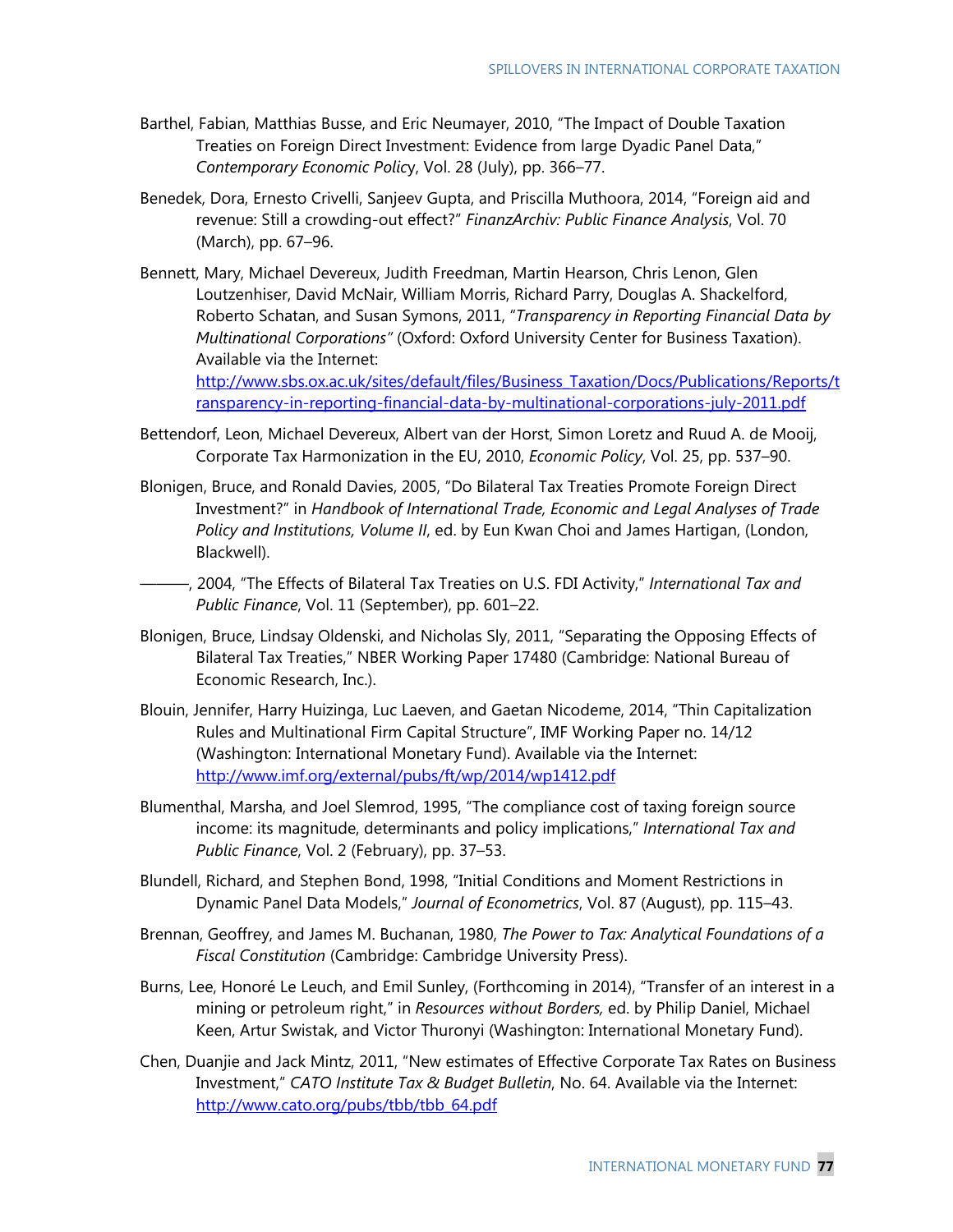- Barthel, Fabian, Matthias Busse, and Eric Neumayer, 2010, "The Impact of Double Taxation Treaties on Foreign Direct Investment: Evidence from large Dyadic Panel Data," *Contemporary Economic Polic*y, Vol. 28 (July), pp. 366–77.
- Benedek, Dora, Ernesto Crivelli, Sanjeev Gupta, and Priscilla Muthoora, 2014, "Foreign aid and revenue: Still a crowding-out effect?" *FinanzArchiv: Public Finance Analysis*, Vol. 70 (March), pp. 67–96.
- Bennett, Mary, Michael Devereux, Judith Freedman, Martin Hearson, Chris Lenon, Glen Loutzenhiser, David McNair, William Morris, Richard Parry, Douglas A. Shackelford, Roberto Schatan, and Susan Symons, 2011, "*Transparency in Reporting Financial Data by Multinational Corporations"* (Oxford: Oxford University Center for Business Taxation). Available via the Internet:

http://www.sbs.ox.ac.uk/sites/default/files/Business\_Taxation/Docs/Publications/Reports/t ransparency-in-reporting-financial-data-by-multinational-corporations-july-2011.pdf

- Bettendorf, Leon, Michael Devereux, Albert van der Horst, Simon Loretz and Ruud A. de Mooij, Corporate Tax Harmonization in the EU, 2010, *Economic Policy*, Vol. 25, pp. 537–90.
- Blonigen, Bruce, and Ronald Davies, 2005, "Do Bilateral Tax Treaties Promote Foreign Direct Investment?" in *Handbook of International Trade, Economic and Legal Analyses of Trade Policy and Institutions, Volume II*, ed. by Eun Kwan Choi and James Hartigan, (London, Blackwell).
- ———, 2004, "The Effects of Bilateral Tax Treaties on U.S. FDI Activity," *International Tax and Public Finance*, Vol. 11 (September), pp. 601–22.
- Blonigen, Bruce, Lindsay Oldenski, and Nicholas Sly, 2011, "Separating the Opposing Effects of Bilateral Tax Treaties," NBER Working Paper 17480 (Cambridge: National Bureau of Economic Research, Inc.).
- Blouin, Jennifer, Harry Huizinga, Luc Laeven, and Gaetan Nicodeme, 2014, "Thin Capitalization Rules and Multinational Firm Capital Structure", IMF Working Paper no. 14/12 (Washington: International Monetary Fund). Available via the Internet: http://www.imf.org/external/pubs/ft/wp/2014/wp1412.pdf
- Blumenthal, Marsha, and Joel Slemrod, 1995, "The compliance cost of taxing foreign source income: its magnitude, determinants and policy implications," *International Tax and Public Finance*, Vol. 2 (February), pp. 37–53.
- Blundell, Richard, and Stephen Bond, 1998, "Initial Conditions and Moment Restrictions in Dynamic Panel Data Models," *Journal of Econometrics*, Vol. 87 (August), pp. 115–43.
- Brennan, Geoffrey, and James M. Buchanan, 1980, *The Power to Tax: Analytical Foundations of a Fiscal Constitution* (Cambridge: Cambridge University Press).
- Burns, Lee, Honoré Le Leuch, and Emil Sunley, (Forthcoming in 2014), "Transfer of an interest in a mining or petroleum right," in *Resources without Borders,* ed. by Philip Daniel, Michael Keen, Artur Swistak, and Victor Thuronyi (Washington: International Monetary Fund).
- Chen, Duanjie and Jack Mintz, 2011, "New estimates of Effective Corporate Tax Rates on Business Investment," *CATO Institute Tax & Budget Bulletin*, No. 64. Available via the Internet: http://www.cato.org/pubs/tbb/tbb\_64.pdf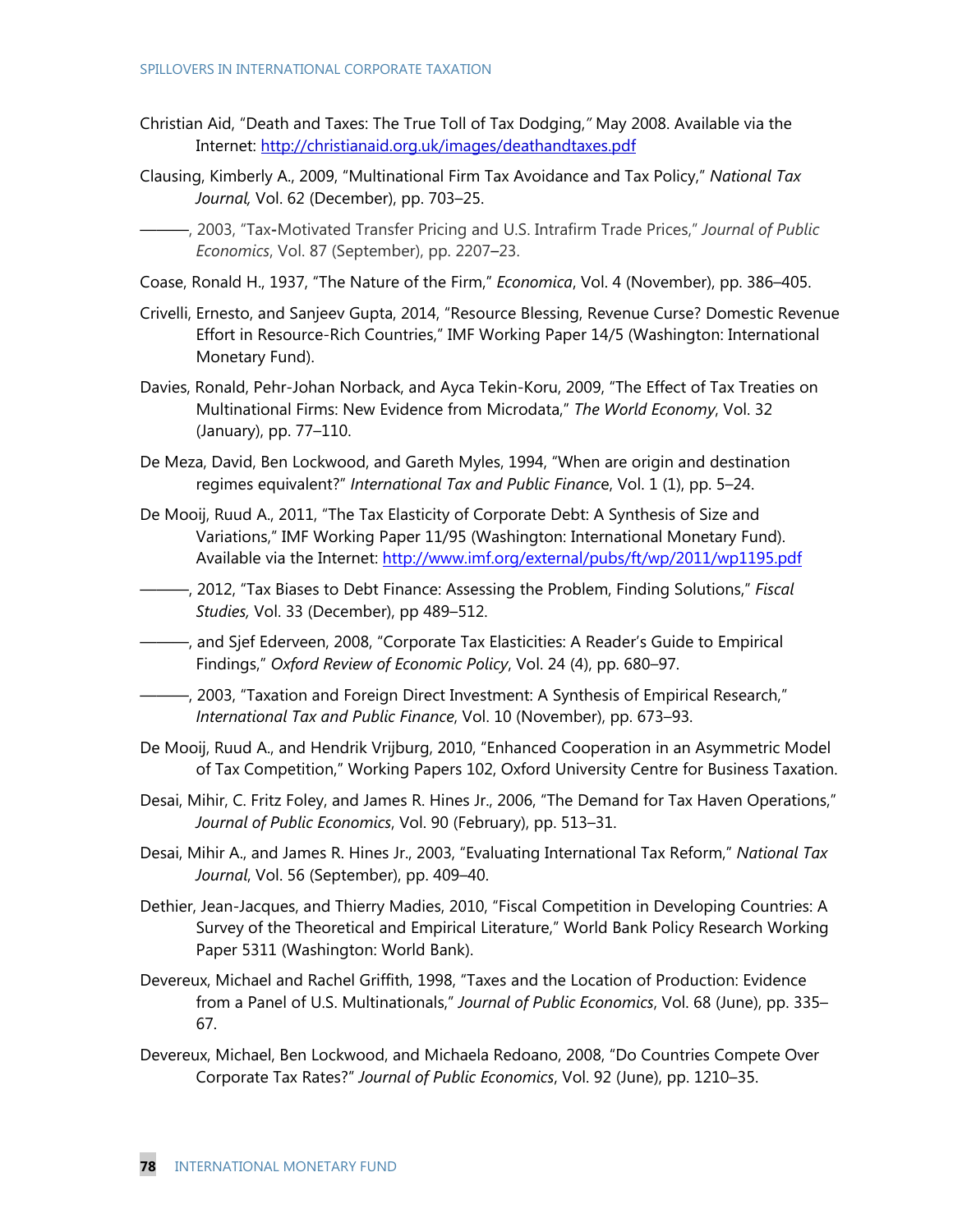- Christian Aid, "Death and Taxes: The True Toll of Tax Dodging,*"* May 2008. Available via the Internet: http://christianaid.org.uk/images/deathandtaxes.pdf
- Clausing, Kimberly A., 2009, "Multinational Firm Tax Avoidance and Tax Policy," *National Tax Journal,* Vol. 62 (December), pp. 703–25.
	- ———, 2003, "Tax**-**Motivated Transfer Pricing and U.S. Intrafirm Trade Prices," *Journal of Public Economics*, Vol. 87 (September), pp. 2207–23.
- Coase, Ronald H., 1937, "The Nature of the Firm," *Economica*, Vol. 4 (November), pp. 386–405.
- Crivelli, Ernesto, and Sanjeev Gupta, 2014, "Resource Blessing, Revenue Curse? Domestic Revenue Effort in Resource-Rich Countries," IMF Working Paper 14/5 (Washington: International Monetary Fund).
- Davies, Ronald, Pehr-Johan Norback, and Ayca Tekin-Koru, 2009, "The Effect of Tax Treaties on Multinational Firms: New Evidence from Microdata," *The World Economy*, Vol. 32 (January), pp. 77–110.
- De Meza, David, Ben Lockwood, and Gareth Myles, 1994, "When are origin and destination regimes equivalent?" *International Tax and Public Financ*e, Vol. 1 (1), pp. 5–24.
- De Mooij, Ruud A., 2011, "The Tax Elasticity of Corporate Debt: A Synthesis of Size and Variations," IMF Working Paper 11/95 (Washington: International Monetary Fund). Available via the Internet: http://www.imf.org/external/pubs/ft/wp/2011/wp1195.pdf
- ———, 2012, "Tax Biases to Debt Finance: Assessing the Problem, Finding Solutions," *Fiscal Studies,* Vol. 33 (December), pp 489–512.
- ———, and Sjef Ederveen, 2008, "Corporate Tax Elasticities: A Reader's Guide to Empirical Findings," *Oxford Review of Economic Policy*, Vol. 24 (4), pp. 680–97.
- ———, 2003, "Taxation and Foreign Direct Investment: A Synthesis of Empirical Research," *International Tax and Public Finance*, Vol. 10 (November), pp. 673–93.
- De Mooij, Ruud A., and Hendrik Vrijburg, 2010, "Enhanced Cooperation in an Asymmetric Model of Tax Competition," Working Papers 102, Oxford University Centre for Business Taxation.
- Desai, Mihir, C. Fritz Foley, and James R. Hines Jr., 2006, "The Demand for Tax Haven Operations," *Journal of Public Economics*, Vol. 90 (February), pp. 513–31.
- Desai, Mihir A., and James R. Hines Jr., 2003, "Evaluating International Tax Reform," *National Tax Journal*, Vol. 56 (September), pp. 409–40.
- Dethier, Jean-Jacques, and Thierry Madies, 2010, "Fiscal Competition in Developing Countries: A Survey of the Theoretical and Empirical Literature," World Bank Policy Research Working Paper 5311 (Washington: World Bank).
- Devereux, Michael and Rachel Griffith, 1998, "Taxes and the Location of Production: Evidence from a Panel of U.S. Multinationals," *Journal of Public Economics*, Vol. 68 (June), pp. 335– 67.
- Devereux, Michael, Ben Lockwood, and Michaela Redoano, 2008, "Do Countries Compete Over Corporate Tax Rates?" *Journal of Public Economics*, Vol. 92 (June), pp. 1210–35.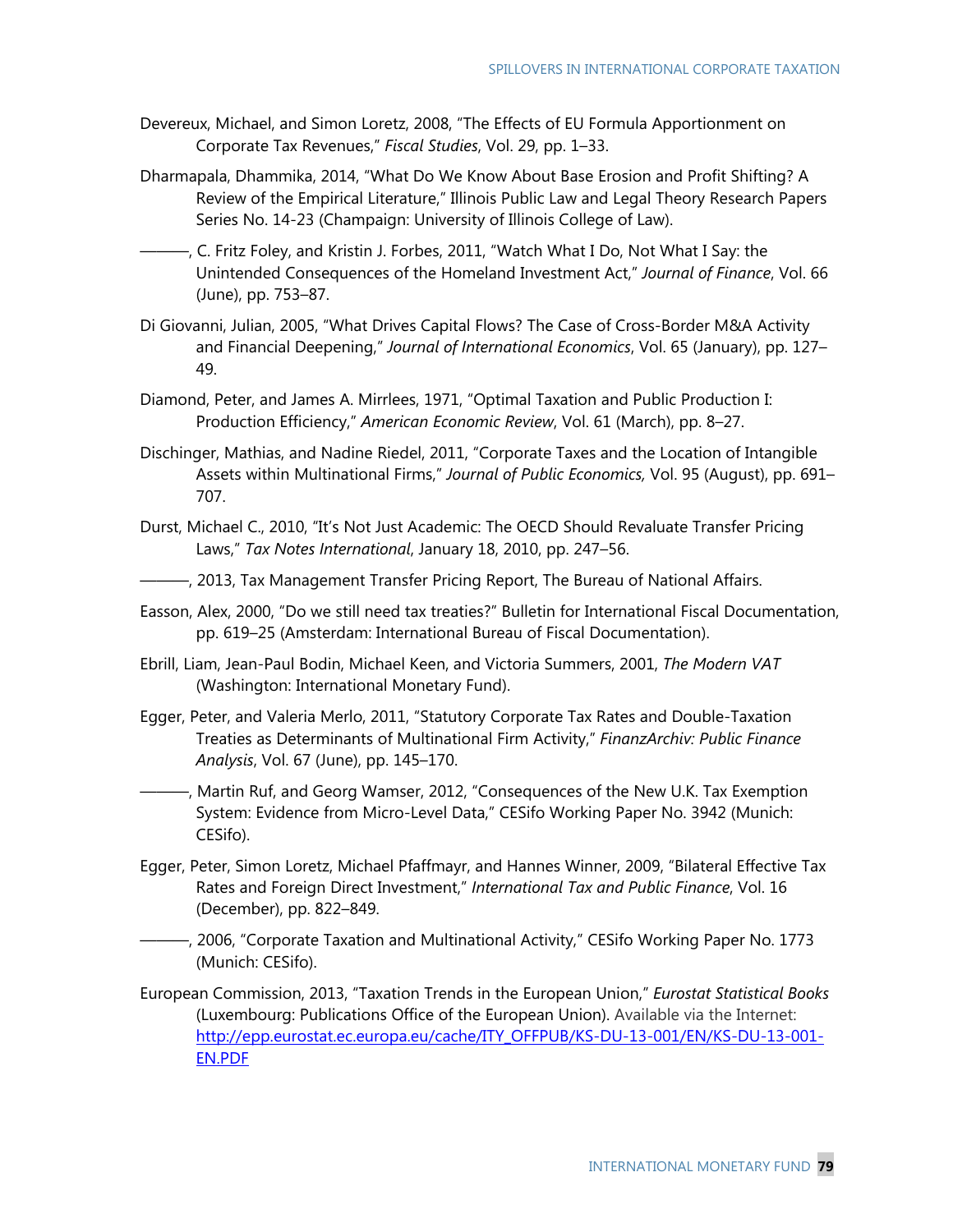- Devereux, Michael, and Simon Loretz, 2008, "The Effects of EU Formula Apportionment on Corporate Tax Revenues," *Fiscal Studies*, Vol. 29, pp. 1–33.
- Dharmapala, Dhammika, 2014, "What Do We Know About Base Erosion and Profit Shifting? A Review of the Empirical Literature," Illinois Public Law and Legal Theory Research Papers Series No. 14-23 (Champaign: University of Illinois College of Law).
- ———, C. Fritz Foley, and Kristin J. Forbes, 2011, "Watch What I Do, Not What I Say: the Unintended Consequences of the Homeland Investment Act," *Journal of Finance*, Vol. 66 (June), pp. 753–87.
- Di Giovanni, Julian, 2005, "What Drives Capital Flows? The Case of Cross-Border M&A Activity and Financial Deepening," *Journal of International Economics*, Vol. 65 (January), pp. 127– 49.
- Diamond, Peter, and James A. Mirrlees, 1971, "Optimal Taxation and Public Production I: Production Efficiency," *American Economic Review*, Vol. 61 (March), pp. 8–27.
- Dischinger, Mathias, and Nadine Riedel, 2011, "Corporate Taxes and the Location of Intangible Assets within Multinational Firms," *Journal of Public Economics,* Vol. 95 (August), pp. 691– 707.
- Durst, Michael C., 2010, "It's Not Just Academic: The OECD Should Revaluate Transfer Pricing Laws," *Tax Notes International*, January 18, 2010, pp. 247–56.
- $-$ , 2013, Tax Management Transfer Pricing Report, The Bureau of National Affairs.
- Easson, Alex, 2000, "Do we still need tax treaties?" Bulletin for International Fiscal Documentation, pp. 619–25 (Amsterdam: International Bureau of Fiscal Documentation).
- Ebrill, Liam, Jean-Paul Bodin, Michael Keen, and Victoria Summers, 2001, *The Modern VAT*  (Washington: International Monetary Fund).
- Egger, Peter, and Valeria Merlo, 2011, "Statutory Corporate Tax Rates and Double-Taxation Treaties as Determinants of Multinational Firm Activity," *FinanzArchiv: Public Finance Analysis*, Vol. 67 (June), pp. 145–170.
- ———, Martin Ruf, and Georg Wamser, 2012, "Consequences of the New U.K. Tax Exemption System: Evidence from Micro-Level Data," CESifo Working Paper No. 3942 (Munich: CESifo).
- Egger, Peter, Simon Loretz, Michael Pfaffmayr, and Hannes Winner, 2009, "Bilateral Effective Tax Rates and Foreign Direct Investment," *International Tax and Public Finance*, Vol. 16 (December), pp. 822–849.
- ———, 2006, "Corporate Taxation and Multinational Activity," CESifo Working Paper No. 1773 (Munich: CESifo).
- European Commission, 2013, "Taxation Trends in the European Union," *Eurostat Statistical Books* (Luxembourg: Publications Office of the European Union). Available via the Internet: http://epp.eurostat.ec.europa.eu/cache/ITY\_OFFPUB/KS-DU-13-001/EN/KS-DU-13-001- EN.PDF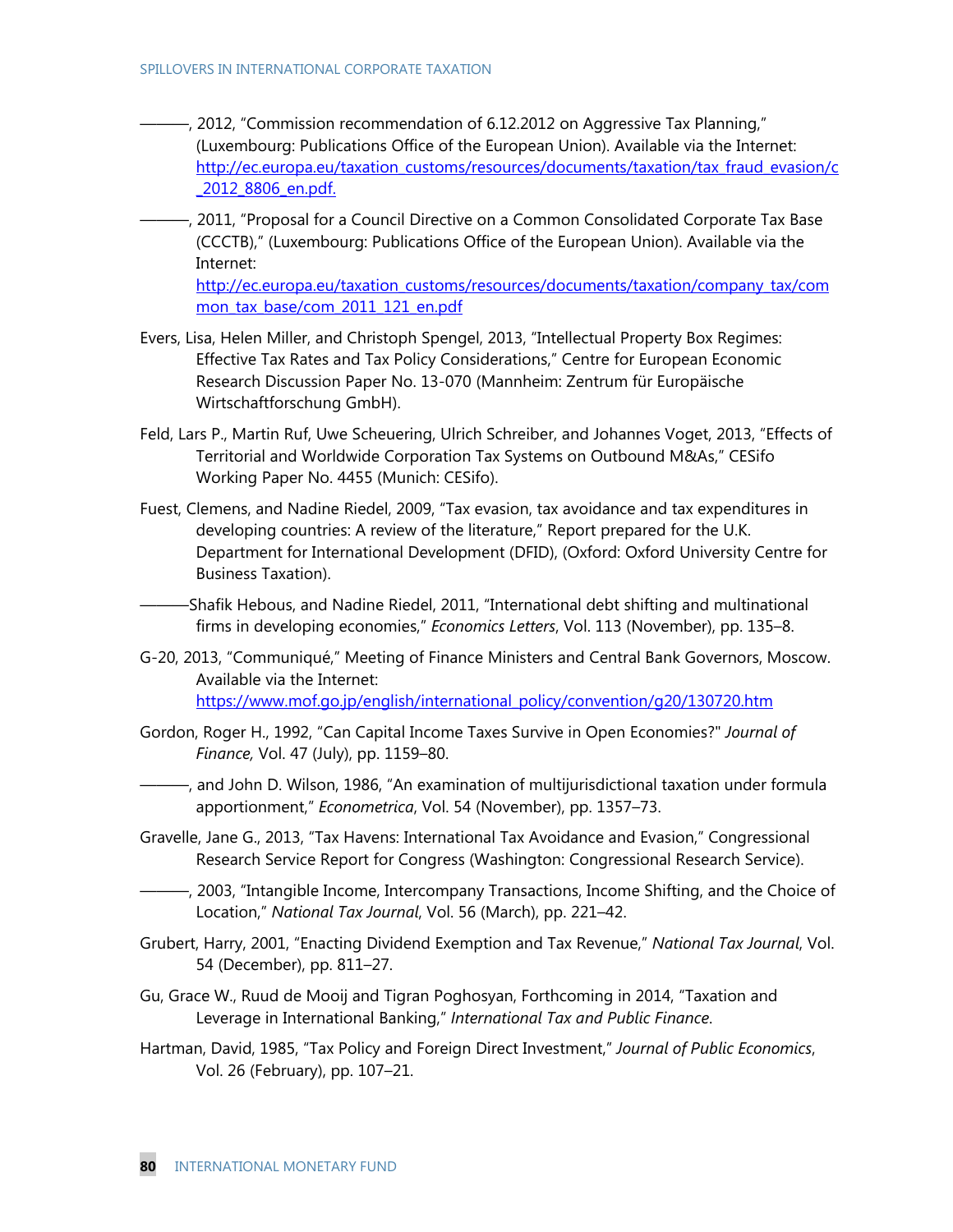- ———, 2012, "Commission recommendation of 6.12.2012 on Aggressive Tax Planning," (Luxembourg: Publications Office of the European Union). Available via the Internet: http://ec.europa.eu/taxation\_customs/resources/documents/taxation/tax\_fraud\_evasion/c \_2012\_8806\_en.pdf.
- ———, 2011, "Proposal for a Council Directive on a Common Consolidated Corporate Tax Base (CCCTB)," (Luxembourg: Publications Office of the European Union). Available via the Internet:

http://ec.europa.eu/taxation\_customs/resources/documents/taxation/company\_tax/com mon tax base/com 2011 121 en.pdf

- Evers, Lisa, Helen Miller, and Christoph Spengel, 2013, "Intellectual Property Box Regimes: Effective Tax Rates and Tax Policy Considerations," Centre for European Economic Research Discussion Paper No. 13-070 (Mannheim: Zentrum für Europäische Wirtschaftforschung GmbH).
- Feld, Lars P., Martin Ruf, Uwe Scheuering, Ulrich Schreiber, and Johannes Voget, 2013, "Effects of Territorial and Worldwide Corporation Tax Systems on Outbound M&As," CESifo Working Paper No. 4455 (Munich: CESifo).
- Fuest, Clemens, and Nadine Riedel, 2009, "Tax evasion, tax avoidance and tax expenditures in developing countries: A review of the literature," Report prepared for the U.K. Department for International Development (DFID), (Oxford: Oxford University Centre for Business Taxation).

-Shafik Hebous, and Nadine Riedel, 2011, "International debt shifting and multinational firms in developing economies," *Economics Letters*, Vol. 113 (November), pp. 135–8.

- G-20, 2013, "Communiqué," Meeting of Finance Ministers and Central Bank Governors, Moscow. Available via the Internet: https://www.mof.go.jp/english/international\_policy/convention/g20/130720.htm
- Gordon, Roger H., 1992, "Can Capital Income Taxes Survive in Open Economies?" *Journal of Finance,* Vol. 47 (July), pp. 1159–80.

———, and John D. Wilson, 1986, "An examination of multijurisdictional taxation under formula apportionment," *Econometrica*, Vol. 54 (November), pp. 1357–73.

- Gravelle, Jane G., 2013, "Tax Havens: International Tax Avoidance and Evasion," Congressional Research Service Report for Congress (Washington: Congressional Research Service).
- ———, 2003, "Intangible Income, Intercompany Transactions, Income Shifting, and the Choice of Location," *National Tax Journal*, Vol. 56 (March), pp. 221–42.
- Grubert, Harry, 2001, "Enacting Dividend Exemption and Tax Revenue," *National Tax Journal*, Vol. 54 (December), pp. 811–27.
- Gu, Grace W., Ruud de Mooij and Tigran Poghosyan, Forthcoming in 2014, "Taxation and Leverage in International Banking," *International Tax and Public Finance*.
- Hartman, David, 1985, "Tax Policy and Foreign Direct Investment," *Journal of Public Economics*, Vol. 26 (February), pp. 107–21.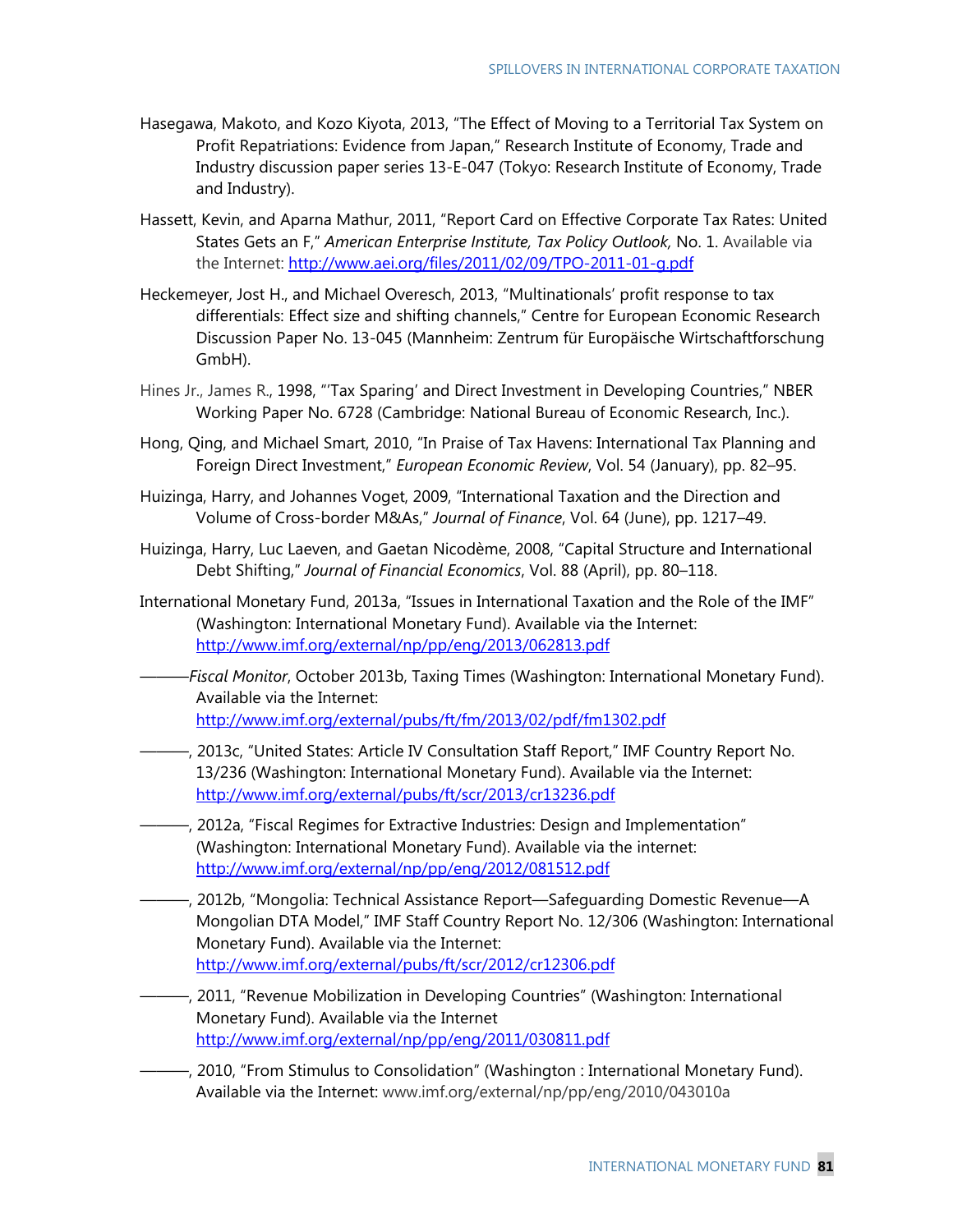- Hasegawa, Makoto, and Kozo Kiyota, 2013, "The Effect of Moving to a Territorial Tax System on Profit Repatriations: Evidence from Japan," Research Institute of Economy, Trade and Industry discussion paper series 13-E-047 (Tokyo: Research Institute of Economy, Trade and Industry).
- Hassett, Kevin, and Aparna Mathur, 2011, "Report Card on Effective Corporate Tax Rates: United States Gets an F," *American Enterprise Institute, Tax Policy Outlook,* No. 1. Available via the Internet: http://www.aei.org/files/2011/02/09/TPO-2011-01-g.pdf
- Heckemeyer, Jost H., and Michael Overesch, 2013, "Multinationals' profit response to tax differentials: Effect size and shifting channels," Centre for European Economic Research Discussion Paper No. 13-045 (Mannheim: Zentrum für Europäische Wirtschaftforschung GmbH).
- Hines Jr., James R., 1998, "'Tax Sparing' and Direct Investment in Developing Countries," NBER Working Paper No. 6728 (Cambridge: National Bureau of Economic Research, Inc.).
- Hong, Qing, and Michael Smart, 2010, "In Praise of Tax Havens: International Tax Planning and Foreign Direct Investment," *European Economic Review*, Vol. 54 (January), pp. 82–95.
- Huizinga, Harry, and Johannes Voget, 2009, "International Taxation and the Direction and Volume of Cross-border M&As," *Journal of Finance*, Vol. 64 (June), pp. 1217–49.
- Huizinga, Harry, Luc Laeven, and Gaetan Nicodème, 2008, "Capital Structure and International Debt Shifting," *Journal of Financial Economics*, Vol. 88 (April), pp. 80–118.
- International Monetary Fund, 2013a, "Issues in International Taxation and the Role of the IMF" (Washington: International Monetary Fund). Available via the Internet: http://www.imf.org/external/np/pp/eng/2013/062813.pdf
- ———*Fiscal Monitor*, October 2013b, Taxing Times (Washington: International Monetary Fund). Available via the Internet: http://www.imf.org/external/pubs/ft/fm/2013/02/pdf/fm1302.pdf
- ———, 2013c, "United States: Article IV Consultation Staff Report," IMF Country Report No. 13/236 (Washington: International Monetary Fund). Available via the Internet: http://www.imf.org/external/pubs/ft/scr/2013/cr13236.pdf
- ———, 2012a, "Fiscal Regimes for Extractive Industries: Design and Implementation" (Washington: International Monetary Fund). Available via the internet: http://www.imf.org/external/np/pp/eng/2012/081512.pdf
- ———, 2012b, "Mongolia: Technical Assistance Report—Safeguarding Domestic Revenue—A Mongolian DTA Model," IMF Staff Country Report No. 12/306 (Washington: International Monetary Fund). Available via the Internet: http://www.imf.org/external/pubs/ft/scr/2012/cr12306.pdf
- ———, 2011, "Revenue Mobilization in Developing Countries" (Washington: International Monetary Fund). Available via the Internet http://www.imf.org/external/np/pp/eng/2011/030811.pdf
	- ———, 2010, "From Stimulus to Consolidation" (Washington : International Monetary Fund). Available via the Internet: www.imf.org/external/np/pp/eng/2010/043010a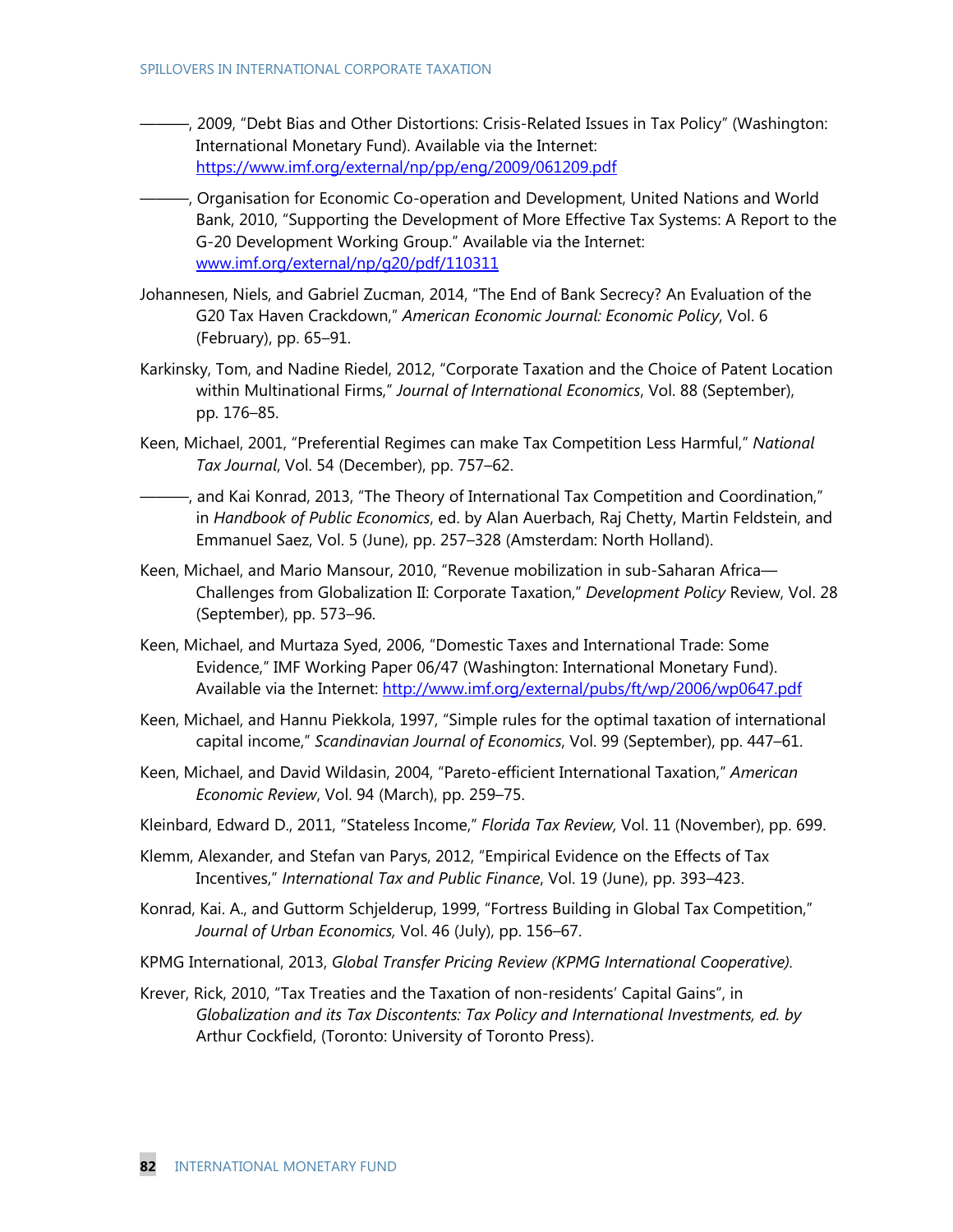- ———, 2009, "Debt Bias and Other Distortions: Crisis-Related Issues in Tax Policy" (Washington: International Monetary Fund). Available via the Internet: https://www.imf.org/external/np/pp/eng/2009/061209.pdf
- ———, Organisation for Economic Co-operation and Development, United Nations and World Bank, 2010, "Supporting the Development of More Effective Tax Systems: A Report to the G-20 Development Working Group." Available via the Internet: www.imf.org/external/np/g20/pdf/110311
- Johannesen, Niels, and Gabriel Zucman, 2014, "The End of Bank Secrecy? An Evaluation of the G20 Tax Haven Crackdown," *American Economic Journal: Economic Policy*, Vol. 6 (February), pp. 65–91.
- Karkinsky, Tom, and Nadine Riedel, 2012, "Corporate Taxation and the Choice of Patent Location within Multinational Firms," *Journal of International Economics*, Vol. 88 (September), pp. 176–85.
- Keen, Michael, 2001, "Preferential Regimes can make Tax Competition Less Harmful," *National Tax Journal*, Vol. 54 (December), pp. 757–62.
- ———, and Kai Konrad, 2013, "The Theory of International Tax Competition and Coordination," in *Handbook of Public Economics*, ed. by Alan Auerbach, Raj Chetty, Martin Feldstein, and Emmanuel Saez, Vol. 5 (June), pp. 257–328 (Amsterdam: North Holland).
- Keen, Michael, and Mario Mansour, 2010, "Revenue mobilization in sub-Saharan Africa— Challenges from Globalization II: Corporate Taxation," *Development Policy* Review, Vol. 28 (September), pp. 573–96.
- Keen, Michael, and Murtaza Syed, 2006, "Domestic Taxes and International Trade: Some Evidence," IMF Working Paper 06/47 (Washington: International Monetary Fund). Available via the Internet: http://www.imf.org/external/pubs/ft/wp/2006/wp0647.pdf
- Keen, Michael, and Hannu Piekkola, 1997, "Simple rules for the optimal taxation of international capital income," *Scandinavian Journal of Economics*, Vol. 99 (September), pp. 447–61.
- Keen, Michael, and David Wildasin, 2004, "Pareto-efficient International Taxation," *American Economic Review*, Vol. 94 (March), pp. 259–75.
- Kleinbard, Edward D., 2011, "Stateless Income," *Florida Tax Review,* Vol. 11 (November), pp. 699.
- Klemm, Alexander, and Stefan van Parys, 2012, "Empirical Evidence on the Effects of Tax Incentives," *International Tax and Public Finance*, Vol. 19 (June), pp. 393–423.
- Konrad, Kai. A., and Guttorm Schjelderup, 1999, "Fortress Building in Global Tax Competition," *Journal of Urban Economics,* Vol. 46 (July), pp. 156–67.
- KPMG International, 2013, *Global Transfer Pricing Review (KPMG International Cooperative).*
- Krever, Rick, 2010, "Tax Treaties and the Taxation of non-residents' Capital Gains", in *Globalization and its Tax Discontents: Tax Policy and International Investments, ed. by*  Arthur Cockfield, (Toronto: University of Toronto Press).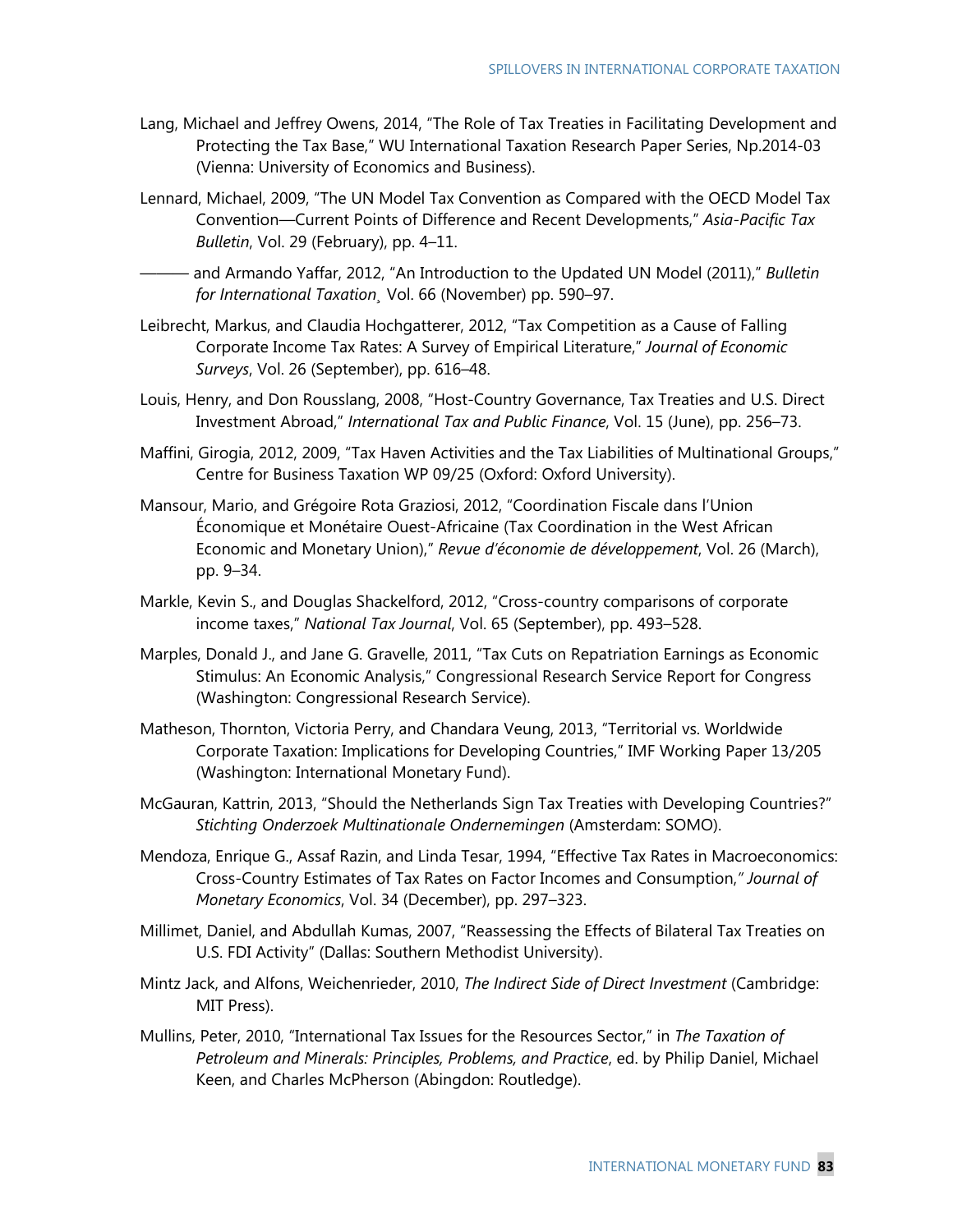- Lang, Michael and Jeffrey Owens, 2014, "The Role of Tax Treaties in Facilitating Development and Protecting the Tax Base," WU International Taxation Research Paper Series, Np.2014-03 (Vienna: University of Economics and Business).
- Lennard, Michael, 2009, "The UN Model Tax Convention as Compared with the OECD Model Tax Convention—Current Points of Difference and Recent Developments," *Asia-Pacific Tax Bulletin*, Vol. 29 (February), pp. 4–11.
- ——— and Armando Yaffar, 2012, "An Introduction to the Updated UN Model (2011)," *Bulletin for International Taxation¸* Vol. 66 (November) pp. 590–97.
- Leibrecht, Markus, and Claudia Hochgatterer, 2012, "Tax Competition as a Cause of Falling Corporate Income Tax Rates: A Survey of Empirical Literature," *Journal of Economic Surveys*, Vol. 26 (September), pp. 616–48.
- Louis, Henry, and Don Rousslang, 2008, "Host-Country Governance, Tax Treaties and U.S. Direct Investment Abroad," *International Tax and Public Finance*, Vol. 15 (June), pp. 256–73.
- Maffini, Girogia, 2012, 2009, "Tax Haven Activities and the Tax Liabilities of Multinational Groups," Centre for Business Taxation WP 09/25 (Oxford: Oxford University).
- Mansour, Mario, and Grégoire Rota Graziosi, 2012, "Coordination Fiscale dans l'Union Économique et Monétaire Ouest-Africaine (Tax Coordination in the West African Economic and Monetary Union)," *Revue d'économie de développement*, Vol. 26 (March), pp. 9–34.
- Markle, Kevin S., and Douglas Shackelford, 2012, "Cross-country comparisons of corporate income taxes," *National Tax Journal*, Vol. 65 (September), pp. 493–528.
- Marples, Donald J., and Jane G. Gravelle, 2011, "Tax Cuts on Repatriation Earnings as Economic Stimulus: An Economic Analysis," Congressional Research Service Report for Congress (Washington: Congressional Research Service).
- Matheson, Thornton, Victoria Perry, and Chandara Veung, 2013, "Territorial vs. Worldwide Corporate Taxation: Implications for Developing Countries," IMF Working Paper 13/205 (Washington: International Monetary Fund).
- McGauran, Kattrin, 2013, "Should the Netherlands Sign Tax Treaties with Developing Countries?" *Stichting Onderzoek Multinationale Ondernemingen* (Amsterdam: SOMO).
- Mendoza, Enrique G., Assaf Razin, and Linda Tesar, 1994, "Effective Tax Rates in Macroeconomics: Cross-Country Estimates of Tax Rates on Factor Incomes and Consumption,*" Journal of Monetary Economics*, Vol. 34 (December), pp. 297–323.
- Millimet, Daniel, and Abdullah Kumas, 2007, "Reassessing the Effects of Bilateral Tax Treaties on U.S. FDI Activity" (Dallas: Southern Methodist University).
- Mintz Jack, and Alfons, Weichenrieder, 2010, *The Indirect Side of Direct Investment* (Cambridge: MIT Press).
- Mullins, Peter, 2010, "International Tax Issues for the Resources Sector," in *The Taxation of Petroleum and Minerals: Principles, Problems, and Practice*, ed. by Philip Daniel, Michael Keen, and Charles McPherson (Abingdon: Routledge).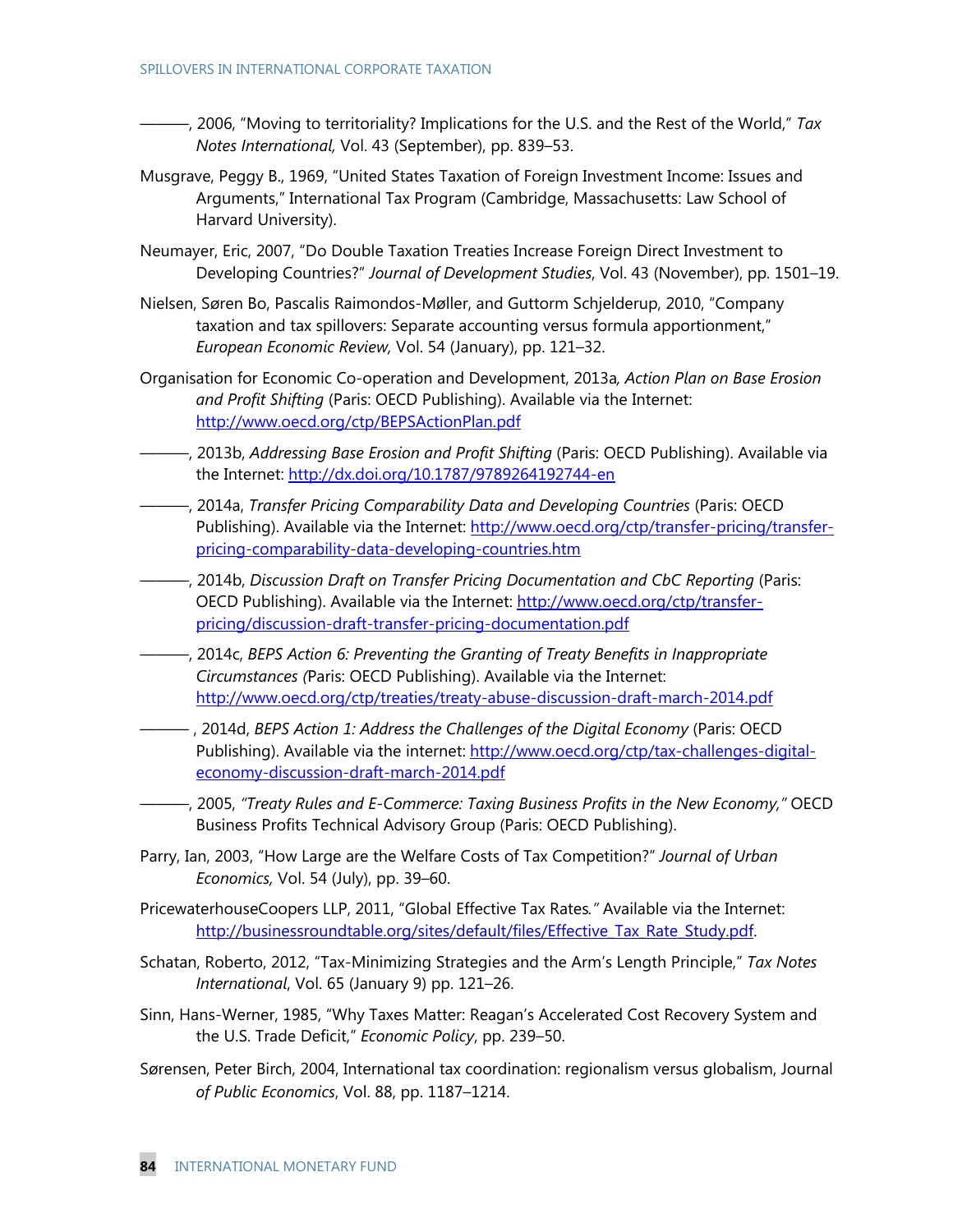- ———, 2006, "Moving to territoriality? Implications for the U.S. and the Rest of the World," *Tax Notes International,* Vol. 43 (September), pp. 839–53.
- Musgrave, Peggy B., 1969, "United States Taxation of Foreign Investment Income: Issues and Arguments," International Tax Program (Cambridge, Massachusetts: Law School of Harvard University).
- Neumayer, Eric, 2007, "Do Double Taxation Treaties Increase Foreign Direct Investment to Developing Countries?" *Journal of Development Studies*, Vol. 43 (November), pp. 1501–19.
- Nielsen, Søren Bo, Pascalis Raimondos-Møller, and Guttorm Schjelderup, 2010, "Company taxation and tax spillovers: Separate accounting versus formula apportionment," *European Economic Review,* Vol. 54 (January), pp. 121–32.
- Organisation for Economic Co-operation and Development, 2013a*, Action Plan on Base Erosion and Profit Shifting* (Paris: OECD Publishing). Available via the Internet: http://www.oecd.org/ctp/BEPSActionPlan.pdf
- ———, 2013b, *Addressing Base Erosion and Profit Shifting* (Paris: OECD Publishing). Available via the Internet: http://dx.doi.org/10.1787/9789264192744-en
- ———, 2014a, *Transfer Pricing Comparability Data and Developing Countries* (Paris: OECD Publishing). Available via the Internet: http://www.oecd.org/ctp/transfer-pricing/transferpricing-comparability-data-developing-countries.htm
- ———, 2014b, *Discussion Draft on Transfer Pricing Documentation and CbC Reporting* (Paris: OECD Publishing). Available via the Internet: http://www.oecd.org/ctp/transferpricing/discussion-draft-transfer-pricing-documentation.pdf
- ———, 2014c, *BEPS Action 6: Preventing the Granting of Treaty Benefits in Inappropriate Circumstances (*Paris: OECD Publishing). Available via the Internet: http://www.oecd.org/ctp/treaties/treaty-abuse-discussion-draft-march-2014.pdf
- ——— , 2014d, *BEPS Action 1: Address the Challenges of the Digital Economy* (Paris: OECD Publishing). Available via the internet: http://www.oecd.org/ctp/tax-challenges-digitaleconomy-discussion-draft-march-2014.pdf
- ———, 2005, *"Treaty Rules and E-Commerce: Taxing Business Profits in the New Economy,"* OECD Business Profits Technical Advisory Group (Paris: OECD Publishing).
- Parry, Ian, 2003, "How Large are the Welfare Costs of Tax Competition?" *Journal of Urban Economics,* Vol. 54 (July), pp. 39–60.
- PricewaterhouseCoopers LLP, 2011, "Global Effective Tax Rates*."* Available via the Internet: http://businessroundtable.org/sites/default/files/Effective Tax Rate Study.pdf.
- Schatan, Roberto, 2012, "Tax-Minimizing Strategies and the Arm's Length Principle," *Tax Notes International*, Vol. 65 (January 9) pp. 121–26.
- Sinn, Hans-Werner, 1985, "Why Taxes Matter: Reagan's Accelerated Cost Recovery System and the U.S. Trade Deficit," *Economic Policy*, pp. 239–50.
- Sørensen, Peter Birch, 2004, International tax coordination: regionalism versus globalism, Journal *of Public Economics*, Vol. 88, pp. 1187–1214.